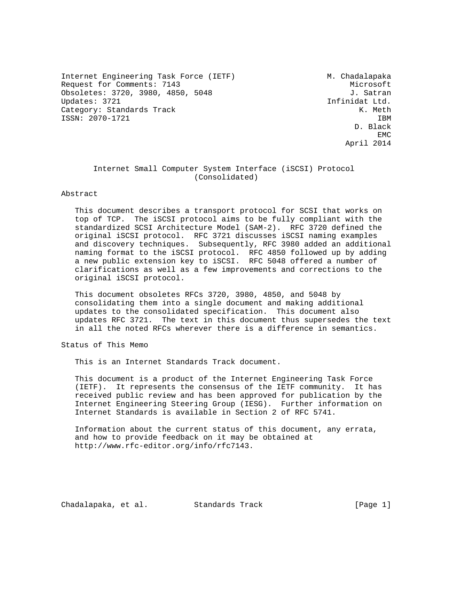Internet Engineering Task Force (IETF) M. Chadalapaka Request for Comments: 7143 Microsoft Obsoletes: 3720, 3980, 4850, 5048 J. Satran Updates: 3721 Infinidat Ltd. Category: Standards Track K. Meth ISSN: 2070-1721 IBM

 D. Black **EMC** EXPERIMENT AND RESERVE EMC April 2014

#### Internet Small Computer System Interface (iSCSI) Protocol (Consolidated)

#### Abstract

 This document describes a transport protocol for SCSI that works on top of TCP. The iSCSI protocol aims to be fully compliant with the standardized SCSI Architecture Model (SAM-2). RFC 3720 defined the original iSCSI protocol. RFC 3721 discusses iSCSI naming examples and discovery techniques. Subsequently, RFC 3980 added an additional naming format to the iSCSI protocol. RFC 4850 followed up by adding a new public extension key to iSCSI. RFC 5048 offered a number of clarifications as well as a few improvements and corrections to the original iSCSI protocol.

 This document obsoletes RFCs 3720, 3980, 4850, and 5048 by consolidating them into a single document and making additional updates to the consolidated specification. This document also updates RFC 3721. The text in this document thus supersedes the text in all the noted RFCs wherever there is a difference in semantics.

Status of This Memo

This is an Internet Standards Track document.

 This document is a product of the Internet Engineering Task Force (IETF). It represents the consensus of the IETF community. It has received public review and has been approved for publication by the Internet Engineering Steering Group (IESG). Further information on Internet Standards is available in Section 2 of RFC 5741.

 Information about the current status of this document, any errata, and how to provide feedback on it may be obtained at http://www.rfc-editor.org/info/rfc7143.

Chadalapaka, et al. Standards Track [Page 1]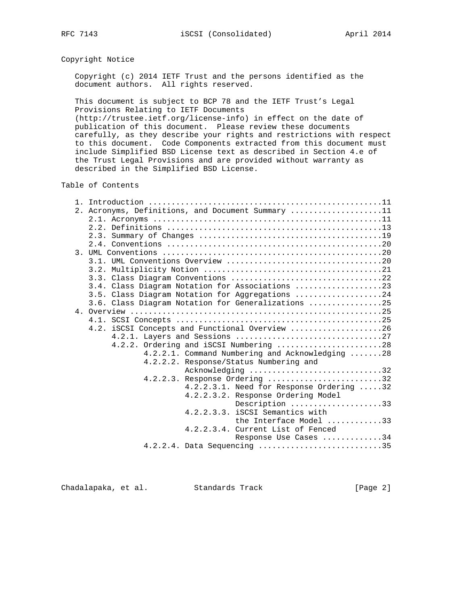## Copyright Notice

 Copyright (c) 2014 IETF Trust and the persons identified as the document authors. All rights reserved.

 This document is subject to BCP 78 and the IETF Trust's Legal Provisions Relating to IETF Documents

 (http://trustee.ietf.org/license-info) in effect on the date of publication of this document. Please review these documents carefully, as they describe your rights and restrictions with respect to this document. Code Components extracted from this document must include Simplified BSD License text as described in Section 4.e of the Trust Legal Provisions and are provided without warranty as described in the Simplified BSD License.

## Table of Contents

| 2. Acronyms, Definitions, and Document Summary 11  |
|----------------------------------------------------|
|                                                    |
|                                                    |
|                                                    |
|                                                    |
|                                                    |
|                                                    |
|                                                    |
|                                                    |
| 3.4. Class Diagram Notation for Associations 23    |
| 3.5. Class Diagram Notation for Aggregations 24    |
| 3.6. Class Diagram Notation for Generalizations 25 |
|                                                    |
|                                                    |
| 4.2. iSCSI Concepts and Functional Overview 26     |
|                                                    |
| 4.2.2. Ordering and iSCSI Numbering 28             |
| 4.2.2.1. Command Numbering and Acknowledging 28    |
| 4.2.2.2. Response/Status Numbering and             |
| Acknowledging 32                                   |
| Response Ordering 32<br>4.2.2.3.                   |
| 4.2.2.3.1. Need for Response Ordering 32           |
| 4.2.2.3.2. Response Ordering Model                 |
| Description 33                                     |
| 4.2.2.3.3. iSCSI Semantics with                    |
| the Interface Model 33                             |
| 4.2.2.3.4. Current List of Fenced                  |
| Response Use Cases 34                              |
| 4.2.2.4. Data Sequencing 35                        |
|                                                    |

Chadalapaka, et al. Standards Track [Page 2]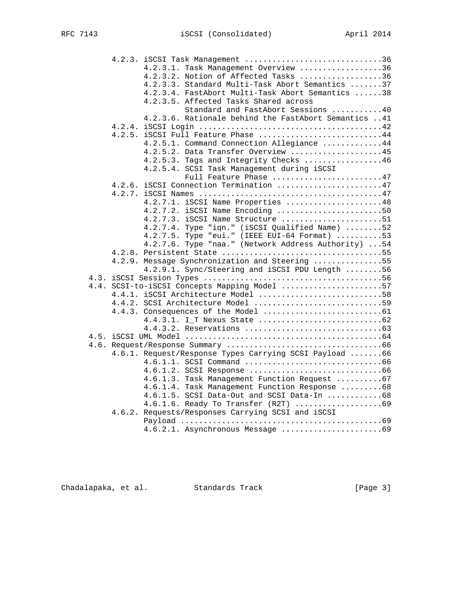| 4.2.3. iSCSI Task Management 36                        |
|--------------------------------------------------------|
| 4.2.3.1. Task Management Overview 36                   |
| 4.2.3.2. Notion of Affected Tasks 36                   |
| 4.2.3.3. Standard Multi-Task Abort Semantics 37        |
| 4.2.3.4. FastAbort Multi-Task Abort Semantics 38       |
| 4.2.3.5. Affected Tasks Shared across                  |
| Standard and FastAbort Sessions 40                     |
| 4.2.3.6. Rationale behind the FastAbort Semantics 41   |
|                                                        |
| $4.2.5$ . ISCSI Full Feature Phase 44                  |
| 4.2.5.1. Command Connection Allegiance 44              |
| 4.2.5.2. Data Transfer Overview 45                     |
| 4.2.5.3. Tags and Integrity Checks 46                  |
| 4.2.5.4. SCSI Task Management during iSCSI             |
| Full Feature Phase 47                                  |
| 4.2.6. iSCSI Connection Termination 47                 |
|                                                        |
| 4.2.7.1. iSCSI Name Properties 48                      |
| 4.2.7.2. iSCSI Name Encoding 50                        |
| $4.2.7.3.$ iSCSI Name Structure 51                     |
| 4.2.7.4. Type "iqn." (iSCSI Qualified Name) 52         |
| 4.2.7.5. Type "eui." (IEEE EUI-64 Format) 53           |
| 4.2.7.6. Type "naa." (Network Address Authority) 54    |
|                                                        |
| 4.2.9. Message Synchronization and Steering 55         |
| 4.2.9.1. Sync/Steering and iSCSI PDU Length 56         |
|                                                        |
| 4.4. SCSI-to-iSCSI Concepts Mapping Model 57           |
| 4.4.1. iSCSI Architecture Model 58                     |
| 4.4.2. SCSI Architecture Model 59                      |
|                                                        |
|                                                        |
|                                                        |
|                                                        |
|                                                        |
| 4.6.1. Request/Response Types Carrying SCSI Payload 66 |
|                                                        |
|                                                        |
| 4.6.1.3. Task Management Function Request 67           |
| 4.6.1.4. Task Management Function Response 68          |
| 4.6.1.5. SCSI Data-Out and SCSI Data-In 68             |
| 4.6.1.6. Ready To Transfer (R2T) 69                    |
| 4.6.2. Requests/Responses Carrying SCSI and iSCSI      |
|                                                        |
|                                                        |

Chadalapaka, et al. Standards Track (Page 3)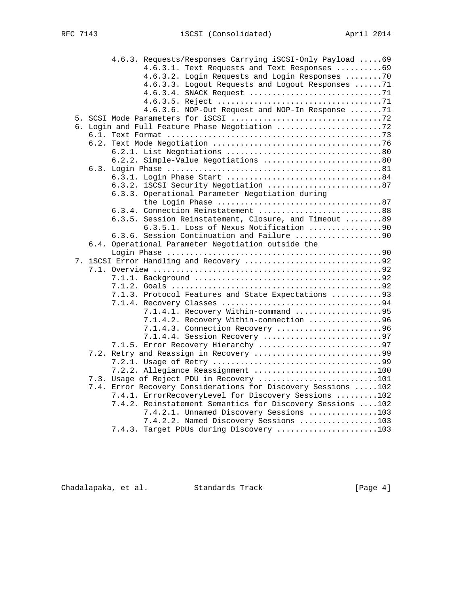|    | 4.6.3. Requests/Responses Carrying iSCSI-Only Payload  69      |
|----|----------------------------------------------------------------|
|    | 4.6.3.1. Text Requests and Text Responses 69                   |
|    | 4.6.3.2. Login Requests and Login Responses 70                 |
|    | 4.6.3.3. Logout Requests and Logout Responses  71              |
|    |                                                                |
|    |                                                                |
|    | 4.6.3.6. NOP-Out Request and NOP-In Response 71                |
|    |                                                                |
|    | 6. Login and Full Feature Phase Negotiation 72                 |
|    |                                                                |
|    |                                                                |
|    |                                                                |
|    | 6.2.2. Simple-Value Negotiations 80                            |
|    |                                                                |
|    |                                                                |
|    | 6.3.2. iSCSI Security Negotiation 87                           |
|    | 6.3.3. Operational Parameter Negotiation during                |
|    |                                                                |
|    | 6.3.4. Connection Reinstatement 88                             |
|    | 6.3.5. Session Reinstatement, Closure, and Timeout 89          |
|    | 6.3.5.1. Loss of Nexus Notification 90                         |
|    | 6.3.6. Session Continuation and Failure 90                     |
|    | 6.4. Operational Parameter Negotiation outside the             |
|    |                                                                |
| 7. |                                                                |
|    |                                                                |
|    |                                                                |
|    |                                                                |
|    | 7.1.3. Protocol Features and State Expectations 93             |
|    |                                                                |
|    | 7.1.4.1. Recovery Within-command 95                            |
|    | 7.1.4.2. Recovery Within-connection 96                         |
|    | 7.1.4.3. Connection Recovery 96                                |
|    | 7.1.4.4. Session Recovery 97                                   |
|    | 7.1.5. Error Recovery Hierarchy 97                             |
|    |                                                                |
|    |                                                                |
|    | 7.2.2. Allegiance Reassignment 100                             |
|    | 7.3. Usage of Reject PDU in Recovery 101                       |
|    | 7.4. Error Recovery Considerations for Discovery Sessions  102 |
|    | 7.4.1. ErrorRecoveryLevel for Discovery Sessions 102           |
|    | 7.4.2. Reinstatement Semantics for Discovery Sessions  102     |
|    | 7.4.2.1. Unnamed Discovery Sessions 103                        |
|    | 7.4.2.2. Named Discovery Sessions 103                          |
|    | 7.4.3. Target PDUs during Discovery 103                        |
|    |                                                                |

Chadalapaka, et al. Standards Track (Page 4)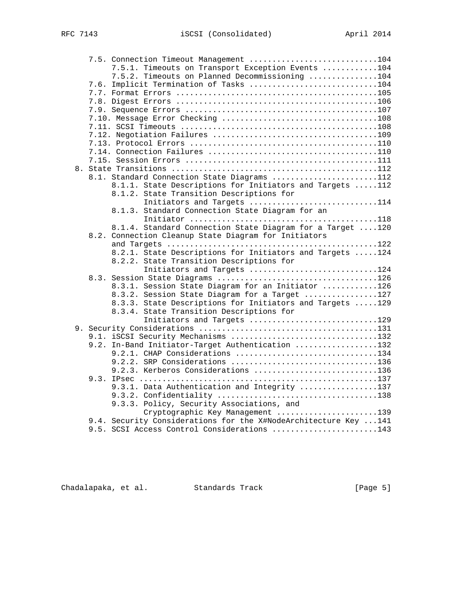| 7.5. Connection Timeout Management 104                                 |  |
|------------------------------------------------------------------------|--|
| 7.5.1. Timeouts on Transport Exception Events 104                      |  |
| 7.5.2. Timeouts on Planned Decommissioning 104                         |  |
| 7.6. Implicit Termination of Tasks 104                                 |  |
|                                                                        |  |
|                                                                        |  |
|                                                                        |  |
|                                                                        |  |
|                                                                        |  |
|                                                                        |  |
|                                                                        |  |
|                                                                        |  |
|                                                                        |  |
|                                                                        |  |
| 8.1. Standard Connection State Diagrams 112                            |  |
| 8.1.1. State Descriptions for Initiators and Targets 112               |  |
| 8.1.2. State Transition Descriptions for                               |  |
| Initiators and Targets 114                                             |  |
| 8.1.3. Standard Connection State Diagram for an                        |  |
|                                                                        |  |
| 8.1.4. Standard Connection State Diagram for a Target 120              |  |
| 8.2. Connection Cleanup State Diagram for Initiators                   |  |
|                                                                        |  |
| 8.2.1. State Descriptions for Initiators and Targets 124               |  |
| 8.2.2. State Transition Descriptions for<br>Initiators and Targets 124 |  |
|                                                                        |  |
| 8.3.1. Session State Diagram for an Initiator 126                      |  |
| 8.3.2. Session State Diagram for a Target 127                          |  |
| 8.3.3. State Descriptions for Initiators and Targets 129               |  |
| 8.3.4. State Transition Descriptions for                               |  |
| Initiators and Targets 129                                             |  |
|                                                                        |  |
| 9.1. iSCSI Security Mechanisms 132                                     |  |
| 9.2. In-Band Initiator-Target Authentication 132                       |  |
| 9.2.1. CHAP Considerations 134                                         |  |
| 9.2.2. SRP Considerations 136                                          |  |
| 9.2.3. Kerberos Considerations 136                                     |  |
|                                                                        |  |
| 9.3.1. Data Authentication and Integrity 137                           |  |
|                                                                        |  |
| 9.3.3. Policy, Security Associations, and                              |  |
| Cryptographic Key Management 139                                       |  |
| 9.4. Security Considerations for the X#NodeArchitecture Key  141       |  |
| 9.5. SCSI Access Control Considerations 143                            |  |

Chadalapaka, et al. Standards Track (Page 5)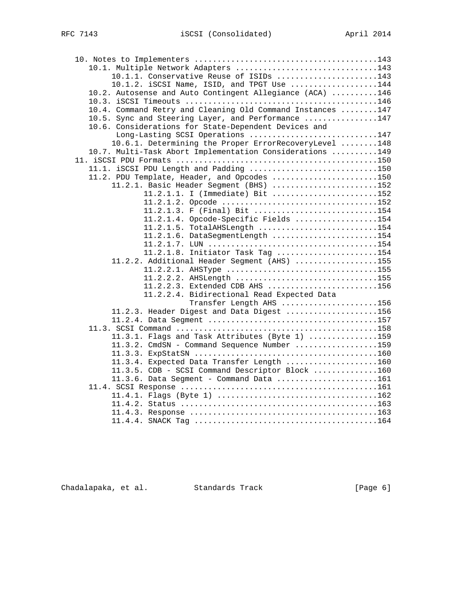| 10.1. Multiple Network Adapters 143                        |  |
|------------------------------------------------------------|--|
| 10.1.1. Conservative Reuse of ISIDs 143                    |  |
| $10.1.2$ . iSCSI Name, ISID, and TPGT Use 144              |  |
| 10.2. Autosense and Auto Contingent Allegiance (ACA) 146   |  |
|                                                            |  |
| 10.4. Command Retry and Cleaning Old Command Instances 147 |  |
| 10.5. Sync and Steering Layer, and Performance 147         |  |
| 10.6. Considerations for State-Dependent Devices and       |  |
| Long-Lasting SCSI Operations 147                           |  |
| 10.6.1. Determining the Proper ErrorRecoveryLevel 148      |  |
| 10.7. Multi-Task Abort Implementation Considerations 149   |  |
|                                                            |  |
| 11.1. iSCSI PDU Length and Padding 150                     |  |
| 11.2. PDU Template, Header, and Opcodes 150                |  |
| 11.2.1. Basic Header Segment (BHS) 152                     |  |
| 11.2.1.1. I (Immediate) Bit 152                            |  |
|                                                            |  |
| 11.2.1.3. F (Final) Bit 154                                |  |
| 11.2.1.4. Opcode-Specific Fields 154                       |  |
| 11.2.1.5. TotalAHSLength 154                               |  |
| 11.2.1.6. DataSegmentLength 154                            |  |
|                                                            |  |
| 11.2.1.8. Initiator Task Tag 154                           |  |
| 11.2.2. Additional Header Segment (AHS) 155                |  |
| 11.2.2.1. AHSType 155                                      |  |
| 11.2.2.2. AHSLength 155                                    |  |
| 11.2.2.3. Extended CDB AHS 156                             |  |
| 11.2.2.4. Bidirectional Read Expected Data                 |  |
| Transfer Length AHS 156                                    |  |
| 11.2.3. Header Digest and Data Digest 156                  |  |
|                                                            |  |
|                                                            |  |
| 11.3.1. Flags and Task Attributes (Byte 1) 159             |  |
| 11.3.2. CmdSN - Command Sequence Number 159                |  |
|                                                            |  |
| 11.3.4. Expected Data Transfer Length 160                  |  |
| 11.3.5. CDB - SCSI Command Descriptor Block 160            |  |
| 11.3.6. Data Segment - Command Data 161                    |  |
|                                                            |  |
|                                                            |  |
|                                                            |  |
|                                                            |  |
|                                                            |  |

Chadalapaka, et al. Standards Track (Page 6)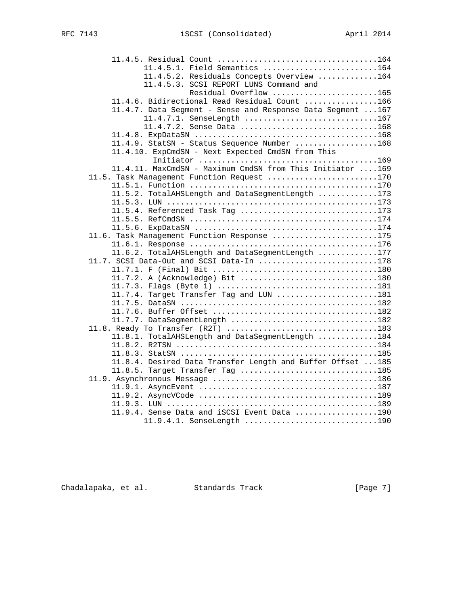| 11.4.5.1. Field Semantics 164                               |  |
|-------------------------------------------------------------|--|
| 11.4.5.2. Residuals Concepts Overview 164                   |  |
| 11.4.5.3. SCSI REPORT LUNS Command and                      |  |
| Residual Overflow 165                                       |  |
| 11.4.6. Bidirectional Read Residual Count 166               |  |
| 11.4.7. Data Segment - Sense and Response Data Segment  167 |  |
| 11.4.7.1. SenseLength 167                                   |  |
| 11.4.7.2. Sense Data 168                                    |  |
|                                                             |  |
| 11.4.9. StatSN - Status Sequence Number 168                 |  |
| 11.4.10. ExpCmdSN - Next Expected CmdSN from This           |  |
|                                                             |  |
| 11.4.11. MaxCmdSN - Maximum CmdSN from This Initiator 169   |  |
| 11.5. Task Management Function Request 170                  |  |
|                                                             |  |
| 11.5.2. TotalAHSLength and DataSegmentLength 173            |  |
|                                                             |  |
| 11.5.4. Referenced Task Tag 173                             |  |
|                                                             |  |
|                                                             |  |
| 11.6. Task Management Function Response 175                 |  |
|                                                             |  |
| 11.6.2. TotalAHSLength and DataSegmentLength 177            |  |
| 11.7. SCSI Data-Out and SCSI Data-In 178                    |  |
|                                                             |  |
| 11.7.2. A (Acknowledge) Bit 180                             |  |
|                                                             |  |
| 11.7.4. Target Transfer Tag and LUN 181                     |  |
|                                                             |  |
|                                                             |  |
| 11.7.7. DataSegmentLength 182                               |  |
| 11.8. Ready To Transfer (R2T) 183                           |  |
| 11.8.1. TotalAHSLength and DataSegmentLength 184            |  |
|                                                             |  |
|                                                             |  |
| 11.8.4. Desired Data Transfer Length and Buffer Offset  185 |  |
| 11.8.5. Target Transfer Tag 185                             |  |
|                                                             |  |
|                                                             |  |
|                                                             |  |
|                                                             |  |
| 11.9.4. Sense Data and iSCSI Event Data 190                 |  |
| 11.9.4.1. SenseLength 190                                   |  |

Chadalapaka, et al. Standards Track (Page 7)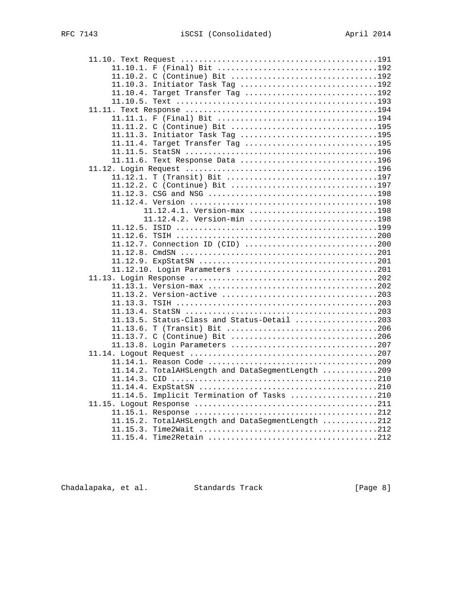| 11.10.2. C (Continue) Bit 192                     |  |
|---------------------------------------------------|--|
| 11.10.3. Initiator Task Tag 192                   |  |
| 11.10.4. Target Transfer Tag 192                  |  |
|                                                   |  |
|                                                   |  |
|                                                   |  |
| 11.11.2. C (Continue) Bit 195                     |  |
| 11.11.3. Initiator Task Tag 195                   |  |
| 11.11.4. Target Transfer Tag 195                  |  |
|                                                   |  |
| 11.11.6. Text Response Data 196                   |  |
|                                                   |  |
| 11.12.1. T (Transit) Bit 197                      |  |
| 11.12.2. C (Continue) Bit 197                     |  |
|                                                   |  |
|                                                   |  |
| 11.12.4.1. Version-max 198                        |  |
| 11.12.4.2. Version-min 198                        |  |
|                                                   |  |
|                                                   |  |
| $11.12.7.$ Connection ID (CID) 200                |  |
|                                                   |  |
|                                                   |  |
| 11.12.10. Login Parameters 201                    |  |
|                                                   |  |
|                                                   |  |
|                                                   |  |
|                                                   |  |
|                                                   |  |
| 11.13.5. Status-Class and Status-Detail 203       |  |
|                                                   |  |
|                                                   |  |
|                                                   |  |
|                                                   |  |
|                                                   |  |
| 11.14.2. TotalAHSLength and DataSegmentLength 209 |  |
|                                                   |  |
|                                                   |  |
| 11.14.5. Implicit Termination of Tasks 210        |  |
|                                                   |  |
|                                                   |  |
| 11.15.2. TotalAHSLength and DataSeqmentLength 212 |  |
|                                                   |  |
|                                                   |  |
|                                                   |  |

Chadalapaka, et al. Standards Track (Page 8)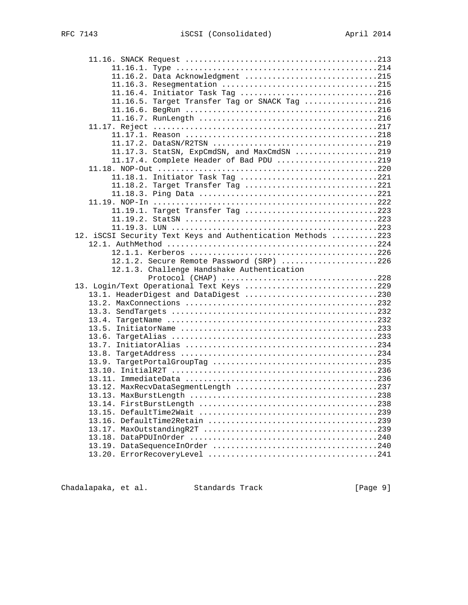| 11.16.2. Data Acknowledgment 215                            |  |
|-------------------------------------------------------------|--|
|                                                             |  |
| 11.16.4. Initiator Task Tag 216                             |  |
| 11.16.5. Target Transfer Tag or SNACK Tag 216               |  |
|                                                             |  |
|                                                             |  |
|                                                             |  |
|                                                             |  |
|                                                             |  |
| 11.17.3. StatSN, ExpCmdSN, and MaxCmdSN 219                 |  |
| 11.17.4. Complete Header of Bad PDU 219                     |  |
|                                                             |  |
| 11.18.1. Initiator Task Tag 221                             |  |
| 11.18.2. Target Transfer Tag 221                            |  |
|                                                             |  |
|                                                             |  |
| 11.19.1. Target Transfer Tag 223                            |  |
|                                                             |  |
|                                                             |  |
| 12. iSCSI Security Text Keys and Authentication Methods 223 |  |
|                                                             |  |
|                                                             |  |
| 12.1.2. Secure Remote Password (SRP) 226                    |  |
|                                                             |  |
| 12.1.3. Challenge Handshake Authentication                  |  |
| Protocol (CHAP) 228                                         |  |
| 13. Login/Text Operational Text Keys 229                    |  |
| 13.1. HeaderDigest and DataDigest 230                       |  |
|                                                             |  |
|                                                             |  |
|                                                             |  |
|                                                             |  |
| 13.6.                                                       |  |
|                                                             |  |
|                                                             |  |
|                                                             |  |
|                                                             |  |
|                                                             |  |
| 13.12. MaxRecvDataSegmentLength 237                         |  |
|                                                             |  |
|                                                             |  |
|                                                             |  |
|                                                             |  |
|                                                             |  |
|                                                             |  |
|                                                             |  |

Chadalapaka, et al. Standards Track (Page 9)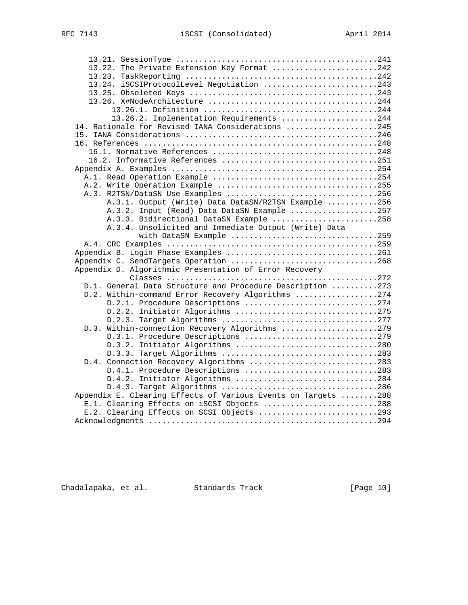| 13.22. The Private Extension Key Format 242                   |  |
|---------------------------------------------------------------|--|
|                                                               |  |
| 13.24. iSCSIProtocolLevel Negotiation 243                     |  |
|                                                               |  |
|                                                               |  |
|                                                               |  |
| 13.26.2. Implementation Requirements 244                      |  |
| 14. Rationale for Revised IANA Considerations 245             |  |
|                                                               |  |
|                                                               |  |
|                                                               |  |
|                                                               |  |
|                                                               |  |
|                                                               |  |
|                                                               |  |
| A.3. R2TSN/DataSN Use Examples 256                            |  |
| A.3.1. Output (Write) Data DataSN/R2TSN Example 256           |  |
| A.3.2. Input (Read) Data DataSN Example 257                   |  |
| A.3.3. Bidirectional DataSN Example 258                       |  |
| A.3.4. Unsolicited and Immediate Output (Write) Data          |  |
| with DataSN Example 259                                       |  |
|                                                               |  |
| Appendix B. Login Phase Examples 261                          |  |
| Appendix C. SendTargets Operation 268                         |  |
| Appendix D. Algorithmic Presentation of Error Recovery        |  |
|                                                               |  |
| D.1. General Data Structure and Procedure Description 273     |  |
| D.2. Within-command Error Recovery Algorithms 274             |  |
| D.2.1. Procedure Descriptions 274                             |  |
| D.2.2. Initiator Algorithms 275                               |  |
|                                                               |  |
| D.3. Within-connection Recovery Algorithms 279                |  |
| D.3.1. Procedure Descriptions 279                             |  |
| D.3.2. Initiator Algorithms 280                               |  |
| D.3.3. Target Algorithms 283                                  |  |
| D.4. Connection Recovery Algorithms 283                       |  |
| D.4.1. Procedure Descriptions 283                             |  |
| D.4.2. Initiator Algorithms 284                               |  |
| D.4.3. Target Algorithms 286                                  |  |
| Appendix E. Clearing Effects of Various Events on Targets 288 |  |
| E.1. Clearing Effects on iSCSI Objects 288                    |  |
| E.2. Clearing Effects on SCSI Objects 293                     |  |
|                                                               |  |

Chadalapaka, et al. Standards Track [Page 10]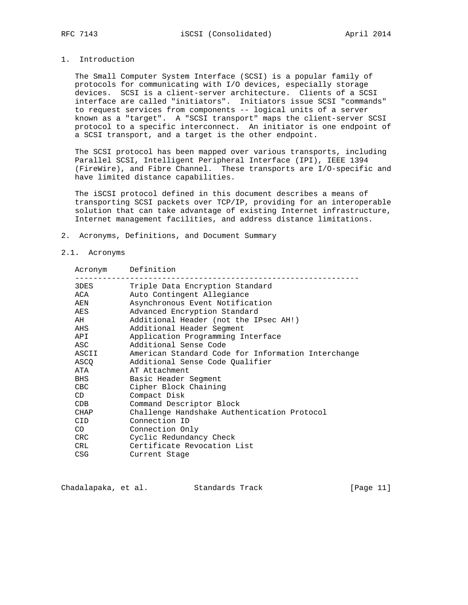## 1. Introduction

 The Small Computer System Interface (SCSI) is a popular family of protocols for communicating with I/O devices, especially storage devices. SCSI is a client-server architecture. Clients of a SCSI interface are called "initiators". Initiators issue SCSI "commands" to request services from components -- logical units of a server known as a "target". A "SCSI transport" maps the client-server SCSI protocol to a specific interconnect. An initiator is one endpoint of a SCSI transport, and a target is the other endpoint.

 The SCSI protocol has been mapped over various transports, including Parallel SCSI, Intelligent Peripheral Interface (IPI), IEEE 1394 (FireWire), and Fibre Channel. These transports are I/O-specific and have limited distance capabilities.

The iSCSI protocol defined in this document describes a means of transporting SCSI packets over TCP/IP, providing for an interoperable solution that can take advantage of existing Internet infrastructure, Internet management facilities, and address distance limitations.

2. Acronyms, Definitions, and Document Summary

#### 2.1. Acronyms

| Acronym     | Definition                                         |
|-------------|----------------------------------------------------|
| 3DES        | Triple Data Encryption Standard                    |
| ACA         | Auto Contingent Allegiance                         |
| AEN         | Asynchronous Event Notification                    |
| AES         | Advanced Encryption Standard                       |
| AH          | Additional Header (not the IPsec AH!)              |
| AHS         | Additional Header Segment                          |
| API         | Application Programming Interface                  |
| ASC         | Additional Sense Code                              |
| ASCII       | American Standard Code for Information Interchange |
| ASCO        | Additional Sense Code Qualifier                    |
| ATA         | AT Attachment                                      |
| BHS         | Basic Header Segment                               |
| CBC         | Cipher Block Chaining                              |
| CD          | Compact Disk                                       |
| CDB         | Command Descriptor Block                           |
| <b>CHAP</b> | Challenge Handshake Authentication Protocol        |
| CID.        | Connection ID                                      |
| CO I        | Connection Only                                    |
| <b>CRC</b>  | Cyclic Redundancy Check                            |
| CRL         | Certificate Revocation List                        |
| CSG         | Current Stage                                      |

Chadalapaka, et al. Standards Track [Page 11]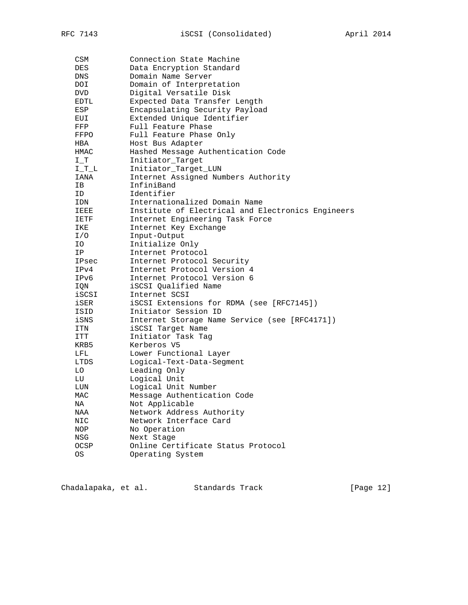| CSM        | Connection State Machine                          |
|------------|---------------------------------------------------|
| DES        | Data Encryption Standard                          |
| DNS        | Domain Name Server                                |
| DOI        | Domain of Interpretation                          |
| <b>DVD</b> | Digital Versatile Disk                            |
| EDTL       | Expected Data Transfer Length                     |
| ESP        | Encapsulating Security Payload                    |
| EUI        | Extended Unique Identifier                        |
| FFP        | Full Feature Phase                                |
| FFPO       | Full Feature Phase Only                           |
| HBA        | Host Bus Adapter                                  |
| HMAC       | Hashed Message Authentication Code                |
| I T        | Initiator_Target                                  |
| $I_T_L$    | Initiator_Target_LUN                              |
| IANA       | Internet Assigned Numbers Authority               |
| IB         | InfiniBand                                        |
| ID.        | Identifier                                        |
| IDN        | Internationalized Domain Name                     |
| IEEE       | Institute of Electrical and Electronics Engineers |
| IETF       | Internet Engineering Task Force                   |
| IKE        | Internet Key Exchange                             |
| I/O        | Input-Output                                      |
| IO.        | Initialize Only                                   |
| ΙP         | Internet Protocol                                 |
| IPsec      | Internet Protocol Security                        |
| IPv4       | Internet Protocol Version 4                       |
| IPv6       | Internet Protocol Version 6                       |
| IQN        | iSCSI Qualified Name                              |
| iscsı      | Internet SCSI                                     |
| iSER       | iSCSI Extensions for RDMA (see [RFC7145])         |
| ISID       | Initiator Session ID                              |
| iSNS       | Internet Storage Name Service (see [RFC4171])     |
| ITN        | iSCSI Target Name                                 |
| ITT        | Initiator Task Tag                                |
| KRB5       | Kerberos V5                                       |
| LFL        | Lower Functional Layer                            |
| LTDS       | Logical-Text-Data-Segment                         |
| LO.        | Leading Only                                      |
| LU         | Logical Unit                                      |
| LUN        | Logical Unit Number                               |
| MAC        | Message Authentication Code                       |
| NA         | Not Applicable                                    |
| NAA        | Network Address Authority                         |
| NIC        | Network Interface Card                            |
| NOP        | No Operation                                      |
| NSG        | Next Stage                                        |
| OCSP       | Online Certificate Status Protocol                |
| ОS         | Operating System                                  |

| Chadalapaka, et al. | Standards Track | [Page 12] |
|---------------------|-----------------|-----------|
|---------------------|-----------------|-----------|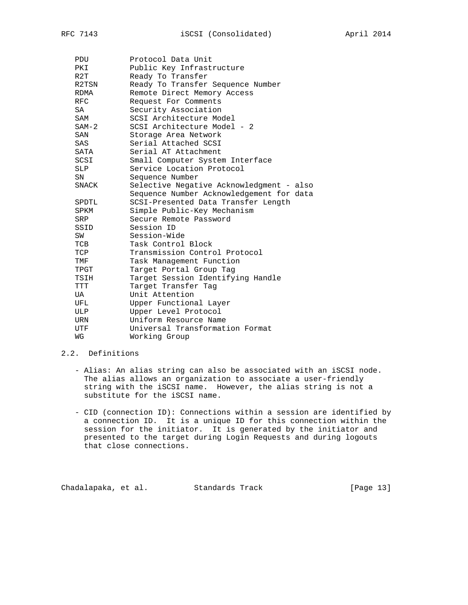| <b>PDU</b> | Protocol Data Unit                       |
|------------|------------------------------------------|
| PKI        | Public Key Infrastructure                |
| R2T        | Ready To Transfer                        |
| R2TSN      | Ready To Transfer Sequence Number        |
| RDMA       | Remote Direct Memory Access              |
| <b>RFC</b> | Request For Comments                     |
| SA         | Security Association                     |
| SAM        | SCSI Architecture Model                  |
| $SAM-2$    | SCSI Architecture Model - 2              |
| SAN        | Storage Area Network                     |
| SAS        | Serial Attached SCSI                     |
| SATA       | Serial AT Attachment                     |
| SCSI       | Small Computer System Interface          |
| SLP        | Service Location Protocol                |
| SN         | Sequence Number                          |
| SNACK      | Selective Negative Acknowledgment - also |
|            | Sequence Number Acknowledgement for data |
| SPDTL      | SCSI-Presented Data Transfer Length      |
| SPKM       | Simple Public-Key Mechanism              |
| SRP        | Secure Remote Password                   |
| SSID       | Session ID                               |
| SW         | Session-Wide                             |
| TCB        | Task Control Block                       |
| TCP        | Transmission Control Protocol            |
| TMF        | Task Management Function                 |
| TPGT       | Target Portal Group Tag                  |
| TSIH       | Target Session Identifying Handle        |
| <b>TTT</b> | Target Transfer Tag                      |
| UA         | Unit Attention                           |
| UFL        | Upper Functional Layer                   |
| ULP        | Upper Level Protocol                     |
| URN        | Uniform Resource Name                    |
| UTF        | Universal Transformation Format          |
| WG         | Working Group                            |

## 2.2. Definitions

- Alias: An alias string can also be associated with an iSCSI node. The alias allows an organization to associate a user-friendly string with the iSCSI name. However, the alias string is not a substitute for the iSCSI name.
- CID (connection ID): Connections within a session are identified by a connection ID. It is a unique ID for this connection within the session for the initiator. It is generated by the initiator and presented to the target during Login Requests and during logouts that close connections.

Chadalapaka, et al. Standards Track [Page 13]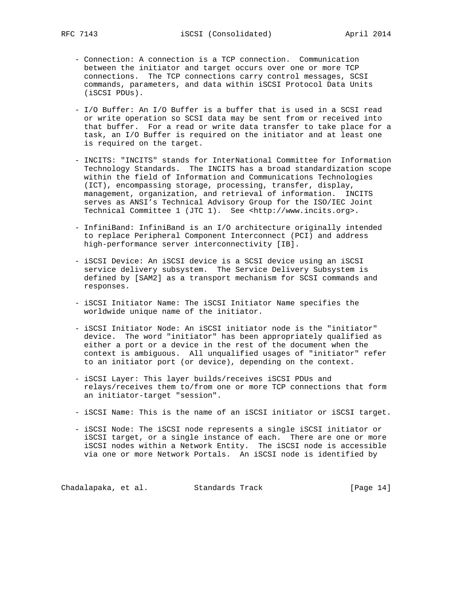- Connection: A connection is a TCP connection. Communication between the initiator and target occurs over one or more TCP connections. The TCP connections carry control messages, SCSI commands, parameters, and data within iSCSI Protocol Data Units (iSCSI PDUs).
- I/O Buffer: An I/O Buffer is a buffer that is used in a SCSI read or write operation so SCSI data may be sent from or received into that buffer. For a read or write data transfer to take place for a task, an I/O Buffer is required on the initiator and at least one is required on the target.
- INCITS: "INCITS" stands for InterNational Committee for Information Technology Standards. The INCITS has a broad standardization scope within the field of Information and Communications Technologies (ICT), encompassing storage, processing, transfer, display, management, organization, and retrieval of information. INCITS serves as ANSI's Technical Advisory Group for the ISO/IEC Joint Technical Committee 1 (JTC 1). See <http://www.incits.org>.
- InfiniBand: InfiniBand is an I/O architecture originally intended to replace Peripheral Component Interconnect (PCI) and address high-performance server interconnectivity [IB].
- iSCSI Device: An iSCSI device is a SCSI device using an iSCSI service delivery subsystem. The Service Delivery Subsystem is defined by [SAM2] as a transport mechanism for SCSI commands and responses.
- iSCSI Initiator Name: The iSCSI Initiator Name specifies the worldwide unique name of the initiator.
- iSCSI Initiator Node: An iSCSI initiator node is the "initiator" device. The word "initiator" has been appropriately qualified as either a port or a device in the rest of the document when the context is ambiguous. All unqualified usages of "initiator" refer to an initiator port (or device), depending on the context.
- iSCSI Layer: This layer builds/receives iSCSI PDUs and relays/receives them to/from one or more TCP connections that form an initiator-target "session".
- iSCSI Name: This is the name of an iSCSI initiator or iSCSI target.
- iSCSI Node: The iSCSI node represents a single iSCSI initiator or iSCSI target, or a single instance of each. There are one or more iSCSI nodes within a Network Entity. The iSCSI node is accessible via one or more Network Portals. An iSCSI node is identified by

Chadalapaka, et al. Standards Track [Page 14]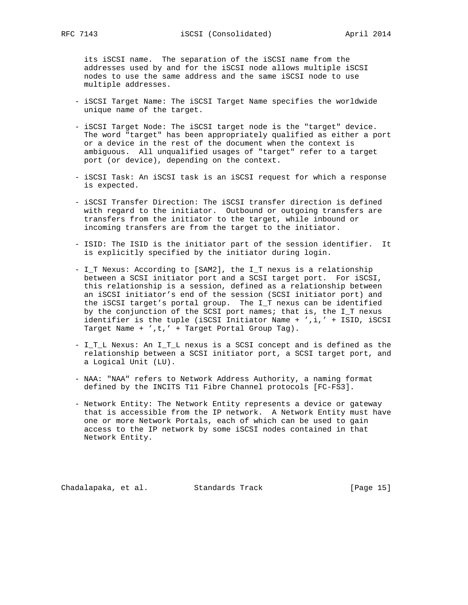its iSCSI name. The separation of the iSCSI name from the addresses used by and for the iSCSI node allows multiple iSCSI nodes to use the same address and the same iSCSI node to use multiple addresses.

- iSCSI Target Name: The iSCSI Target Name specifies the worldwide unique name of the target.
- iSCSI Target Node: The iSCSI target node is the "target" device. The word "target" has been appropriately qualified as either a port or a device in the rest of the document when the context is ambiguous. All unqualified usages of "target" refer to a target port (or device), depending on the context.
- iSCSI Task: An iSCSI task is an iSCSI request for which a response is expected.
- iSCSI Transfer Direction: The iSCSI transfer direction is defined with regard to the initiator. Outbound or outgoing transfers are transfers from the initiator to the target, while inbound or incoming transfers are from the target to the initiator.
- ISID: The ISID is the initiator part of the session identifier. It is explicitly specified by the initiator during login.
- I\_T Nexus: According to [SAM2], the I\_T nexus is a relationship between a SCSI initiator port and a SCSI target port. For iSCSI, this relationship is a session, defined as a relationship between an iSCSI initiator's end of the session (SCSI initiator port) and the iSCSI target's portal group. The I\_T nexus can be identified by the conjunction of the SCSI port names; that is, the I\_T nexus identifier is the tuple (iSCSI Initiator Name + ',i,' + ISID, iSCSI Target Name + ',t,' + Target Portal Group Tag).
- I\_T\_L Nexus: An I\_T\_L nexus is a SCSI concept and is defined as the relationship between a SCSI initiator port, a SCSI target port, and a Logical Unit (LU).
- NAA: "NAA" refers to Network Address Authority, a naming format defined by the INCITS T11 Fibre Channel protocols [FC-FS3].
- Network Entity: The Network Entity represents a device or gateway that is accessible from the IP network. A Network Entity must have one or more Network Portals, each of which can be used to gain access to the IP network by some iSCSI nodes contained in that Network Entity.

Chadalapaka, et al. Standards Track [Page 15]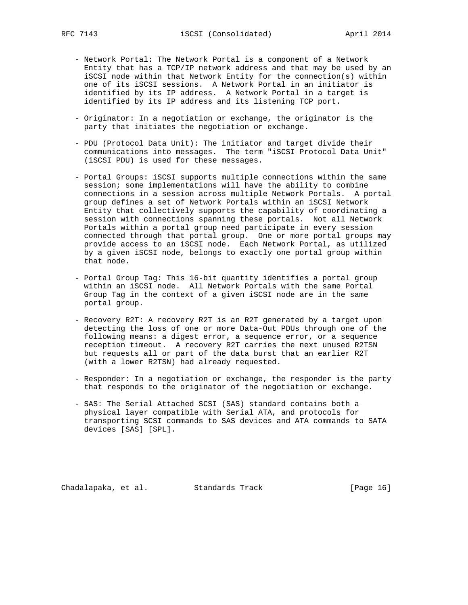- Network Portal: The Network Portal is a component of a Network Entity that has a TCP/IP network address and that may be used by an iSCSI node within that Network Entity for the connection(s) within one of its iSCSI sessions. A Network Portal in an initiator is identified by its IP address. A Network Portal in a target is identified by its IP address and its listening TCP port.
- Originator: In a negotiation or exchange, the originator is the party that initiates the negotiation or exchange.
- PDU (Protocol Data Unit): The initiator and target divide their communications into messages. The term "iSCSI Protocol Data Unit" (iSCSI PDU) is used for these messages.
- Portal Groups: iSCSI supports multiple connections within the same session; some implementations will have the ability to combine connections in a session across multiple Network Portals. A portal group defines a set of Network Portals within an iSCSI Network Entity that collectively supports the capability of coordinating a session with connections spanning these portals. Not all Network Portals within a portal group need participate in every session connected through that portal group. One or more portal groups may provide access to an iSCSI node. Each Network Portal, as utilized by a given iSCSI node, belongs to exactly one portal group within that node.
- Portal Group Tag: This 16-bit quantity identifies a portal group within an iSCSI node. All Network Portals with the same Portal Group Tag in the context of a given iSCSI node are in the same portal group.
- Recovery R2T: A recovery R2T is an R2T generated by a target upon detecting the loss of one or more Data-Out PDUs through one of the following means: a digest error, a sequence error, or a sequence reception timeout. A recovery R2T carries the next unused R2TSN but requests all or part of the data burst that an earlier R2T (with a lower R2TSN) had already requested.
- Responder: In a negotiation or exchange, the responder is the party that responds to the originator of the negotiation or exchange.
- SAS: The Serial Attached SCSI (SAS) standard contains both a physical layer compatible with Serial ATA, and protocols for transporting SCSI commands to SAS devices and ATA commands to SATA devices [SAS] [SPL].

Chadalapaka, et al. Standards Track [Page 16]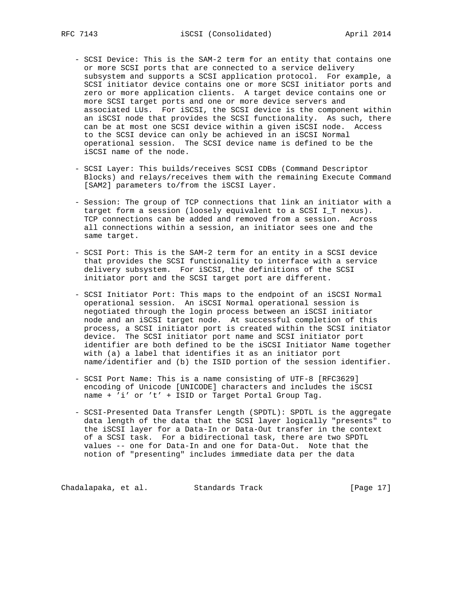- SCSI Device: This is the SAM-2 term for an entity that contains one or more SCSI ports that are connected to a service delivery subsystem and supports a SCSI application protocol. For example, a SCSI initiator device contains one or more SCSI initiator ports and zero or more application clients. A target device contains one or more SCSI target ports and one or more device servers and associated LUs. For iSCSI, the SCSI device is the component within an iSCSI node that provides the SCSI functionality. As such, there can be at most one SCSI device within a given iSCSI node. Access to the SCSI device can only be achieved in an iSCSI Normal operational session. The SCSI device name is defined to be the iSCSI name of the node.
- SCSI Layer: This builds/receives SCSI CDBs (Command Descriptor Blocks) and relays/receives them with the remaining Execute Command [SAM2] parameters to/from the iSCSI Layer.
- Session: The group of TCP connections that link an initiator with a target form a session (loosely equivalent to a SCSI I\_T nexus). TCP connections can be added and removed from a session. Across all connections within a session, an initiator sees one and the same target.
- SCSI Port: This is the SAM-2 term for an entity in a SCSI device that provides the SCSI functionality to interface with a service delivery subsystem. For iSCSI, the definitions of the SCSI initiator port and the SCSI target port are different.
- SCSI Initiator Port: This maps to the endpoint of an iSCSI Normal operational session. An iSCSI Normal operational session is negotiated through the login process between an iSCSI initiator node and an iSCSI target node. At successful completion of this process, a SCSI initiator port is created within the SCSI initiator device. The SCSI initiator port name and SCSI initiator port identifier are both defined to be the iSCSI Initiator Name together with (a) a label that identifies it as an initiator port name/identifier and (b) the ISID portion of the session identifier.
- SCSI Port Name: This is a name consisting of UTF-8 [RFC3629] encoding of Unicode [UNICODE] characters and includes the iSCSI name + 'i' or 't' + ISID or Target Portal Group Tag.
- SCSI-Presented Data Transfer Length (SPDTL): SPDTL is the aggregate data length of the data that the SCSI layer logically "presents" to the iSCSI layer for a Data-In or Data-Out transfer in the context of a SCSI task. For a bidirectional task, there are two SPDTL values -- one for Data-In and one for Data-Out. Note that the notion of "presenting" includes immediate data per the data

Chadalapaka, et al. Standards Track [Page 17]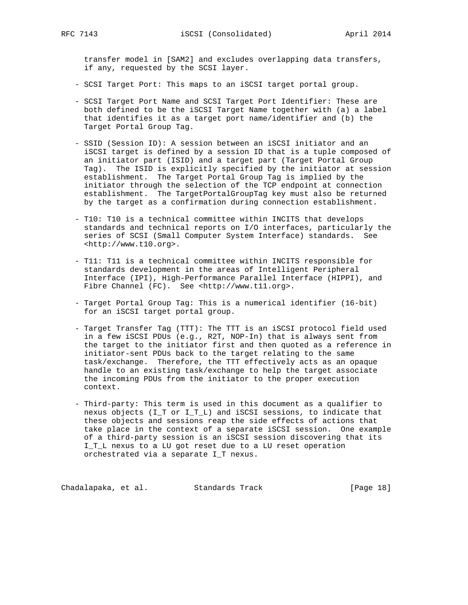transfer model in [SAM2] and excludes overlapping data transfers, if any, requested by the SCSI layer.

- SCSI Target Port: This maps to an iSCSI target portal group.
- SCSI Target Port Name and SCSI Target Port Identifier: These are both defined to be the iSCSI Target Name together with (a) a label that identifies it as a target port name/identifier and (b) the Target Portal Group Tag.
- SSID (Session ID): A session between an iSCSI initiator and an iSCSI target is defined by a session ID that is a tuple composed of an initiator part (ISID) and a target part (Target Portal Group Tag). The ISID is explicitly specified by the initiator at session establishment. The Target Portal Group Tag is implied by the initiator through the selection of the TCP endpoint at connection establishment. The TargetPortalGroupTag key must also be returned by the target as a confirmation during connection establishment.
- T10: T10 is a technical committee within INCITS that develops standards and technical reports on I/O interfaces, particularly the series of SCSI (Small Computer System Interface) standards. See <http://www.t10.org>.
- T11: T11 is a technical committee within INCITS responsible for standards development in the areas of Intelligent Peripheral Interface (IPI), High-Performance Parallel Interface (HIPPI), and Fibre Channel (FC). See <http://www.t11.org>.
- Target Portal Group Tag: This is a numerical identifier (16-bit) for an iSCSI target portal group.
- Target Transfer Tag (TTT): The TTT is an iSCSI protocol field used in a few iSCSI PDUs (e.g., R2T, NOP-In) that is always sent from the target to the initiator first and then quoted as a reference in initiator-sent PDUs back to the target relating to the same task/exchange. Therefore, the TTT effectively acts as an opaque handle to an existing task/exchange to help the target associate the incoming PDUs from the initiator to the proper execution context.
- Third-party: This term is used in this document as a qualifier to nexus objects (I\_T or I\_T\_L) and iSCSI sessions, to indicate that these objects and sessions reap the side effects of actions that take place in the context of a separate iSCSI session. One example of a third-party session is an iSCSI session discovering that its I\_T\_L nexus to a LU got reset due to a LU reset operation orchestrated via a separate I\_T nexus.

Chadalapaka, et al. Standards Track [Page 18]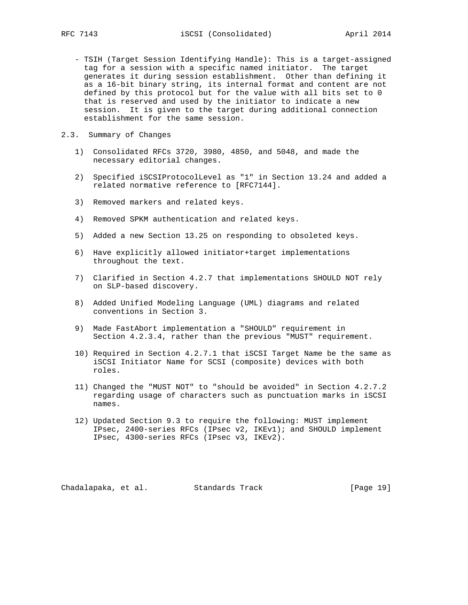- TSIH (Target Session Identifying Handle): This is a target-assigned tag for a session with a specific named initiator. The target generates it during session establishment. Other than defining it as a 16-bit binary string, its internal format and content are not defined by this protocol but for the value with all bits set to 0 that is reserved and used by the initiator to indicate a new session. It is given to the target during additional connection establishment for the same session.
- 2.3. Summary of Changes
	- 1) Consolidated RFCs 3720, 3980, 4850, and 5048, and made the necessary editorial changes.
	- 2) Specified iSCSIProtocolLevel as "1" in Section 13.24 and added a related normative reference to [RFC7144].
	- 3) Removed markers and related keys.
	- 4) Removed SPKM authentication and related keys.
	- 5) Added a new Section 13.25 on responding to obsoleted keys.
	- 6) Have explicitly allowed initiator+target implementations throughout the text.
	- 7) Clarified in Section 4.2.7 that implementations SHOULD NOT rely on SLP-based discovery.
	- 8) Added Unified Modeling Language (UML) diagrams and related conventions in Section 3.
	- 9) Made FastAbort implementation a "SHOULD" requirement in Section 4.2.3.4, rather than the previous "MUST" requirement.
	- 10) Required in Section 4.2.7.1 that iSCSI Target Name be the same as iSCSI Initiator Name for SCSI (composite) devices with both roles.
	- 11) Changed the "MUST NOT" to "should be avoided" in Section 4.2.7.2 regarding usage of characters such as punctuation marks in iSCSI names.
	- 12) Updated Section 9.3 to require the following: MUST implement IPsec, 2400-series RFCs (IPsec v2, IKEv1); and SHOULD implement IPsec, 4300-series RFCs (IPsec v3, IKEv2).

Chadalapaka, et al. Standards Track [Page 19]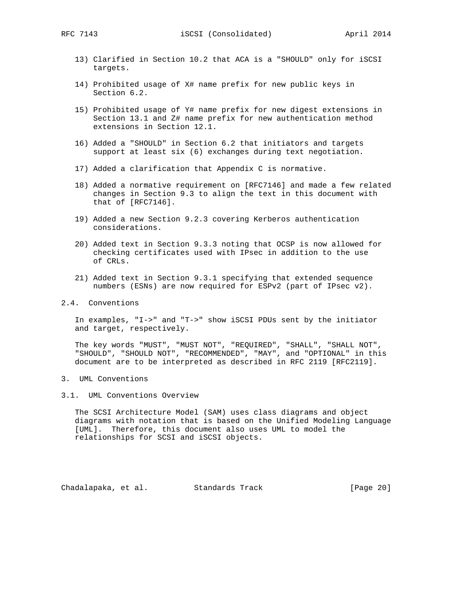- 13) Clarified in Section 10.2 that ACA is a "SHOULD" only for iSCSI targets.
- 14) Prohibited usage of X# name prefix for new public keys in Section 6.2.
- 15) Prohibited usage of Y# name prefix for new digest extensions in Section 13.1 and Z# name prefix for new authentication method extensions in Section 12.1.
- 16) Added a "SHOULD" in Section 6.2 that initiators and targets support at least six (6) exchanges during text negotiation.
- 17) Added a clarification that Appendix C is normative.
- 18) Added a normative requirement on [RFC7146] and made a few related changes in Section 9.3 to align the text in this document with that of [RFC7146].
- 19) Added a new Section 9.2.3 covering Kerberos authentication considerations.
- 20) Added text in Section 9.3.3 noting that OCSP is now allowed for checking certificates used with IPsec in addition to the use of CRLs.
- 21) Added text in Section 9.3.1 specifying that extended sequence numbers (ESNs) are now required for ESPv2 (part of IPsec v2).
- 2.4. Conventions

 In examples, "I->" and "T->" show iSCSI PDUs sent by the initiator and target, respectively.

 The key words "MUST", "MUST NOT", "REQUIRED", "SHALL", "SHALL NOT", "SHOULD", "SHOULD NOT", "RECOMMENDED", "MAY", and "OPTIONAL" in this document are to be interpreted as described in RFC 2119 [RFC2119].

- 3. UML Conventions
- 3.1. UML Conventions Overview

 The SCSI Architecture Model (SAM) uses class diagrams and object diagrams with notation that is based on the Unified Modeling Language [UML]. Therefore, this document also uses UML to model the relationships for SCSI and iSCSI objects.

Chadalapaka, et al. Standards Track [Page 20]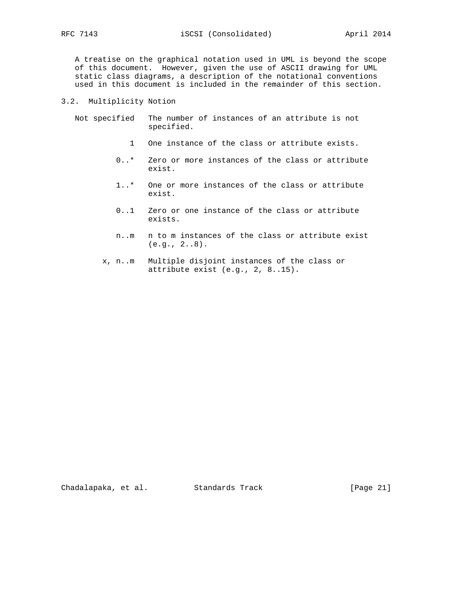A treatise on the graphical notation used in UML is beyond the scope of this document. However, given the use of ASCII drawing for UML static class diagrams, a description of the notational conventions used in this document is included in the remainder of this section.

## 3.2. Multiplicity Notion

 Not specified The number of instances of an attribute is not specified.

- 1 One instance of the class or attribute exists.
- 0..\* Zero or more instances of the class or attribute exist.
- 1..\* One or more instances of the class or attribute exist.
- 0..1 Zero or one instance of the class or attribute exists.
- n..m n to m instances of the class or attribute exist (e.g., 2..8).
- x, n..m Multiple disjoint instances of the class or attribute exist (e.g., 2, 8..15).

Chadalapaka, et al. Standards Track [Page 21]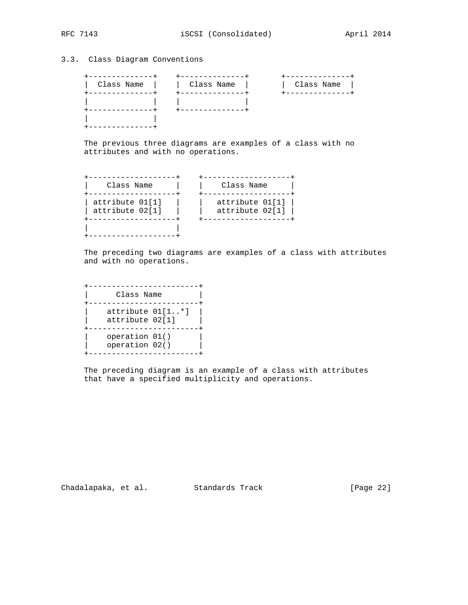# 3.3. Class Diagram Conventions

| Class Name | Class Name | Class Name |
|------------|------------|------------|
|            |            |            |
|            |            |            |

 The previous three diagrams are examples of a class with no attributes and with no operations.

| Class Name                         | Class Name                         |
|------------------------------------|------------------------------------|
| attribute 01[1]<br>attribute 02[1] | attribute 01[1]<br>attribute 02[1] |
|                                    |                                    |

 The preceding two diagrams are examples of a class with attributes and with no operations.

| Class Name                          |  |
|-------------------------------------|--|
| attribute 01[1*]<br>attribute 02[1] |  |
| operation 01()<br>operation 02()    |  |

 The preceding diagram is an example of a class with attributes that have a specified multiplicity and operations.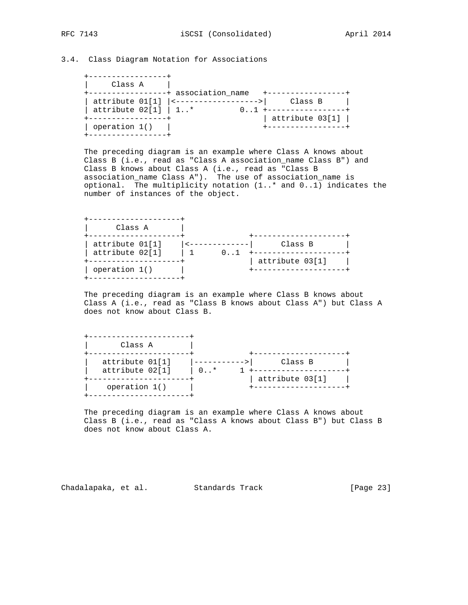## 3.4. Class Diagram Notation for Associations

| Class A                                            | -+ association_name |                 |  |
|----------------------------------------------------|---------------------|-----------------|--|
| attribute $01[1]$   <---<br>attribute $02[1]$   1* |                     | Class B         |  |
|                                                    |                     | attribute 03[1] |  |
| operation 1()                                      |                     |                 |  |

 The preceding diagram is an example where Class A knows about Class B (i.e., read as "Class A association\_name Class B") and Class B knows about Class A (i.e., read as "Class B association\_name Class A"). The use of association\_name is optional. The multiplicity notation (1..\* and 0..1) indicates the number of instances of the object.

| Class A                            |                 |
|------------------------------------|-----------------|
| attribute 01[1]<br>attribute 02[1] | Class B         |
|                                    | attribute 03[1] |
| operation 1()                      |                 |

 The preceding diagram is an example where Class B knows about Class A (i.e., read as "Class B knows about Class A") but Class A does not know about Class B.

| Class A                            |                 |
|------------------------------------|-----------------|
| attribute 01[1]<br>attribute 02[1] | Class B<br>0.5  |
| operation $1()$                    | attribute 03[1] |

 The preceding diagram is an example where Class A knows about Class B (i.e., read as "Class A knows about Class B") but Class B does not know about Class A.

Chadalapaka, et al. Standards Track [Page 23]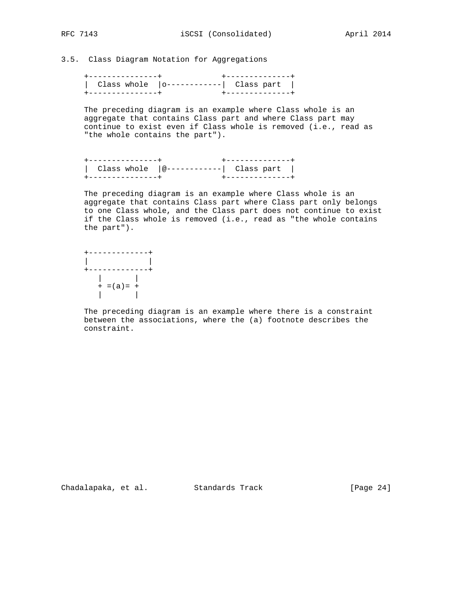3.5. Class Diagram Notation for Aggregations

| -----------+ | -----------+                      |
|--------------|-----------------------------------|
|              | Class whole $ o----- $ Class part |
| . <b>.</b>   |                                   |

 The preceding diagram is an example where Class whole is an aggregate that contains Class part and where Class part may continue to exist even if Class whole is removed (i.e., read as "the whole contains the part").

| Class whole $ \omega$ ------------  Class part |  |                       |
|------------------------------------------------|--|-----------------------|
|                                                |  | ------------ <b>-</b> |

 The preceding diagram is an example where Class whole is an aggregate that contains Class part where Class part only belongs to one Class whole, and the Class part does not continue to exist if the Class whole is removed (i.e., read as "the whole contains the part").

 +-------------+ | | +-------------+ | |  $+ = (a) = +$ | |

 The preceding diagram is an example where there is a constraint between the associations, where the (a) footnote describes the constraint.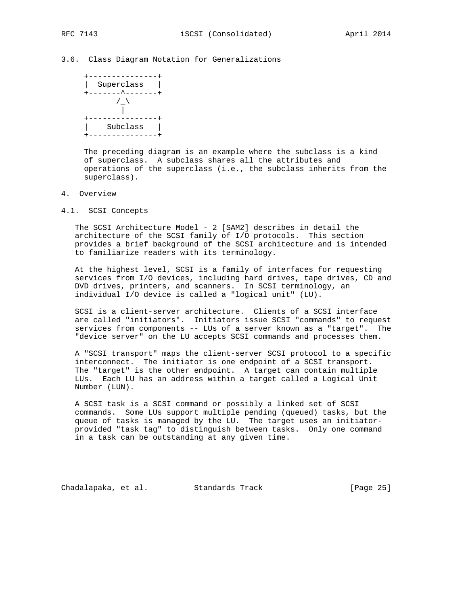## 3.6. Class Diagram Notation for Generalizations



 The preceding diagram is an example where the subclass is a kind of superclass. A subclass shares all the attributes and operations of the superclass (i.e., the subclass inherits from the superclass).

### 4. Overview

4.1. SCSI Concepts

 The SCSI Architecture Model - 2 [SAM2] describes in detail the architecture of the SCSI family of I/O protocols. This section provides a brief background of the SCSI architecture and is intended to familiarize readers with its terminology.

 At the highest level, SCSI is a family of interfaces for requesting services from I/O devices, including hard drives, tape drives, CD and DVD drives, printers, and scanners. In SCSI terminology, an individual I/O device is called a "logical unit" (LU).

 SCSI is a client-server architecture. Clients of a SCSI interface are called "initiators". Initiators issue SCSI "commands" to request services from components -- LUs of a server known as a "target". The "device server" on the LU accepts SCSI commands and processes them.

 A "SCSI transport" maps the client-server SCSI protocol to a specific interconnect. The initiator is one endpoint of a SCSI transport. The "target" is the other endpoint. A target can contain multiple LUs. Each LU has an address within a target called a Logical Unit Number (LUN).

 A SCSI task is a SCSI command or possibly a linked set of SCSI commands. Some LUs support multiple pending (queued) tasks, but the queue of tasks is managed by the LU. The target uses an initiator provided "task tag" to distinguish between tasks. Only one command in a task can be outstanding at any given time.

Chadalapaka, et al. Standards Track (Page 25)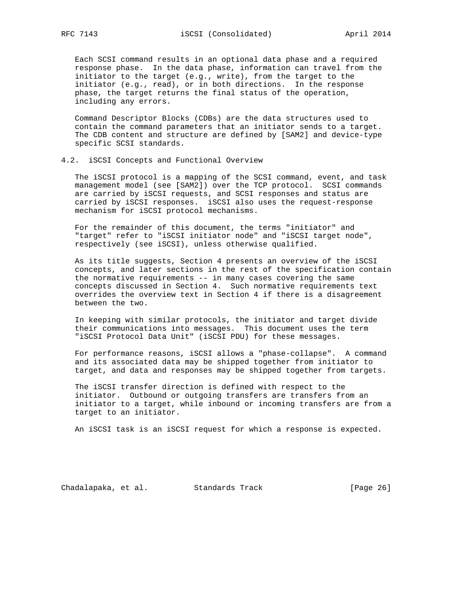Each SCSI command results in an optional data phase and a required response phase. In the data phase, information can travel from the initiator to the target (e.g., write), from the target to the initiator (e.g., read), or in both directions. In the response phase, the target returns the final status of the operation, including any errors.

 Command Descriptor Blocks (CDBs) are the data structures used to contain the command parameters that an initiator sends to a target. The CDB content and structure are defined by [SAM2] and device-type specific SCSI standards.

#### 4.2. iSCSI Concepts and Functional Overview

 The iSCSI protocol is a mapping of the SCSI command, event, and task management model (see [SAM2]) over the TCP protocol. SCSI commands are carried by iSCSI requests, and SCSI responses and status are carried by iSCSI responses. iSCSI also uses the request-response mechanism for iSCSI protocol mechanisms.

 For the remainder of this document, the terms "initiator" and "target" refer to "iSCSI initiator node" and "iSCSI target node", respectively (see iSCSI), unless otherwise qualified.

 As its title suggests, Section 4 presents an overview of the iSCSI concepts, and later sections in the rest of the specification contain the normative requirements -- in many cases covering the same concepts discussed in Section 4. Such normative requirements text overrides the overview text in Section 4 if there is a disagreement between the two.

 In keeping with similar protocols, the initiator and target divide their communications into messages. This document uses the term "iSCSI Protocol Data Unit" (iSCSI PDU) for these messages.

 For performance reasons, iSCSI allows a "phase-collapse". A command and its associated data may be shipped together from initiator to target, and data and responses may be shipped together from targets.

 The iSCSI transfer direction is defined with respect to the initiator. Outbound or outgoing transfers are transfers from an initiator to a target, while inbound or incoming transfers are from a target to an initiator.

An iSCSI task is an iSCSI request for which a response is expected.

Chadalapaka, et al. Standards Track [Page 26]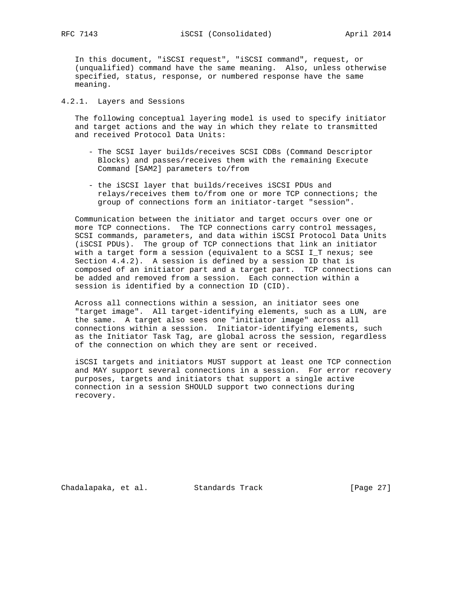In this document, "iSCSI request", "iSCSI command", request, or (unqualified) command have the same meaning. Also, unless otherwise specified, status, response, or numbered response have the same meaning.

## 4.2.1. Layers and Sessions

 The following conceptual layering model is used to specify initiator and target actions and the way in which they relate to transmitted and received Protocol Data Units:

- The SCSI layer builds/receives SCSI CDBs (Command Descriptor Blocks) and passes/receives them with the remaining Execute Command [SAM2] parameters to/from
- the iSCSI layer that builds/receives iSCSI PDUs and relays/receives them to/from one or more TCP connections; the group of connections form an initiator-target "session".

 Communication between the initiator and target occurs over one or more TCP connections. The TCP connections carry control messages, SCSI commands, parameters, and data within iSCSI Protocol Data Units (iSCSI PDUs). The group of TCP connections that link an initiator with a target form a session (equivalent to a SCSI I\_T nexus; see Section 4.4.2). A session is defined by a session ID that is composed of an initiator part and a target part. TCP connections can be added and removed from a session. Each connection within a session is identified by a connection ID (CID).

 Across all connections within a session, an initiator sees one "target image". All target-identifying elements, such as a LUN, are the same. A target also sees one "initiator image" across all connections within a session. Initiator-identifying elements, such as the Initiator Task Tag, are global across the session, regardless of the connection on which they are sent or received.

 iSCSI targets and initiators MUST support at least one TCP connection and MAY support several connections in a session. For error recovery purposes, targets and initiators that support a single active connection in a session SHOULD support two connections during recovery.

Chadalapaka, et al. Standards Track (Page 27)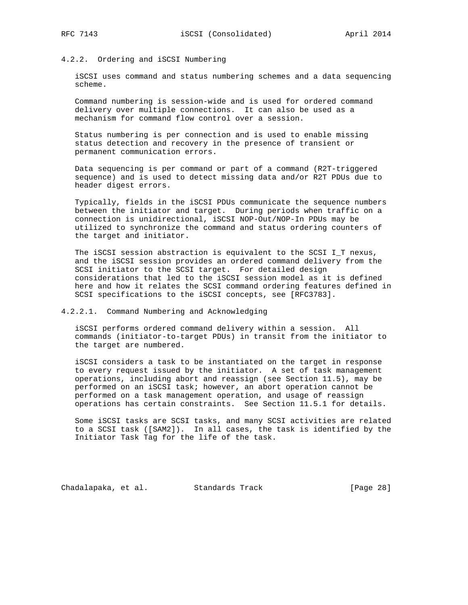# 4.2.2. Ordering and iSCSI Numbering

 iSCSI uses command and status numbering schemes and a data sequencing scheme.

 Command numbering is session-wide and is used for ordered command delivery over multiple connections. It can also be used as a mechanism for command flow control over a session.

 Status numbering is per connection and is used to enable missing status detection and recovery in the presence of transient or permanent communication errors.

 Data sequencing is per command or part of a command (R2T-triggered sequence) and is used to detect missing data and/or R2T PDUs due to header digest errors.

 Typically, fields in the iSCSI PDUs communicate the sequence numbers between the initiator and target. During periods when traffic on a connection is unidirectional, iSCSI NOP-Out/NOP-In PDUs may be utilized to synchronize the command and status ordering counters of the target and initiator.

 The iSCSI session abstraction is equivalent to the SCSI I\_T nexus, and the iSCSI session provides an ordered command delivery from the SCSI initiator to the SCSI target. For detailed design considerations that led to the iSCSI session model as it is defined here and how it relates the SCSI command ordering features defined in SCSI specifications to the iSCSI concepts, see [RFC3783].

#### 4.2.2.1. Command Numbering and Acknowledging

 iSCSI performs ordered command delivery within a session. All commands (initiator-to-target PDUs) in transit from the initiator to the target are numbered.

 iSCSI considers a task to be instantiated on the target in response to every request issued by the initiator. A set of task management operations, including abort and reassign (see Section 11.5), may be performed on an iSCSI task; however, an abort operation cannot be performed on a task management operation, and usage of reassign operations has certain constraints. See Section 11.5.1 for details.

 Some iSCSI tasks are SCSI tasks, and many SCSI activities are related to a SCSI task ([SAM2]). In all cases, the task is identified by the Initiator Task Tag for the life of the task.

Chadalapaka, et al. Standards Track [Page 28]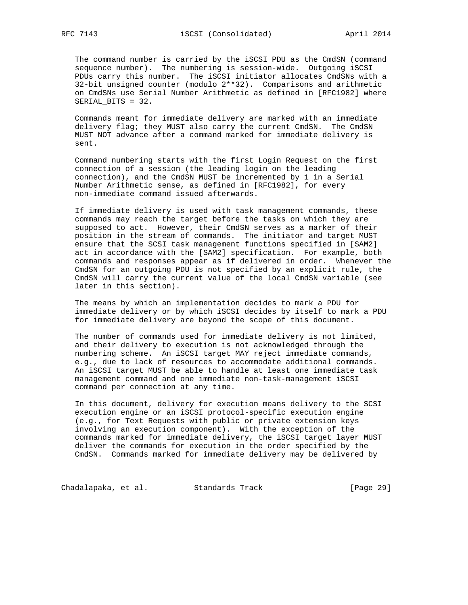The command number is carried by the iSCSI PDU as the CmdSN (command sequence number). The numbering is session-wide. Outgoing iSCSI PDUs carry this number. The iSCSI initiator allocates CmdSNs with a 32-bit unsigned counter (modulo 2\*\*32). Comparisons and arithmetic on CmdSNs use Serial Number Arithmetic as defined in [RFC1982] where SERIAL BITS = 32.

 Commands meant for immediate delivery are marked with an immediate delivery flag; they MUST also carry the current CmdSN. The CmdSN MUST NOT advance after a command marked for immediate delivery is sent.

 Command numbering starts with the first Login Request on the first connection of a session (the leading login on the leading connection), and the CmdSN MUST be incremented by 1 in a Serial Number Arithmetic sense, as defined in [RFC1982], for every non-immediate command issued afterwards.

 If immediate delivery is used with task management commands, these commands may reach the target before the tasks on which they are supposed to act. However, their CmdSN serves as a marker of their position in the stream of commands. The initiator and target MUST ensure that the SCSI task management functions specified in [SAM2] act in accordance with the [SAM2] specification. For example, both commands and responses appear as if delivered in order. Whenever the CmdSN for an outgoing PDU is not specified by an explicit rule, the CmdSN will carry the current value of the local CmdSN variable (see later in this section).

 The means by which an implementation decides to mark a PDU for immediate delivery or by which iSCSI decides by itself to mark a PDU for immediate delivery are beyond the scope of this document.

 The number of commands used for immediate delivery is not limited, and their delivery to execution is not acknowledged through the numbering scheme. An iSCSI target MAY reject immediate commands, e.g., due to lack of resources to accommodate additional commands. An iSCSI target MUST be able to handle at least one immediate task management command and one immediate non-task-management iSCSI command per connection at any time.

 In this document, delivery for execution means delivery to the SCSI execution engine or an iSCSI protocol-specific execution engine (e.g., for Text Requests with public or private extension keys involving an execution component). With the exception of the commands marked for immediate delivery, the iSCSI target layer MUST deliver the commands for execution in the order specified by the CmdSN. Commands marked for immediate delivery may be delivered by

Chadalapaka, et al. Standards Track [Page 29]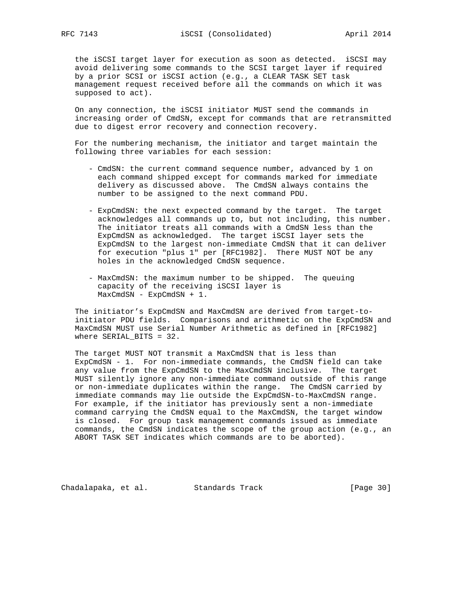the iSCSI target layer for execution as soon as detected. iSCSI may avoid delivering some commands to the SCSI target layer if required by a prior SCSI or iSCSI action (e.g., a CLEAR TASK SET task management request received before all the commands on which it was supposed to act).

 On any connection, the iSCSI initiator MUST send the commands in increasing order of CmdSN, except for commands that are retransmitted due to digest error recovery and connection recovery.

 For the numbering mechanism, the initiator and target maintain the following three variables for each session:

- CmdSN: the current command sequence number, advanced by 1 on each command shipped except for commands marked for immediate delivery as discussed above. The CmdSN always contains the number to be assigned to the next command PDU.
- ExpCmdSN: the next expected command by the target. The target acknowledges all commands up to, but not including, this number. The initiator treats all commands with a CmdSN less than the ExpCmdSN as acknowledged. The target iSCSI layer sets the ExpCmdSN to the largest non-immediate CmdSN that it can deliver for execution "plus 1" per [RFC1982]. There MUST NOT be any holes in the acknowledged CmdSN sequence.
- MaxCmdSN: the maximum number to be shipped. The queuing capacity of the receiving iSCSI layer is MaxCmdSN - ExpCmdSN + 1.

 The initiator's ExpCmdSN and MaxCmdSN are derived from target-to initiator PDU fields. Comparisons and arithmetic on the ExpCmdSN and MaxCmdSN MUST use Serial Number Arithmetic as defined in [RFC1982] where SERIAL\_BITS = 32.

 The target MUST NOT transmit a MaxCmdSN that is less than ExpCmdSN - 1. For non-immediate commands, the CmdSN field can take any value from the ExpCmdSN to the MaxCmdSN inclusive. The target MUST silently ignore any non-immediate command outside of this range or non-immediate duplicates within the range. The CmdSN carried by immediate commands may lie outside the ExpCmdSN-to-MaxCmdSN range. For example, if the initiator has previously sent a non-immediate command carrying the CmdSN equal to the MaxCmdSN, the target window is closed. For group task management commands issued as immediate commands, the CmdSN indicates the scope of the group action (e.g., an ABORT TASK SET indicates which commands are to be aborted).

Chadalapaka, et al. Standards Track [Page 30]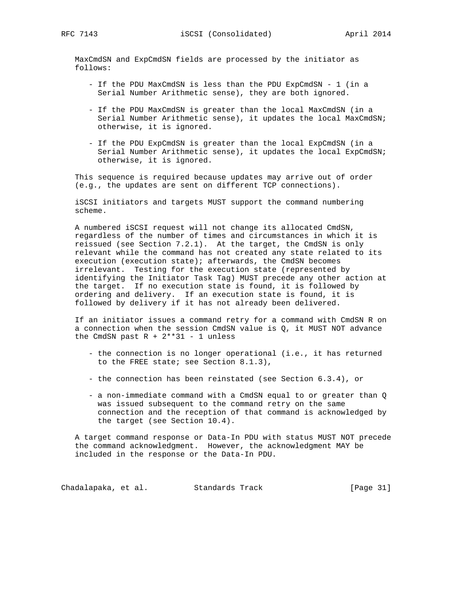MaxCmdSN and ExpCmdSN fields are processed by the initiator as follows:

- If the PDU MaxCmdSN is less than the PDU ExpCmdSN 1 (in a Serial Number Arithmetic sense), they are both ignored.
- If the PDU MaxCmdSN is greater than the local MaxCmdSN (in a Serial Number Arithmetic sense), it updates the local MaxCmdSN; otherwise, it is ignored.
- If the PDU ExpCmdSN is greater than the local ExpCmdSN (in a Serial Number Arithmetic sense), it updates the local ExpCmdSN; otherwise, it is ignored.

 This sequence is required because updates may arrive out of order (e.g., the updates are sent on different TCP connections).

 iSCSI initiators and targets MUST support the command numbering scheme.

 A numbered iSCSI request will not change its allocated CmdSN, regardless of the number of times and circumstances in which it is reissued (see Section 7.2.1). At the target, the CmdSN is only relevant while the command has not created any state related to its execution (execution state); afterwards, the CmdSN becomes irrelevant. Testing for the execution state (represented by identifying the Initiator Task Tag) MUST precede any other action at the target. If no execution state is found, it is followed by ordering and delivery. If an execution state is found, it is followed by delivery if it has not already been delivered.

 If an initiator issues a command retry for a command with CmdSN R on a connection when the session CmdSN value is  $Q$ , it MUST NOT advance the CmdSN past  $R + 2**31 - 1$  unless

- the connection is no longer operational (i.e., it has returned to the FREE state; see Section 8.1.3),
- the connection has been reinstated (see Section 6.3.4), or
- a non-immediate command with a CmdSN equal to or greater than Q was issued subsequent to the command retry on the same connection and the reception of that command is acknowledged by the target (see Section 10.4).

 A target command response or Data-In PDU with status MUST NOT precede the command acknowledgment. However, the acknowledgment MAY be included in the response or the Data-In PDU.

Chadalapaka, et al. Standards Track [Page 31]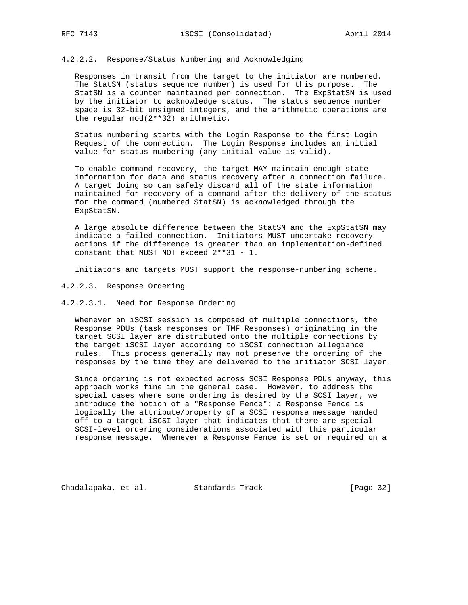### 4.2.2.2. Response/Status Numbering and Acknowledging

 Responses in transit from the target to the initiator are numbered. The StatSN (status sequence number) is used for this purpose. The StatSN is a counter maintained per connection. The ExpStatSN is used by the initiator to acknowledge status. The status sequence number space is 32-bit unsigned integers, and the arithmetic operations are the regular mod(2\*\*32) arithmetic.

 Status numbering starts with the Login Response to the first Login Request of the connection. The Login Response includes an initial value for status numbering (any initial value is valid).

 To enable command recovery, the target MAY maintain enough state information for data and status recovery after a connection failure. A target doing so can safely discard all of the state information maintained for recovery of a command after the delivery of the status for the command (numbered StatSN) is acknowledged through the ExpStatSN.

 A large absolute difference between the StatSN and the ExpStatSN may indicate a failed connection. Initiators MUST undertake recovery actions if the difference is greater than an implementation-defined constant that MUST NOT exceed 2\*\*31 - 1.

Initiators and targets MUST support the response-numbering scheme.

#### 4.2.2.3. Response Ordering

#### 4.2.2.3.1. Need for Response Ordering

 Whenever an iSCSI session is composed of multiple connections, the Response PDUs (task responses or TMF Responses) originating in the target SCSI layer are distributed onto the multiple connections by the target iSCSI layer according to iSCSI connection allegiance rules. This process generally may not preserve the ordering of the responses by the time they are delivered to the initiator SCSI layer.

 Since ordering is not expected across SCSI Response PDUs anyway, this approach works fine in the general case. However, to address the special cases where some ordering is desired by the SCSI layer, we introduce the notion of a "Response Fence": a Response Fence is logically the attribute/property of a SCSI response message handed off to a target iSCSI layer that indicates that there are special SCSI-level ordering considerations associated with this particular response message. Whenever a Response Fence is set or required on a

Chadalapaka, et al. Standards Track [Page 32]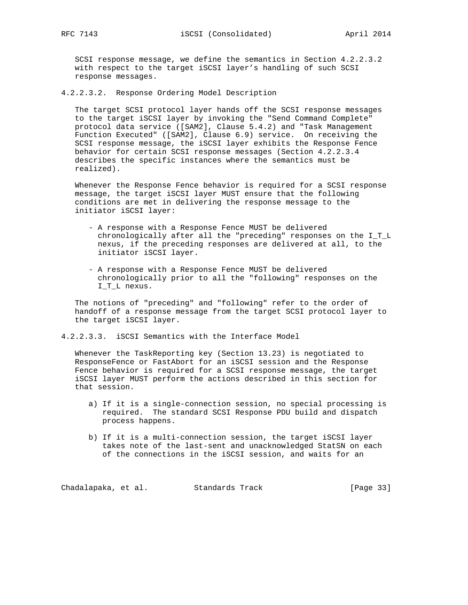SCSI response message, we define the semantics in Section 4.2.2.3.2 with respect to the target iSCSI layer's handling of such SCSI response messages.

4.2.2.3.2. Response Ordering Model Description

 The target SCSI protocol layer hands off the SCSI response messages to the target iSCSI layer by invoking the "Send Command Complete" protocol data service ([SAM2], Clause 5.4.2) and "Task Management Function Executed" ([SAM2], Clause 6.9) service. On receiving the SCSI response message, the iSCSI layer exhibits the Response Fence behavior for certain SCSI response messages (Section 4.2.2.3.4 describes the specific instances where the semantics must be realized).

 Whenever the Response Fence behavior is required for a SCSI response message, the target iSCSI layer MUST ensure that the following conditions are met in delivering the response message to the initiator iSCSI layer:

- A response with a Response Fence MUST be delivered chronologically after all the "preceding" responses on the I\_T\_L nexus, if the preceding responses are delivered at all, to the initiator iSCSI layer.
- A response with a Response Fence MUST be delivered chronologically prior to all the "following" responses on the I\_T\_L nexus.

 The notions of "preceding" and "following" refer to the order of handoff of a response message from the target SCSI protocol layer to the target iSCSI layer.

4.2.2.3.3. iSCSI Semantics with the Interface Model

 Whenever the TaskReporting key (Section 13.23) is negotiated to ResponseFence or FastAbort for an iSCSI session and the Response Fence behavior is required for a SCSI response message, the target iSCSI layer MUST perform the actions described in this section for that session.

- a) If it is a single-connection session, no special processing is required. The standard SCSI Response PDU build and dispatch process happens.
- b) If it is a multi-connection session, the target iSCSI layer takes note of the last-sent and unacknowledged StatSN on each of the connections in the iSCSI session, and waits for an

Chadalapaka, et al. Standards Track [Page 33]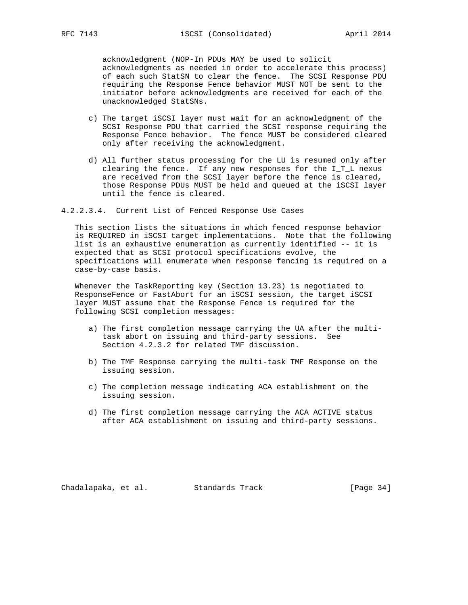acknowledgment (NOP-In PDUs MAY be used to solicit acknowledgments as needed in order to accelerate this process) of each such StatSN to clear the fence. The SCSI Response PDU requiring the Response Fence behavior MUST NOT be sent to the initiator before acknowledgments are received for each of the unacknowledged StatSNs.

- c) The target iSCSI layer must wait for an acknowledgment of the SCSI Response PDU that carried the SCSI response requiring the Response Fence behavior. The fence MUST be considered cleared only after receiving the acknowledgment.
- d) All further status processing for the LU is resumed only after clearing the fence. If any new responses for the I\_T\_L nexus are received from the SCSI layer before the fence is cleared, those Response PDUs MUST be held and queued at the iSCSI layer until the fence is cleared.
- 4.2.2.3.4. Current List of Fenced Response Use Cases

 This section lists the situations in which fenced response behavior is REQUIRED in iSCSI target implementations. Note that the following list is an exhaustive enumeration as currently identified -- it is expected that as SCSI protocol specifications evolve, the specifications will enumerate when response fencing is required on a case-by-case basis.

 Whenever the TaskReporting key (Section 13.23) is negotiated to ResponseFence or FastAbort for an iSCSI session, the target iSCSI layer MUST assume that the Response Fence is required for the following SCSI completion messages:

- a) The first completion message carrying the UA after the multi task abort on issuing and third-party sessions. See Section 4.2.3.2 for related TMF discussion.
- b) The TMF Response carrying the multi-task TMF Response on the issuing session.
- c) The completion message indicating ACA establishment on the issuing session.
- d) The first completion message carrying the ACA ACTIVE status after ACA establishment on issuing and third-party sessions.

Chadalapaka, et al. Standards Track (Page 34)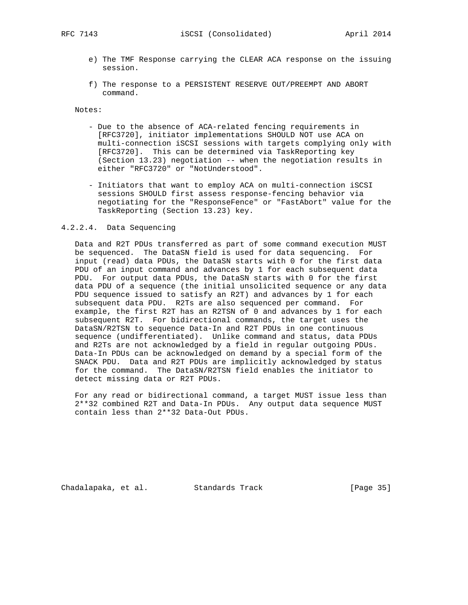- e) The TMF Response carrying the CLEAR ACA response on the issuing session.
- f) The response to a PERSISTENT RESERVE OUT/PREEMPT AND ABORT command.

Notes:

- Due to the absence of ACA-related fencing requirements in [RFC3720], initiator implementations SHOULD NOT use ACA on multi-connection iSCSI sessions with targets complying only with [RFC3720]. This can be determined via TaskReporting key (Section 13.23) negotiation -- when the negotiation results in either "RFC3720" or "NotUnderstood".
- Initiators that want to employ ACA on multi-connection iSCSI sessions SHOULD first assess response-fencing behavior via negotiating for the "ResponseFence" or "FastAbort" value for the TaskReporting (Section 13.23) key.

#### 4.2.2.4. Data Sequencing

 Data and R2T PDUs transferred as part of some command execution MUST be sequenced. The DataSN field is used for data sequencing. For input (read) data PDUs, the DataSN starts with 0 for the first data PDU of an input command and advances by 1 for each subsequent data PDU. For output data PDUs, the DataSN starts with 0 for the first data PDU of a sequence (the initial unsolicited sequence or any data PDU sequence issued to satisfy an R2T) and advances by 1 for each subsequent data PDU. R2Ts are also sequenced per command. For example, the first R2T has an R2TSN of 0 and advances by 1 for each subsequent R2T. For bidirectional commands, the target uses the DataSN/R2TSN to sequence Data-In and R2T PDUs in one continuous sequence (undifferentiated). Unlike command and status, data PDUs and R2Ts are not acknowledged by a field in regular outgoing PDUs. Data-In PDUs can be acknowledged on demand by a special form of the SNACK PDU. Data and R2T PDUs are implicitly acknowledged by status for the command. The DataSN/R2TSN field enables the initiator to detect missing data or R2T PDUs.

 For any read or bidirectional command, a target MUST issue less than 2\*\*32 combined R2T and Data-In PDUs. Any output data sequence MUST contain less than 2\*\*32 Data-Out PDUs.

Chadalapaka, et al. Standards Track (Page 35)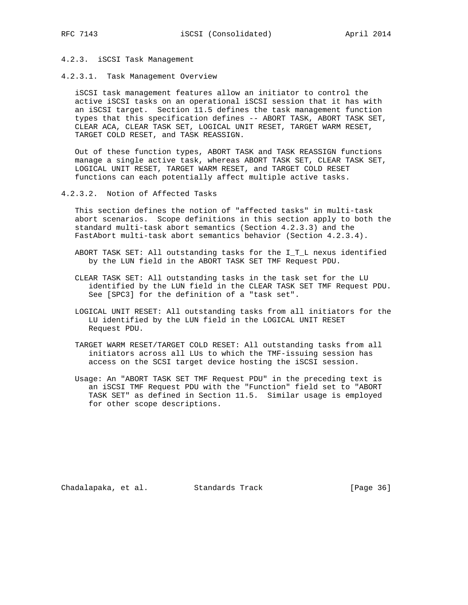# 4.2.3. iSCSI Task Management

4.2.3.1. Task Management Overview

 iSCSI task management features allow an initiator to control the active iSCSI tasks on an operational iSCSI session that it has with an iSCSI target. Section 11.5 defines the task management function types that this specification defines -- ABORT TASK, ABORT TASK SET, CLEAR ACA, CLEAR TASK SET, LOGICAL UNIT RESET, TARGET WARM RESET, TARGET COLD RESET, and TASK REASSIGN.

 Out of these function types, ABORT TASK and TASK REASSIGN functions manage a single active task, whereas ABORT TASK SET, CLEAR TASK SET, LOGICAL UNIT RESET, TARGET WARM RESET, and TARGET COLD RESET functions can each potentially affect multiple active tasks.

4.2.3.2. Notion of Affected Tasks

 This section defines the notion of "affected tasks" in multi-task abort scenarios. Scope definitions in this section apply to both the standard multi-task abort semantics (Section 4.2.3.3) and the FastAbort multi-task abort semantics behavior (Section 4.2.3.4).

- ABORT TASK SET: All outstanding tasks for the I\_T\_L nexus identified by the LUN field in the ABORT TASK SET TMF Request PDU.
- CLEAR TASK SET: All outstanding tasks in the task set for the LU identified by the LUN field in the CLEAR TASK SET TMF Request PDU. See [SPC3] for the definition of a "task set".
- LOGICAL UNIT RESET: All outstanding tasks from all initiators for the LU identified by the LUN field in the LOGICAL UNIT RESET Request PDU.
- TARGET WARM RESET/TARGET COLD RESET: All outstanding tasks from all initiators across all LUs to which the TMF-issuing session has access on the SCSI target device hosting the iSCSI session.
- Usage: An "ABORT TASK SET TMF Request PDU" in the preceding text is an iSCSI TMF Request PDU with the "Function" field set to "ABORT TASK SET" as defined in Section 11.5. Similar usage is employed for other scope descriptions.

Chadalapaka, et al. Standards Track (Page 36)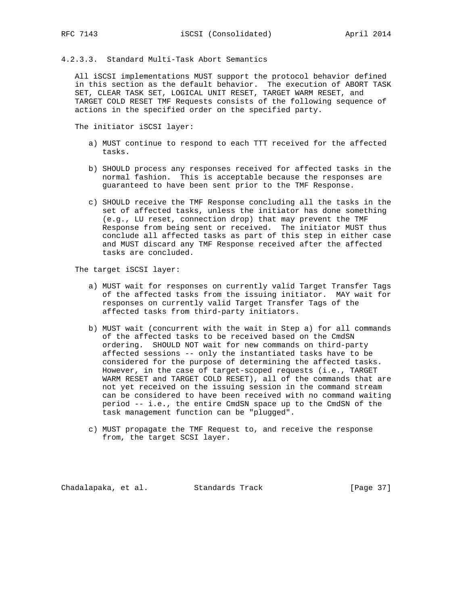## 4.2.3.3. Standard Multi-Task Abort Semantics

 All iSCSI implementations MUST support the protocol behavior defined in this section as the default behavior. The execution of ABORT TASK SET, CLEAR TASK SET, LOGICAL UNIT RESET, TARGET WARM RESET, and TARGET COLD RESET TMF Requests consists of the following sequence of actions in the specified order on the specified party.

The initiator iSCSI layer:

- a) MUST continue to respond to each TTT received for the affected tasks.
- b) SHOULD process any responses received for affected tasks in the normal fashion. This is acceptable because the responses are guaranteed to have been sent prior to the TMF Response.
- c) SHOULD receive the TMF Response concluding all the tasks in the set of affected tasks, unless the initiator has done something (e.g., LU reset, connection drop) that may prevent the TMF Response from being sent or received. The initiator MUST thus conclude all affected tasks as part of this step in either case and MUST discard any TMF Response received after the affected tasks are concluded.

The target iSCSI layer:

- a) MUST wait for responses on currently valid Target Transfer Tags of the affected tasks from the issuing initiator. MAY wait for responses on currently valid Target Transfer Tags of the affected tasks from third-party initiators.
- b) MUST wait (concurrent with the wait in Step a) for all commands of the affected tasks to be received based on the CmdSN ordering. SHOULD NOT wait for new commands on third-party affected sessions -- only the instantiated tasks have to be considered for the purpose of determining the affected tasks. However, in the case of target-scoped requests (i.e., TARGET WARM RESET and TARGET COLD RESET), all of the commands that are not yet received on the issuing session in the command stream can be considered to have been received with no command waiting period -- i.e., the entire CmdSN space up to the CmdSN of the task management function can be "plugged".
- c) MUST propagate the TMF Request to, and receive the response from, the target SCSI layer.

Chadalapaka, et al. Standards Track [Page 37]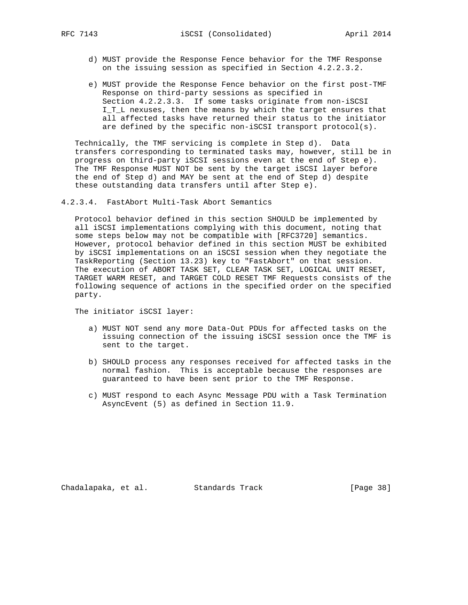- d) MUST provide the Response Fence behavior for the TMF Response on the issuing session as specified in Section 4.2.2.3.2.
- e) MUST provide the Response Fence behavior on the first post-TMF Response on third-party sessions as specified in Section 4.2.2.3.3. If some tasks originate from non-iSCSI I\_T\_L nexuses, then the means by which the target ensures that all affected tasks have returned their status to the initiator are defined by the specific non-iSCSI transport protocol(s).

 Technically, the TMF servicing is complete in Step d). Data transfers corresponding to terminated tasks may, however, still be in progress on third-party iSCSI sessions even at the end of Step e). The TMF Response MUST NOT be sent by the target iSCSI layer before the end of Step d) and MAY be sent at the end of Step d) despite these outstanding data transfers until after Step e).

4.2.3.4. FastAbort Multi-Task Abort Semantics

 Protocol behavior defined in this section SHOULD be implemented by all iSCSI implementations complying with this document, noting that some steps below may not be compatible with [RFC3720] semantics. However, protocol behavior defined in this section MUST be exhibited by iSCSI implementations on an iSCSI session when they negotiate the TaskReporting (Section 13.23) key to "FastAbort" on that session. The execution of ABORT TASK SET, CLEAR TASK SET, LOGICAL UNIT RESET, TARGET WARM RESET, and TARGET COLD RESET TMF Requests consists of the following sequence of actions in the specified order on the specified party.

The initiator iSCSI layer:

- a) MUST NOT send any more Data-Out PDUs for affected tasks on the issuing connection of the issuing iSCSI session once the TMF is sent to the target.
- b) SHOULD process any responses received for affected tasks in the normal fashion. This is acceptable because the responses are guaranteed to have been sent prior to the TMF Response.
- c) MUST respond to each Async Message PDU with a Task Termination AsyncEvent (5) as defined in Section 11.9.

Chadalapaka, et al. Standards Track [Page 38]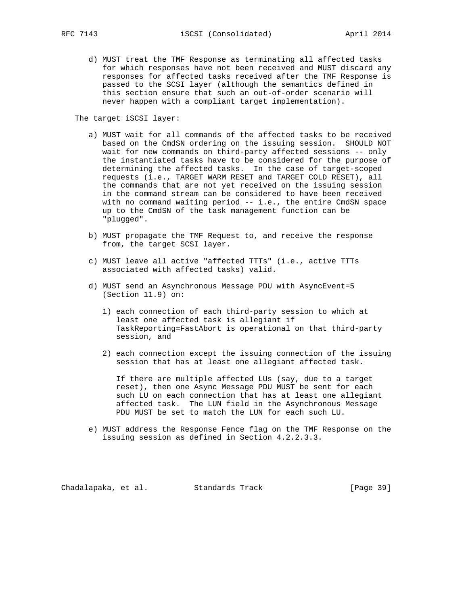d) MUST treat the TMF Response as terminating all affected tasks for which responses have not been received and MUST discard any responses for affected tasks received after the TMF Response is passed to the SCSI layer (although the semantics defined in this section ensure that such an out-of-order scenario will never happen with a compliant target implementation).

The target iSCSI layer:

- a) MUST wait for all commands of the affected tasks to be received based on the CmdSN ordering on the issuing session. SHOULD NOT wait for new commands on third-party affected sessions -- only the instantiated tasks have to be considered for the purpose of determining the affected tasks. In the case of target-scoped requests (i.e., TARGET WARM RESET and TARGET COLD RESET), all the commands that are not yet received on the issuing session in the command stream can be considered to have been received with no command waiting period -- i.e., the entire CmdSN space up to the CmdSN of the task management function can be "plugged".
- b) MUST propagate the TMF Request to, and receive the response from, the target SCSI layer.
- c) MUST leave all active "affected TTTs" (i.e., active TTTs associated with affected tasks) valid.
- d) MUST send an Asynchronous Message PDU with AsyncEvent=5 (Section 11.9) on:
	- 1) each connection of each third-party session to which at least one affected task is allegiant if TaskReporting=FastAbort is operational on that third-party session, and
	- 2) each connection except the issuing connection of the issuing session that has at least one allegiant affected task.

 If there are multiple affected LUs (say, due to a target reset), then one Async Message PDU MUST be sent for each such LU on each connection that has at least one allegiant affected task. The LUN field in the Asynchronous Message PDU MUST be set to match the LUN for each such LU.

 e) MUST address the Response Fence flag on the TMF Response on the issuing session as defined in Section 4.2.2.3.3.

Chadalapaka, et al. Standards Track [Page 39]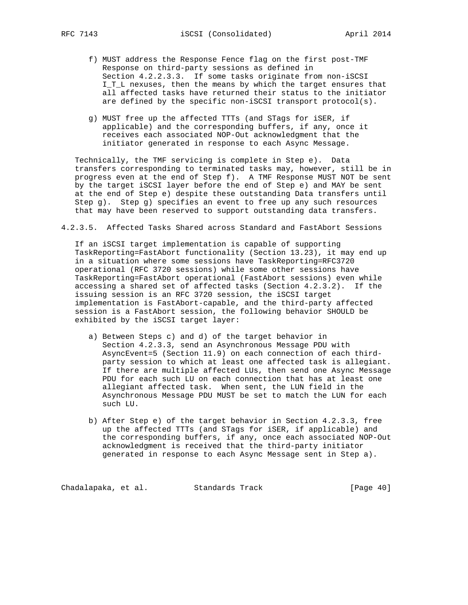- f) MUST address the Response Fence flag on the first post-TMF Response on third-party sessions as defined in Section 4.2.2.3.3. If some tasks originate from non-iSCSI I\_T\_L nexuses, then the means by which the target ensures that all affected tasks have returned their status to the initiator are defined by the specific non-iSCSI transport protocol(s).
- g) MUST free up the affected TTTs (and STags for iSER, if applicable) and the corresponding buffers, if any, once it receives each associated NOP-Out acknowledgment that the initiator generated in response to each Async Message.

 Technically, the TMF servicing is complete in Step e). Data transfers corresponding to terminated tasks may, however, still be in progress even at the end of Step f). A TMF Response MUST NOT be sent by the target iSCSI layer before the end of Step e) and MAY be sent at the end of Step e) despite these outstanding Data transfers until Step g). Step g) specifies an event to free up any such resources that may have been reserved to support outstanding data transfers.

4.2.3.5. Affected Tasks Shared across Standard and FastAbort Sessions

 If an iSCSI target implementation is capable of supporting TaskReporting=FastAbort functionality (Section 13.23), it may end up in a situation where some sessions have TaskReporting=RFC3720 operational (RFC 3720 sessions) while some other sessions have TaskReporting=FastAbort operational (FastAbort sessions) even while accessing a shared set of affected tasks (Section 4.2.3.2). If the issuing session is an RFC 3720 session, the iSCSI target implementation is FastAbort-capable, and the third-party affected session is a FastAbort session, the following behavior SHOULD be exhibited by the iSCSI target layer:

- a) Between Steps c) and d) of the target behavior in Section 4.2.3.3, send an Asynchronous Message PDU with AsyncEvent=5 (Section 11.9) on each connection of each third party session to which at least one affected task is allegiant. If there are multiple affected LUs, then send one Async Message PDU for each such LU on each connection that has at least one allegiant affected task. When sent, the LUN field in the Asynchronous Message PDU MUST be set to match the LUN for each such LU.
- b) After Step e) of the target behavior in Section 4.2.3.3, free up the affected TTTs (and STags for iSER, if applicable) and the corresponding buffers, if any, once each associated NOP-Out acknowledgment is received that the third-party initiator generated in response to each Async Message sent in Step a).

Chadalapaka, et al. Standards Track (Page 40)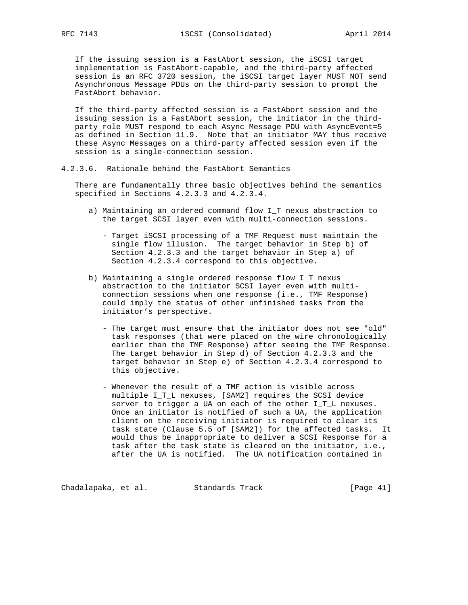If the issuing session is a FastAbort session, the iSCSI target implementation is FastAbort-capable, and the third-party affected session is an RFC 3720 session, the iSCSI target layer MUST NOT send Asynchronous Message PDUs on the third-party session to prompt the FastAbort behavior.

 If the third-party affected session is a FastAbort session and the issuing session is a FastAbort session, the initiator in the third party role MUST respond to each Async Message PDU with AsyncEvent=5 as defined in Section 11.9. Note that an initiator MAY thus receive these Async Messages on a third-party affected session even if the session is a single-connection session.

4.2.3.6. Rationale behind the FastAbort Semantics

 There are fundamentally three basic objectives behind the semantics specified in Sections 4.2.3.3 and 4.2.3.4.

- a) Maintaining an ordered command flow I\_T nexus abstraction to the target SCSI layer even with multi-connection sessions.
	- Target iSCSI processing of a TMF Request must maintain the single flow illusion. The target behavior in Step b) of Section 4.2.3.3 and the target behavior in Step a) of Section 4.2.3.4 correspond to this objective.
- b) Maintaining a single ordered response flow I\_T nexus abstraction to the initiator SCSI layer even with multi connection sessions when one response (i.e., TMF Response) could imply the status of other unfinished tasks from the initiator's perspective.
	- The target must ensure that the initiator does not see "old" task responses (that were placed on the wire chronologically earlier than the TMF Response) after seeing the TMF Response. The target behavior in Step d) of Section 4.2.3.3 and the target behavior in Step e) of Section 4.2.3.4 correspond to this objective.
	- Whenever the result of a TMF action is visible across multiple I\_T\_L nexuses, [SAM2] requires the SCSI device server to trigger a UA on each of the other I\_T\_L nexuses. Once an initiator is notified of such a UA, the application client on the receiving initiator is required to clear its task state (Clause 5.5 of [SAM2]) for the affected tasks. It would thus be inappropriate to deliver a SCSI Response for a task after the task state is cleared on the initiator, i.e., after the UA is notified. The UA notification contained in

Chadalapaka, et al. Standards Track [Page 41]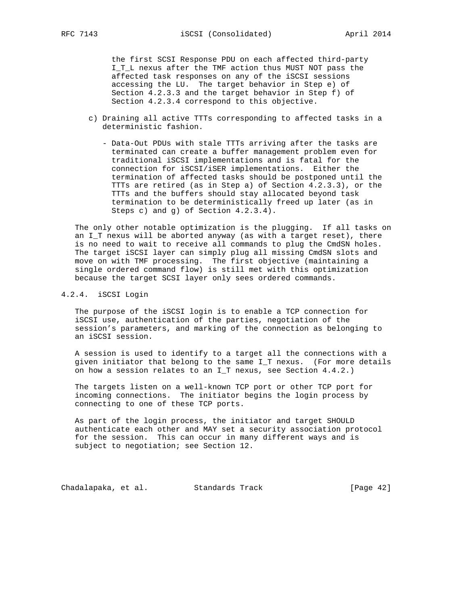the first SCSI Response PDU on each affected third-party I\_T\_L nexus after the TMF action thus MUST NOT pass the affected task responses on any of the iSCSI sessions accessing the LU. The target behavior in Step e) of Section 4.2.3.3 and the target behavior in Step f) of Section 4.2.3.4 correspond to this objective.

- c) Draining all active TTTs corresponding to affected tasks in a deterministic fashion.
	- Data-Out PDUs with stale TTTs arriving after the tasks are terminated can create a buffer management problem even for traditional iSCSI implementations and is fatal for the connection for iSCSI/iSER implementations. Either the termination of affected tasks should be postponed until the TTTs are retired (as in Step a) of Section 4.2.3.3), or the TTTs and the buffers should stay allocated beyond task termination to be deterministically freed up later (as in Steps c) and g) of Section 4.2.3.4).

 The only other notable optimization is the plugging. If all tasks on an I\_T nexus will be aborted anyway (as with a target reset), there is no need to wait to receive all commands to plug the CmdSN holes. The target iSCSI layer can simply plug all missing CmdSN slots and move on with TMF processing. The first objective (maintaining a single ordered command flow) is still met with this optimization because the target SCSI layer only sees ordered commands.

## 4.2.4. iSCSI Login

 The purpose of the iSCSI login is to enable a TCP connection for iSCSI use, authentication of the parties, negotiation of the session's parameters, and marking of the connection as belonging to an iSCSI session.

 A session is used to identify to a target all the connections with a given initiator that belong to the same I\_T nexus. (For more details on how a session relates to an I\_T nexus, see Section 4.4.2.)

 The targets listen on a well-known TCP port or other TCP port for incoming connections. The initiator begins the login process by connecting to one of these TCP ports.

 As part of the login process, the initiator and target SHOULD authenticate each other and MAY set a security association protocol for the session. This can occur in many different ways and is subject to negotiation; see Section 12.

Chadalapaka, et al. Standards Track [Page 42]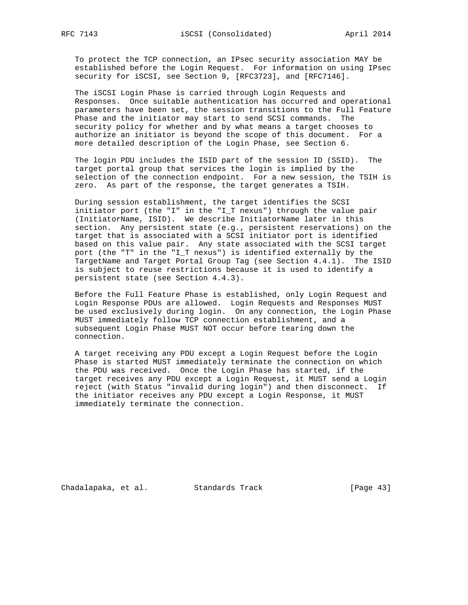To protect the TCP connection, an IPsec security association MAY be established before the Login Request. For information on using IPsec security for iSCSI, see Section 9, [RFC3723], and [RFC7146].

 The iSCSI Login Phase is carried through Login Requests and Responses. Once suitable authentication has occurred and operational parameters have been set, the session transitions to the Full Feature Phase and the initiator may start to send SCSI commands. The security policy for whether and by what means a target chooses to authorize an initiator is beyond the scope of this document. For a more detailed description of the Login Phase, see Section 6.

 The login PDU includes the ISID part of the session ID (SSID). The target portal group that services the login is implied by the selection of the connection endpoint. For a new session, the TSIH is zero. As part of the response, the target generates a TSIH.

 During session establishment, the target identifies the SCSI initiator port (the "I" in the "I\_T nexus") through the value pair (InitiatorName, ISID). We describe InitiatorName later in this section. Any persistent state (e.g., persistent reservations) on the target that is associated with a SCSI initiator port is identified based on this value pair. Any state associated with the SCSI target port (the "T" in the "I\_T nexus") is identified externally by the TargetName and Target Portal Group Tag (see Section 4.4.1). The ISID is subject to reuse restrictions because it is used to identify a persistent state (see Section 4.4.3).

 Before the Full Feature Phase is established, only Login Request and Login Response PDUs are allowed. Login Requests and Responses MUST be used exclusively during login. On any connection, the Login Phase MUST immediately follow TCP connection establishment, and a subsequent Login Phase MUST NOT occur before tearing down the connection.

 A target receiving any PDU except a Login Request before the Login Phase is started MUST immediately terminate the connection on which the PDU was received. Once the Login Phase has started, if the target receives any PDU except a Login Request, it MUST send a Login reject (with Status "invalid during login") and then disconnect. If the initiator receives any PDU except a Login Response, it MUST immediately terminate the connection.

Chadalapaka, et al. Standards Track (Page 43)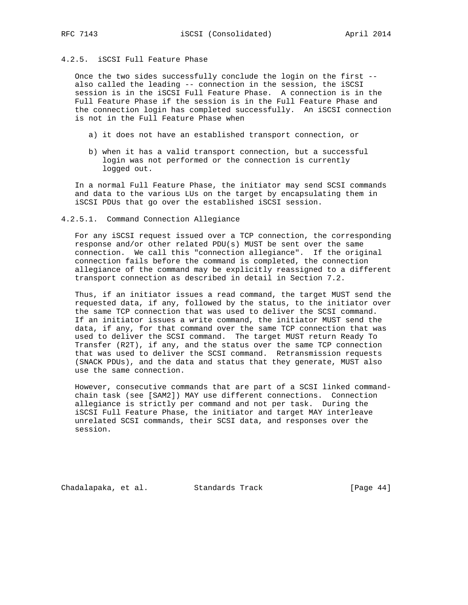# 4.2.5. iSCSI Full Feature Phase

 Once the two sides successfully conclude the login on the first - also called the leading -- connection in the session, the iSCSI session is in the iSCSI Full Feature Phase. A connection is in the Full Feature Phase if the session is in the Full Feature Phase and the connection login has completed successfully. An iSCSI connection is not in the Full Feature Phase when

- a) it does not have an established transport connection, or
- b) when it has a valid transport connection, but a successful login was not performed or the connection is currently logged out.

 In a normal Full Feature Phase, the initiator may send SCSI commands and data to the various LUs on the target by encapsulating them in iSCSI PDUs that go over the established iSCSI session.

#### 4.2.5.1. Command Connection Allegiance

 For any iSCSI request issued over a TCP connection, the corresponding response and/or other related PDU(s) MUST be sent over the same connection. We call this "connection allegiance". If the original connection fails before the command is completed, the connection allegiance of the command may be explicitly reassigned to a different transport connection as described in detail in Section 7.2.

 Thus, if an initiator issues a read command, the target MUST send the requested data, if any, followed by the status, to the initiator over the same TCP connection that was used to deliver the SCSI command. If an initiator issues a write command, the initiator MUST send the data, if any, for that command over the same TCP connection that was used to deliver the SCSI command. The target MUST return Ready To Transfer (R2T), if any, and the status over the same TCP connection that was used to deliver the SCSI command. Retransmission requests (SNACK PDUs), and the data and status that they generate, MUST also use the same connection.

 However, consecutive commands that are part of a SCSI linked command chain task (see [SAM2]) MAY use different connections. Connection allegiance is strictly per command and not per task. During the iSCSI Full Feature Phase, the initiator and target MAY interleave unrelated SCSI commands, their SCSI data, and responses over the session.

Chadalapaka, et al. Standards Track [Page 44]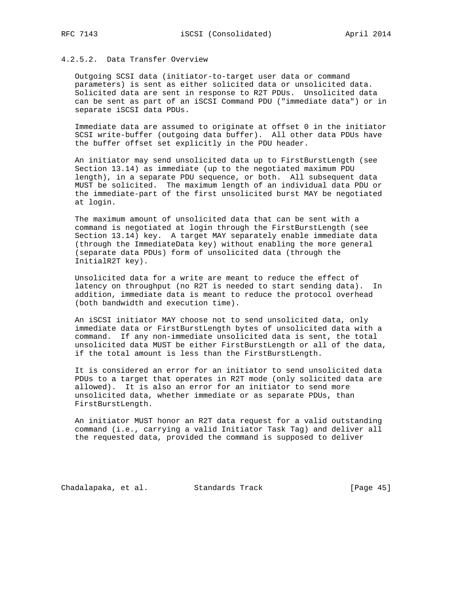# 4.2.5.2. Data Transfer Overview

 Outgoing SCSI data (initiator-to-target user data or command parameters) is sent as either solicited data or unsolicited data. Solicited data are sent in response to R2T PDUs. Unsolicited data can be sent as part of an iSCSI Command PDU ("immediate data") or in separate iSCSI data PDUs.

 Immediate data are assumed to originate at offset 0 in the initiator SCSI write-buffer (outgoing data buffer). All other data PDUs have the buffer offset set explicitly in the PDU header.

 An initiator may send unsolicited data up to FirstBurstLength (see Section 13.14) as immediate (up to the negotiated maximum PDU length), in a separate PDU sequence, or both. All subsequent data MUST be solicited. The maximum length of an individual data PDU or the immediate-part of the first unsolicited burst MAY be negotiated at login.

 The maximum amount of unsolicited data that can be sent with a command is negotiated at login through the FirstBurstLength (see Section 13.14) key. A target MAY separately enable immediate data (through the ImmediateData key) without enabling the more general (separate data PDUs) form of unsolicited data (through the InitialR2T key).

 Unsolicited data for a write are meant to reduce the effect of latency on throughput (no R2T is needed to start sending data). In addition, immediate data is meant to reduce the protocol overhead (both bandwidth and execution time).

 An iSCSI initiator MAY choose not to send unsolicited data, only immediate data or FirstBurstLength bytes of unsolicited data with a command. If any non-immediate unsolicited data is sent, the total unsolicited data MUST be either FirstBurstLength or all of the data, if the total amount is less than the FirstBurstLength.

 It is considered an error for an initiator to send unsolicited data PDUs to a target that operates in R2T mode (only solicited data are allowed). It is also an error for an initiator to send more unsolicited data, whether immediate or as separate PDUs, than FirstBurstLength.

 An initiator MUST honor an R2T data request for a valid outstanding command (i.e., carrying a valid Initiator Task Tag) and deliver all the requested data, provided the command is supposed to deliver

Chadalapaka, et al. Standards Track [Page 45]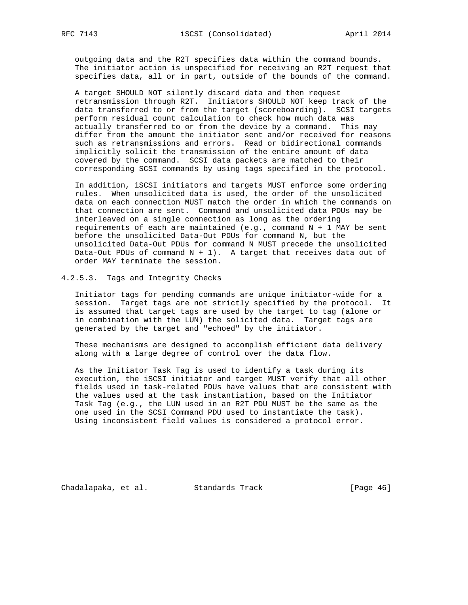outgoing data and the R2T specifies data within the command bounds. The initiator action is unspecified for receiving an R2T request that specifies data, all or in part, outside of the bounds of the command.

 A target SHOULD NOT silently discard data and then request retransmission through R2T. Initiators SHOULD NOT keep track of the data transferred to or from the target (scoreboarding). SCSI targets perform residual count calculation to check how much data was actually transferred to or from the device by a command. This may differ from the amount the initiator sent and/or received for reasons such as retransmissions and errors. Read or bidirectional commands implicitly solicit the transmission of the entire amount of data covered by the command. SCSI data packets are matched to their corresponding SCSI commands by using tags specified in the protocol.

 In addition, iSCSI initiators and targets MUST enforce some ordering rules. When unsolicited data is used, the order of the unsolicited data on each connection MUST match the order in which the commands on that connection are sent. Command and unsolicited data PDUs may be interleaved on a single connection as long as the ordering requirements of each are maintained (e.g., command  $N + 1$  MAY be sent before the unsolicited Data-Out PDUs for command N, but the unsolicited Data-Out PDUs for command N MUST precede the unsolicited Data-Out PDUs of command  $N + 1$ ). A target that receives data out of order MAY terminate the session.

### 4.2.5.3. Tags and Integrity Checks

 Initiator tags for pending commands are unique initiator-wide for a session. Target tags are not strictly specified by the protocol. It is assumed that target tags are used by the target to tag (alone or in combination with the LUN) the solicited data. Target tags are generated by the target and "echoed" by the initiator.

 These mechanisms are designed to accomplish efficient data delivery along with a large degree of control over the data flow.

 As the Initiator Task Tag is used to identify a task during its execution, the iSCSI initiator and target MUST verify that all other fields used in task-related PDUs have values that are consistent with the values used at the task instantiation, based on the Initiator Task Tag (e.g., the LUN used in an R2T PDU MUST be the same as the one used in the SCSI Command PDU used to instantiate the task). Using inconsistent field values is considered a protocol error.

Chadalapaka, et al. Standards Track (Page 46)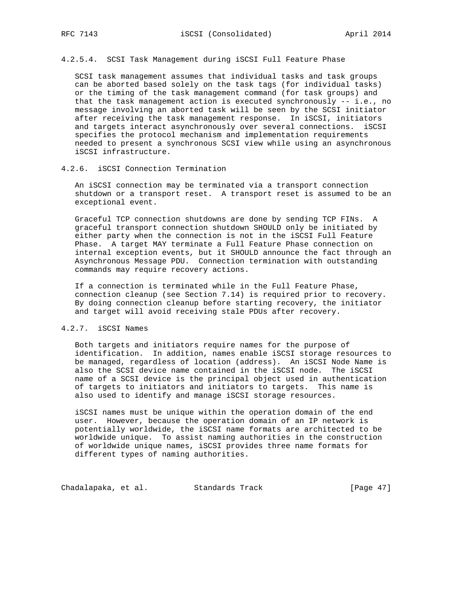4.2.5.4. SCSI Task Management during iSCSI Full Feature Phase

 SCSI task management assumes that individual tasks and task groups can be aborted based solely on the task tags (for individual tasks) or the timing of the task management command (for task groups) and that the task management action is executed synchronously -- i.e., no message involving an aborted task will be seen by the SCSI initiator after receiving the task management response. In iSCSI, initiators and targets interact asynchronously over several connections. iSCSI specifies the protocol mechanism and implementation requirements needed to present a synchronous SCSI view while using an asynchronous iSCSI infrastructure.

## 4.2.6. iSCSI Connection Termination

 An iSCSI connection may be terminated via a transport connection shutdown or a transport reset. A transport reset is assumed to be an exceptional event.

 Graceful TCP connection shutdowns are done by sending TCP FINs. A graceful transport connection shutdown SHOULD only be initiated by either party when the connection is not in the iSCSI Full Feature Phase. A target MAY terminate a Full Feature Phase connection on internal exception events, but it SHOULD announce the fact through an Asynchronous Message PDU. Connection termination with outstanding commands may require recovery actions.

 If a connection is terminated while in the Full Feature Phase, connection cleanup (see Section 7.14) is required prior to recovery. By doing connection cleanup before starting recovery, the initiator and target will avoid receiving stale PDUs after recovery.

## 4.2.7. iSCSI Names

 Both targets and initiators require names for the purpose of identification. In addition, names enable iSCSI storage resources to be managed, regardless of location (address). An iSCSI Node Name is also the SCSI device name contained in the iSCSI node. The iSCSI name of a SCSI device is the principal object used in authentication of targets to initiators and initiators to targets. This name is also used to identify and manage iSCSI storage resources.

 iSCSI names must be unique within the operation domain of the end user. However, because the operation domain of an IP network is potentially worldwide, the iSCSI name formats are architected to be worldwide unique. To assist naming authorities in the construction of worldwide unique names, iSCSI provides three name formats for different types of naming authorities.

Chadalapaka, et al. Standards Track [Page 47]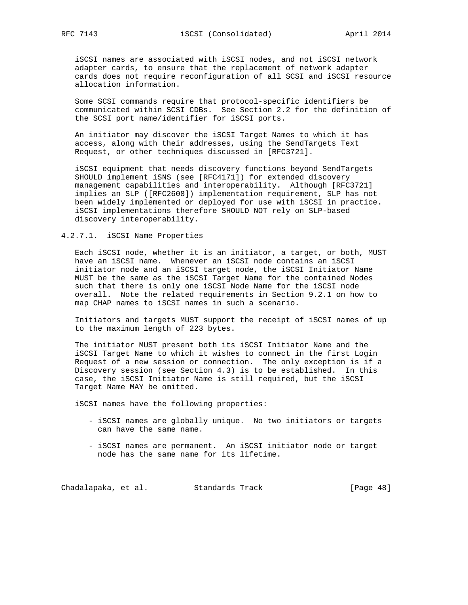iSCSI names are associated with iSCSI nodes, and not iSCSI network adapter cards, to ensure that the replacement of network adapter cards does not require reconfiguration of all SCSI and iSCSI resource allocation information.

 Some SCSI commands require that protocol-specific identifiers be communicated within SCSI CDBs. See Section 2.2 for the definition of the SCSI port name/identifier for iSCSI ports.

 An initiator may discover the iSCSI Target Names to which it has access, along with their addresses, using the SendTargets Text Request, or other techniques discussed in [RFC3721].

 iSCSI equipment that needs discovery functions beyond SendTargets SHOULD implement iSNS (see [RFC4171]) for extended discovery management capabilities and interoperability. Although [RFC3721] implies an SLP ([RFC2608]) implementation requirement, SLP has not been widely implemented or deployed for use with iSCSI in practice. iSCSI implementations therefore SHOULD NOT rely on SLP-based discovery interoperability.

## 4.2.7.1. iSCSI Name Properties

 Each iSCSI node, whether it is an initiator, a target, or both, MUST have an iSCSI name. Whenever an iSCSI node contains an iSCSI initiator node and an iSCSI target node, the iSCSI Initiator Name MUST be the same as the iSCSI Target Name for the contained Nodes such that there is only one iSCSI Node Name for the iSCSI node overall. Note the related requirements in Section 9.2.1 on how to map CHAP names to iSCSI names in such a scenario.

 Initiators and targets MUST support the receipt of iSCSI names of up to the maximum length of 223 bytes.

 The initiator MUST present both its iSCSI Initiator Name and the iSCSI Target Name to which it wishes to connect in the first Login Request of a new session or connection. The only exception is if a Discovery session (see Section 4.3) is to be established. In this case, the iSCSI Initiator Name is still required, but the iSCSI Target Name MAY be omitted.

iSCSI names have the following properties:

- iSCSI names are globally unique. No two initiators or targets can have the same name.
- iSCSI names are permanent. An iSCSI initiator node or target node has the same name for its lifetime.

Chadalapaka, et al. Standards Track [Page 48]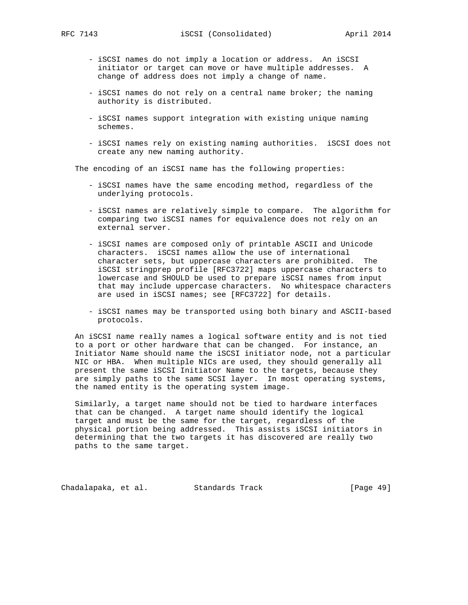- iSCSI names do not imply a location or address. An iSCSI initiator or target can move or have multiple addresses. A change of address does not imply a change of name.
- iSCSI names do not rely on a central name broker; the naming authority is distributed.
- iSCSI names support integration with existing unique naming schemes.
- iSCSI names rely on existing naming authorities. iSCSI does not create any new naming authority.

The encoding of an iSCSI name has the following properties:

- iSCSI names have the same encoding method, regardless of the underlying protocols.
- iSCSI names are relatively simple to compare. The algorithm for comparing two iSCSI names for equivalence does not rely on an external server.
- iSCSI names are composed only of printable ASCII and Unicode characters. iSCSI names allow the use of international character sets, but uppercase characters are prohibited. The iSCSI stringprep profile [RFC3722] maps uppercase characters to lowercase and SHOULD be used to prepare iSCSI names from input that may include uppercase characters. No whitespace characters are used in iSCSI names; see [RFC3722] for details.
- iSCSI names may be transported using both binary and ASCII-based protocols.

 An iSCSI name really names a logical software entity and is not tied to a port or other hardware that can be changed. For instance, an Initiator Name should name the iSCSI initiator node, not a particular NIC or HBA. When multiple NICs are used, they should generally all present the same iSCSI Initiator Name to the targets, because they are simply paths to the same SCSI layer. In most operating systems, the named entity is the operating system image.

 Similarly, a target name should not be tied to hardware interfaces that can be changed. A target name should identify the logical target and must be the same for the target, regardless of the physical portion being addressed. This assists iSCSI initiators in determining that the two targets it has discovered are really two paths to the same target.

Chadalapaka, et al. Standards Track [Page 49]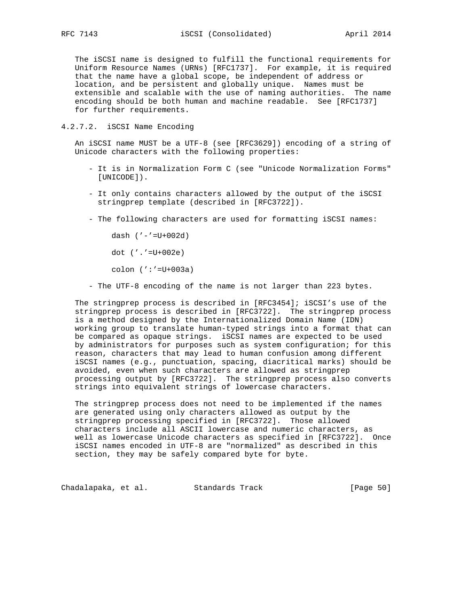The iSCSI name is designed to fulfill the functional requirements for Uniform Resource Names (URNs) [RFC1737]. For example, it is required that the name have a global scope, be independent of address or location, and be persistent and globally unique. Names must be extensible and scalable with the use of naming authorities. The name encoding should be both human and machine readable. See [RFC1737] for further requirements.

4.2.7.2. iSCSI Name Encoding

 An iSCSI name MUST be a UTF-8 (see [RFC3629]) encoding of a string of Unicode characters with the following properties:

- It is in Normalization Form C (see "Unicode Normalization Forms" [UNICODE]).
- It only contains characters allowed by the output of the iSCSI stringprep template (described in [RFC3722]).
- The following characters are used for formatting iSCSI names:

dash  $(' - ' = U + 002d)$ 

dot ('.'=U+002e)

colon (':'=U+003a)

- The UTF-8 encoding of the name is not larger than 223 bytes.

 The stringprep process is described in [RFC3454]; iSCSI's use of the stringprep process is described in [RFC3722]. The stringprep process is a method designed by the Internationalized Domain Name (IDN) working group to translate human-typed strings into a format that can be compared as opaque strings. iSCSI names are expected to be used by administrators for purposes such as system configuration; for this reason, characters that may lead to human confusion among different iSCSI names (e.g., punctuation, spacing, diacritical marks) should be avoided, even when such characters are allowed as stringprep processing output by [RFC3722]. The stringprep process also converts strings into equivalent strings of lowercase characters.

 The stringprep process does not need to be implemented if the names are generated using only characters allowed as output by the stringprep processing specified in [RFC3722]. Those allowed characters include all ASCII lowercase and numeric characters, as well as lowercase Unicode characters as specified in [RFC3722]. Once iSCSI names encoded in UTF-8 are "normalized" as described in this section, they may be safely compared byte for byte.

Chadalapaka, et al. Standards Track [Page 50]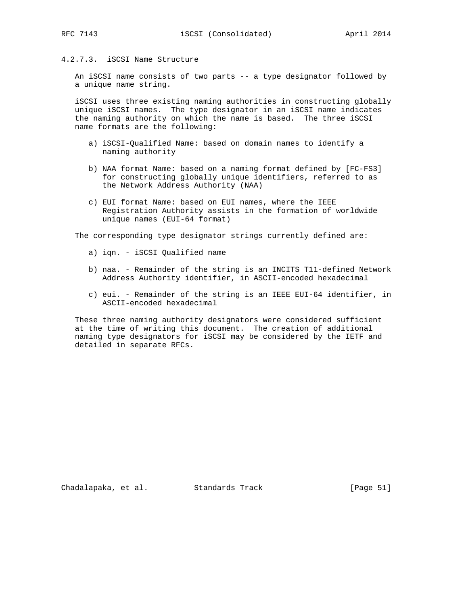# 4.2.7.3. iSCSI Name Structure

 An iSCSI name consists of two parts -- a type designator followed by a unique name string.

 iSCSI uses three existing naming authorities in constructing globally unique iSCSI names. The type designator in an iSCSI name indicates the naming authority on which the name is based. The three iSCSI name formats are the following:

- a) iSCSI-Qualified Name: based on domain names to identify a naming authority
- b) NAA format Name: based on a naming format defined by [FC-FS3] for constructing globally unique identifiers, referred to as the Network Address Authority (NAA)
- c) EUI format Name: based on EUI names, where the IEEE Registration Authority assists in the formation of worldwide unique names (EUI-64 format)

The corresponding type designator strings currently defined are:

- a) iqn. iSCSI Qualified name
- b) naa. Remainder of the string is an INCITS T11-defined Network Address Authority identifier, in ASCII-encoded hexadecimal
- c) eui. Remainder of the string is an IEEE EUI-64 identifier, in ASCII-encoded hexadecimal

 These three naming authority designators were considered sufficient at the time of writing this document. The creation of additional naming type designators for iSCSI may be considered by the IETF and detailed in separate RFCs.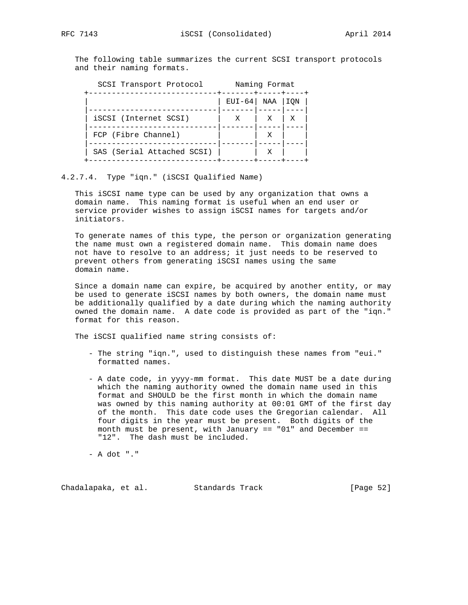The following table summarizes the current SCSI transport protocols and their naming formats.

| Naming Format |   |             |
|---------------|---|-------------|
|               |   | ION         |
| X             | X | Χ           |
|               |   |             |
|               | Х |             |
|               |   | EUI-64  NAA |

## 4.2.7.4. Type "iqn." (iSCSI Qualified Name)

 This iSCSI name type can be used by any organization that owns a domain name. This naming format is useful when an end user or service provider wishes to assign iSCSI names for targets and/or initiators.

 To generate names of this type, the person or organization generating the name must own a registered domain name. This domain name does not have to resolve to an address; it just needs to be reserved to prevent others from generating iSCSI names using the same domain name.

 Since a domain name can expire, be acquired by another entity, or may be used to generate iSCSI names by both owners, the domain name must be additionally qualified by a date during which the naming authority owned the domain name. A date code is provided as part of the "iqn." format for this reason.

The iSCSI qualified name string consists of:

- The string "iqn.", used to distinguish these names from "eui." formatted names.
- A date code, in yyyy-mm format. This date MUST be a date during which the naming authority owned the domain name used in this format and SHOULD be the first month in which the domain name was owned by this naming authority at 00:01 GMT of the first day of the month. This date code uses the Gregorian calendar. All four digits in the year must be present. Both digits of the month must be present, with January == "01" and December == "12". The dash must be included.

- A dot "."

Chadalapaka, et al. Standards Track [Page 52]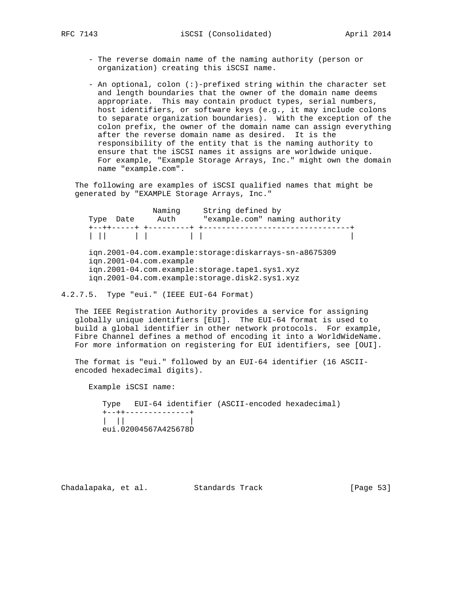- The reverse domain name of the naming authority (person or organization) creating this iSCSI name.
- An optional, colon (:)-prefixed string within the character set and length boundaries that the owner of the domain name deems appropriate. This may contain product types, serial numbers, host identifiers, or software keys (e.g., it may include colons to separate organization boundaries). With the exception of the colon prefix, the owner of the domain name can assign everything after the reverse domain name as desired. It is the responsibility of the entity that is the naming authority to ensure that the iSCSI names it assigns are worldwide unique. For example, "Example Storage Arrays, Inc." might own the domain name "example.com".

 The following are examples of iSCSI qualified names that might be generated by "EXAMPLE Storage Arrays, Inc."

Naming String defined by Type Date Auth "example.com" naming authority +--++-----+ +---------+ +--------------------------------+ | || | | | | | iqn.2001-04.com.example:storage:diskarrays-sn-a8675309 iqn.2001-04.com.example

 iqn.2001-04.com.example:storage.tape1.sys1.xyz iqn.2001-04.com.example:storage.disk2.sys1.xyz

4.2.7.5. Type "eui." (IEEE EUI-64 Format)

 The IEEE Registration Authority provides a service for assigning globally unique identifiers [EUI]. The EUI-64 format is used to build a global identifier in other network protocols. For example, Fibre Channel defines a method of encoding it into a WorldWideName. For more information on registering for EUI identifiers, see [OUI].

 The format is "eui." followed by an EUI-64 identifier (16 ASCII encoded hexadecimal digits).

Example iSCSI name:

 Type EUI-64 identifier (ASCII-encoded hexadecimal) +--++--------------+  $|| \cdot ||$   $||$ eui.02004567A425678D

Chadalapaka, et al. Standards Track [Page 53]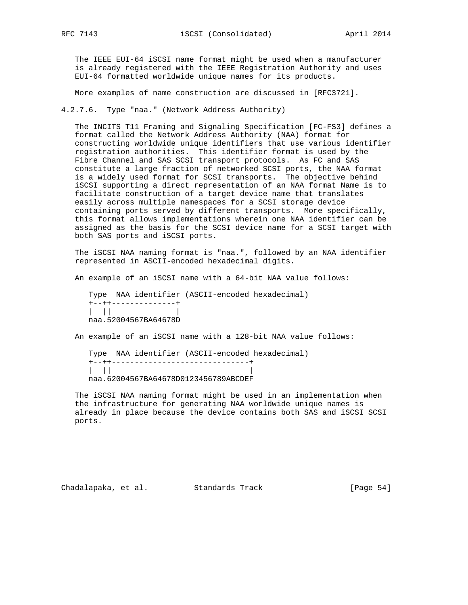The IEEE EUI-64 iSCSI name format might be used when a manufacturer is already registered with the IEEE Registration Authority and uses EUI-64 formatted worldwide unique names for its products.

More examples of name construction are discussed in [RFC3721].

4.2.7.6. Type "naa." (Network Address Authority)

 The INCITS T11 Framing and Signaling Specification [FC-FS3] defines a format called the Network Address Authority (NAA) format for constructing worldwide unique identifiers that use various identifier registration authorities. This identifier format is used by the Fibre Channel and SAS SCSI transport protocols. As FC and SAS constitute a large fraction of networked SCSI ports, the NAA format is a widely used format for SCSI transports. The objective behind iSCSI supporting a direct representation of an NAA format Name is to facilitate construction of a target device name that translates easily across multiple namespaces for a SCSI storage device containing ports served by different transports. More specifically, this format allows implementations wherein one NAA identifier can be assigned as the basis for the SCSI device name for a SCSI target with both SAS ports and iSCSI ports.

 The iSCSI NAA naming format is "naa.", followed by an NAA identifier represented in ASCII-encoded hexadecimal digits.

An example of an iSCSI name with a 64-bit NAA value follows:

 Type NAA identifier (ASCII-encoded hexadecimal) +--++--------------+ | || | naa.52004567BA64678D

An example of an iSCSI name with a 128-bit NAA value follows:

 Type NAA identifier (ASCII-encoded hexadecimal) +--++------------------------------+  $| \cdot |$ naa.62004567BA64678D0123456789ABCDEF

 The iSCSI NAA naming format might be used in an implementation when the infrastructure for generating NAA worldwide unique names is already in place because the device contains both SAS and iSCSI SCSI ports.

Chadalapaka, et al. Standards Track [Page 54]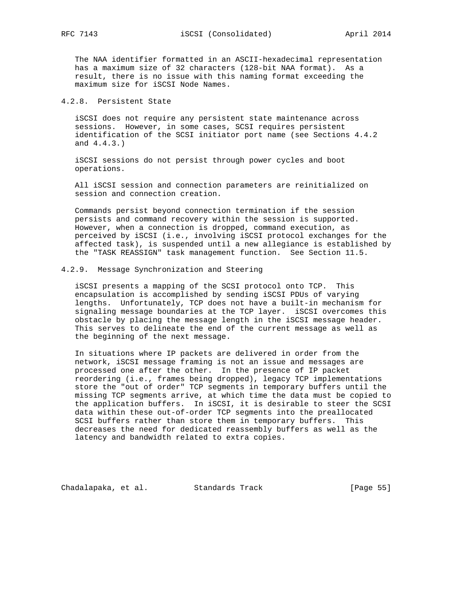The NAA identifier formatted in an ASCII-hexadecimal representation has a maximum size of 32 characters (128-bit NAA format). As a result, there is no issue with this naming format exceeding the maximum size for iSCSI Node Names.

# 4.2.8. Persistent State

 iSCSI does not require any persistent state maintenance across sessions. However, in some cases, SCSI requires persistent identification of the SCSI initiator port name (see Sections 4.4.2 and 4.4.3.)

 iSCSI sessions do not persist through power cycles and boot operations.

 All iSCSI session and connection parameters are reinitialized on session and connection creation.

 Commands persist beyond connection termination if the session persists and command recovery within the session is supported. However, when a connection is dropped, command execution, as perceived by iSCSI (i.e., involving iSCSI protocol exchanges for the affected task), is suspended until a new allegiance is established by the "TASK REASSIGN" task management function. See Section 11.5.

## 4.2.9. Message Synchronization and Steering

 iSCSI presents a mapping of the SCSI protocol onto TCP. This encapsulation is accomplished by sending iSCSI PDUs of varying lengths. Unfortunately, TCP does not have a built-in mechanism for signaling message boundaries at the TCP layer. iSCSI overcomes this obstacle by placing the message length in the iSCSI message header. This serves to delineate the end of the current message as well as the beginning of the next message.

 In situations where IP packets are delivered in order from the network, iSCSI message framing is not an issue and messages are processed one after the other. In the presence of IP packet reordering (i.e., frames being dropped), legacy TCP implementations store the "out of order" TCP segments in temporary buffers until the missing TCP segments arrive, at which time the data must be copied to the application buffers. In iSCSI, it is desirable to steer the SCSI data within these out-of-order TCP segments into the preallocated SCSI buffers rather than store them in temporary buffers. This decreases the need for dedicated reassembly buffers as well as the latency and bandwidth related to extra copies.

Chadalapaka, et al. Standards Track [Page 55]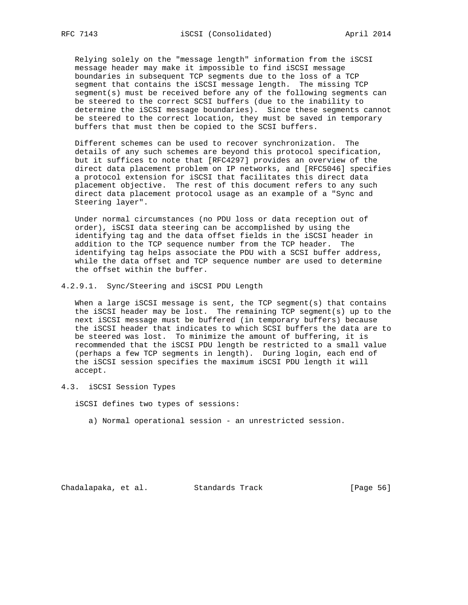Relying solely on the "message length" information from the iSCSI message header may make it impossible to find iSCSI message boundaries in subsequent TCP segments due to the loss of a TCP segment that contains the iSCSI message length. The missing TCP segment(s) must be received before any of the following segments can be steered to the correct SCSI buffers (due to the inability to determine the iSCSI message boundaries). Since these segments cannot be steered to the correct location, they must be saved in temporary buffers that must then be copied to the SCSI buffers.

 Different schemes can be used to recover synchronization. The details of any such schemes are beyond this protocol specification, but it suffices to note that [RFC4297] provides an overview of the direct data placement problem on IP networks, and [RFC5046] specifies a protocol extension for iSCSI that facilitates this direct data placement objective. The rest of this document refers to any such direct data placement protocol usage as an example of a "Sync and Steering layer".

 Under normal circumstances (no PDU loss or data reception out of order), iSCSI data steering can be accomplished by using the identifying tag and the data offset fields in the iSCSI header in addition to the TCP sequence number from the TCP header. The identifying tag helps associate the PDU with a SCSI buffer address, while the data offset and TCP sequence number are used to determine the offset within the buffer.

4.2.9.1. Sync/Steering and iSCSI PDU Length

When a large iSCSI message is sent, the TCP segment(s) that contains the iSCSI header may be lost. The remaining TCP segment(s) up to the next iSCSI message must be buffered (in temporary buffers) because the iSCSI header that indicates to which SCSI buffers the data are to be steered was lost. To minimize the amount of buffering, it is recommended that the iSCSI PDU length be restricted to a small value (perhaps a few TCP segments in length). During login, each end of the iSCSI session specifies the maximum iSCSI PDU length it will accept.

4.3. iSCSI Session Types

iSCSI defines two types of sessions:

a) Normal operational session - an unrestricted session.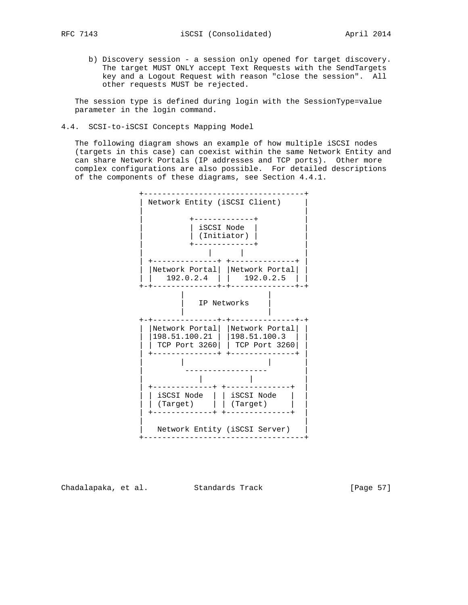b) Discovery session - a session only opened for target discovery. The target MUST ONLY accept Text Requests with the SendTargets key and a Logout Request with reason "close the session". All other requests MUST be rejected.

 The session type is defined during login with the SessionType=value parameter in the login command.

4.4. SCSI-to-iSCSI Concepts Mapping Model

 The following diagram shows an example of how multiple iSCSI nodes (targets in this case) can coexist within the same Network Entity and can share Network Portals (IP addresses and TCP ports). Other more complex configurations are also possible. For detailed descriptions of the components of these diagrams, see Section 4.4.1.



Chadalapaka, et al. Standards Track [Page 57]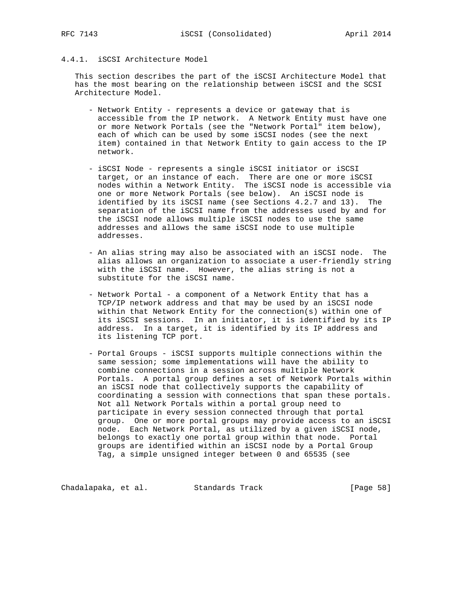# 4.4.1. iSCSI Architecture Model

 This section describes the part of the iSCSI Architecture Model that has the most bearing on the relationship between iSCSI and the SCSI Architecture Model.

- Network Entity represents a device or gateway that is accessible from the IP network. A Network Entity must have one or more Network Portals (see the "Network Portal" item below), each of which can be used by some iSCSI nodes (see the next item) contained in that Network Entity to gain access to the IP network.
- iSCSI Node represents a single iSCSI initiator or iSCSI target, or an instance of each. There are one or more iSCSI nodes within a Network Entity. The iSCSI node is accessible via one or more Network Portals (see below). An iSCSI node is identified by its iSCSI name (see Sections 4.2.7 and 13). The separation of the iSCSI name from the addresses used by and for the iSCSI node allows multiple iSCSI nodes to use the same addresses and allows the same iSCSI node to use multiple addresses.
- An alias string may also be associated with an iSCSI node. The alias allows an organization to associate a user-friendly string with the iSCSI name. However, the alias string is not a substitute for the iSCSI name.
- Network Portal a component of a Network Entity that has a TCP/IP network address and that may be used by an iSCSI node within that Network Entity for the connection(s) within one of its iSCSI sessions. In an initiator, it is identified by its IP address. In a target, it is identified by its IP address and its listening TCP port.
- Portal Groups iSCSI supports multiple connections within the same session; some implementations will have the ability to combine connections in a session across multiple Network Portals. A portal group defines a set of Network Portals within an iSCSI node that collectively supports the capability of coordinating a session with connections that span these portals. Not all Network Portals within a portal group need to participate in every session connected through that portal group. One or more portal groups may provide access to an iSCSI node. Each Network Portal, as utilized by a given iSCSI node, belongs to exactly one portal group within that node. Portal groups are identified within an iSCSI node by a Portal Group Tag, a simple unsigned integer between 0 and 65535 (see

Chadalapaka, et al. Standards Track (Page 58)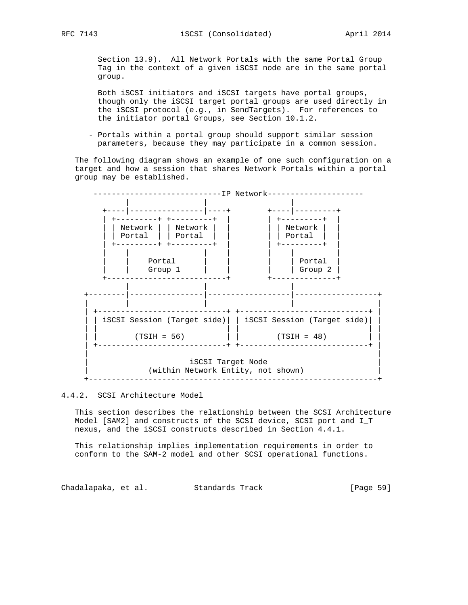Section 13.9). All Network Portals with the same Portal Group Tag in the context of a given iSCSI node are in the same portal group.

 Both iSCSI initiators and iSCSI targets have portal groups, though only the iSCSI target portal groups are used directly in the iSCSI protocol (e.g., in SendTargets). For references to the initiator portal Groups, see Section 10.1.2.

 - Portals within a portal group should support similar session parameters, because they may participate in a common session.

 The following diagram shows an example of one such configuration on a target and how a session that shares Network Portals within a portal group may be established.



### 4.4.2. SCSI Architecture Model

 This section describes the relationship between the SCSI Architecture Model [SAM2] and constructs of the SCSI device, SCSI port and I\_T nexus, and the iSCSI constructs described in Section 4.4.1.

 This relationship implies implementation requirements in order to conform to the SAM-2 model and other SCSI operational functions.

Chadalapaka, et al. Standards Track [Page 59]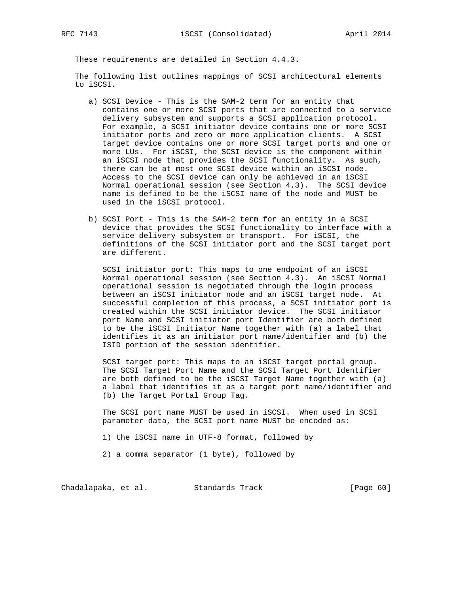These requirements are detailed in Section 4.4.3.

 The following list outlines mappings of SCSI architectural elements to iSCSI.

- a) SCSI Device This is the SAM-2 term for an entity that contains one or more SCSI ports that are connected to a service delivery subsystem and supports a SCSI application protocol. For example, a SCSI initiator device contains one or more SCSI initiator ports and zero or more application clients. A SCSI target device contains one or more SCSI target ports and one or more LUs. For iSCSI, the SCSI device is the component within an iSCSI node that provides the SCSI functionality. As such, there can be at most one SCSI device within an iSCSI node. Access to the SCSI device can only be achieved in an iSCSI Normal operational session (see Section 4.3). The SCSI device name is defined to be the iSCSI name of the node and MUST be used in the iSCSI protocol.
- b) SCSI Port This is the SAM-2 term for an entity in a SCSI device that provides the SCSI functionality to interface with a service delivery subsystem or transport. For iSCSI, the definitions of the SCSI initiator port and the SCSI target port are different.

 SCSI initiator port: This maps to one endpoint of an iSCSI Normal operational session (see Section 4.3). An iSCSI Normal operational session is negotiated through the login process between an iSCSI initiator node and an iSCSI target node. At successful completion of this process, a SCSI initiator port is created within the SCSI initiator device. The SCSI initiator port Name and SCSI initiator port Identifier are both defined to be the iSCSI Initiator Name together with (a) a label that identifies it as an initiator port name/identifier and (b) the ISID portion of the session identifier.

 SCSI target port: This maps to an iSCSI target portal group. The SCSI Target Port Name and the SCSI Target Port Identifier are both defined to be the iSCSI Target Name together with (a) a label that identifies it as a target port name/identifier and (b) the Target Portal Group Tag.

 The SCSI port name MUST be used in iSCSI. When used in SCSI parameter data, the SCSI port name MUST be encoded as:

1) the iSCSI name in UTF-8 format, followed by

2) a comma separator (1 byte), followed by

Chadalapaka, et al. Standards Track [Page 60]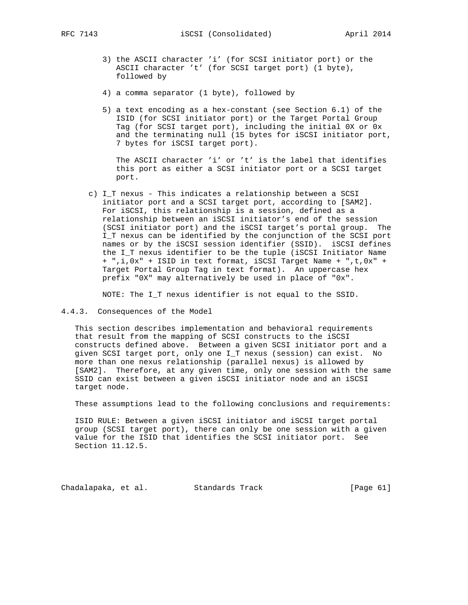- 3) the ASCII character 'i' (for SCSI initiator port) or the ASCII character 't' (for SCSI target port) (1 byte), followed by
- 4) a comma separator (1 byte), followed by
- 5) a text encoding as a hex-constant (see Section 6.1) of the ISID (for SCSI initiator port) or the Target Portal Group Tag (for SCSI target port), including the initial 0X or 0x and the terminating null (15 bytes for iSCSI initiator port, 7 bytes for iSCSI target port).

 The ASCII character 'i' or 't' is the label that identifies this port as either a SCSI initiator port or a SCSI target port.

 c) I\_T nexus - This indicates a relationship between a SCSI initiator port and a SCSI target port, according to [SAM2]. For iSCSI, this relationship is a session, defined as a relationship between an iSCSI initiator's end of the session (SCSI initiator port) and the iSCSI target's portal group. The I\_T nexus can be identified by the conjunction of the SCSI port names or by the iSCSI session identifier (SSID). iSCSI defines the I\_T nexus identifier to be the tuple (iSCSI Initiator Name + ",i,0x" + ISID in text format, iSCSI Target Name + ",t,0x" + Target Portal Group Tag in text format). An uppercase hex prefix "0X" may alternatively be used in place of "0x".

NOTE: The I\_T nexus identifier is not equal to the SSID.

4.4.3. Consequences of the Model

 This section describes implementation and behavioral requirements that result from the mapping of SCSI constructs to the iSCSI constructs defined above. Between a given SCSI initiator port and a given SCSI target port, only one I\_T nexus (session) can exist. No more than one nexus relationship (parallel nexus) is allowed by [SAM2]. Therefore, at any given time, only one session with the same SSID can exist between a given iSCSI initiator node and an iSCSI target node.

These assumptions lead to the following conclusions and requirements:

 ISID RULE: Between a given iSCSI initiator and iSCSI target portal group (SCSI target port), there can only be one session with a given value for the ISID that identifies the SCSI initiator port. See Section 11.12.5.

Chadalapaka, et al. Standards Track [Page 61]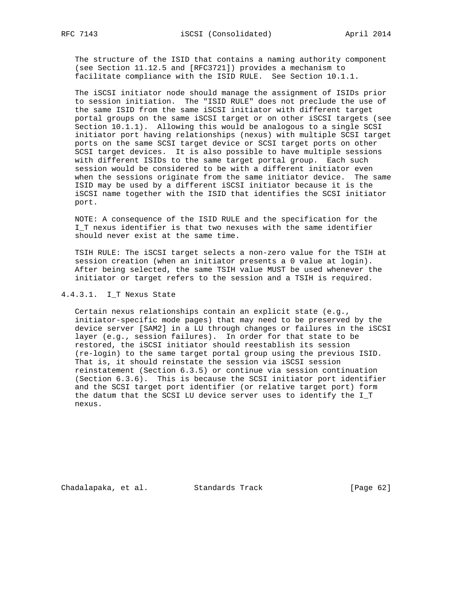The structure of the ISID that contains a naming authority component (see Section 11.12.5 and [RFC3721]) provides a mechanism to facilitate compliance with the ISID RULE. See Section 10.1.1.

 The iSCSI initiator node should manage the assignment of ISIDs prior to session initiation. The "ISID RULE" does not preclude the use of the same ISID from the same iSCSI initiator with different target portal groups on the same iSCSI target or on other iSCSI targets (see Section 10.1.1). Allowing this would be analogous to a single SCSI initiator port having relationships (nexus) with multiple SCSI target ports on the same SCSI target device or SCSI target ports on other SCSI target devices. It is also possible to have multiple sessions with different ISIDs to the same target portal group. Each such session would be considered to be with a different initiator even when the sessions originate from the same initiator device. The same ISID may be used by a different iSCSI initiator because it is the iSCSI name together with the ISID that identifies the SCSI initiator port.

 NOTE: A consequence of the ISID RULE and the specification for the I\_T nexus identifier is that two nexuses with the same identifier should never exist at the same time.

 TSIH RULE: The iSCSI target selects a non-zero value for the TSIH at session creation (when an initiator presents a 0 value at login). After being selected, the same TSIH value MUST be used whenever the initiator or target refers to the session and a TSIH is required.

#### 4.4.3.1. I\_T Nexus State

 Certain nexus relationships contain an explicit state (e.g., initiator-specific mode pages) that may need to be preserved by the device server [SAM2] in a LU through changes or failures in the iSCSI layer (e.g., session failures). In order for that state to be restored, the iSCSI initiator should reestablish its session (re-login) to the same target portal group using the previous ISID. That is, it should reinstate the session via iSCSI session reinstatement (Section 6.3.5) or continue via session continuation (Section 6.3.6). This is because the SCSI initiator port identifier and the SCSI target port identifier (or relative target port) form the datum that the SCSI LU device server uses to identify the I\_T nexus.

Chadalapaka, et al. Standards Track [Page 62]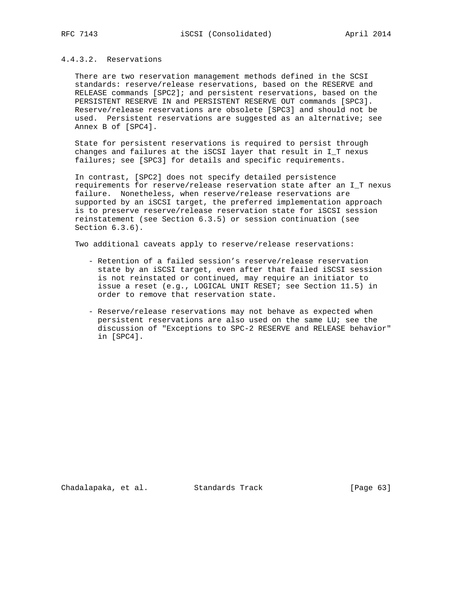## 4.4.3.2. Reservations

 There are two reservation management methods defined in the SCSI standards: reserve/release reservations, based on the RESERVE and RELEASE commands [SPC2]; and persistent reservations, based on the PERSISTENT RESERVE IN and PERSISTENT RESERVE OUT commands [SPC3]. Reserve/release reservations are obsolete [SPC3] and should not be used. Persistent reservations are suggested as an alternative; see Annex B of [SPC4].

 State for persistent reservations is required to persist through changes and failures at the iSCSI layer that result in I\_T nexus failures; see [SPC3] for details and specific requirements.

 In contrast, [SPC2] does not specify detailed persistence requirements for reserve/release reservation state after an I\_T nexus failure. Nonetheless, when reserve/release reservations are supported by an iSCSI target, the preferred implementation approach is to preserve reserve/release reservation state for iSCSI session reinstatement (see Section 6.3.5) or session continuation (see Section 6.3.6).

Two additional caveats apply to reserve/release reservations:

- Retention of a failed session's reserve/release reservation state by an iSCSI target, even after that failed iSCSI session is not reinstated or continued, may require an initiator to issue a reset (e.g., LOGICAL UNIT RESET; see Section 11.5) in order to remove that reservation state.
- Reserve/release reservations may not behave as expected when persistent reservations are also used on the same LU; see the discussion of "Exceptions to SPC-2 RESERVE and RELEASE behavior" in [SPC4].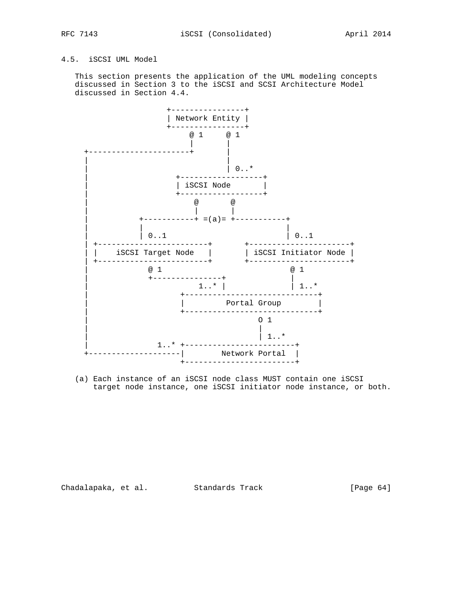# 4.5. iSCSI UML Model

 This section presents the application of the UML modeling concepts discussed in Section 3 to the iSCSI and SCSI Architecture Model discussed in Section 4.4.



 (a) Each instance of an iSCSI node class MUST contain one iSCSI target node instance, one iSCSI initiator node instance, or both.

Chadalapaka, et al. Standards Track (Page 64)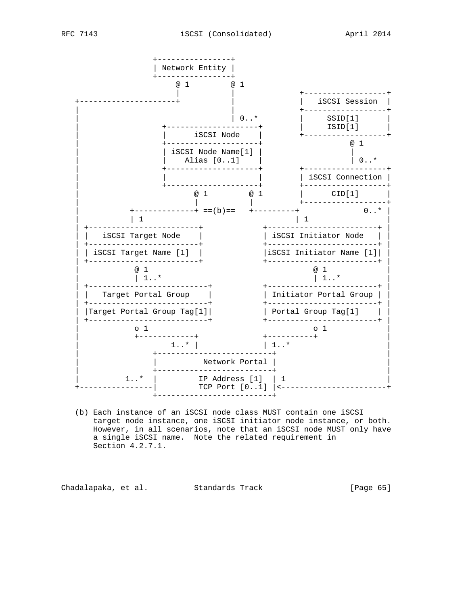

 (b) Each instance of an iSCSI node class MUST contain one iSCSI target node instance, one iSCSI initiator node instance, or both. However, in all scenarios, note that an iSCSI node MUST only have a single iSCSI name. Note the related requirement in Section 4.2.7.1.

Chadalapaka, et al. Standards Track [Page 65]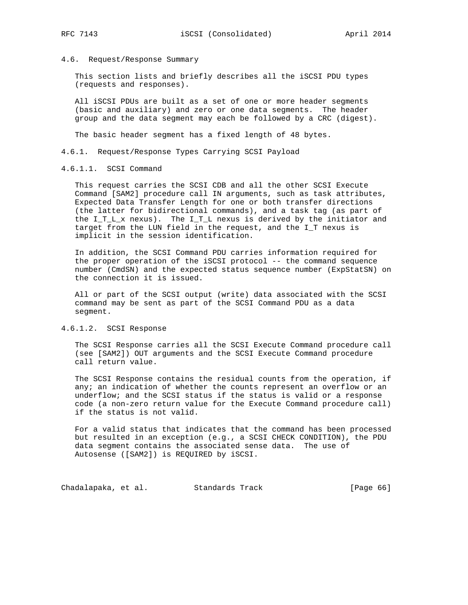#### 4.6. Request/Response Summary

 This section lists and briefly describes all the iSCSI PDU types (requests and responses).

 All iSCSI PDUs are built as a set of one or more header segments (basic and auxiliary) and zero or one data segments. The header group and the data segment may each be followed by a CRC (digest).

The basic header segment has a fixed length of 48 bytes.

4.6.1. Request/Response Types Carrying SCSI Payload

## 4.6.1.1. SCSI Command

 This request carries the SCSI CDB and all the other SCSI Execute Command [SAM2] procedure call IN arguments, such as task attributes, Expected Data Transfer Length for one or both transfer directions (the latter for bidirectional commands), and a task tag (as part of the  $I_T_L_x$  nexus). The  $I_T_L$  nexus is derived by the initiator and target from the LUN field in the request, and the I\_T nexus is implicit in the session identification.

 In addition, the SCSI Command PDU carries information required for the proper operation of the iSCSI protocol -- the command sequence number (CmdSN) and the expected status sequence number (ExpStatSN) on the connection it is issued.

 All or part of the SCSI output (write) data associated with the SCSI command may be sent as part of the SCSI Command PDU as a data segment.

## 4.6.1.2. SCSI Response

 The SCSI Response carries all the SCSI Execute Command procedure call (see [SAM2]) OUT arguments and the SCSI Execute Command procedure call return value.

 The SCSI Response contains the residual counts from the operation, if any; an indication of whether the counts represent an overflow or an underflow; and the SCSI status if the status is valid or a response code (a non-zero return value for the Execute Command procedure call) if the status is not valid.

 For a valid status that indicates that the command has been processed but resulted in an exception (e.g., a SCSI CHECK CONDITION), the PDU data segment contains the associated sense data. The use of Autosense ([SAM2]) is REQUIRED by iSCSI.

Chadalapaka, et al. Standards Track [Page 66]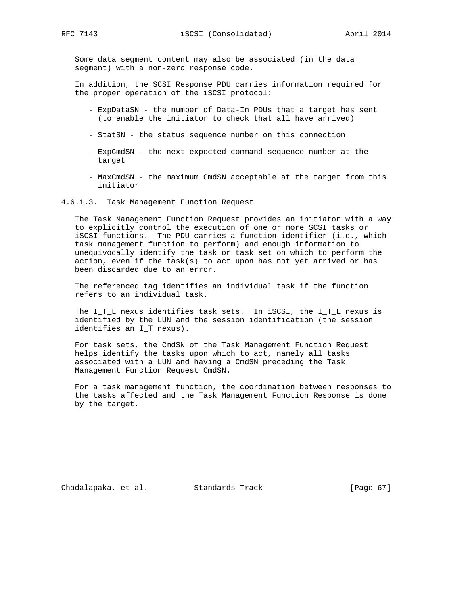Some data segment content may also be associated (in the data segment) with a non-zero response code.

 In addition, the SCSI Response PDU carries information required for the proper operation of the iSCSI protocol:

- ExpDataSN the number of Data-In PDUs that a target has sent (to enable the initiator to check that all have arrived)
- StatSN the status sequence number on this connection
- ExpCmdSN the next expected command sequence number at the target
- MaxCmdSN the maximum CmdSN acceptable at the target from this initiator
- 4.6.1.3. Task Management Function Request

 The Task Management Function Request provides an initiator with a way to explicitly control the execution of one or more SCSI tasks or iSCSI functions. The PDU carries a function identifier (i.e., which task management function to perform) and enough information to unequivocally identify the task or task set on which to perform the action, even if the task(s) to act upon has not yet arrived or has been discarded due to an error.

 The referenced tag identifies an individual task if the function refers to an individual task.

 The I\_T\_L nexus identifies task sets. In iSCSI, the I\_T\_L nexus is identified by the LUN and the session identification (the session identifies an I\_T nexus).

 For task sets, the CmdSN of the Task Management Function Request helps identify the tasks upon which to act, namely all tasks associated with a LUN and having a CmdSN preceding the Task Management Function Request CmdSN.

 For a task management function, the coordination between responses to the tasks affected and the Task Management Function Response is done by the target.

Chadalapaka, et al. Standards Track [Page 67]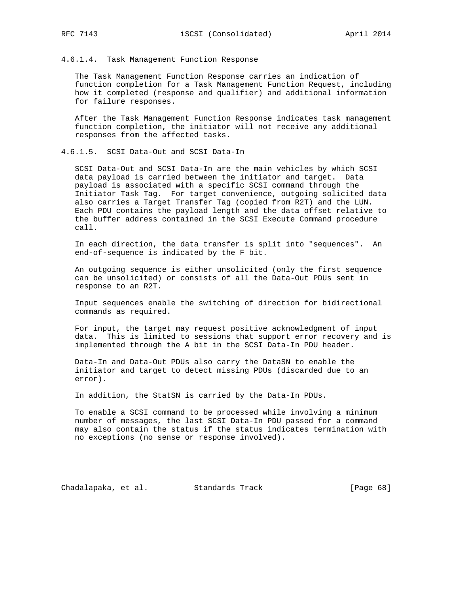4.6.1.4. Task Management Function Response

 The Task Management Function Response carries an indication of function completion for a Task Management Function Request, including how it completed (response and qualifier) and additional information for failure responses.

 After the Task Management Function Response indicates task management function completion, the initiator will not receive any additional responses from the affected tasks.

4.6.1.5. SCSI Data-Out and SCSI Data-In

 SCSI Data-Out and SCSI Data-In are the main vehicles by which SCSI data payload is carried between the initiator and target. Data payload is associated with a specific SCSI command through the Initiator Task Tag. For target convenience, outgoing solicited data also carries a Target Transfer Tag (copied from R2T) and the LUN. Each PDU contains the payload length and the data offset relative to the buffer address contained in the SCSI Execute Command procedure call.

 In each direction, the data transfer is split into "sequences". An end-of-sequence is indicated by the F bit.

 An outgoing sequence is either unsolicited (only the first sequence can be unsolicited) or consists of all the Data-Out PDUs sent in response to an R2T.

 Input sequences enable the switching of direction for bidirectional commands as required.

 For input, the target may request positive acknowledgment of input data. This is limited to sessions that support error recovery and is implemented through the A bit in the SCSI Data-In PDU header.

 Data-In and Data-Out PDUs also carry the DataSN to enable the initiator and target to detect missing PDUs (discarded due to an error).

In addition, the StatSN is carried by the Data-In PDUs.

 To enable a SCSI command to be processed while involving a minimum number of messages, the last SCSI Data-In PDU passed for a command may also contain the status if the status indicates termination with no exceptions (no sense or response involved).

Chadalapaka, et al. Standards Track [Page 68]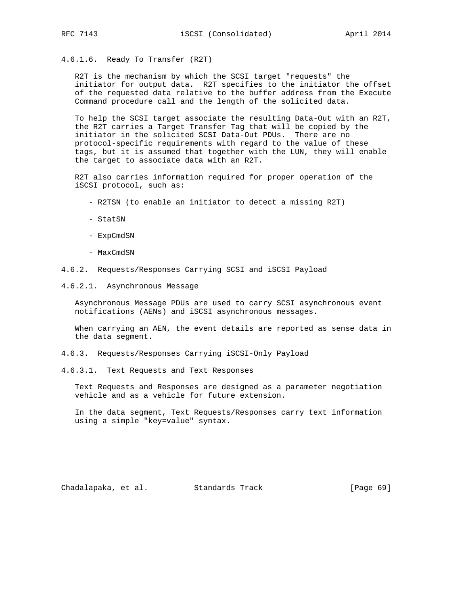4.6.1.6. Ready To Transfer (R2T)

 R2T is the mechanism by which the SCSI target "requests" the initiator for output data. R2T specifies to the initiator the offset of the requested data relative to the buffer address from the Execute Command procedure call and the length of the solicited data.

 To help the SCSI target associate the resulting Data-Out with an R2T, the R2T carries a Target Transfer Tag that will be copied by the initiator in the solicited SCSI Data-Out PDUs. There are no protocol-specific requirements with regard to the value of these tags, but it is assumed that together with the LUN, they will enable the target to associate data with an R2T.

 R2T also carries information required for proper operation of the iSCSI protocol, such as:

- R2TSN (to enable an initiator to detect a missing R2T)
- StatSN
- ExpCmdSN
- MaxCmdSN
- 4.6.2. Requests/Responses Carrying SCSI and iSCSI Payload
- 4.6.2.1. Asynchronous Message

 Asynchronous Message PDUs are used to carry SCSI asynchronous event notifications (AENs) and iSCSI asynchronous messages.

 When carrying an AEN, the event details are reported as sense data in the data segment.

- 4.6.3. Requests/Responses Carrying iSCSI-Only Payload
- 4.6.3.1. Text Requests and Text Responses

 Text Requests and Responses are designed as a parameter negotiation vehicle and as a vehicle for future extension.

 In the data segment, Text Requests/Responses carry text information using a simple "key=value" syntax.

Chadalapaka, et al. Standards Track (Page 69)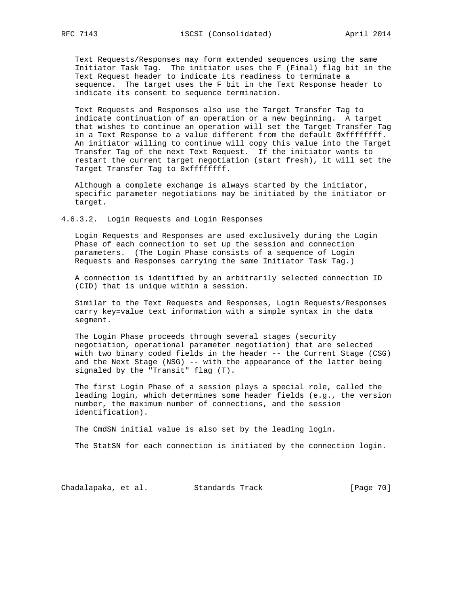Text Requests/Responses may form extended sequences using the same Initiator Task Tag. The initiator uses the F (Final) flag bit in the Text Request header to indicate its readiness to terminate a sequence. The target uses the F bit in the Text Response header to indicate its consent to sequence termination.

 Text Requests and Responses also use the Target Transfer Tag to indicate continuation of an operation or a new beginning. A target that wishes to continue an operation will set the Target Transfer Tag in a Text Response to a value different from the default 0xffffffff. An initiator willing to continue will copy this value into the Target Transfer Tag of the next Text Request. If the initiator wants to restart the current target negotiation (start fresh), it will set the Target Transfer Tag to 0xffffffff.

 Although a complete exchange is always started by the initiator, specific parameter negotiations may be initiated by the initiator or target.

4.6.3.2. Login Requests and Login Responses

 Login Requests and Responses are used exclusively during the Login Phase of each connection to set up the session and connection parameters. (The Login Phase consists of a sequence of Login Requests and Responses carrying the same Initiator Task Tag.)

 A connection is identified by an arbitrarily selected connection ID (CID) that is unique within a session.

 Similar to the Text Requests and Responses, Login Requests/Responses carry key=value text information with a simple syntax in the data segment.

 The Login Phase proceeds through several stages (security negotiation, operational parameter negotiation) that are selected with two binary coded fields in the header -- the Current Stage (CSG) and the Next Stage (NSG) -- with the appearance of the latter being signaled by the "Transit" flag (T).

 The first Login Phase of a session plays a special role, called the leading login, which determines some header fields (e.g., the version number, the maximum number of connections, and the session identification).

The CmdSN initial value is also set by the leading login.

The StatSN for each connection is initiated by the connection login.

Chadalapaka, et al. Standards Track [Page 70]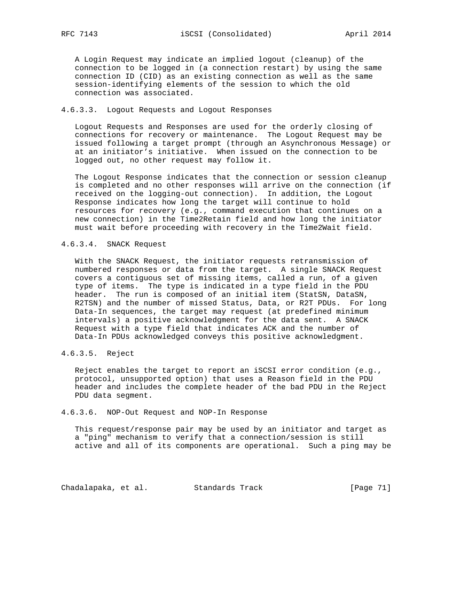A Login Request may indicate an implied logout (cleanup) of the connection to be logged in (a connection restart) by using the same connection ID (CID) as an existing connection as well as the same session-identifying elements of the session to which the old connection was associated.

## 4.6.3.3. Logout Requests and Logout Responses

 Logout Requests and Responses are used for the orderly closing of connections for recovery or maintenance. The Logout Request may be issued following a target prompt (through an Asynchronous Message) or at an initiator's initiative. When issued on the connection to be logged out, no other request may follow it.

 The Logout Response indicates that the connection or session cleanup is completed and no other responses will arrive on the connection (if received on the logging-out connection). In addition, the Logout Response indicates how long the target will continue to hold resources for recovery (e.g., command execution that continues on a new connection) in the Time2Retain field and how long the initiator must wait before proceeding with recovery in the Time2Wait field.

#### 4.6.3.4. SNACK Request

 With the SNACK Request, the initiator requests retransmission of numbered responses or data from the target. A single SNACK Request covers a contiguous set of missing items, called a run, of a given type of items. The type is indicated in a type field in the PDU header. The run is composed of an initial item (StatSN, DataSN, R2TSN) and the number of missed Status, Data, or R2T PDUs. For long Data-In sequences, the target may request (at predefined minimum intervals) a positive acknowledgment for the data sent. A SNACK Request with a type field that indicates ACK and the number of Data-In PDUs acknowledged conveys this positive acknowledgment.

4.6.3.5. Reject

 Reject enables the target to report an iSCSI error condition (e.g., protocol, unsupported option) that uses a Reason field in the PDU header and includes the complete header of the bad PDU in the Reject PDU data segment.

#### 4.6.3.6. NOP-Out Request and NOP-In Response

 This request/response pair may be used by an initiator and target as a "ping" mechanism to verify that a connection/session is still active and all of its components are operational. Such a ping may be

Chadalapaka, et al. Standards Track [Page 71]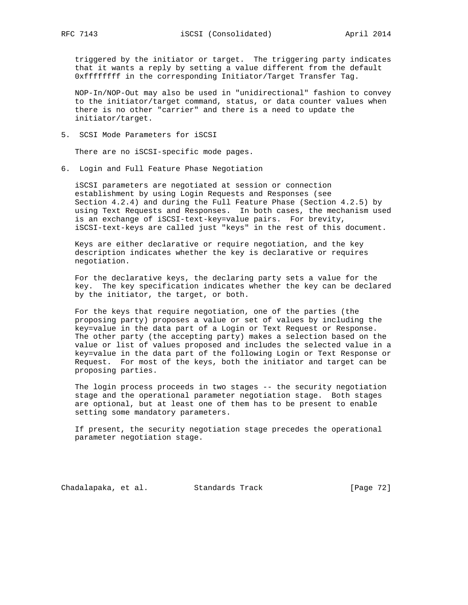triggered by the initiator or target. The triggering party indicates that it wants a reply by setting a value different from the default 0xffffffff in the corresponding Initiator/Target Transfer Tag.

 NOP-In/NOP-Out may also be used in "unidirectional" fashion to convey to the initiator/target command, status, or data counter values when there is no other "carrier" and there is a need to update the initiator/target.

5. SCSI Mode Parameters for iSCSI

There are no iSCSI-specific mode pages.

6. Login and Full Feature Phase Negotiation

 iSCSI parameters are negotiated at session or connection establishment by using Login Requests and Responses (see Section 4.2.4) and during the Full Feature Phase (Section 4.2.5) by using Text Requests and Responses. In both cases, the mechanism used is an exchange of iSCSI-text-key=value pairs. For brevity, iSCSI-text-keys are called just "keys" in the rest of this document.

 Keys are either declarative or require negotiation, and the key description indicates whether the key is declarative or requires negotiation.

 For the declarative keys, the declaring party sets a value for the key. The key specification indicates whether the key can be declared by the initiator, the target, or both.

 For the keys that require negotiation, one of the parties (the proposing party) proposes a value or set of values by including the key=value in the data part of a Login or Text Request or Response. The other party (the accepting party) makes a selection based on the value or list of values proposed and includes the selected value in a key=value in the data part of the following Login or Text Response or Request. For most of the keys, both the initiator and target can be proposing parties.

 The login process proceeds in two stages -- the security negotiation stage and the operational parameter negotiation stage. Both stages are optional, but at least one of them has to be present to enable setting some mandatory parameters.

 If present, the security negotiation stage precedes the operational parameter negotiation stage.

Chadalapaka, et al. Standards Track [Page 72]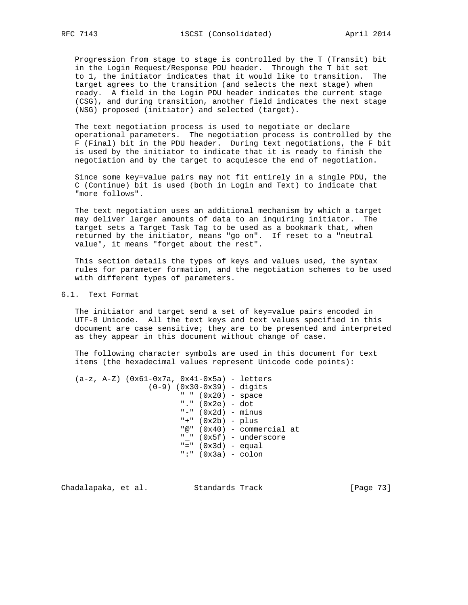Progression from stage to stage is controlled by the T (Transit) bit in the Login Request/Response PDU header. Through the T bit set to 1, the initiator indicates that it would like to transition. The target agrees to the transition (and selects the next stage) when ready. A field in the Login PDU header indicates the current stage (CSG), and during transition, another field indicates the next stage (NSG) proposed (initiator) and selected (target).

 The text negotiation process is used to negotiate or declare operational parameters. The negotiation process is controlled by the F (Final) bit in the PDU header. During text negotiations, the F bit is used by the initiator to indicate that it is ready to finish the negotiation and by the target to acquiesce the end of negotiation.

 Since some key=value pairs may not fit entirely in a single PDU, the C (Continue) bit is used (both in Login and Text) to indicate that "more follows".

 The text negotiation uses an additional mechanism by which a target may deliver larger amounts of data to an inquiring initiator. The target sets a Target Task Tag to be used as a bookmark that, when returned by the initiator, means "go on". If reset to a "neutral value", it means "forget about the rest".

 This section details the types of keys and values used, the syntax rules for parameter formation, and the negotiation schemes to be used with different types of parameters.

## 6.1. Text Format

 The initiator and target send a set of key=value pairs encoded in UTF-8 Unicode. All the text keys and text values specified in this document are case sensitive; they are to be presented and interpreted as they appear in this document without change of case.

 The following character symbols are used in this document for text items (the hexadecimal values represent Unicode code points):

```
 (a-z, A-Z) (0x61-0x7a, 0x41-0x5a) - letters
     (0-9) (0x30-0x39) - digits
             " " (0x20) - space
             "." (0x2e) - dot
            "-" (0x2d) - minus
             "+" (0x2b) - plus
             "@" (0x40) - commercial at
             "_" (0x5f) - underscore
            "=" 0x3d) - equal ":" (0x3a) - colon
```
Chadalapaka, et al. Standards Track [Page 73]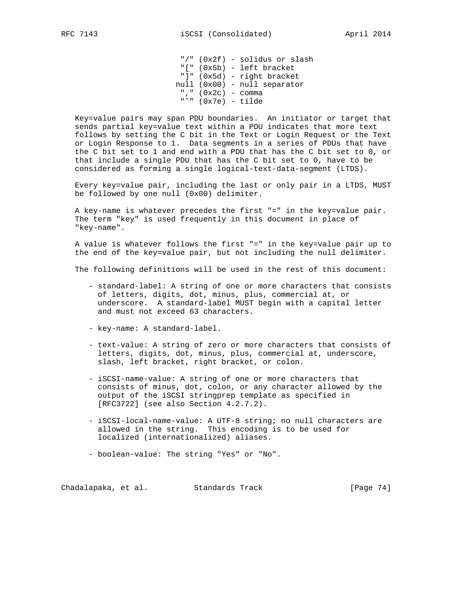"/" (0x2f) - solidus or slash "[" (0x5b) - left bracket "]" (0x5d) - right bracket null (0x00) - null separator "," (0x2c) - comma "˜" (0x7e) - tilde

 Key=value pairs may span PDU boundaries. An initiator or target that sends partial key=value text within a PDU indicates that more text follows by setting the C bit in the Text or Login Request or the Text or Login Response to 1. Data segments in a series of PDUs that have the C bit set to 1 and end with a PDU that has the C bit set to 0, or that include a single PDU that has the C bit set to 0, have to be considered as forming a single logical-text-data-segment (LTDS).

 Every key=value pair, including the last or only pair in a LTDS, MUST be followed by one null (0x00) delimiter.

 A key-name is whatever precedes the first "=" in the key=value pair. The term "key" is used frequently in this document in place of "key-name".

 A value is whatever follows the first "=" in the key=value pair up to the end of the key=value pair, but not including the null delimiter.

The following definitions will be used in the rest of this document:

- standard-label: A string of one or more characters that consists of letters, digits, dot, minus, plus, commercial at, or underscore. A standard-label MUST begin with a capital letter and must not exceed 63 characters.
- key-name: A standard-label.
- text-value: A string of zero or more characters that consists of letters, digits, dot, minus, plus, commercial at, underscore, slash, left bracket, right bracket, or colon.
- iSCSI-name-value: A string of one or more characters that consists of minus, dot, colon, or any character allowed by the output of the iSCSI stringprep template as specified in [RFC3722] (see also Section 4.2.7.2).
- iSCSI-local-name-value: A UTF-8 string; no null characters are allowed in the string. This encoding is to be used for localized (internationalized) aliases.
- boolean-value: The string "Yes" or "No".

Chadalapaka, et al. Standards Track [Page 74]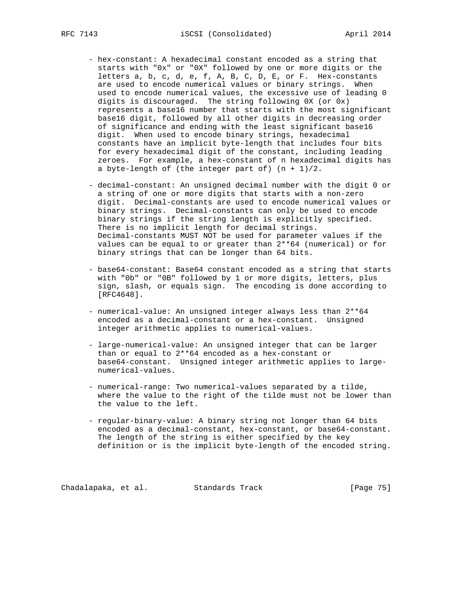- hex-constant: A hexadecimal constant encoded as a string that starts with "0x" or "0X" followed by one or more digits or the letters a, b, c, d, e, f, A, B, C, D, E, or F. Hex-constants are used to encode numerical values or binary strings. When used to encode numerical values, the excessive use of leading 0 digits is discouraged. The string following 0X (or 0x) represents a base16 number that starts with the most significant base16 digit, followed by all other digits in decreasing order of significance and ending with the least significant base16 digit. When used to encode binary strings, hexadecimal constants have an implicit byte-length that includes four bits for every hexadecimal digit of the constant, including leading zeroes. For example, a hex-constant of n hexadecimal digits has a byte-length of (the integer part of)  $(n + 1)/2$ .
	- decimal-constant: An unsigned decimal number with the digit 0 or a string of one or more digits that starts with a non-zero digit. Decimal-constants are used to encode numerical values or binary strings. Decimal-constants can only be used to encode binary strings if the string length is explicitly specified. There is no implicit length for decimal strings. Decimal-constants MUST NOT be used for parameter values if the values can be equal to or greater than 2\*\*64 (numerical) or for binary strings that can be longer than 64 bits.
	- base64-constant: Base64 constant encoded as a string that starts with "0b" or "0B" followed by 1 or more digits, letters, plus sign, slash, or equals sign. The encoding is done according to [RFC4648].
	- numerical-value: An unsigned integer always less than 2\*\*64 encoded as a decimal-constant or a hex-constant. Unsigned integer arithmetic applies to numerical-values.
	- large-numerical-value: An unsigned integer that can be larger than or equal to 2\*\*64 encoded as a hex-constant or base64-constant. Unsigned integer arithmetic applies to large numerical-values.
	- numerical-range: Two numerical-values separated by a tilde, where the value to the right of the tilde must not be lower than the value to the left.
	- regular-binary-value: A binary string not longer than 64 bits encoded as a decimal-constant, hex-constant, or base64-constant. The length of the string is either specified by the key definition or is the implicit byte-length of the encoded string.

Chadalapaka, et al. Standards Track [Page 75]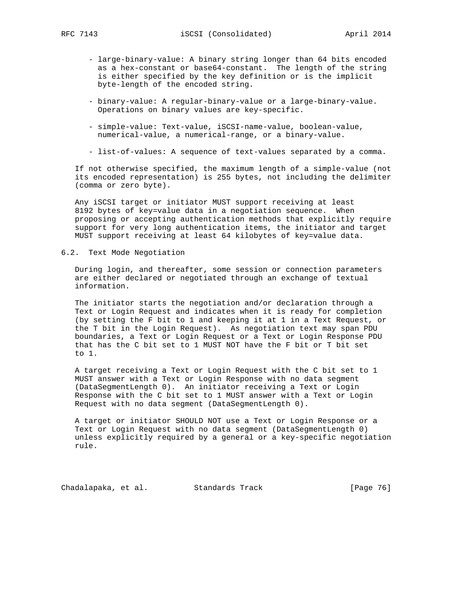- large-binary-value: A binary string longer than 64 bits encoded as a hex-constant or base64-constant. The length of the string is either specified by the key definition or is the implicit byte-length of the encoded string.
- binary-value: A regular-binary-value or a large-binary-value. Operations on binary values are key-specific.
- simple-value: Text-value, iSCSI-name-value, boolean-value, numerical-value, a numerical-range, or a binary-value.
- list-of-values: A sequence of text-values separated by a comma.

 If not otherwise specified, the maximum length of a simple-value (not its encoded representation) is 255 bytes, not including the delimiter (comma or zero byte).

 Any iSCSI target or initiator MUST support receiving at least 8192 bytes of key=value data in a negotiation sequence. When proposing or accepting authentication methods that explicitly require support for very long authentication items, the initiator and target MUST support receiving at least 64 kilobytes of key=value data.

6.2. Text Mode Negotiation

 During login, and thereafter, some session or connection parameters are either declared or negotiated through an exchange of textual information.

 The initiator starts the negotiation and/or declaration through a Text or Login Request and indicates when it is ready for completion (by setting the F bit to 1 and keeping it at 1 in a Text Request, or the T bit in the Login Request). As negotiation text may span PDU boundaries, a Text or Login Request or a Text or Login Response PDU that has the C bit set to 1 MUST NOT have the F bit or T bit set to 1.

 A target receiving a Text or Login Request with the C bit set to 1 MUST answer with a Text or Login Response with no data segment (DataSegmentLength 0). An initiator receiving a Text or Login Response with the C bit set to 1 MUST answer with a Text or Login Request with no data segment (DataSegmentLength 0).

 A target or initiator SHOULD NOT use a Text or Login Response or a Text or Login Request with no data segment (DataSegmentLength 0) unless explicitly required by a general or a key-specific negotiation rule.

Chadalapaka, et al. Standards Track [Page 76]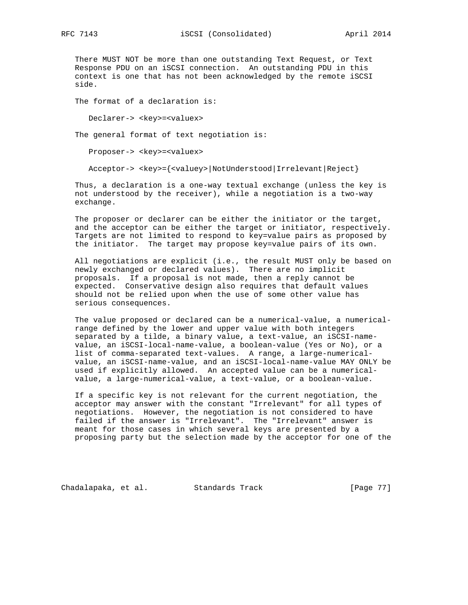There MUST NOT be more than one outstanding Text Request, or Text Response PDU on an iSCSI connection. An outstanding PDU in this context is one that has not been acknowledged by the remote iSCSI side.

The format of a declaration is:

Declarer-> <key>=<valuex>

The general format of text negotiation is:

Proposer-> <key>=<valuex>

Acceptor-> <key>={<valuey>|NotUnderstood|Irrelevant|Reject}

 Thus, a declaration is a one-way textual exchange (unless the key is not understood by the receiver), while a negotiation is a two-way exchange.

 The proposer or declarer can be either the initiator or the target, and the acceptor can be either the target or initiator, respectively. Targets are not limited to respond to key=value pairs as proposed by the initiator. The target may propose key=value pairs of its own.

 All negotiations are explicit (i.e., the result MUST only be based on newly exchanged or declared values). There are no implicit proposals. If a proposal is not made, then a reply cannot be expected. Conservative design also requires that default values should not be relied upon when the use of some other value has serious consequences.

 The value proposed or declared can be a numerical-value, a numerical range defined by the lower and upper value with both integers separated by a tilde, a binary value, a text-value, an iSCSI-name value, an iSCSI-local-name-value, a boolean-value (Yes or No), or a list of comma-separated text-values. A range, a large-numerical value, an iSCSI-name-value, and an iSCSI-local-name-value MAY ONLY be used if explicitly allowed. An accepted value can be a numerical value, a large-numerical-value, a text-value, or a boolean-value.

 If a specific key is not relevant for the current negotiation, the acceptor may answer with the constant "Irrelevant" for all types of negotiations. However, the negotiation is not considered to have failed if the answer is "Irrelevant". The "Irrelevant" answer is meant for those cases in which several keys are presented by a proposing party but the selection made by the acceptor for one of the

Chadalapaka, et al. Standards Track [Page 77]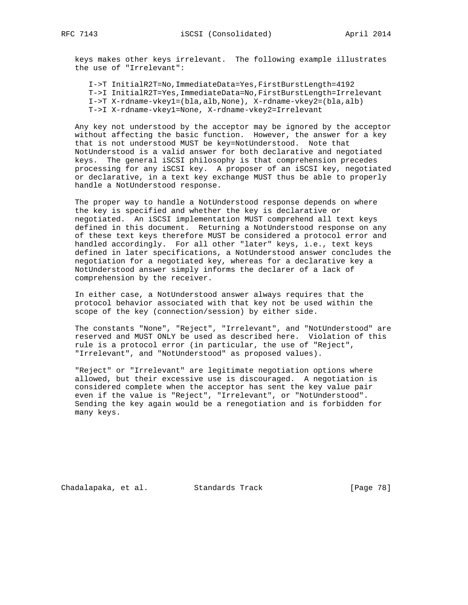keys makes other keys irrelevant. The following example illustrates the use of "Irrelevant":

I->T InitialR2T=No,ImmediateData=Yes,FirstBurstLength=4192

- T->I InitialR2T=Yes,ImmediateData=No,FirstBurstLength=Irrelevant
- I->T X-rdname-vkey1=(bla,alb,None), X-rdname-vkey2=(bla,alb)
- T->I X-rdname-vkey1=None, X-rdname-vkey2=Irrelevant

 Any key not understood by the acceptor may be ignored by the acceptor without affecting the basic function. However, the answer for a key that is not understood MUST be key=NotUnderstood. Note that NotUnderstood is a valid answer for both declarative and negotiated keys. The general iSCSI philosophy is that comprehension precedes processing for any iSCSI key. A proposer of an iSCSI key, negotiated or declarative, in a text key exchange MUST thus be able to properly handle a NotUnderstood response.

 The proper way to handle a NotUnderstood response depends on where the key is specified and whether the key is declarative or negotiated. An iSCSI implementation MUST comprehend all text keys defined in this document. Returning a NotUnderstood response on any of these text keys therefore MUST be considered a protocol error and handled accordingly. For all other "later" keys, i.e., text keys defined in later specifications, a NotUnderstood answer concludes the negotiation for a negotiated key, whereas for a declarative key a NotUnderstood answer simply informs the declarer of a lack of comprehension by the receiver.

 In either case, a NotUnderstood answer always requires that the protocol behavior associated with that key not be used within the scope of the key (connection/session) by either side.

 The constants "None", "Reject", "Irrelevant", and "NotUnderstood" are reserved and MUST ONLY be used as described here. Violation of this rule is a protocol error (in particular, the use of "Reject", "Irrelevant", and "NotUnderstood" as proposed values).

 "Reject" or "Irrelevant" are legitimate negotiation options where allowed, but their excessive use is discouraged. A negotiation is considered complete when the acceptor has sent the key value pair even if the value is "Reject", "Irrelevant", or "NotUnderstood". Sending the key again would be a renegotiation and is forbidden for many keys.

Chadalapaka, et al. Standards Track [Page 78]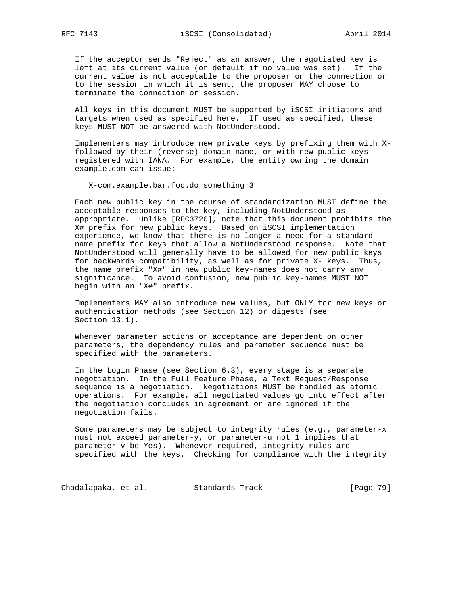If the acceptor sends "Reject" as an answer, the negotiated key is left at its current value (or default if no value was set). If the current value is not acceptable to the proposer on the connection or to the session in which it is sent, the proposer MAY choose to terminate the connection or session.

 All keys in this document MUST be supported by iSCSI initiators and targets when used as specified here. If used as specified, these keys MUST NOT be answered with NotUnderstood.

 Implementers may introduce new private keys by prefixing them with X followed by their (reverse) domain name, or with new public keys registered with IANA. For example, the entity owning the domain example.com can issue:

X-com.example.bar.foo.do\_something=3

 Each new public key in the course of standardization MUST define the acceptable responses to the key, including NotUnderstood as appropriate. Unlike [RFC3720], note that this document prohibits the X# prefix for new public keys. Based on iSCSI implementation experience, we know that there is no longer a need for a standard name prefix for keys that allow a NotUnderstood response. Note that NotUnderstood will generally have to be allowed for new public keys for backwards compatibility, as well as for private X- keys. Thus, the name prefix "X#" in new public key-names does not carry any significance. To avoid confusion, new public key-names MUST NOT begin with an "X#" prefix.

 Implementers MAY also introduce new values, but ONLY for new keys or authentication methods (see Section 12) or digests (see Section 13.1).

 Whenever parameter actions or acceptance are dependent on other parameters, the dependency rules and parameter sequence must be specified with the parameters.

 In the Login Phase (see Section 6.3), every stage is a separate negotiation. In the Full Feature Phase, a Text Request/Response sequence is a negotiation. Negotiations MUST be handled as atomic operations. For example, all negotiated values go into effect after the negotiation concludes in agreement or are ignored if the negotiation fails.

 Some parameters may be subject to integrity rules (e.g., parameter-x must not exceed parameter-y, or parameter-u not 1 implies that parameter-v be Yes). Whenever required, integrity rules are specified with the keys. Checking for compliance with the integrity

Chadalapaka, et al. Standards Track [Page 79]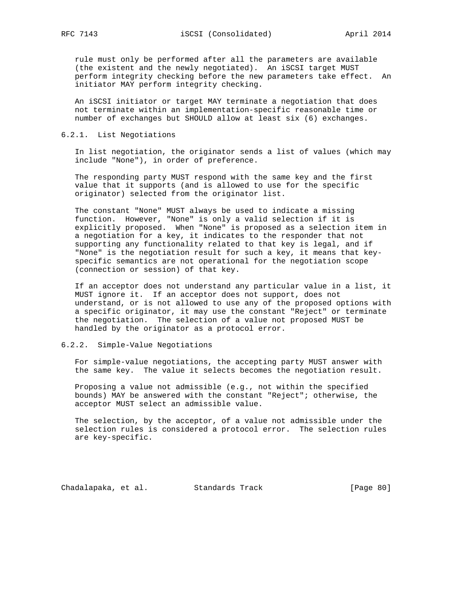rule must only be performed after all the parameters are available (the existent and the newly negotiated). An iSCSI target MUST perform integrity checking before the new parameters take effect. An initiator MAY perform integrity checking.

 An iSCSI initiator or target MAY terminate a negotiation that does not terminate within an implementation-specific reasonable time or number of exchanges but SHOULD allow at least six (6) exchanges.

## 6.2.1. List Negotiations

 In list negotiation, the originator sends a list of values (which may include "None"), in order of preference.

 The responding party MUST respond with the same key and the first value that it supports (and is allowed to use for the specific originator) selected from the originator list.

 The constant "None" MUST always be used to indicate a missing function. However, "None" is only a valid selection if it is explicitly proposed. When "None" is proposed as a selection item in a negotiation for a key, it indicates to the responder that not supporting any functionality related to that key is legal, and if "None" is the negotiation result for such a key, it means that key specific semantics are not operational for the negotiation scope (connection or session) of that key.

 If an acceptor does not understand any particular value in a list, it MUST ignore it. If an acceptor does not support, does not understand, or is not allowed to use any of the proposed options with a specific originator, it may use the constant "Reject" or terminate the negotiation. The selection of a value not proposed MUST be handled by the originator as a protocol error.

### 6.2.2. Simple-Value Negotiations

 For simple-value negotiations, the accepting party MUST answer with the same key. The value it selects becomes the negotiation result.

 Proposing a value not admissible (e.g., not within the specified bounds) MAY be answered with the constant "Reject"; otherwise, the acceptor MUST select an admissible value.

 The selection, by the acceptor, of a value not admissible under the selection rules is considered a protocol error. The selection rules are key-specific.

Chadalapaka, et al. Standards Track (Page 80)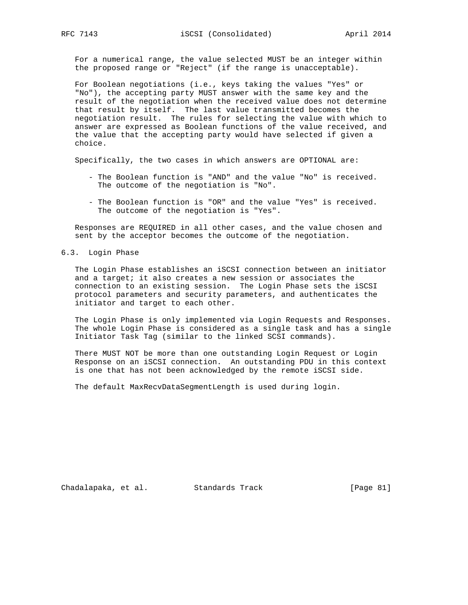For a numerical range, the value selected MUST be an integer within the proposed range or "Reject" (if the range is unacceptable).

 For Boolean negotiations (i.e., keys taking the values "Yes" or "No"), the accepting party MUST answer with the same key and the result of the negotiation when the received value does not determine that result by itself. The last value transmitted becomes the negotiation result. The rules for selecting the value with which to answer are expressed as Boolean functions of the value received, and the value that the accepting party would have selected if given a choice.

Specifically, the two cases in which answers are OPTIONAL are:

- The Boolean function is "AND" and the value "No" is received. The outcome of the negotiation is "No".
- The Boolean function is "OR" and the value "Yes" is received. The outcome of the negotiation is "Yes".

 Responses are REQUIRED in all other cases, and the value chosen and sent by the acceptor becomes the outcome of the negotiation.

### 6.3. Login Phase

 The Login Phase establishes an iSCSI connection between an initiator and a target; it also creates a new session or associates the connection to an existing session. The Login Phase sets the iSCSI protocol parameters and security parameters, and authenticates the initiator and target to each other.

 The Login Phase is only implemented via Login Requests and Responses. The whole Login Phase is considered as a single task and has a single Initiator Task Tag (similar to the linked SCSI commands).

 There MUST NOT be more than one outstanding Login Request or Login Response on an iSCSI connection. An outstanding PDU in this context is one that has not been acknowledged by the remote iSCSI side.

The default MaxRecvDataSegmentLength is used during login.

Chadalapaka, et al. Standards Track [Page 81]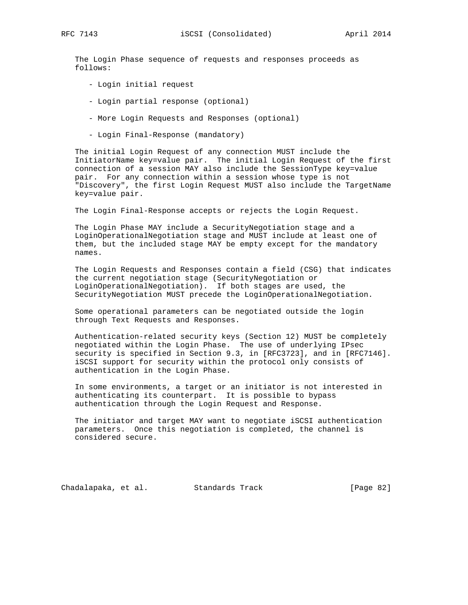The Login Phase sequence of requests and responses proceeds as follows:

- Login initial request
- Login partial response (optional)
- More Login Requests and Responses (optional)
- Login Final-Response (mandatory)

 The initial Login Request of any connection MUST include the InitiatorName key=value pair. The initial Login Request of the first connection of a session MAY also include the SessionType key=value pair. For any connection within a session whose type is not "Discovery", the first Login Request MUST also include the TargetName key=value pair.

The Login Final-Response accepts or rejects the Login Request.

 The Login Phase MAY include a SecurityNegotiation stage and a LoginOperationalNegotiation stage and MUST include at least one of them, but the included stage MAY be empty except for the mandatory names.

 The Login Requests and Responses contain a field (CSG) that indicates the current negotiation stage (SecurityNegotiation or LoginOperationalNegotiation). If both stages are used, the SecurityNegotiation MUST precede the LoginOperationalNegotiation.

 Some operational parameters can be negotiated outside the login through Text Requests and Responses.

 Authentication-related security keys (Section 12) MUST be completely negotiated within the Login Phase. The use of underlying IPsec security is specified in Section 9.3, in [RFC3723], and in [RFC7146]. iSCSI support for security within the protocol only consists of authentication in the Login Phase.

 In some environments, a target or an initiator is not interested in authenticating its counterpart. It is possible to bypass authentication through the Login Request and Response.

 The initiator and target MAY want to negotiate iSCSI authentication parameters. Once this negotiation is completed, the channel is considered secure.

Chadalapaka, et al. Standards Track [Page 82]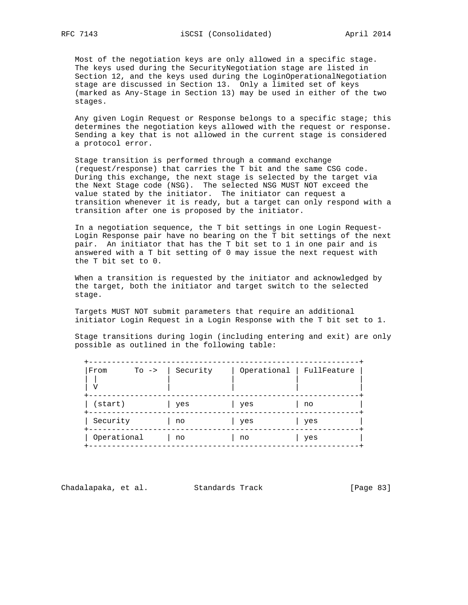Most of the negotiation keys are only allowed in a specific stage. The keys used during the SecurityNegotiation stage are listed in Section 12, and the keys used during the LoginOperationalNegotiation stage are discussed in Section 13. Only a limited set of keys (marked as Any-Stage in Section 13) may be used in either of the two stages.

 Any given Login Request or Response belongs to a specific stage; this determines the negotiation keys allowed with the request or response. Sending a key that is not allowed in the current stage is considered a protocol error.

 Stage transition is performed through a command exchange (request/response) that carries the T bit and the same CSG code. During this exchange, the next stage is selected by the target via the Next Stage code (NSG). The selected NSG MUST NOT exceed the value stated by the initiator. The initiator can request a transition whenever it is ready, but a target can only respond with a transition after one is proposed by the initiator.

 In a negotiation sequence, the T bit settings in one Login Request- Login Response pair have no bearing on the T bit settings of the next pair. An initiator that has the T bit set to 1 in one pair and is answered with a T bit setting of 0 may issue the next request with the T bit set to 0.

 When a transition is requested by the initiator and acknowledged by the target, both the initiator and target switch to the selected stage.

 Targets MUST NOT submit parameters that require an additional initiator Login Request in a Login Response with the T bit set to 1.

 Stage transitions during login (including entering and exit) are only possible as outlined in the following table:

| From<br>$To \rightarrow$<br>٦Z | Security |     | Operational   FullFeature |
|--------------------------------|----------|-----|---------------------------|
| $(s\tan t)$                    | yes      | yes | no                        |
| Security                       | no       | yes | yes                       |
| Operational                    | no       | no  | yes                       |

Chadalapaka, et al. Standards Track [Page 83]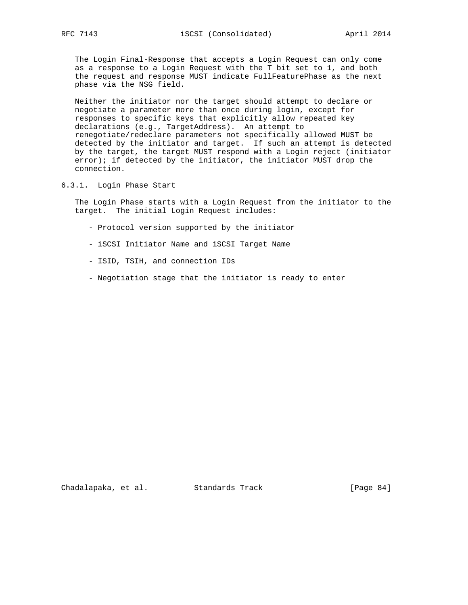The Login Final-Response that accepts a Login Request can only come as a response to a Login Request with the T bit set to 1, and both the request and response MUST indicate FullFeaturePhase as the next phase via the NSG field.

 Neither the initiator nor the target should attempt to declare or negotiate a parameter more than once during login, except for responses to specific keys that explicitly allow repeated key declarations (e.g., TargetAddress). An attempt to renegotiate/redeclare parameters not specifically allowed MUST be detected by the initiator and target. If such an attempt is detected by the target, the target MUST respond with a Login reject (initiator  $error$ ); if detected by the initiator, the initiator MUST drop the connection.

6.3.1. Login Phase Start

 The Login Phase starts with a Login Request from the initiator to the target. The initial Login Request includes:

- Protocol version supported by the initiator
- iSCSI Initiator Name and iSCSI Target Name
- ISID, TSIH, and connection IDs
- Negotiation stage that the initiator is ready to enter

Chadalapaka, et al. Standards Track [Page 84]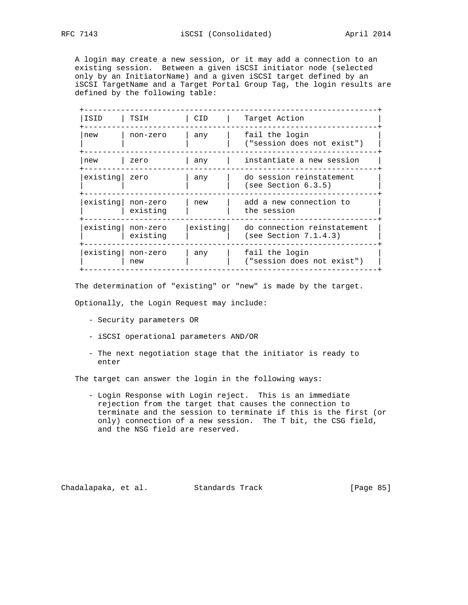A login may create a new session, or it may add a connection to an existing session. Between a given iSCSI initiator node (selected only by an InitiatorName) and a given iSCSI target defined by an iSCSI TargetName and a Target Portal Group Tag, the login results are defined by the following table:

| ISID     | TSIH                       | CID.     | Target Action                                        |
|----------|----------------------------|----------|------------------------------------------------------|
| new      | non-zero                   | any      | fail the login<br>("session does not exist")         |
| new      | zero                       | any      | instantiate a new session                            |
| existing | zero                       | any      | do session reinstatement<br>(see Section 6.3.5)      |
| existing | non-zero<br>existing       | new      | add a new connection to<br>the session               |
| existing | non-zero<br>existing       | existing | do connection reinstatement<br>(see Section 7.1.4.3) |
|          | existing   non-zero<br>new | any      | fail the login<br>("session does not exist")         |

The determination of "existing" or "new" is made by the target.

Optionally, the Login Request may include:

- Security parameters OR
- iSCSI operational parameters AND/OR
- The next negotiation stage that the initiator is ready to enter

The target can answer the login in the following ways:

 - Login Response with Login reject. This is an immediate rejection from the target that causes the connection to terminate and the session to terminate if this is the first (or only) connection of a new session. The T bit, the CSG field, and the NSG field are reserved.

Chadalapaka, et al. Standards Track [Page 85]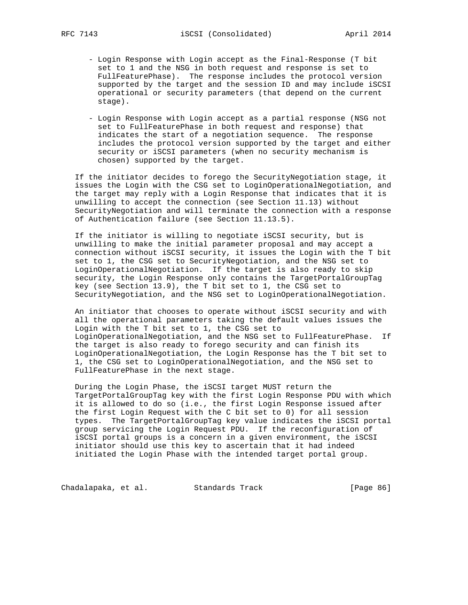- Login Response with Login accept as the Final-Response (T bit set to 1 and the NSG in both request and response is set to FullFeaturePhase). The response includes the protocol version supported by the target and the session ID and may include iSCSI operational or security parameters (that depend on the current stage).
- Login Response with Login accept as a partial response (NSG not set to FullFeaturePhase in both request and response) that indicates the start of a negotiation sequence. The response includes the protocol version supported by the target and either security or iSCSI parameters (when no security mechanism is chosen) supported by the target.

 If the initiator decides to forego the SecurityNegotiation stage, it issues the Login with the CSG set to LoginOperationalNegotiation, and the target may reply with a Login Response that indicates that it is unwilling to accept the connection (see Section 11.13) without SecurityNegotiation and will terminate the connection with a response of Authentication failure (see Section 11.13.5).

 If the initiator is willing to negotiate iSCSI security, but is unwilling to make the initial parameter proposal and may accept a connection without iSCSI security, it issues the Login with the T bit set to 1, the CSG set to SecurityNegotiation, and the NSG set to LoginOperationalNegotiation. If the target is also ready to skip security, the Login Response only contains the TargetPortalGroupTag key (see Section 13.9), the T bit set to 1, the CSG set to SecurityNegotiation, and the NSG set to LoginOperationalNegotiation.

 An initiator that chooses to operate without iSCSI security and with all the operational parameters taking the default values issues the Login with the T bit set to 1, the CSG set to LoginOperationalNegotiation, and the NSG set to FullFeaturePhase. If the target is also ready to forego security and can finish its LoginOperationalNegotiation, the Login Response has the T bit set to 1, the CSG set to LoginOperationalNegotiation, and the NSG set to FullFeaturePhase in the next stage.

 During the Login Phase, the iSCSI target MUST return the TargetPortalGroupTag key with the first Login Response PDU with which it is allowed to do so (i.e., the first Login Response issued after the first Login Request with the C bit set to 0) for all session types. The TargetPortalGroupTag key value indicates the iSCSI portal group servicing the Login Request PDU. If the reconfiguration of iSCSI portal groups is a concern in a given environment, the iSCSI initiator should use this key to ascertain that it had indeed initiated the Login Phase with the intended target portal group.

Chadalapaka, et al. Standards Track [Page 86]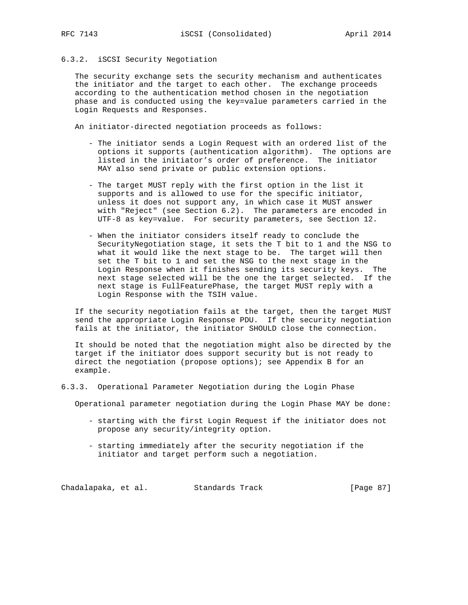## 6.3.2. iSCSI Security Negotiation

 The security exchange sets the security mechanism and authenticates the initiator and the target to each other. The exchange proceeds according to the authentication method chosen in the negotiation phase and is conducted using the key=value parameters carried in the Login Requests and Responses.

An initiator-directed negotiation proceeds as follows:

- The initiator sends a Login Request with an ordered list of the options it supports (authentication algorithm). The options are listed in the initiator's order of preference. The initiator MAY also send private or public extension options.
- The target MUST reply with the first option in the list it supports and is allowed to use for the specific initiator, unless it does not support any, in which case it MUST answer with "Reject" (see Section 6.2). The parameters are encoded in UTF-8 as key=value. For security parameters, see Section 12.
- When the initiator considers itself ready to conclude the SecurityNegotiation stage, it sets the T bit to 1 and the NSG to what it would like the next stage to be. The target will then set the T bit to 1 and set the NSG to the next stage in the Login Response when it finishes sending its security keys. The next stage selected will be the one the target selected. If the next stage is FullFeaturePhase, the target MUST reply with a Login Response with the TSIH value.

 If the security negotiation fails at the target, then the target MUST send the appropriate Login Response PDU. If the security negotiation fails at the initiator, the initiator SHOULD close the connection.

 It should be noted that the negotiation might also be directed by the target if the initiator does support security but is not ready to direct the negotiation (propose options); see Appendix B for an example.

## 6.3.3. Operational Parameter Negotiation during the Login Phase

Operational parameter negotiation during the Login Phase MAY be done:

- starting with the first Login Request if the initiator does not propose any security/integrity option.
- starting immediately after the security negotiation if the initiator and target perform such a negotiation.

Chadalapaka, et al. Standards Track [Page 87]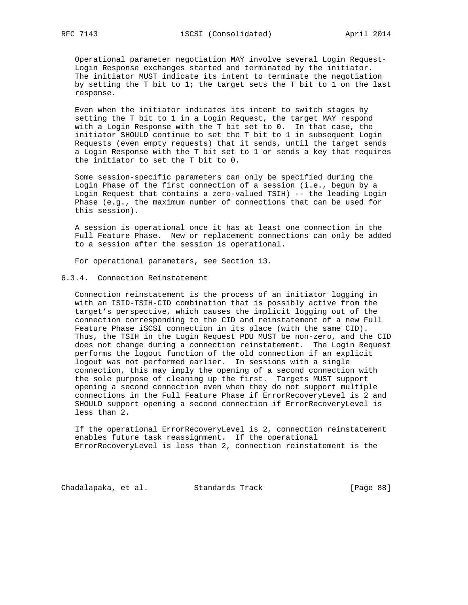Operational parameter negotiation MAY involve several Login Request- Login Response exchanges started and terminated by the initiator. The initiator MUST indicate its intent to terminate the negotiation by setting the T bit to 1; the target sets the T bit to 1 on the last response.

 Even when the initiator indicates its intent to switch stages by setting the T bit to 1 in a Login Request, the target MAY respond with a Login Response with the T bit set to 0. In that case, the initiator SHOULD continue to set the T bit to 1 in subsequent Login Requests (even empty requests) that it sends, until the target sends a Login Response with the T bit set to 1 or sends a key that requires the initiator to set the T bit to 0.

 Some session-specific parameters can only be specified during the Login Phase of the first connection of a session (i.e., begun by a Login Request that contains a zero-valued TSIH) -- the leading Login Phase (e.g., the maximum number of connections that can be used for this session).

 A session is operational once it has at least one connection in the Full Feature Phase. New or replacement connections can only be added to a session after the session is operational.

For operational parameters, see Section 13.

# 6.3.4. Connection Reinstatement

 Connection reinstatement is the process of an initiator logging in with an ISID-TSIH-CID combination that is possibly active from the target's perspective, which causes the implicit logging out of the connection corresponding to the CID and reinstatement of a new Full Feature Phase iSCSI connection in its place (with the same CID). Thus, the TSIH in the Login Request PDU MUST be non-zero, and the CID does not change during a connection reinstatement. The Login Request performs the logout function of the old connection if an explicit logout was not performed earlier. In sessions with a single connection, this may imply the opening of a second connection with the sole purpose of cleaning up the first. Targets MUST support opening a second connection even when they do not support multiple connections in the Full Feature Phase if ErrorRecoveryLevel is 2 and SHOULD support opening a second connection if ErrorRecoveryLevel is less than 2.

 If the operational ErrorRecoveryLevel is 2, connection reinstatement enables future task reassignment. If the operational ErrorRecoveryLevel is less than 2, connection reinstatement is the

Chadalapaka, et al. Standards Track [Page 88]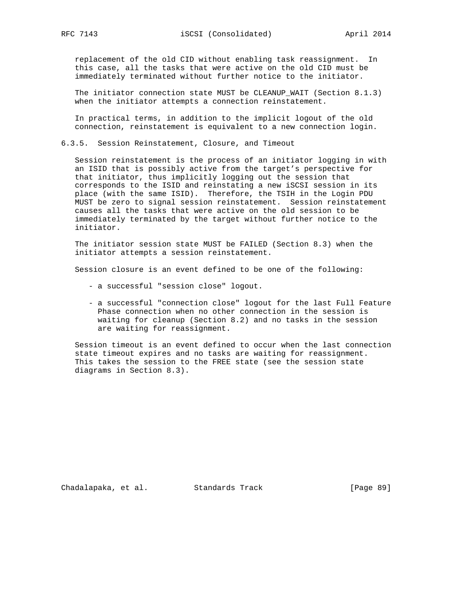replacement of the old CID without enabling task reassignment. In this case, all the tasks that were active on the old CID must be immediately terminated without further notice to the initiator.

 The initiator connection state MUST be CLEANUP\_WAIT (Section 8.1.3) when the initiator attempts a connection reinstatement.

 In practical terms, in addition to the implicit logout of the old connection, reinstatement is equivalent to a new connection login.

6.3.5. Session Reinstatement, Closure, and Timeout

 Session reinstatement is the process of an initiator logging in with an ISID that is possibly active from the target's perspective for that initiator, thus implicitly logging out the session that corresponds to the ISID and reinstating a new iSCSI session in its place (with the same ISID). Therefore, the TSIH in the Login PDU MUST be zero to signal session reinstatement. Session reinstatement causes all the tasks that were active on the old session to be immediately terminated by the target without further notice to the initiator.

 The initiator session state MUST be FAILED (Section 8.3) when the initiator attempts a session reinstatement.

Session closure is an event defined to be one of the following:

- a successful "session close" logout.
- a successful "connection close" logout for the last Full Feature Phase connection when no other connection in the session is waiting for cleanup (Section 8.2) and no tasks in the session are waiting for reassignment.

 Session timeout is an event defined to occur when the last connection state timeout expires and no tasks are waiting for reassignment. This takes the session to the FREE state (see the session state diagrams in Section 8.3).

Chadalapaka, et al. Standards Track [Page 89]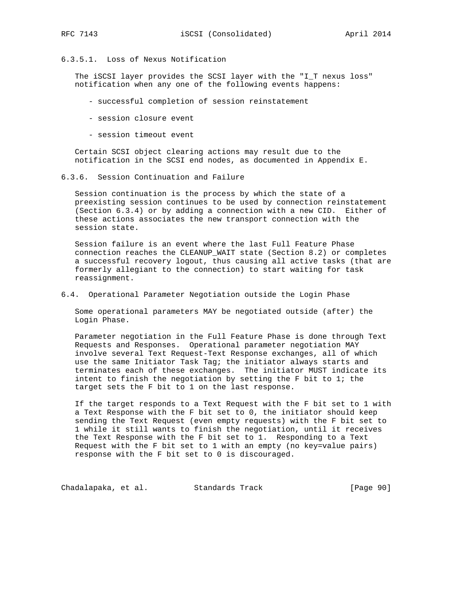## 6.3.5.1. Loss of Nexus Notification

 The iSCSI layer provides the SCSI layer with the "I\_T nexus loss" notification when any one of the following events happens:

- successful completion of session reinstatement
- session closure event
- session timeout event

 Certain SCSI object clearing actions may result due to the notification in the SCSI end nodes, as documented in Appendix E.

6.3.6. Session Continuation and Failure

 Session continuation is the process by which the state of a preexisting session continues to be used by connection reinstatement (Section 6.3.4) or by adding a connection with a new CID. Either of these actions associates the new transport connection with the session state.

 Session failure is an event where the last Full Feature Phase connection reaches the CLEANUP\_WAIT state (Section 8.2) or completes a successful recovery logout, thus causing all active tasks (that are formerly allegiant to the connection) to start waiting for task reassignment.

6.4. Operational Parameter Negotiation outside the Login Phase

 Some operational parameters MAY be negotiated outside (after) the Login Phase.

 Parameter negotiation in the Full Feature Phase is done through Text Requests and Responses. Operational parameter negotiation MAY involve several Text Request-Text Response exchanges, all of which use the same Initiator Task Tag; the initiator always starts and terminates each of these exchanges. The initiator MUST indicate its intent to finish the negotiation by setting the F bit to 1; the target sets the F bit to 1 on the last response.

 If the target responds to a Text Request with the F bit set to 1 with a Text Response with the F bit set to 0, the initiator should keep sending the Text Request (even empty requests) with the F bit set to 1 while it still wants to finish the negotiation, until it receives the Text Response with the F bit set to 1. Responding to a Text Request with the F bit set to 1 with an empty (no key=value pairs) response with the F bit set to 0 is discouraged.

Chadalapaka, et al. Standards Track [Page 90]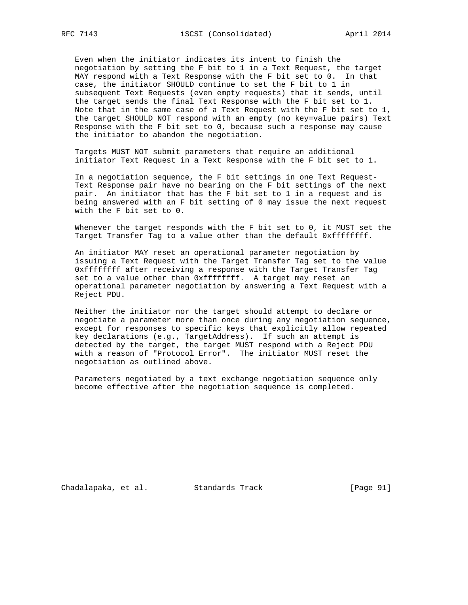Even when the initiator indicates its intent to finish the negotiation by setting the F bit to 1 in a Text Request, the target MAY respond with a Text Response with the F bit set to 0. In that case, the initiator SHOULD continue to set the F bit to 1 in subsequent Text Requests (even empty requests) that it sends, until the target sends the final Text Response with the F bit set to 1. Note that in the same case of a Text Request with the F bit set to 1, the target SHOULD NOT respond with an empty (no key=value pairs) Text Response with the F bit set to 0, because such a response may cause the initiator to abandon the negotiation.

 Targets MUST NOT submit parameters that require an additional initiator Text Request in a Text Response with the F bit set to 1.

 In a negotiation sequence, the F bit settings in one Text Request- Text Response pair have no bearing on the F bit settings of the next pair. An initiator that has the F bit set to 1 in a request and is being answered with an F bit setting of 0 may issue the next request with the F bit set to 0.

 Whenever the target responds with the F bit set to 0, it MUST set the Target Transfer Tag to a value other than the default 0xffffffff.

 An initiator MAY reset an operational parameter negotiation by issuing a Text Request with the Target Transfer Tag set to the value 0xffffffff after receiving a response with the Target Transfer Tag set to a value other than 0xffffffff. A target may reset an operational parameter negotiation by answering a Text Request with a Reject PDU.

 Neither the initiator nor the target should attempt to declare or negotiate a parameter more than once during any negotiation sequence, except for responses to specific keys that explicitly allow repeated key declarations (e.g., TargetAddress). If such an attempt is detected by the target, the target MUST respond with a Reject PDU with a reason of "Protocol Error". The initiator MUST reset the negotiation as outlined above.

 Parameters negotiated by a text exchange negotiation sequence only become effective after the negotiation sequence is completed.

Chadalapaka, et al. Standards Track [Page 91]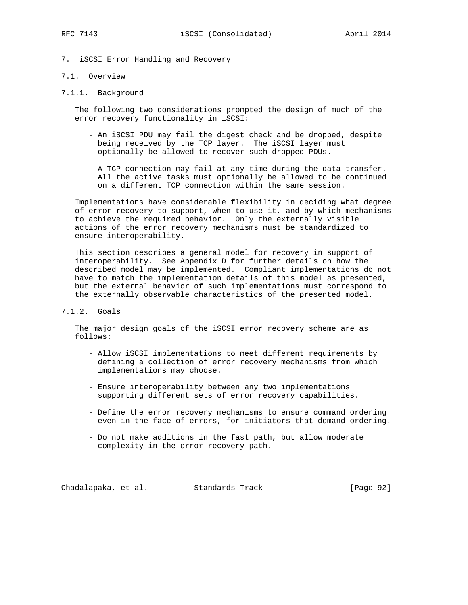7. iSCSI Error Handling and Recovery

### 7.1. Overview

7.1.1. Background

 The following two considerations prompted the design of much of the error recovery functionality in iSCSI:

- An iSCSI PDU may fail the digest check and be dropped, despite being received by the TCP layer. The iSCSI layer must optionally be allowed to recover such dropped PDUs.
- A TCP connection may fail at any time during the data transfer. All the active tasks must optionally be allowed to be continued on a different TCP connection within the same session.

 Implementations have considerable flexibility in deciding what degree of error recovery to support, when to use it, and by which mechanisms to achieve the required behavior. Only the externally visible actions of the error recovery mechanisms must be standardized to ensure interoperability.

 This section describes a general model for recovery in support of interoperability. See Appendix D for further details on how the described model may be implemented. Compliant implementations do not have to match the implementation details of this model as presented, but the external behavior of such implementations must correspond to the externally observable characteristics of the presented model.

## 7.1.2. Goals

 The major design goals of the iSCSI error recovery scheme are as follows:

- Allow iSCSI implementations to meet different requirements by defining a collection of error recovery mechanisms from which implementations may choose.
- Ensure interoperability between any two implementations supporting different sets of error recovery capabilities.
- Define the error recovery mechanisms to ensure command ordering even in the face of errors, for initiators that demand ordering.
- Do not make additions in the fast path, but allow moderate complexity in the error recovery path.

Chadalapaka, et al. Standards Track [Page 92]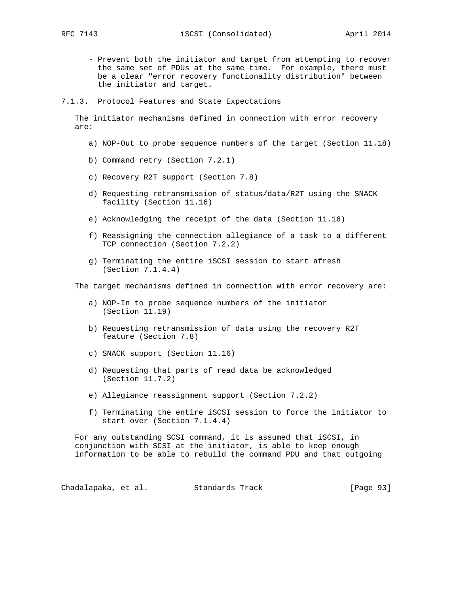- Prevent both the initiator and target from attempting to recover the same set of PDUs at the same time. For example, there must be a clear "error recovery functionality distribution" between the initiator and target.
- 7.1.3. Protocol Features and State Expectations

 The initiator mechanisms defined in connection with error recovery are:

- a) NOP-Out to probe sequence numbers of the target (Section 11.18)
- b) Command retry (Section 7.2.1)
- c) Recovery R2T support (Section 7.8)
- d) Requesting retransmission of status/data/R2T using the SNACK facility (Section 11.16)
- e) Acknowledging the receipt of the data (Section 11.16)
- f) Reassigning the connection allegiance of a task to a different TCP connection (Section 7.2.2)
- g) Terminating the entire iSCSI session to start afresh (Section 7.1.4.4)

The target mechanisms defined in connection with error recovery are:

- a) NOP-In to probe sequence numbers of the initiator (Section 11.19)
- b) Requesting retransmission of data using the recovery R2T feature (Section 7.8)
- c) SNACK support (Section 11.16)
- d) Requesting that parts of read data be acknowledged (Section 11.7.2)
- e) Allegiance reassignment support (Section 7.2.2)
- f) Terminating the entire iSCSI session to force the initiator to start over (Section 7.1.4.4)

 For any outstanding SCSI command, it is assumed that iSCSI, in conjunction with SCSI at the initiator, is able to keep enough information to be able to rebuild the command PDU and that outgoing

Chadalapaka, et al. Standards Track [Page 93]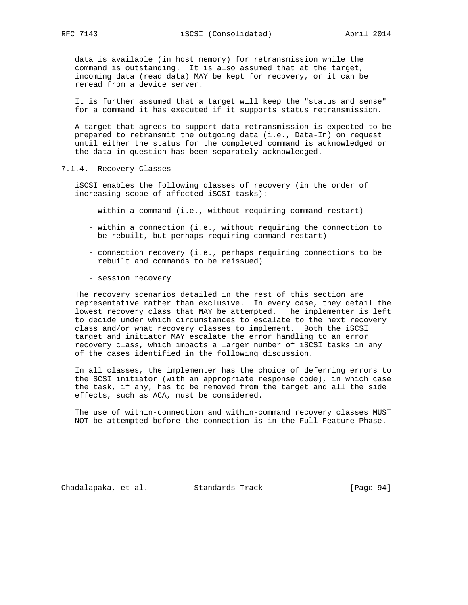data is available (in host memory) for retransmission while the command is outstanding. It is also assumed that at the target, incoming data (read data) MAY be kept for recovery, or it can be reread from a device server.

 It is further assumed that a target will keep the "status and sense" for a command it has executed if it supports status retransmission.

 A target that agrees to support data retransmission is expected to be prepared to retransmit the outgoing data (i.e., Data-In) on request until either the status for the completed command is acknowledged or the data in question has been separately acknowledged.

### 7.1.4. Recovery Classes

 iSCSI enables the following classes of recovery (in the order of increasing scope of affected iSCSI tasks):

- within a command (i.e., without requiring command restart)
- within a connection (i.e., without requiring the connection to be rebuilt, but perhaps requiring command restart)
- connection recovery (i.e., perhaps requiring connections to be rebuilt and commands to be reissued)
- session recovery

 The recovery scenarios detailed in the rest of this section are representative rather than exclusive. In every case, they detail the lowest recovery class that MAY be attempted. The implementer is left to decide under which circumstances to escalate to the next recovery class and/or what recovery classes to implement. Both the iSCSI target and initiator MAY escalate the error handling to an error recovery class, which impacts a larger number of iSCSI tasks in any of the cases identified in the following discussion.

 In all classes, the implementer has the choice of deferring errors to the SCSI initiator (with an appropriate response code), in which case the task, if any, has to be removed from the target and all the side effects, such as ACA, must be considered.

 The use of within-connection and within-command recovery classes MUST NOT be attempted before the connection is in the Full Feature Phase.

Chadalapaka, et al. Standards Track (Page 94)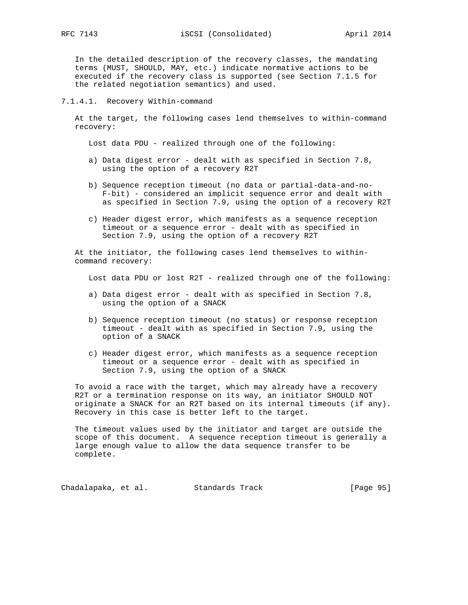In the detailed description of the recovery classes, the mandating terms (MUST, SHOULD, MAY, etc.) indicate normative actions to be executed if the recovery class is supported (see Section 7.1.5 for the related negotiation semantics) and used.

### 7.1.4.1. Recovery Within-command

 At the target, the following cases lend themselves to within-command recovery:

Lost data PDU - realized through one of the following:

- a) Data digest error dealt with as specified in Section 7.8, using the option of a recovery R2T
- b) Sequence reception timeout (no data or partial-data-and-no- F-bit) - considered an implicit sequence error and dealt with as specified in Section 7.9, using the option of a recovery R2T
- c) Header digest error, which manifests as a sequence reception timeout or a sequence error - dealt with as specified in Section 7.9, using the option of a recovery R2T

 At the initiator, the following cases lend themselves to within command recovery:

Lost data PDU or lost R2T - realized through one of the following:

- a) Data digest error dealt with as specified in Section 7.8, using the option of a SNACK
- b) Sequence reception timeout (no status) or response reception timeout - dealt with as specified in Section 7.9, using the option of a SNACK
- c) Header digest error, which manifests as a sequence reception timeout or a sequence error - dealt with as specified in Section 7.9, using the option of a SNACK

 To avoid a race with the target, which may already have a recovery R2T or a termination response on its way, an initiator SHOULD NOT originate a SNACK for an R2T based on its internal timeouts (if any). Recovery in this case is better left to the target.

 The timeout values used by the initiator and target are outside the scope of this document. A sequence reception timeout is generally a large enough value to allow the data sequence transfer to be complete.

Chadalapaka, et al. Standards Track [Page 95]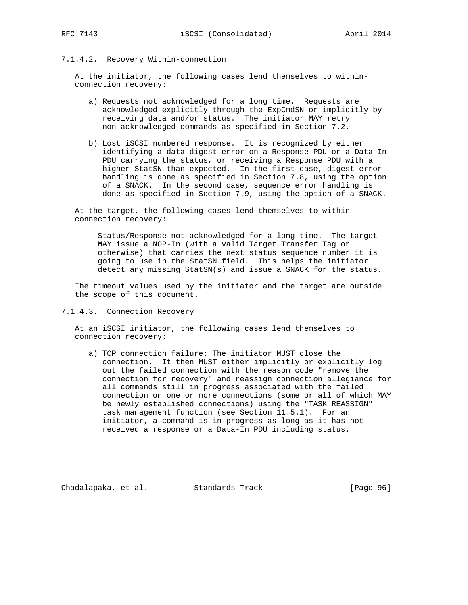# 7.1.4.2. Recovery Within-connection

 At the initiator, the following cases lend themselves to within connection recovery:

- a) Requests not acknowledged for a long time. Requests are acknowledged explicitly through the ExpCmdSN or implicitly by receiving data and/or status. The initiator MAY retry non-acknowledged commands as specified in Section 7.2.
- b) Lost iSCSI numbered response. It is recognized by either identifying a data digest error on a Response PDU or a Data-In PDU carrying the status, or receiving a Response PDU with a higher StatSN than expected. In the first case, digest error handling is done as specified in Section 7.8, using the option of a SNACK. In the second case, sequence error handling is done as specified in Section 7.9, using the option of a SNACK.

 At the target, the following cases lend themselves to within connection recovery:

 - Status/Response not acknowledged for a long time. The target MAY issue a NOP-In (with a valid Target Transfer Tag or otherwise) that carries the next status sequence number it is going to use in the StatSN field. This helps the initiator detect any missing StatSN(s) and issue a SNACK for the status.

 The timeout values used by the initiator and the target are outside the scope of this document.

7.1.4.3. Connection Recovery

 At an iSCSI initiator, the following cases lend themselves to connection recovery:

 a) TCP connection failure: The initiator MUST close the connection. It then MUST either implicitly or explicitly log out the failed connection with the reason code "remove the connection for recovery" and reassign connection allegiance for all commands still in progress associated with the failed connection on one or more connections (some or all of which MAY be newly established connections) using the "TASK REASSIGN" task management function (see Section 11.5.1). For an initiator, a command is in progress as long as it has not received a response or a Data-In PDU including status.

Chadalapaka, et al. Standards Track [Page 96]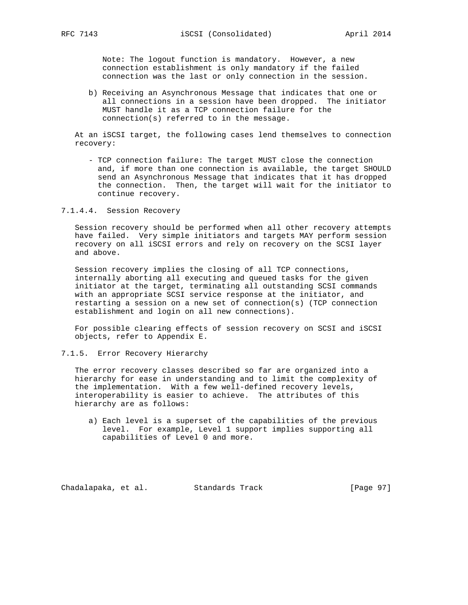Note: The logout function is mandatory. However, a new connection establishment is only mandatory if the failed connection was the last or only connection in the session.

 b) Receiving an Asynchronous Message that indicates that one or all connections in a session have been dropped. The initiator MUST handle it as a TCP connection failure for the connection(s) referred to in the message.

 At an iSCSI target, the following cases lend themselves to connection recovery:

 - TCP connection failure: The target MUST close the connection and, if more than one connection is available, the target SHOULD send an Asynchronous Message that indicates that it has dropped the connection. Then, the target will wait for the initiator to continue recovery.

7.1.4.4. Session Recovery

 Session recovery should be performed when all other recovery attempts have failed. Very simple initiators and targets MAY perform session recovery on all iSCSI errors and rely on recovery on the SCSI layer and above.

 Session recovery implies the closing of all TCP connections, internally aborting all executing and queued tasks for the given initiator at the target, terminating all outstanding SCSI commands with an appropriate SCSI service response at the initiator, and restarting a session on a new set of connection(s) (TCP connection establishment and login on all new connections).

 For possible clearing effects of session recovery on SCSI and iSCSI objects, refer to Appendix E.

7.1.5. Error Recovery Hierarchy

 The error recovery classes described so far are organized into a hierarchy for ease in understanding and to limit the complexity of the implementation. With a few well-defined recovery levels, interoperability is easier to achieve. The attributes of this hierarchy are as follows:

 a) Each level is a superset of the capabilities of the previous level. For example, Level 1 support implies supporting all capabilities of Level 0 and more.

Chadalapaka, et al. Standards Track [Page 97]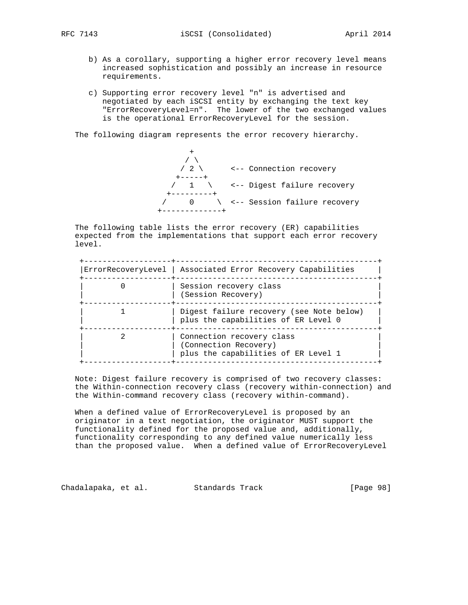- b) As a corollary, supporting a higher error recovery level means increased sophistication and possibly an increase in resource requirements.
- c) Supporting error recovery level "n" is advertised and negotiated by each iSCSI entity by exchanging the text key "ErrorRecoveryLevel=n". The lower of the two exchanged values is the operational ErrorRecoveryLevel for the session.

The following diagram represents the error recovery hierarchy.

 $+$  $\sqrt{2}$  / 2 \ <-- Connection recovery +-----+ / 1 \ <-- Digest failure recovery +---------+ / 0 \ <-- Session failure recovery +-------------+

 The following table lists the error recovery (ER) capabilities expected from the implementations that support each error recovery level.

| ErrorRecoveryLevel   Associated Error Recovery Capabilities                               |  |
|-------------------------------------------------------------------------------------------|--|
| Session recovery class<br>(Session Recovery)                                              |  |
| Digest failure recovery (see Note below)<br>plus the capabilities of ER Level 0           |  |
| Connection recovery class<br>(Connection Recovery)<br>plus the capabilities of ER Level 1 |  |

 Note: Digest failure recovery is comprised of two recovery classes: the Within-connection recovery class (recovery within-connection) and the Within-command recovery class (recovery within-command).

 When a defined value of ErrorRecoveryLevel is proposed by an originator in a text negotiation, the originator MUST support the functionality defined for the proposed value and, additionally, functionality corresponding to any defined value numerically less than the proposed value. When a defined value of ErrorRecoveryLevel

Chadalapaka, et al. Standards Track [Page 98]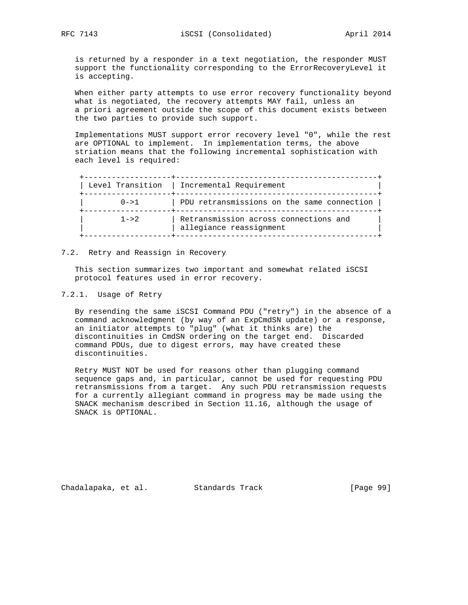is returned by a responder in a text negotiation, the responder MUST support the functionality corresponding to the ErrorRecoveryLevel it is accepting.

 When either party attempts to use error recovery functionality beyond what is negotiated, the recovery attempts MAY fail, unless an a priori agreement outside the scope of this document exists between the two parties to provide such support.

 Implementations MUST support error recovery level "0", while the rest are OPTIONAL to implement. In implementation terms, the above striation means that the following incremental sophistication with each level is required:

|           | Level Transition   Incremental Requirement                       |
|-----------|------------------------------------------------------------------|
| $0 - > 1$ | PDU retransmissions on the same connection                       |
| $1 - > 2$ | Retransmission across connections and<br>allegiance reassignment |

### 7.2. Retry and Reassign in Recovery

 This section summarizes two important and somewhat related iSCSI protocol features used in error recovery.

## 7.2.1. Usage of Retry

 By resending the same iSCSI Command PDU ("retry") in the absence of a command acknowledgment (by way of an ExpCmdSN update) or a response, an initiator attempts to "plug" (what it thinks are) the discontinuities in CmdSN ordering on the target end. Discarded command PDUs, due to digest errors, may have created these discontinuities.

 Retry MUST NOT be used for reasons other than plugging command sequence gaps and, in particular, cannot be used for requesting PDU retransmissions from a target. Any such PDU retransmission requests for a currently allegiant command in progress may be made using the SNACK mechanism described in Section 11.16, although the usage of SNACK is OPTIONAL.

Chadalapaka, et al. Standards Track [Page 99]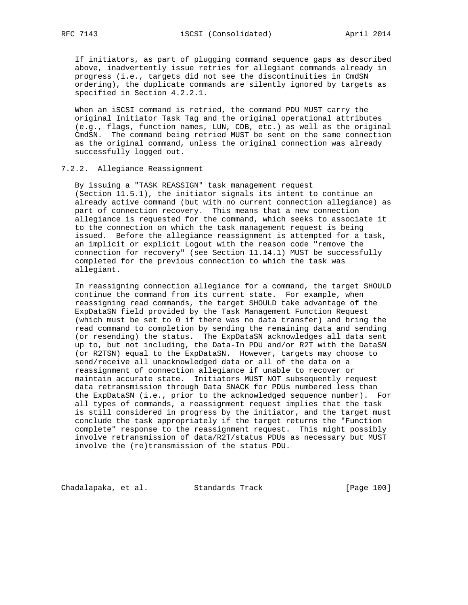If initiators, as part of plugging command sequence gaps as described above, inadvertently issue retries for allegiant commands already in progress (i.e., targets did not see the discontinuities in CmdSN ordering), the duplicate commands are silently ignored by targets as specified in Section 4.2.2.1.

 When an iSCSI command is retried, the command PDU MUST carry the original Initiator Task Tag and the original operational attributes (e.g., flags, function names, LUN, CDB, etc.) as well as the original CmdSN. The command being retried MUST be sent on the same connection as the original command, unless the original connection was already successfully logged out.

7.2.2. Allegiance Reassignment

 By issuing a "TASK REASSIGN" task management request (Section 11.5.1), the initiator signals its intent to continue an already active command (but with no current connection allegiance) as part of connection recovery. This means that a new connection allegiance is requested for the command, which seeks to associate it to the connection on which the task management request is being issued. Before the allegiance reassignment is attempted for a task, an implicit or explicit Logout with the reason code "remove the connection for recovery" (see Section 11.14.1) MUST be successfully completed for the previous connection to which the task was allegiant.

 In reassigning connection allegiance for a command, the target SHOULD continue the command from its current state. For example, when reassigning read commands, the target SHOULD take advantage of the ExpDataSN field provided by the Task Management Function Request (which must be set to 0 if there was no data transfer) and bring the read command to completion by sending the remaining data and sending (or resending) the status. The ExpDataSN acknowledges all data sent up to, but not including, the Data-In PDU and/or R2T with the DataSN (or R2TSN) equal to the ExpDataSN. However, targets may choose to send/receive all unacknowledged data or all of the data on a reassignment of connection allegiance if unable to recover or maintain accurate state. Initiators MUST NOT subsequently request data retransmission through Data SNACK for PDUs numbered less than the ExpDataSN (i.e., prior to the acknowledged sequence number). For all types of commands, a reassignment request implies that the task is still considered in progress by the initiator, and the target must conclude the task appropriately if the target returns the "Function complete" response to the reassignment request. This might possibly involve retransmission of data/R2T/status PDUs as necessary but MUST involve the (re)transmission of the status PDU.

Chadalapaka, et al. Standards Track [Page 100]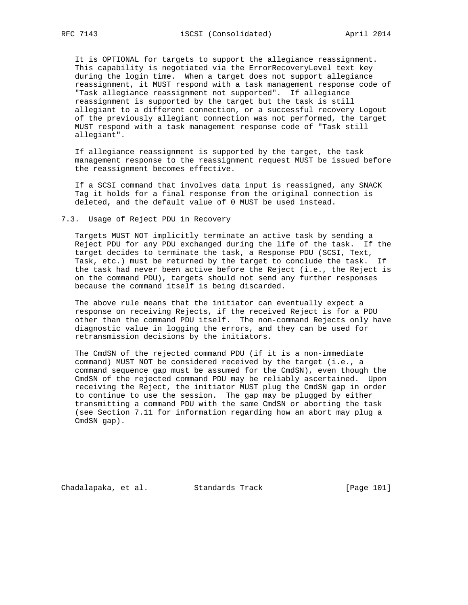It is OPTIONAL for targets to support the allegiance reassignment. This capability is negotiated via the ErrorRecoveryLevel text key during the login time. When a target does not support allegiance reassignment, it MUST respond with a task management response code of "Task allegiance reassignment not supported". If allegiance reassignment is supported by the target but the task is still allegiant to a different connection, or a successful recovery Logout of the previously allegiant connection was not performed, the target MUST respond with a task management response code of "Task still allegiant".

 If allegiance reassignment is supported by the target, the task management response to the reassignment request MUST be issued before the reassignment becomes effective.

 If a SCSI command that involves data input is reassigned, any SNACK Tag it holds for a final response from the original connection is deleted, and the default value of 0 MUST be used instead.

7.3. Usage of Reject PDU in Recovery

 Targets MUST NOT implicitly terminate an active task by sending a Reject PDU for any PDU exchanged during the life of the task. If the target decides to terminate the task, a Response PDU (SCSI, Text, Task, etc.) must be returned by the target to conclude the task. If the task had never been active before the Reject (i.e., the Reject is on the command PDU), targets should not send any further responses because the command itself is being discarded.

 The above rule means that the initiator can eventually expect a response on receiving Rejects, if the received Reject is for a PDU other than the command PDU itself. The non-command Rejects only have diagnostic value in logging the errors, and they can be used for retransmission decisions by the initiators.

 The CmdSN of the rejected command PDU (if it is a non-immediate command) MUST NOT be considered received by the target (i.e., a command sequence gap must be assumed for the CmdSN), even though the CmdSN of the rejected command PDU may be reliably ascertained. Upon receiving the Reject, the initiator MUST plug the CmdSN gap in order to continue to use the session. The gap may be plugged by either transmitting a command PDU with the same CmdSN or aborting the task (see Section 7.11 for information regarding how an abort may plug a CmdSN gap).

Chadalapaka, et al. Standards Track [Page 101]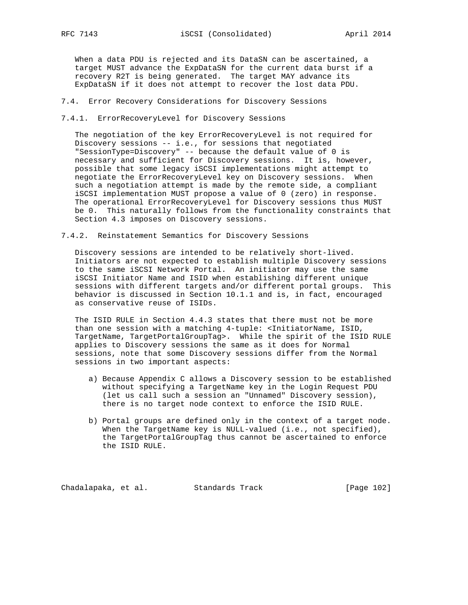When a data PDU is rejected and its DataSN can be ascertained, a target MUST advance the ExpDataSN for the current data burst if a recovery R2T is being generated. The target MAY advance its ExpDataSN if it does not attempt to recover the lost data PDU.

- 7.4. Error Recovery Considerations for Discovery Sessions
- 7.4.1. ErrorRecoveryLevel for Discovery Sessions

 The negotiation of the key ErrorRecoveryLevel is not required for Discovery sessions -- i.e., for sessions that negotiated "SessionType=Discovery" -- because the default value of 0 is necessary and sufficient for Discovery sessions. It is, however, possible that some legacy iSCSI implementations might attempt to negotiate the ErrorRecoveryLevel key on Discovery sessions. When such a negotiation attempt is made by the remote side, a compliant iSCSI implementation MUST propose a value of 0 (zero) in response. The operational ErrorRecoveryLevel for Discovery sessions thus MUST be 0. This naturally follows from the functionality constraints that Section 4.3 imposes on Discovery sessions.

7.4.2. Reinstatement Semantics for Discovery Sessions

 Discovery sessions are intended to be relatively short-lived. Initiators are not expected to establish multiple Discovery sessions to the same iSCSI Network Portal. An initiator may use the same iSCSI Initiator Name and ISID when establishing different unique sessions with different targets and/or different portal groups. This behavior is discussed in Section 10.1.1 and is, in fact, encouraged as conservative reuse of ISIDs.

 The ISID RULE in Section 4.4.3 states that there must not be more than one session with a matching 4-tuple: <InitiatorName, ISID, TargetName, TargetPortalGroupTag>. While the spirit of the ISID RULE applies to Discovery sessions the same as it does for Normal sessions, note that some Discovery sessions differ from the Normal sessions in two important aspects:

- a) Because Appendix C allows a Discovery session to be established without specifying a TargetName key in the Login Request PDU (let us call such a session an "Unnamed" Discovery session), there is no target node context to enforce the ISID RULE.
- b) Portal groups are defined only in the context of a target node. When the TargetName key is NULL-valued (i.e., not specified), the TargetPortalGroupTag thus cannot be ascertained to enforce the ISID RULE.

Chadalapaka, et al. Standards Track [Page 102]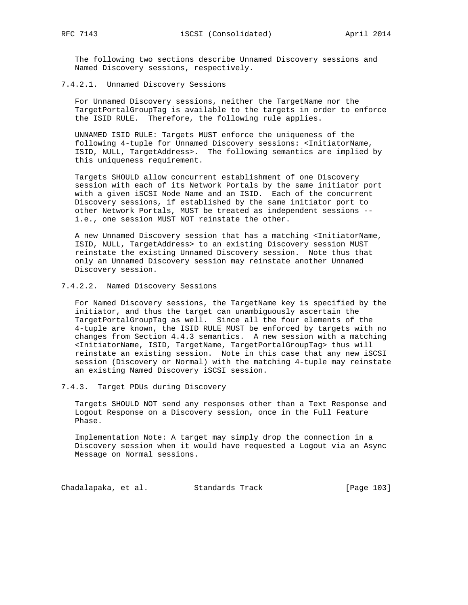The following two sections describe Unnamed Discovery sessions and Named Discovery sessions, respectively.

7.4.2.1. Unnamed Discovery Sessions

 For Unnamed Discovery sessions, neither the TargetName nor the TargetPortalGroupTag is available to the targets in order to enforce the ISID RULE. Therefore, the following rule applies.

 UNNAMED ISID RULE: Targets MUST enforce the uniqueness of the following 4-tuple for Unnamed Discovery sessions: <InitiatorName, ISID, NULL, TargetAddress>. The following semantics are implied by this uniqueness requirement.

 Targets SHOULD allow concurrent establishment of one Discovery session with each of its Network Portals by the same initiator port with a given iSCSI Node Name and an ISID. Each of the concurrent Discovery sessions, if established by the same initiator port to other Network Portals, MUST be treated as independent sessions - i.e., one session MUST NOT reinstate the other.

 A new Unnamed Discovery session that has a matching <InitiatorName, ISID, NULL, TargetAddress> to an existing Discovery session MUST reinstate the existing Unnamed Discovery session. Note thus that only an Unnamed Discovery session may reinstate another Unnamed Discovery session.

### 7.4.2.2. Named Discovery Sessions

 For Named Discovery sessions, the TargetName key is specified by the initiator, and thus the target can unambiguously ascertain the TargetPortalGroupTag as well. Since all the four elements of the 4-tuple are known, the ISID RULE MUST be enforced by targets with no changes from Section 4.4.3 semantics. A new session with a matching <InitiatorName, ISID, TargetName, TargetPortalGroupTag> thus will reinstate an existing session. Note in this case that any new iSCSI session (Discovery or Normal) with the matching 4-tuple may reinstate an existing Named Discovery iSCSI session.

## 7.4.3. Target PDUs during Discovery

 Targets SHOULD NOT send any responses other than a Text Response and Logout Response on a Discovery session, once in the Full Feature Phase.

 Implementation Note: A target may simply drop the connection in a Discovery session when it would have requested a Logout via an Async Message on Normal sessions.

Chadalapaka, et al. Standards Track [Page 103]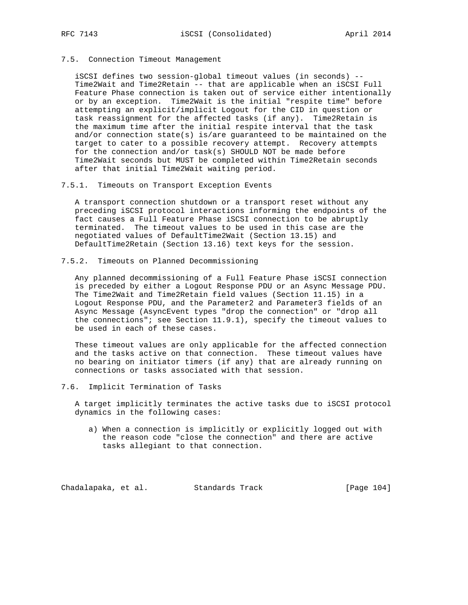7.5. Connection Timeout Management

 iSCSI defines two session-global timeout values (in seconds) -- Time2Wait and Time2Retain -- that are applicable when an iSCSI Full Feature Phase connection is taken out of service either intentionally or by an exception. Time2Wait is the initial "respite time" before attempting an explicit/implicit Logout for the CID in question or task reassignment for the affected tasks (if any). Time2Retain is the maximum time after the initial respite interval that the task and/or connection state(s) is/are guaranteed to be maintained on the target to cater to a possible recovery attempt. Recovery attempts for the connection and/or task(s) SHOULD NOT be made before Time2Wait seconds but MUST be completed within Time2Retain seconds after that initial Time2Wait waiting period.

7.5.1. Timeouts on Transport Exception Events

 A transport connection shutdown or a transport reset without any preceding iSCSI protocol interactions informing the endpoints of the fact causes a Full Feature Phase iSCSI connection to be abruptly terminated. The timeout values to be used in this case are the negotiated values of DefaultTime2Wait (Section 13.15) and DefaultTime2Retain (Section 13.16) text keys for the session.

7.5.2. Timeouts on Planned Decommissioning

 Any planned decommissioning of a Full Feature Phase iSCSI connection is preceded by either a Logout Response PDU or an Async Message PDU. The Time2Wait and Time2Retain field values (Section 11.15) in a Logout Response PDU, and the Parameter2 and Parameter3 fields of an Async Message (AsyncEvent types "drop the connection" or "drop all the connections"; see Section 11.9.1), specify the timeout values to be used in each of these cases.

 These timeout values are only applicable for the affected connection and the tasks active on that connection. These timeout values have no bearing on initiator timers (if any) that are already running on connections or tasks associated with that session.

7.6. Implicit Termination of Tasks

 A target implicitly terminates the active tasks due to iSCSI protocol dynamics in the following cases:

 a) When a connection is implicitly or explicitly logged out with the reason code "close the connection" and there are active tasks allegiant to that connection.

Chadalapaka, et al. Standards Track [Page 104]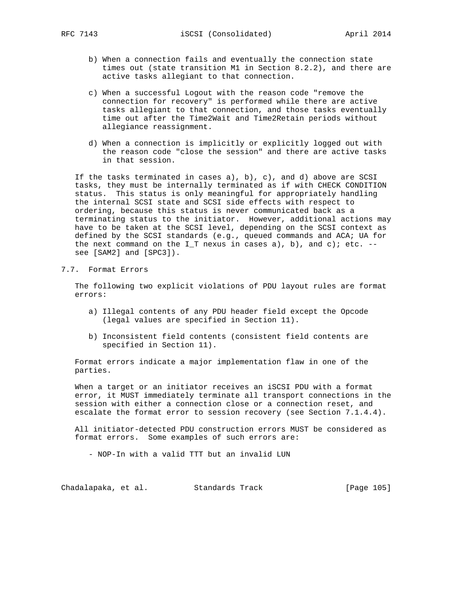- b) When a connection fails and eventually the connection state times out (state transition M1 in Section 8.2.2), and there are active tasks allegiant to that connection.
- c) When a successful Logout with the reason code "remove the connection for recovery" is performed while there are active tasks allegiant to that connection, and those tasks eventually time out after the Time2Wait and Time2Retain periods without allegiance reassignment.
- d) When a connection is implicitly or explicitly logged out with the reason code "close the session" and there are active tasks in that session.

If the tasks terminated in cases  $a$ ),  $b$ ),  $c$ ), and  $d$ ) above are SCSI tasks, they must be internally terminated as if with CHECK CONDITION status. This status is only meaningful for appropriately handling the internal SCSI state and SCSI side effects with respect to ordering, because this status is never communicated back as a terminating status to the initiator. However, additional actions may have to be taken at the SCSI level, depending on the SCSI context as defined by the SCSI standards (e.g., queued commands and ACA; UA for the next command on the I\_T nexus in cases a), b), and c); etc.  $-$ see [SAM2] and [SPC3]).

7.7. Format Errors

 The following two explicit violations of PDU layout rules are format errors:

- a) Illegal contents of any PDU header field except the Opcode (legal values are specified in Section 11).
- b) Inconsistent field contents (consistent field contents are specified in Section 11).

 Format errors indicate a major implementation flaw in one of the parties.

 When a target or an initiator receives an iSCSI PDU with a format error, it MUST immediately terminate all transport connections in the session with either a connection close or a connection reset, and escalate the format error to session recovery (see Section 7.1.4.4).

 All initiator-detected PDU construction errors MUST be considered as format errors. Some examples of such errors are:

- NOP-In with a valid TTT but an invalid LUN

Chadalapaka, et al. Standards Track [Page 105]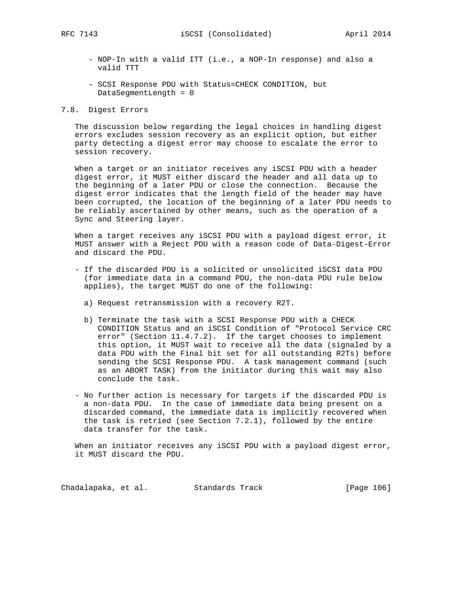- NOP-In with a valid ITT (i.e., a NOP-In response) and also a valid TTT
- SCSI Response PDU with Status=CHECK CONDITION, but DataSegmentLength = 0

## 7.8. Digest Errors

 The discussion below regarding the legal choices in handling digest errors excludes session recovery as an explicit option, but either party detecting a digest error may choose to escalate the error to session recovery.

 When a target or an initiator receives any iSCSI PDU with a header digest error, it MUST either discard the header and all data up to the beginning of a later PDU or close the connection. Because the digest error indicates that the length field of the header may have been corrupted, the location of the beginning of a later PDU needs to be reliably ascertained by other means, such as the operation of a Sync and Steering layer.

 When a target receives any iSCSI PDU with a payload digest error, it MUST answer with a Reject PDU with a reason code of Data-Digest-Error and discard the PDU.

- If the discarded PDU is a solicited or unsolicited iSCSI data PDU (for immediate data in a command PDU, the non-data PDU rule below applies), the target MUST do one of the following:
	- a) Request retransmission with a recovery R2T.
	- b) Terminate the task with a SCSI Response PDU with a CHECK CONDITION Status and an iSCSI Condition of "Protocol Service CRC error" (Section 11.4.7.2). If the target chooses to implement this option, it MUST wait to receive all the data (signaled by a data PDU with the Final bit set for all outstanding R2Ts) before sending the SCSI Response PDU. A task management command (such as an ABORT TASK) from the initiator during this wait may also conclude the task.
- No further action is necessary for targets if the discarded PDU is a non-data PDU. In the case of immediate data being present on a discarded command, the immediate data is implicitly recovered when the task is retried (see Section 7.2.1), followed by the entire data transfer for the task.

When an initiator receives any iSCSI PDU with a payload digest error, it MUST discard the PDU.

Chadalapaka, et al. Standards Track [Page 106]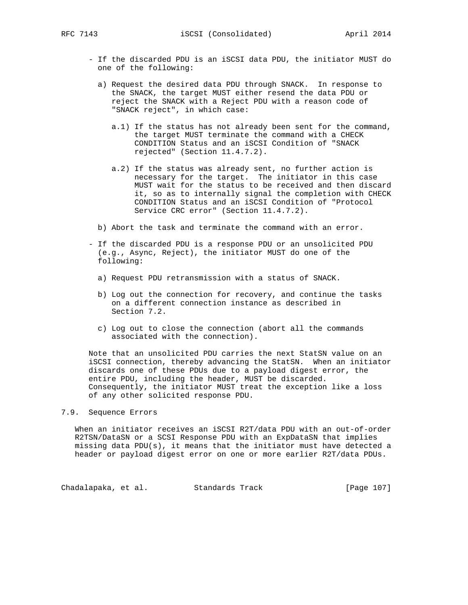- If the discarded PDU is an iSCSI data PDU, the initiator MUST do one of the following:
	- a) Request the desired data PDU through SNACK. In response to the SNACK, the target MUST either resend the data PDU or reject the SNACK with a Reject PDU with a reason code of "SNACK reject", in which case:
		- a.1) If the status has not already been sent for the command, the target MUST terminate the command with a CHECK CONDITION Status and an iSCSI Condition of "SNACK rejected" (Section 11.4.7.2).
		- a.2) If the status was already sent, no further action is necessary for the target. The initiator in this case MUST wait for the status to be received and then discard it, so as to internally signal the completion with CHECK CONDITION Status and an iSCSI Condition of "Protocol Service CRC error" (Section 11.4.7.2).
	- b) Abort the task and terminate the command with an error.
- If the discarded PDU is a response PDU or an unsolicited PDU (e.g., Async, Reject), the initiator MUST do one of the following:
	- a) Request PDU retransmission with a status of SNACK.
	- b) Log out the connection for recovery, and continue the tasks on a different connection instance as described in Section 7.2.
	- c) Log out to close the connection (abort all the commands associated with the connection).

 Note that an unsolicited PDU carries the next StatSN value on an iSCSI connection, thereby advancing the StatSN. When an initiator discards one of these PDUs due to a payload digest error, the entire PDU, including the header, MUST be discarded. Consequently, the initiator MUST treat the exception like a loss of any other solicited response PDU.

### 7.9. Sequence Errors

 When an initiator receives an iSCSI R2T/data PDU with an out-of-order R2TSN/DataSN or a SCSI Response PDU with an ExpDataSN that implies missing data PDU(s), it means that the initiator must have detected a header or payload digest error on one or more earlier R2T/data PDUs.

Chadalapaka, et al. Standards Track [Page 107]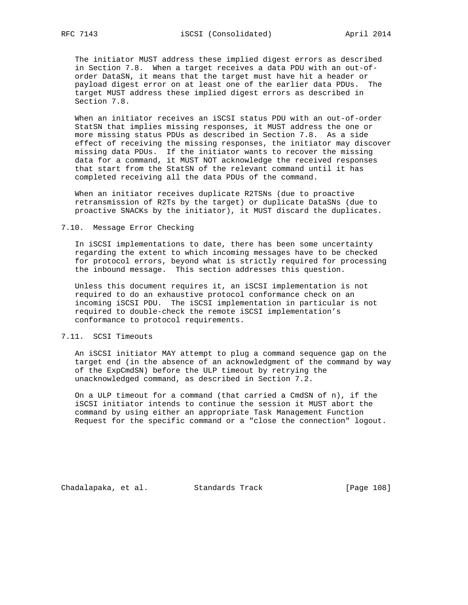The initiator MUST address these implied digest errors as described in Section 7.8. When a target receives a data PDU with an out-of order DataSN, it means that the target must have hit a header or payload digest error on at least one of the earlier data PDUs. The target MUST address these implied digest errors as described in Section 7.8.

 When an initiator receives an iSCSI status PDU with an out-of-order StatSN that implies missing responses, it MUST address the one or more missing status PDUs as described in Section 7.8. As a side effect of receiving the missing responses, the initiator may discover missing data PDUs. If the initiator wants to recover the missing data for a command, it MUST NOT acknowledge the received responses that start from the StatSN of the relevant command until it has completed receiving all the data PDUs of the command.

 When an initiator receives duplicate R2TSNs (due to proactive retransmission of R2Ts by the target) or duplicate DataSNs (due to proactive SNACKs by the initiator), it MUST discard the duplicates.

### 7.10. Message Error Checking

 In iSCSI implementations to date, there has been some uncertainty regarding the extent to which incoming messages have to be checked for protocol errors, beyond what is strictly required for processing the inbound message. This section addresses this question.

 Unless this document requires it, an iSCSI implementation is not required to do an exhaustive protocol conformance check on an incoming iSCSI PDU. The iSCSI implementation in particular is not required to double-check the remote iSCSI implementation's conformance to protocol requirements.

### 7.11. SCSI Timeouts

 An iSCSI initiator MAY attempt to plug a command sequence gap on the target end (in the absence of an acknowledgment of the command by way of the ExpCmdSN) before the ULP timeout by retrying the unacknowledged command, as described in Section 7.2.

 On a ULP timeout for a command (that carried a CmdSN of n), if the iSCSI initiator intends to continue the session it MUST abort the command by using either an appropriate Task Management Function Request for the specific command or a "close the connection" logout.

Chadalapaka, et al. Standards Track [Page 108]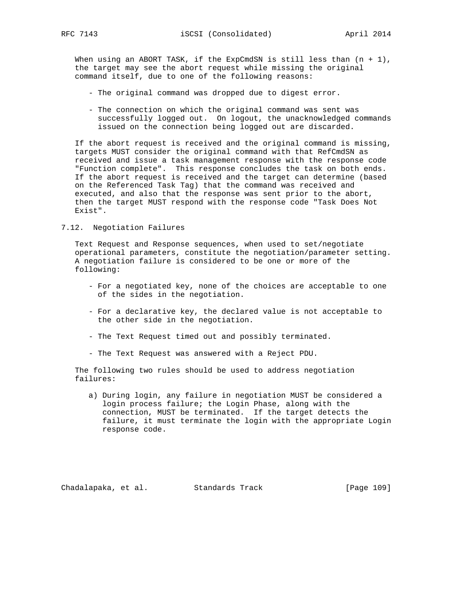When using an ABORT TASK, if the  $ExpCmdSN$  is still less than  $(n + 1)$ , the target may see the abort request while missing the original command itself, due to one of the following reasons:

- The original command was dropped due to digest error.
- The connection on which the original command was sent was successfully logged out. On logout, the unacknowledged commands issued on the connection being logged out are discarded.

 If the abort request is received and the original command is missing, targets MUST consider the original command with that RefCmdSN as received and issue a task management response with the response code "Function complete". This response concludes the task on both ends. If the abort request is received and the target can determine (based on the Referenced Task Tag) that the command was received and executed, and also that the response was sent prior to the abort, then the target MUST respond with the response code "Task Does Not Exist".

# 7.12. Negotiation Failures

 Text Request and Response sequences, when used to set/negotiate operational parameters, constitute the negotiation/parameter setting. A negotiation failure is considered to be one or more of the following:

- For a negotiated key, none of the choices are acceptable to one of the sides in the negotiation.
- For a declarative key, the declared value is not acceptable to the other side in the negotiation.
- The Text Request timed out and possibly terminated.
- The Text Request was answered with a Reject PDU.

 The following two rules should be used to address negotiation failures:

 a) During login, any failure in negotiation MUST be considered a login process failure; the Login Phase, along with the connection, MUST be terminated. If the target detects the failure, it must terminate the login with the appropriate Login response code.

Chadalapaka, et al. Standards Track (Page 109)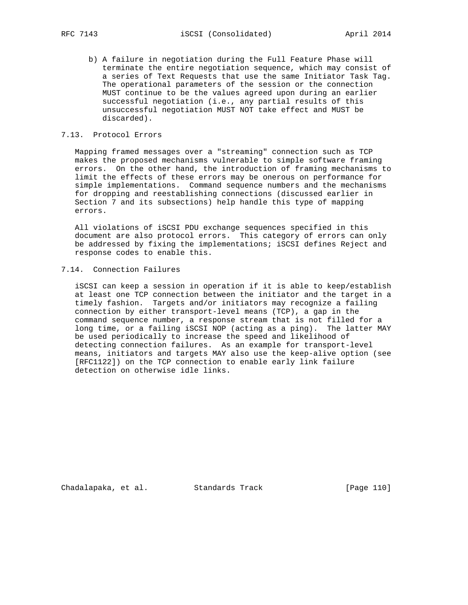b) A failure in negotiation during the Full Feature Phase will terminate the entire negotiation sequence, which may consist of a series of Text Requests that use the same Initiator Task Tag. The operational parameters of the session or the connection MUST continue to be the values agreed upon during an earlier successful negotiation (i.e., any partial results of this unsuccessful negotiation MUST NOT take effect and MUST be discarded).

# 7.13. Protocol Errors

 Mapping framed messages over a "streaming" connection such as TCP makes the proposed mechanisms vulnerable to simple software framing errors. On the other hand, the introduction of framing mechanisms to limit the effects of these errors may be onerous on performance for simple implementations. Command sequence numbers and the mechanisms for dropping and reestablishing connections (discussed earlier in Section 7 and its subsections) help handle this type of mapping errors.

 All violations of iSCSI PDU exchange sequences specified in this document are also protocol errors. This category of errors can only be addressed by fixing the implementations; iSCSI defines Reject and response codes to enable this.

# 7.14. Connection Failures

 iSCSI can keep a session in operation if it is able to keep/establish at least one TCP connection between the initiator and the target in a timely fashion. Targets and/or initiators may recognize a failing connection by either transport-level means (TCP), a gap in the command sequence number, a response stream that is not filled for a long time, or a failing iSCSI NOP (acting as a ping). The latter MAY be used periodically to increase the speed and likelihood of detecting connection failures. As an example for transport-level means, initiators and targets MAY also use the keep-alive option (see [RFC1122]) on the TCP connection to enable early link failure detection on otherwise idle links.

Chadalapaka, et al. Standards Track [Page 110]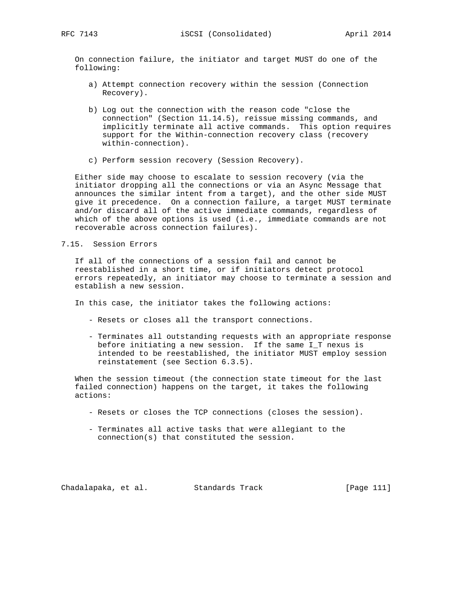On connection failure, the initiator and target MUST do one of the following:

- a) Attempt connection recovery within the session (Connection Recovery).
- b) Log out the connection with the reason code "close the connection" (Section 11.14.5), reissue missing commands, and implicitly terminate all active commands. This option requires support for the Within-connection recovery class (recovery within-connection).
- c) Perform session recovery (Session Recovery).

 Either side may choose to escalate to session recovery (via the initiator dropping all the connections or via an Async Message that announces the similar intent from a target), and the other side MUST give it precedence. On a connection failure, a target MUST terminate and/or discard all of the active immediate commands, regardless of which of the above options is used (i.e., immediate commands are not recoverable across connection failures).

### 7.15. Session Errors

 If all of the connections of a session fail and cannot be reestablished in a short time, or if initiators detect protocol errors repeatedly, an initiator may choose to terminate a session and establish a new session.

In this case, the initiator takes the following actions:

- Resets or closes all the transport connections.
- Terminates all outstanding requests with an appropriate response before initiating a new session. If the same I\_T nexus is intended to be reestablished, the initiator MUST employ session reinstatement (see Section 6.3.5).

 When the session timeout (the connection state timeout for the last failed connection) happens on the target, it takes the following actions:

- Resets or closes the TCP connections (closes the session).
- Terminates all active tasks that were allegiant to the connection(s) that constituted the session.

Chadalapaka, et al. Standards Track [Page 111]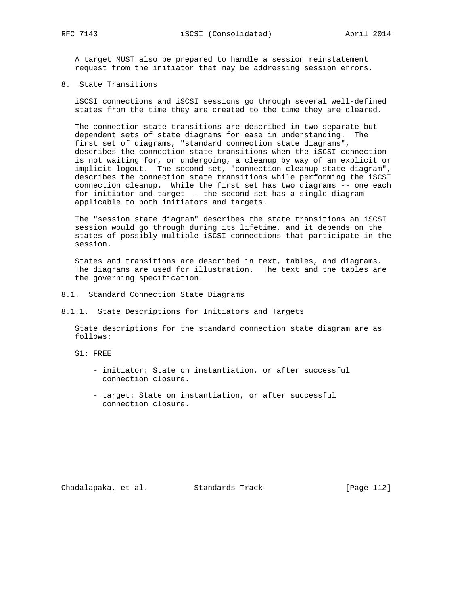A target MUST also be prepared to handle a session reinstatement request from the initiator that may be addressing session errors.

8. State Transitions

 iSCSI connections and iSCSI sessions go through several well-defined states from the time they are created to the time they are cleared.

 The connection state transitions are described in two separate but dependent sets of state diagrams for ease in understanding. The first set of diagrams, "standard connection state diagrams", describes the connection state transitions when the iSCSI connection is not waiting for, or undergoing, a cleanup by way of an explicit or implicit logout. The second set, "connection cleanup state diagram", describes the connection state transitions while performing the iSCSI connection cleanup. While the first set has two diagrams -- one each for initiator and target -- the second set has a single diagram applicable to both initiators and targets.

 The "session state diagram" describes the state transitions an iSCSI session would go through during its lifetime, and it depends on the states of possibly multiple iSCSI connections that participate in the session.

 States and transitions are described in text, tables, and diagrams. The diagrams are used for illustration. The text and the tables are the governing specification.

- 8.1. Standard Connection State Diagrams
- 8.1.1. State Descriptions for Initiators and Targets

 State descriptions for the standard connection state diagram are as follows:

- S1: FREE
	- initiator: State on instantiation, or after successful connection closure.
	- target: State on instantiation, or after successful connection closure.

Chadalapaka, et al. Standards Track (Page 112)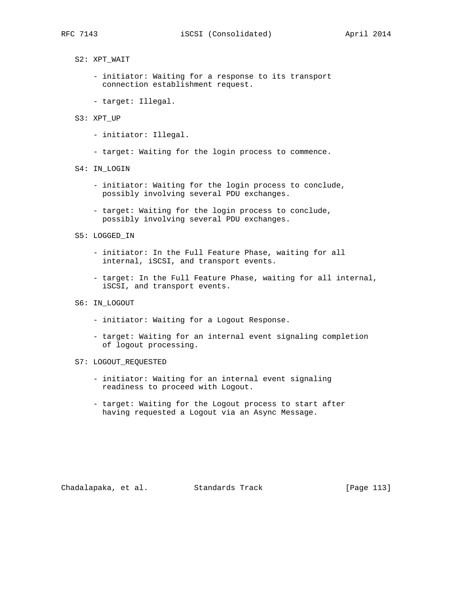S2: XPT\_WAIT

- initiator: Waiting for a response to its transport connection establishment request.
- target: Illegal.
- S3: XPT\_UP
	- initiator: Illegal.
	- target: Waiting for the login process to commence.
- S4: IN\_LOGIN
	- initiator: Waiting for the login process to conclude, possibly involving several PDU exchanges.
	- target: Waiting for the login process to conclude, possibly involving several PDU exchanges.
- S5: LOGGED\_IN
	- initiator: In the Full Feature Phase, waiting for all internal, iSCSI, and transport events.
	- target: In the Full Feature Phase, waiting for all internal, iSCSI, and transport events.
- S6: IN\_LOGOUT
	- initiator: Waiting for a Logout Response.
	- target: Waiting for an internal event signaling completion of logout processing.
- S7: LOGOUT\_REQUESTED
	- initiator: Waiting for an internal event signaling readiness to proceed with Logout.
	- target: Waiting for the Logout process to start after having requested a Logout via an Async Message.

Chadalapaka, et al. Standards Track [Page 113]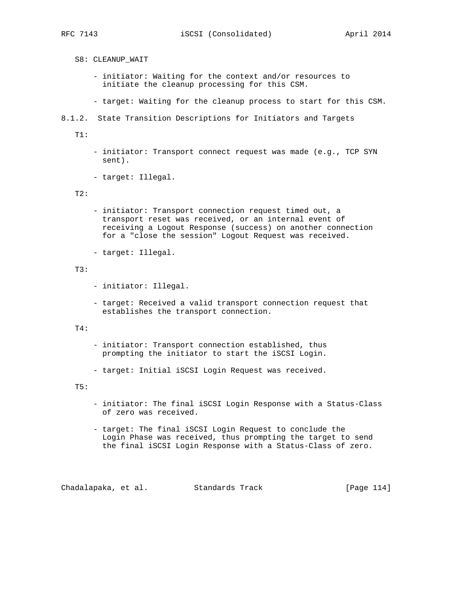- S8: CLEANUP\_WAIT
	- initiator: Waiting for the context and/or resources to initiate the cleanup processing for this CSM.
	- target: Waiting for the cleanup process to start for this CSM.
- 8.1.2. State Transition Descriptions for Initiators and Targets

 $T1$ :

- initiator: Transport connect request was made (e.g., TCP SYN sent).
- target: Illegal.

### T2:

- initiator: Transport connection request timed out, a transport reset was received, or an internal event of receiving a Logout Response (success) on another connection for a "close the session" Logout Request was received.
- target: Illegal.

### T3:

- initiator: Illegal.
- target: Received a valid transport connection request that establishes the transport connection.

#### T4:

- initiator: Transport connection established, thus prompting the initiator to start the iSCSI Login.
- target: Initial iSCSI Login Request was received.

#### T5:

- initiator: The final iSCSI Login Response with a Status-Class of zero was received.
- target: The final iSCSI Login Request to conclude the Login Phase was received, thus prompting the target to send the final iSCSI Login Response with a Status-Class of zero.

Chadalapaka, et al. Standards Track [Page 114]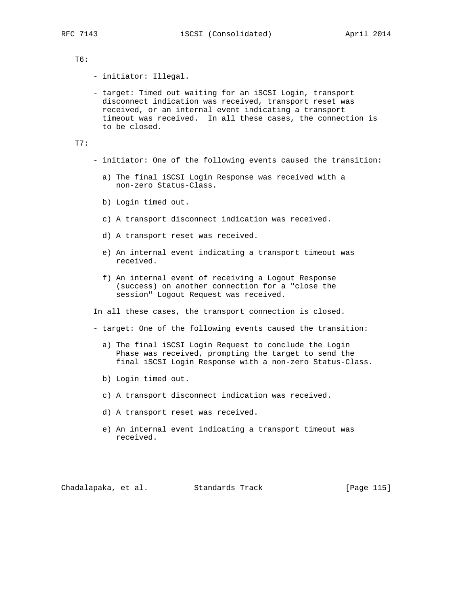# T6:

- initiator: Illegal.

 - target: Timed out waiting for an iSCSI Login, transport disconnect indication was received, transport reset was received, or an internal event indicating a transport timeout was received. In all these cases, the connection is to be closed.

T7:

- initiator: One of the following events caused the transition:
	- a) The final iSCSI Login Response was received with a non-zero Status-Class.
	- b) Login timed out.
	- c) A transport disconnect indication was received.
	- d) A transport reset was received.
	- e) An internal event indicating a transport timeout was received.
	- f) An internal event of receiving a Logout Response (success) on another connection for a "close the session" Logout Request was received.

In all these cases, the transport connection is closed.

- target: One of the following events caused the transition:
	- a) The final iSCSI Login Request to conclude the Login Phase was received, prompting the target to send the final iSCSI Login Response with a non-zero Status-Class.
	- b) Login timed out.
	- c) A transport disconnect indication was received.
	- d) A transport reset was received.
	- e) An internal event indicating a transport timeout was received.

Chadalapaka, et al. Standards Track [Page 115]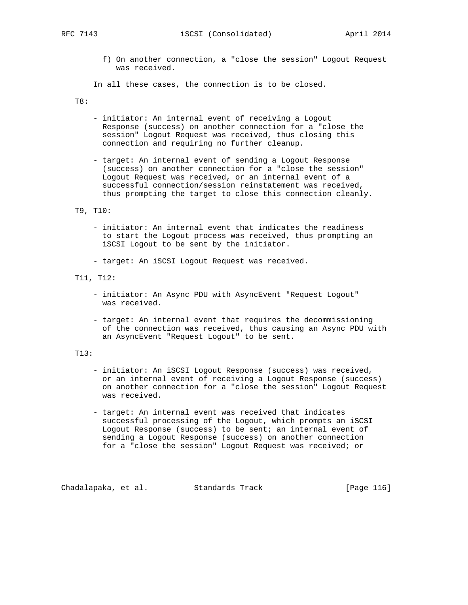f) On another connection, a "close the session" Logout Request was received.

In all these cases, the connection is to be closed.

T8:

- initiator: An internal event of receiving a Logout Response (success) on another connection for a "close the session" Logout Request was received, thus closing this connection and requiring no further cleanup.
- target: An internal event of sending a Logout Response (success) on another connection for a "close the session" Logout Request was received, or an internal event of a successful connection/session reinstatement was received, thus prompting the target to close this connection cleanly.
- T9, T10:
	- initiator: An internal event that indicates the readiness to start the Logout process was received, thus prompting an iSCSI Logout to be sent by the initiator.
	- target: An iSCSI Logout Request was received.
- T11, T12:
	- initiator: An Async PDU with AsyncEvent "Request Logout" was received.
	- target: An internal event that requires the decommissioning of the connection was received, thus causing an Async PDU with an AsyncEvent "Request Logout" to be sent.

# T13:

- initiator: An iSCSI Logout Response (success) was received, or an internal event of receiving a Logout Response (success) on another connection for a "close the session" Logout Request was received.
- target: An internal event was received that indicates successful processing of the Logout, which prompts an iSCSI Logout Response (success) to be sent; an internal event of sending a Logout Response (success) on another connection for a "close the session" Logout Request was received; or

Chadalapaka, et al. Standards Track [Page 116]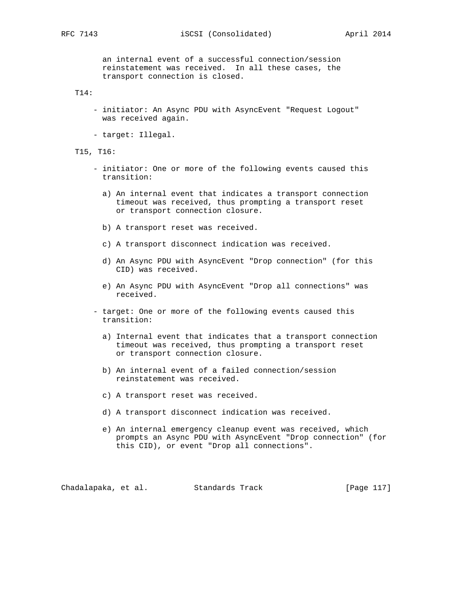RFC 7143 **iSCSI** (Consolidated) April 2014

 an internal event of a successful connection/session reinstatement was received. In all these cases, the transport connection is closed.

T14:

- initiator: An Async PDU with AsyncEvent "Request Logout" was received again.
- target: Illegal.

T15, T16:

- initiator: One or more of the following events caused this transition:
	- a) An internal event that indicates a transport connection timeout was received, thus prompting a transport reset or transport connection closure.
	- b) A transport reset was received.
	- c) A transport disconnect indication was received.
	- d) An Async PDU with AsyncEvent "Drop connection" (for this CID) was received.
	- e) An Async PDU with AsyncEvent "Drop all connections" was received.
- target: One or more of the following events caused this transition:
	- a) Internal event that indicates that a transport connection timeout was received, thus prompting a transport reset or transport connection closure.
	- b) An internal event of a failed connection/session reinstatement was received.
	- c) A transport reset was received.
	- d) A transport disconnect indication was received.
	- e) An internal emergency cleanup event was received, which prompts an Async PDU with AsyncEvent "Drop connection" (for this CID), or event "Drop all connections".

Chadalapaka, et al. Standards Track [Page 117]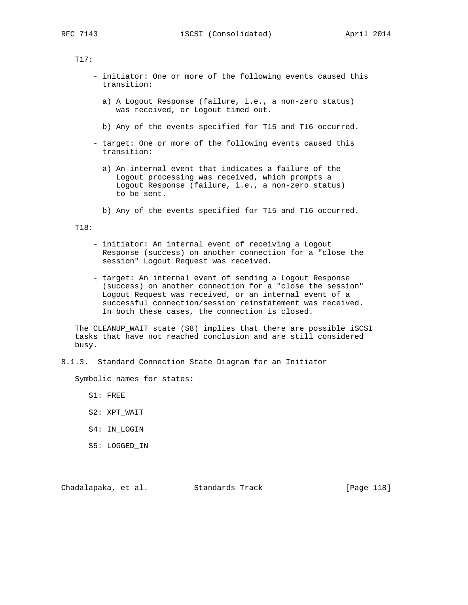# T17:

- initiator: One or more of the following events caused this transition:
	- a) A Logout Response (failure, i.e., a non-zero status) was received, or Logout timed out.
	- b) Any of the events specified for T15 and T16 occurred.
- target: One or more of the following events caused this transition:
	- a) An internal event that indicates a failure of the Logout processing was received, which prompts a Logout Response (failure, i.e., a non-zero status) to be sent.
	- b) Any of the events specified for T15 and T16 occurred.

#### T18:

- initiator: An internal event of receiving a Logout Response (success) on another connection for a "close the session" Logout Request was received.
- target: An internal event of sending a Logout Response (success) on another connection for a "close the session" Logout Request was received, or an internal event of a successful connection/session reinstatement was received. In both these cases, the connection is closed.

 The CLEANUP\_WAIT state (S8) implies that there are possible iSCSI tasks that have not reached conclusion and are still considered busy.

8.1.3. Standard Connection State Diagram for an Initiator

Symbolic names for states:

S1: FREE

- S2: XPT\_WAIT
- S4: IN\_LOGIN
- S5: LOGGED\_IN

Chadalapaka, et al. Standards Track [Page 118]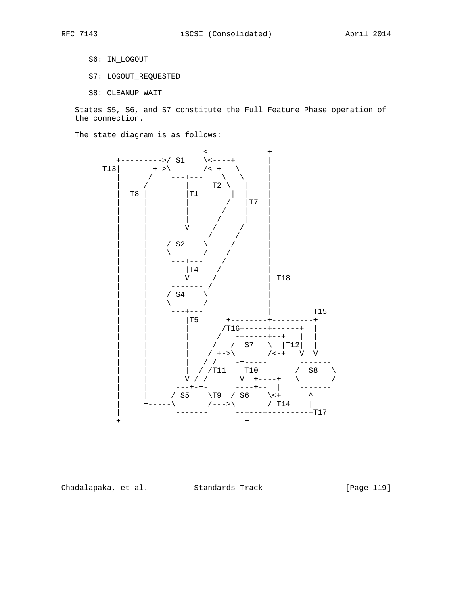- S6: IN\_LOGOUT
- S7: LOGOUT\_REQUESTED
- S8: CLEANUP\_WAIT

 States S5, S6, and S7 constitute the Full Feature Phase operation of the connection.

The state diagram is as follows:



Chadalapaka, et al. Standards Track [Page 119]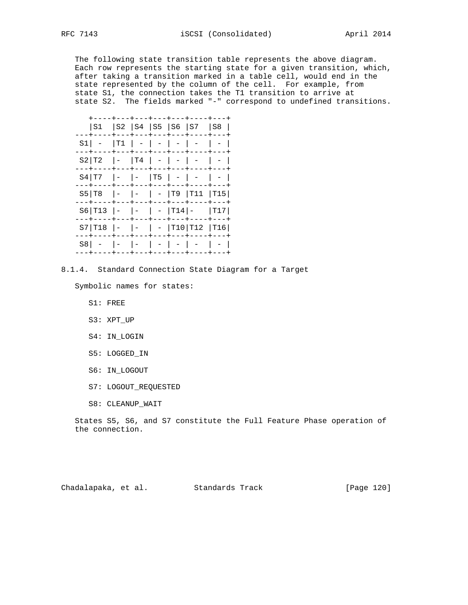The following state transition table represents the above diagram. Each row represents the starting state for a given transition, which, after taking a transition marked in a table cell, would end in the state represented by the column of the cell. For example, from state S1, the connection takes the T1 transition to arrive at state S2. The fields marked "-" correspond to undefined transitions.

|    |                          |       |                           |  | S1  S2  S4  S5  S6  S7  S8  <br>+---+---+----+---                    |  |
|----|--------------------------|-------|---------------------------|--|----------------------------------------------------------------------|--|
| S1 |                          |       |                           |  | $ T1  -  -  -  -  -  -  -$                                           |  |
|    | S2 T2  -  T4   -   -   - |       |                           |  | --+----+---+---+---+---+----+---+                                    |  |
|    |                          |       |                           |  | --+----+---+---+---+---+----+---<br>S4 T7  -  -  T5   -   -   -      |  |
|    |                          |       |                           |  | --+----+---+---+---+---+----+---<br>$S5 T8$ $ -  -   -  T9 T11 T15 $ |  |
|    |                          |       |                           |  | --+----+---+---+---+---+----+--<br>S6 T13  -  -   -  T14 -  T17      |  |
|    |                          | ---+· |                           |  | ---+--                                                               |  |
| S8 |                          |       | $  -   -   -   -   -   -$ |  | .--+----+---+---+---+---+----+--                                     |  |
|    |                          |       |                           |  |                                                                      |  |

8.1.4. Standard Connection State Diagram for a Target

Symbolic names for states:

- S1: FREE
- S3: XPT\_UP
- S4: IN\_LOGIN
- S5: LOGGED\_IN
- S6: IN\_LOGOUT
- S7: LOGOUT\_REQUESTED
- S8: CLEANUP\_WAIT

 States S5, S6, and S7 constitute the Full Feature Phase operation of the connection.

| Chadalapaka, et al. |  |  | Standards Track |  | [Page 120] |  |
|---------------------|--|--|-----------------|--|------------|--|
|---------------------|--|--|-----------------|--|------------|--|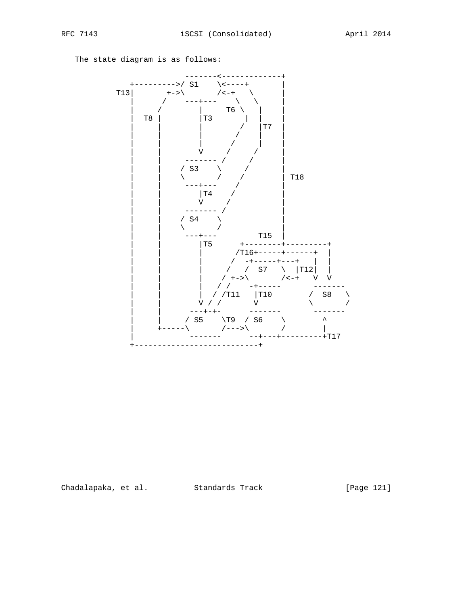The state diagram is as follows:



Chadalapaka, et al. Standards Track

[Page 121]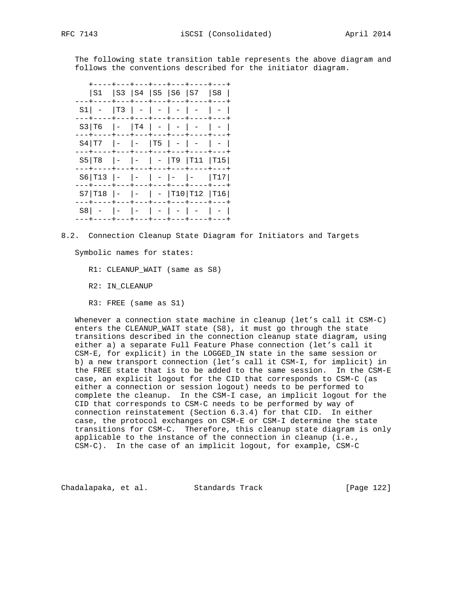The following state transition table represents the above diagram and follows the conventions described for the initiator diagram.

|     | S1  S3  S4  S5  S6  S7  S8                  |                                                    |     | +---+---+---+--                                                                  |  |
|-----|---------------------------------------------|----------------------------------------------------|-----|----------------------------------------------------------------------------------|--|
| S1  |                                             |                                                    |     | $ T3  -  -  -  -  -  -  -$                                                       |  |
|     | S3 T6                                       |                                                    |     | ---+---+---+---+----<br>$\vert - \vert T4 \vert - \vert - \vert - \vert - \vert$ |  |
|     | S4 T7                                       | -  -  T5   -   -                                   |     | ---+---+---+---+----+                                                            |  |
|     | S5   T8   -   -   -   T9   T11   T15        |                                                    |     |                                                                                  |  |
|     | .--+----+---+---+---+---+----+---<br>S6 T13 |                                                    |     | $ -  -   -   -   -  $ [T17]                                                      |  |
|     | $S7$  T18                                   |                                                    | --- | キーーーキーーーー<br> -  -   -  T10 T12  T16                                             |  |
| S8. |                                             | ---+---+---+---<br>$\vert - \vert$ $\vert - \vert$ |     |                                                                                  |  |
|     |                                             |                                                    |     |                                                                                  |  |

8.2. Connection Cleanup State Diagram for Initiators and Targets

Symbolic names for states:

R1: CLEANUP\_WAIT (same as S8)

R2: IN\_CLEANUP

R3: FREE (same as S1)

 Whenever a connection state machine in cleanup (let's call it CSM-C) enters the CLEANUP\_WAIT state (S8), it must go through the state transitions described in the connection cleanup state diagram, using either a) a separate Full Feature Phase connection (let's call it CSM-E, for explicit) in the LOGGED\_IN state in the same session or b) a new transport connection (let's call it CSM-I, for implicit) in the FREE state that is to be added to the same session. In the CSM-E case, an explicit logout for the CID that corresponds to CSM-C (as either a connection or session logout) needs to be performed to complete the cleanup. In the CSM-I case, an implicit logout for the CID that corresponds to CSM-C needs to be performed by way of connection reinstatement (Section 6.3.4) for that CID. In either case, the protocol exchanges on CSM-E or CSM-I determine the state transitions for CSM-C. Therefore, this cleanup state diagram is only applicable to the instance of the connection in cleanup (i.e., CSM-C). In the case of an implicit logout, for example, CSM-C

Chadalapaka, et al. Standards Track [Page 122]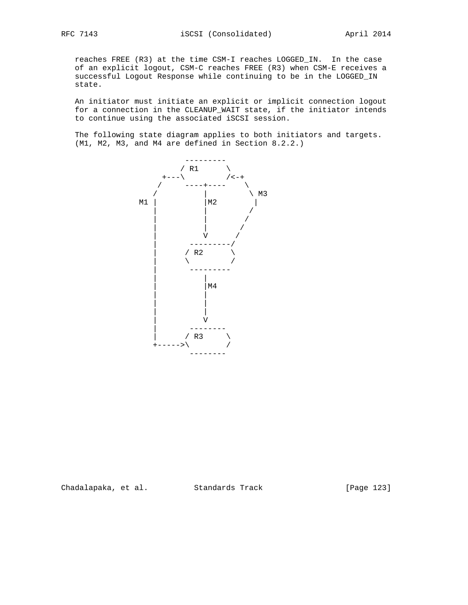reaches FREE (R3) at the time CSM-I reaches LOGGED\_IN. In the case of an explicit logout, CSM-C reaches FREE (R3) when CSM-E receives a successful Logout Response while continuing to be in the LOGGED\_IN state.

 An initiator must initiate an explicit or implicit connection logout for a connection in the CLEANUP\_WAIT state, if the initiator intends to continue using the associated iSCSI session.

 The following state diagram applies to both initiators and targets. (M1, M2, M3, and M4 are defined in Section 8.2.2.)



Chadalapaka, et al. Standards Track [Page 123]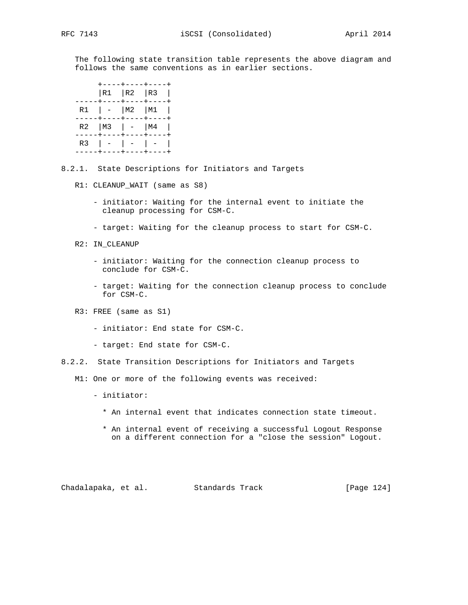The following state transition table represents the above diagram and follows the same conventions as in earlier sections.

|  | +----+----+----+<br>$ R1 $ $ R2 $ $ R3 $<br>-----+----+----+----+ |  |
|--|-------------------------------------------------------------------|--|
|  | $R1$   -   M2   M1  <br>-----+----+----+----+                     |  |
|  | R2   M3   $-$   M4  <br>-----+----+---+----+                      |  |
|  | R3   -   -   -  <br>-----+----+----+----+                         |  |

- 8.2.1. State Descriptions for Initiators and Targets
	- R1: CLEANUP\_WAIT (same as S8)
		- initiator: Waiting for the internal event to initiate the cleanup processing for CSM-C.
		- target: Waiting for the cleanup process to start for CSM-C.
	- R2: IN\_CLEANUP
		- initiator: Waiting for the connection cleanup process to conclude for CSM-C.
		- target: Waiting for the connection cleanup process to conclude for CSM-C.
	- R3: FREE (same as S1)
		- initiator: End state for CSM-C.
		- target: End state for CSM-C.
- 8.2.2. State Transition Descriptions for Initiators and Targets
	- M1: One or more of the following events was received:
		- initiator:
			- \* An internal event that indicates connection state timeout.
			- \* An internal event of receiving a successful Logout Response on a different connection for a "close the session" Logout.

Chadalapaka, et al. Standards Track [Page 124]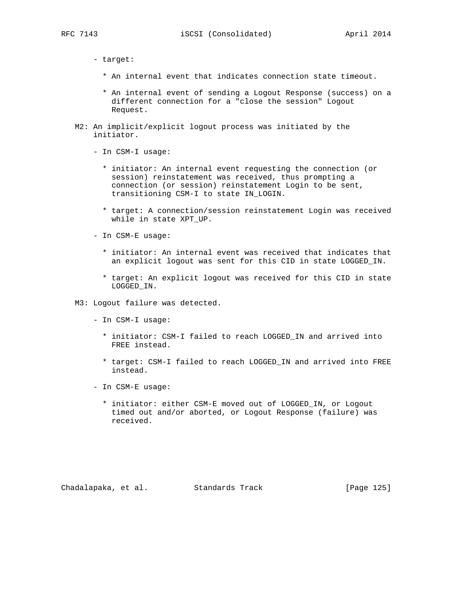- target:

- \* An internal event that indicates connection state timeout.
- \* An internal event of sending a Logout Response (success) on a different connection for a "close the session" Logout Request.
- M2: An implicit/explicit logout process was initiated by the initiator.
	- In CSM-I usage:
		- \* initiator: An internal event requesting the connection (or session) reinstatement was received, thus prompting a connection (or session) reinstatement Login to be sent, transitioning CSM-I to state IN\_LOGIN.
		- \* target: A connection/session reinstatement Login was received while in state XPT\_UP.
	- In CSM-E usage:
		- \* initiator: An internal event was received that indicates that an explicit logout was sent for this CID in state LOGGED\_IN.
		- \* target: An explicit logout was received for this CID in state LOGGED\_IN.
- M3: Logout failure was detected.
	- In CSM-I usage:
		- \* initiator: CSM-I failed to reach LOGGED\_IN and arrived into FREE instead.
		- \* target: CSM-I failed to reach LOGGED\_IN and arrived into FREE instead.
	- In CSM-E usage:
		- \* initiator: either CSM-E moved out of LOGGED\_IN, or Logout timed out and/or aborted, or Logout Response (failure) was received.

Chadalapaka, et al. Standards Track [Page 125]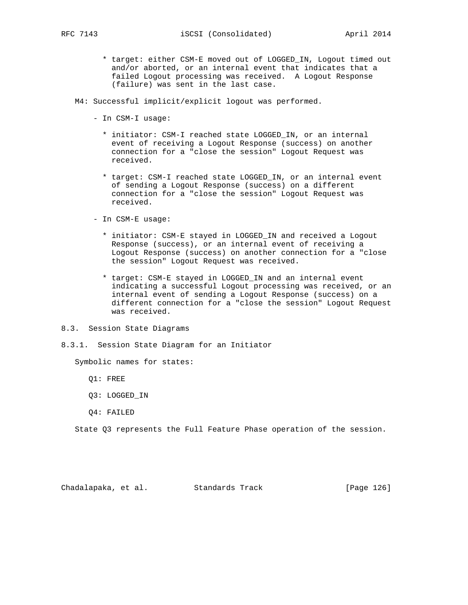\* target: either CSM-E moved out of LOGGED\_IN, Logout timed out and/or aborted, or an internal event that indicates that a failed Logout processing was received. A Logout Response (failure) was sent in the last case.

M4: Successful implicit/explicit logout was performed.

- In CSM-I usage:
	- \* initiator: CSM-I reached state LOGGED\_IN, or an internal event of receiving a Logout Response (success) on another connection for a "close the session" Logout Request was received.
	- \* target: CSM-I reached state LOGGED\_IN, or an internal event of sending a Logout Response (success) on a different connection for a "close the session" Logout Request was received.
- In CSM-E usage:
	- \* initiator: CSM-E stayed in LOGGED\_IN and received a Logout Response (success), or an internal event of receiving a Logout Response (success) on another connection for a "close the session" Logout Request was received.
	- \* target: CSM-E stayed in LOGGED\_IN and an internal event indicating a successful Logout processing was received, or an internal event of sending a Logout Response (success) on a different connection for a "close the session" Logout Request was received.
- 8.3. Session State Diagrams
- 8.3.1. Session State Diagram for an Initiator

Symbolic names for states:

- Q1: FREE
- Q3: LOGGED\_IN
- Q4: FAILED

State Q3 represents the Full Feature Phase operation of the session.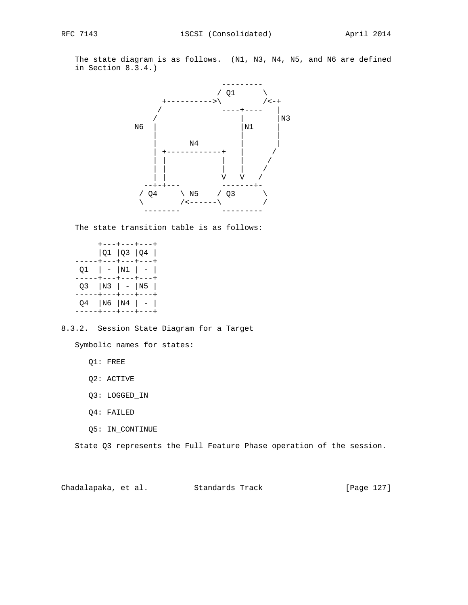The state diagram is as follows. (N1, N3, N4, N5, and N6 are defined in Section 8.3.4.)



The state transition table is as follows:

| ----+---+---+---+                                         | +---+---+---+<br> Q1 Q3 Q4 |  |
|-----------------------------------------------------------|----------------------------|--|
| Q1   -  N1   -  <br>----+---+---+---+                     |                            |  |
| Q3  N3   -  N5  <br>----+---+---+---                      |                            |  |
| Q4   N6   N4   -  <br>. - - - - + - - - + - - - + - - - + |                            |  |

8.3.2. Session State Diagram for a Target

Symbolic names for states:

Q1: FREE

Q2: ACTIVE

- Q3: LOGGED\_IN
- Q4: FAILED
- Q5: IN\_CONTINUE

State Q3 represents the Full Feature Phase operation of the session.

Chadalapaka, et al. Standards Track [Page 127]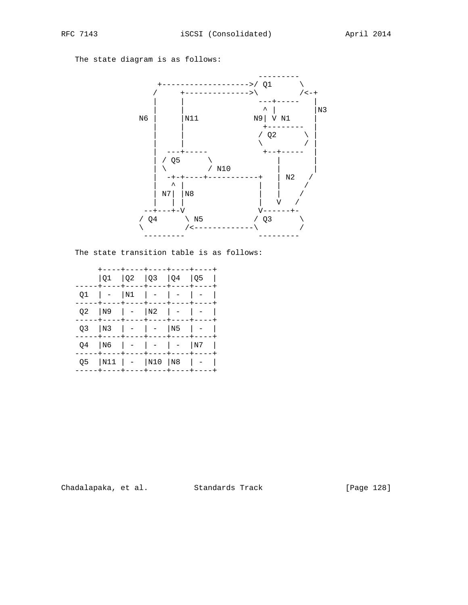The state diagram is as follows:



The state transition table is as follows:

|    |    |                               | $ Q1$ $ Q2$ $ Q3$ $ Q4$ $ Q5$                      |               |    |  |
|----|----|-------------------------------|----------------------------------------------------|---------------|----|--|
| 01 |    | N1                            | $\mathbf{I}$ $\mathbf{I}$<br>+----+----+----+----+ |               |    |  |
| Q2 | N9 | $\mathbf{I}$ and $\mathbf{I}$ | N2                                                 | $\vert \vert$ |    |  |
| O3 | N3 |                               | $\vert$ $-$                                        | N5            |    |  |
| O4 | N6 |                               | $\sim$ $-$                                         |               | N7 |  |
| O5 |    |                               | N11   -  N10  N8                                   |               |    |  |
|    |    |                               |                                                    |               |    |  |

Chadalapaka, et al. Standards Track

[Page 128]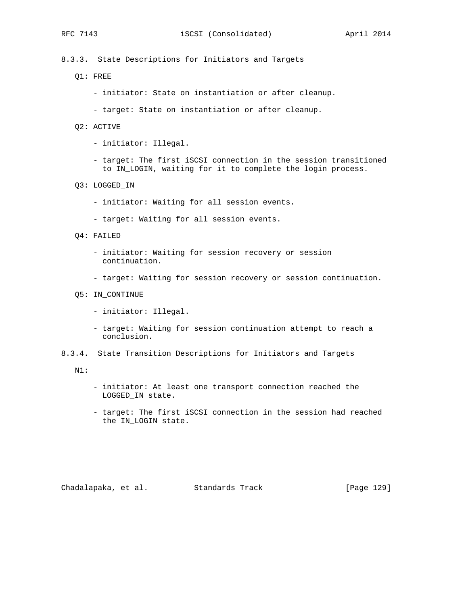8.3.3. State Descriptions for Initiators and Targets

- Q1: FREE
	- initiator: State on instantiation or after cleanup.
	- target: State on instantiation or after cleanup.
- Q2: ACTIVE
	- initiator: Illegal.
	- target: The first iSCSI connection in the session transitioned to IN\_LOGIN, waiting for it to complete the login process.
- Q3: LOGGED\_IN
	- initiator: Waiting for all session events.
	- target: Waiting for all session events.
- Q4: FAILED
	- initiator: Waiting for session recovery or session continuation.
	- target: Waiting for session recovery or session continuation.
- Q5: IN\_CONTINUE
	- initiator: Illegal.
	- target: Waiting for session continuation attempt to reach a conclusion.
- 8.3.4. State Transition Descriptions for Initiators and Targets

N1:

- initiator: At least one transport connection reached the LOGGED\_IN state.
- target: The first iSCSI connection in the session had reached the IN\_LOGIN state.

Chadalapaka, et al. Standards Track [Page 129]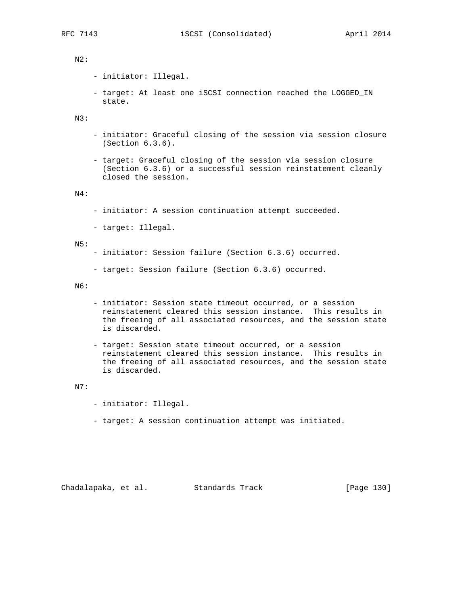# N2:

- initiator: Illegal.
- target: At least one iSCSI connection reached the LOGGED\_IN state.

N3:

- initiator: Graceful closing of the session via session closure (Section 6.3.6).
- target: Graceful closing of the session via session closure (Section 6.3.6) or a successful session reinstatement cleanly closed the session.

### N4:

- initiator: A session continuation attempt succeeded.
- target: Illegal.

#### N5:

- initiator: Session failure (Section 6.3.6) occurred.
- target: Session failure (Section 6.3.6) occurred.

N6:

- initiator: Session state timeout occurred, or a session reinstatement cleared this session instance. This results in the freeing of all associated resources, and the session state is discarded.
- target: Session state timeout occurred, or a session reinstatement cleared this session instance. This results in the freeing of all associated resources, and the session state is discarded.

#### N7:

- initiator: Illegal.
- target: A session continuation attempt was initiated.

Chadalapaka, et al. Standards Track [Page 130]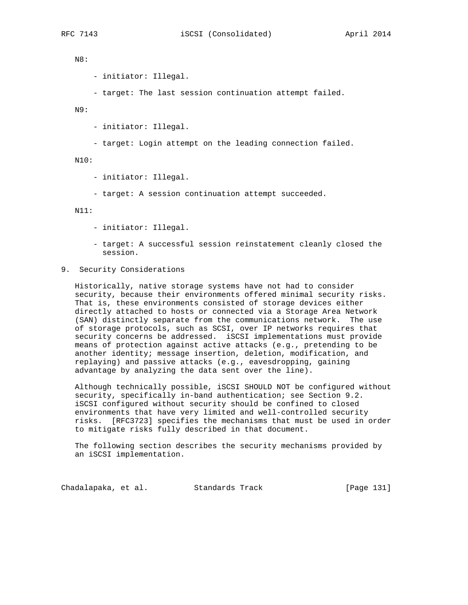N8:

- initiator: Illegal.

- target: The last session continuation attempt failed.

N9:

- initiator: Illegal.
- target: Login attempt on the leading connection failed.

N10:

- initiator: Illegal.
- target: A session continuation attempt succeeded.

N11:

- initiator: Illegal.
- target: A successful session reinstatement cleanly closed the session.
- 9. Security Considerations

 Historically, native storage systems have not had to consider security, because their environments offered minimal security risks. That is, these environments consisted of storage devices either directly attached to hosts or connected via a Storage Area Network (SAN) distinctly separate from the communications network. The use of storage protocols, such as SCSI, over IP networks requires that security concerns be addressed. iSCSI implementations must provide means of protection against active attacks (e.g., pretending to be another identity; message insertion, deletion, modification, and replaying) and passive attacks (e.g., eavesdropping, gaining advantage by analyzing the data sent over the line).

 Although technically possible, iSCSI SHOULD NOT be configured without security, specifically in-band authentication; see Section 9.2. iSCSI configured without security should be confined to closed environments that have very limited and well-controlled security risks. [RFC3723] specifies the mechanisms that must be used in order to mitigate risks fully described in that document.

 The following section describes the security mechanisms provided by an iSCSI implementation.

Chadalapaka, et al. Standards Track [Page 131]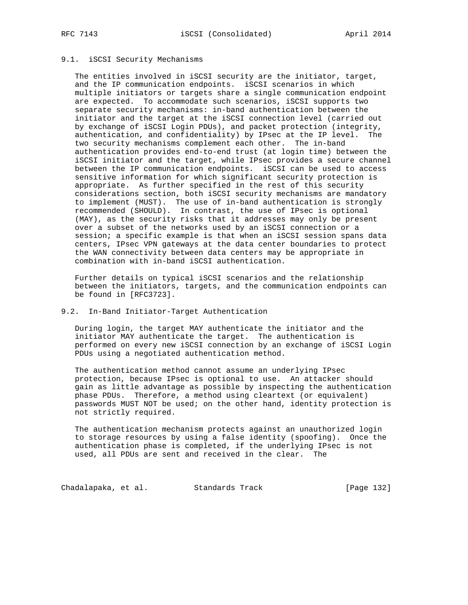# 9.1. iSCSI Security Mechanisms

 The entities involved in iSCSI security are the initiator, target, and the IP communication endpoints. iSCSI scenarios in which multiple initiators or targets share a single communication endpoint are expected. To accommodate such scenarios, iSCSI supports two separate security mechanisms: in-band authentication between the initiator and the target at the iSCSI connection level (carried out by exchange of iSCSI Login PDUs), and packet protection (integrity, authentication, and confidentiality) by IPsec at the IP level. The two security mechanisms complement each other. The in-band authentication provides end-to-end trust (at login time) between the iSCSI initiator and the target, while IPsec provides a secure channel between the IP communication endpoints. iSCSI can be used to access sensitive information for which significant security protection is appropriate. As further specified in the rest of this security considerations section, both iSCSI security mechanisms are mandatory to implement (MUST). The use of in-band authentication is strongly recommended (SHOULD). In contrast, the use of IPsec is optional (MAY), as the security risks that it addresses may only be present over a subset of the networks used by an iSCSI connection or a session; a specific example is that when an iSCSI session spans data centers, IPsec VPN gateways at the data center boundaries to protect the WAN connectivity between data centers may be appropriate in combination with in-band iSCSI authentication.

 Further details on typical iSCSI scenarios and the relationship between the initiators, targets, and the communication endpoints can be found in [RFC3723].

# 9.2. In-Band Initiator-Target Authentication

 During login, the target MAY authenticate the initiator and the initiator MAY authenticate the target. The authentication is performed on every new iSCSI connection by an exchange of iSCSI Login PDUs using a negotiated authentication method.

 The authentication method cannot assume an underlying IPsec protection, because IPsec is optional to use. An attacker should gain as little advantage as possible by inspecting the authentication phase PDUs. Therefore, a method using cleartext (or equivalent) passwords MUST NOT be used; on the other hand, identity protection is not strictly required.

 The authentication mechanism protects against an unauthorized login to storage resources by using a false identity (spoofing). Once the authentication phase is completed, if the underlying IPsec is not used, all PDUs are sent and received in the clear. The

Chadalapaka, et al. Standards Track [Page 132]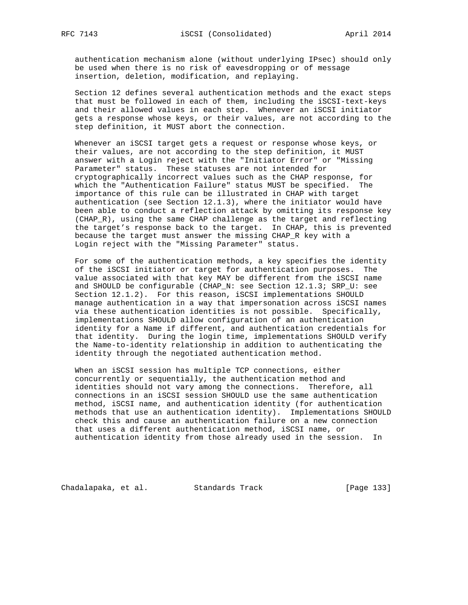authentication mechanism alone (without underlying IPsec) should only be used when there is no risk of eavesdropping or of message insertion, deletion, modification, and replaying.

 Section 12 defines several authentication methods and the exact steps that must be followed in each of them, including the iSCSI-text-keys and their allowed values in each step. Whenever an iSCSI initiator gets a response whose keys, or their values, are not according to the step definition, it MUST abort the connection.

 Whenever an iSCSI target gets a request or response whose keys, or their values, are not according to the step definition, it MUST answer with a Login reject with the "Initiator Error" or "Missing Parameter" status. These statuses are not intended for cryptographically incorrect values such as the CHAP response, for which the "Authentication Failure" status MUST be specified. The importance of this rule can be illustrated in CHAP with target authentication (see Section 12.1.3), where the initiator would have been able to conduct a reflection attack by omitting its response key (CHAP\_R), using the same CHAP challenge as the target and reflecting the target's response back to the target. In CHAP, this is prevented because the target must answer the missing CHAP\_R key with a Login reject with the "Missing Parameter" status.

 For some of the authentication methods, a key specifies the identity of the iSCSI initiator or target for authentication purposes. The value associated with that key MAY be different from the iSCSI name and SHOULD be configurable (CHAP\_N: see Section 12.1.3; SRP\_U: see Section 12.1.2). For this reason, iSCSI implementations SHOULD manage authentication in a way that impersonation across iSCSI names via these authentication identities is not possible. Specifically, implementations SHOULD allow configuration of an authentication identity for a Name if different, and authentication credentials for that identity. During the login time, implementations SHOULD verify the Name-to-identity relationship in addition to authenticating the identity through the negotiated authentication method.

 When an iSCSI session has multiple TCP connections, either concurrently or sequentially, the authentication method and identities should not vary among the connections. Therefore, all connections in an iSCSI session SHOULD use the same authentication method, iSCSI name, and authentication identity (for authentication methods that use an authentication identity). Implementations SHOULD check this and cause an authentication failure on a new connection that uses a different authentication method, iSCSI name, or authentication identity from those already used in the session. In

Chadalapaka, et al. Standards Track [Page 133]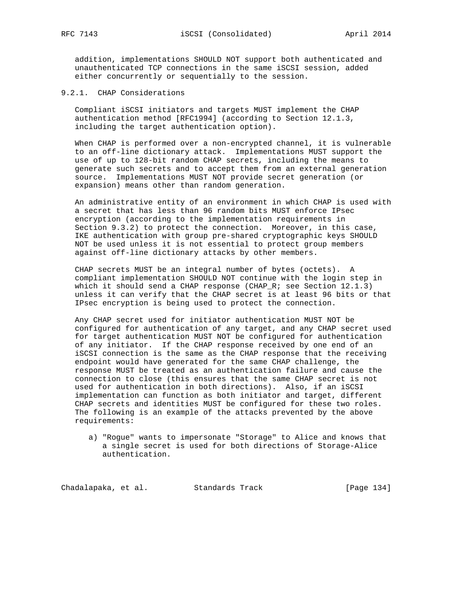addition, implementations SHOULD NOT support both authenticated and unauthenticated TCP connections in the same iSCSI session, added either concurrently or sequentially to the session.

# 9.2.1. CHAP Considerations

 Compliant iSCSI initiators and targets MUST implement the CHAP authentication method [RFC1994] (according to Section 12.1.3, including the target authentication option).

 When CHAP is performed over a non-encrypted channel, it is vulnerable to an off-line dictionary attack. Implementations MUST support the use of up to 128-bit random CHAP secrets, including the means to generate such secrets and to accept them from an external generation source. Implementations MUST NOT provide secret generation (or expansion) means other than random generation.

 An administrative entity of an environment in which CHAP is used with a secret that has less than 96 random bits MUST enforce IPsec encryption (according to the implementation requirements in Section 9.3.2) to protect the connection. Moreover, in this case, IKE authentication with group pre-shared cryptographic keys SHOULD NOT be used unless it is not essential to protect group members against off-line dictionary attacks by other members.

 CHAP secrets MUST be an integral number of bytes (octets). A compliant implementation SHOULD NOT continue with the login step in which it should send a CHAP response (CHAP\_R; see Section 12.1.3) unless it can verify that the CHAP secret is at least 96 bits or that IPsec encryption is being used to protect the connection.

 Any CHAP secret used for initiator authentication MUST NOT be configured for authentication of any target, and any CHAP secret used for target authentication MUST NOT be configured for authentication of any initiator. If the CHAP response received by one end of an iSCSI connection is the same as the CHAP response that the receiving endpoint would have generated for the same CHAP challenge, the response MUST be treated as an authentication failure and cause the connection to close (this ensures that the same CHAP secret is not used for authentication in both directions). Also, if an iSCSI implementation can function as both initiator and target, different CHAP secrets and identities MUST be configured for these two roles. The following is an example of the attacks prevented by the above requirements:

 a) "Rogue" wants to impersonate "Storage" to Alice and knows that a single secret is used for both directions of Storage-Alice authentication.

Chadalapaka, et al. Standards Track [Page 134]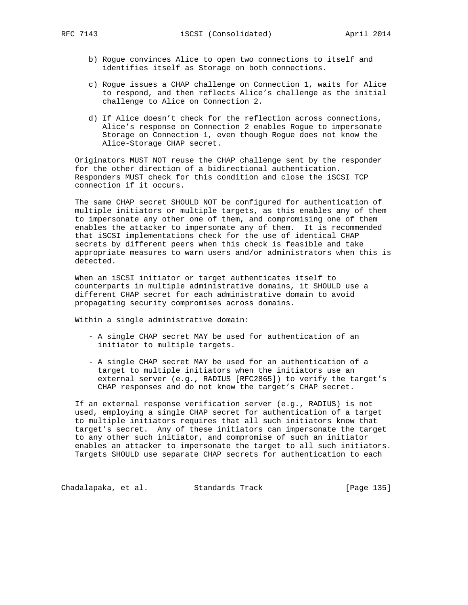- b) Rogue convinces Alice to open two connections to itself and identifies itself as Storage on both connections.
- c) Rogue issues a CHAP challenge on Connection 1, waits for Alice to respond, and then reflects Alice's challenge as the initial challenge to Alice on Connection 2.
- d) If Alice doesn't check for the reflection across connections, Alice's response on Connection 2 enables Rogue to impersonate Storage on Connection 1, even though Rogue does not know the Alice-Storage CHAP secret.

 Originators MUST NOT reuse the CHAP challenge sent by the responder for the other direction of a bidirectional authentication. Responders MUST check for this condition and close the iSCSI TCP connection if it occurs.

 The same CHAP secret SHOULD NOT be configured for authentication of multiple initiators or multiple targets, as this enables any of them to impersonate any other one of them, and compromising one of them enables the attacker to impersonate any of them. It is recommended that iSCSI implementations check for the use of identical CHAP secrets by different peers when this check is feasible and take appropriate measures to warn users and/or administrators when this is detected.

 When an iSCSI initiator or target authenticates itself to counterparts in multiple administrative domains, it SHOULD use a different CHAP secret for each administrative domain to avoid propagating security compromises across domains.

Within a single administrative domain:

- A single CHAP secret MAY be used for authentication of an initiator to multiple targets.
- A single CHAP secret MAY be used for an authentication of a target to multiple initiators when the initiators use an external server (e.g., RADIUS [RFC2865]) to verify the target's CHAP responses and do not know the target's CHAP secret.

 If an external response verification server (e.g., RADIUS) is not used, employing a single CHAP secret for authentication of a target to multiple initiators requires that all such initiators know that target's secret. Any of these initiators can impersonate the target to any other such initiator, and compromise of such an initiator enables an attacker to impersonate the target to all such initiators. Targets SHOULD use separate CHAP secrets for authentication to each

Chadalapaka, et al. Standards Track [Page 135]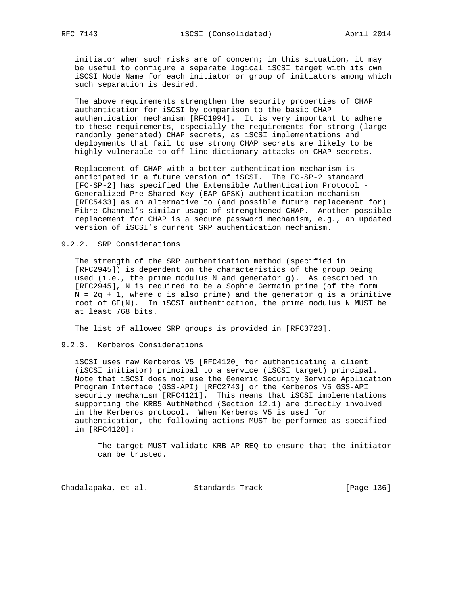initiator when such risks are of concern; in this situation, it may be useful to configure a separate logical iSCSI target with its own iSCSI Node Name for each initiator or group of initiators among which such separation is desired.

 The above requirements strengthen the security properties of CHAP authentication for iSCSI by comparison to the basic CHAP authentication mechanism [RFC1994]. It is very important to adhere to these requirements, especially the requirements for strong (large randomly generated) CHAP secrets, as iSCSI implementations and deployments that fail to use strong CHAP secrets are likely to be highly vulnerable to off-line dictionary attacks on CHAP secrets.

 Replacement of CHAP with a better authentication mechanism is anticipated in a future version of iSCSI. The FC-SP-2 standard [FC-SP-2] has specified the Extensible Authentication Protocol - Generalized Pre-Shared Key (EAP-GPSK) authentication mechanism [RFC5433] as an alternative to (and possible future replacement for) Fibre Channel's similar usage of strengthened CHAP. Another possible replacement for CHAP is a secure password mechanism, e.g., an updated version of iSCSI's current SRP authentication mechanism.

# 9.2.2. SRP Considerations

 The strength of the SRP authentication method (specified in [RFC2945]) is dependent on the characteristics of the group being used (i.e., the prime modulus N and generator g). As described in [RFC2945], N is required to be a Sophie Germain prime (of the form  $N = 2q + 1$ , where q is also prime) and the generator g is a primitive root of GF(N). In iSCSI authentication, the prime modulus N MUST be at least 768 bits.

The list of allowed SRP groups is provided in [RFC3723].

# 9.2.3. Kerberos Considerations

 iSCSI uses raw Kerberos V5 [RFC4120] for authenticating a client (iSCSI initiator) principal to a service (iSCSI target) principal. Note that iSCSI does not use the Generic Security Service Application Program Interface (GSS-API) [RFC2743] or the Kerberos V5 GSS-API security mechanism [RFC4121]. This means that iSCSI implementations supporting the KRB5 AuthMethod (Section 12.1) are directly involved in the Kerberos protocol. When Kerberos V5 is used for authentication, the following actions MUST be performed as specified in [RFC4120]:

 - The target MUST validate KRB\_AP\_REQ to ensure that the initiator can be trusted.

Chadalapaka, et al. Standards Track [Page 136]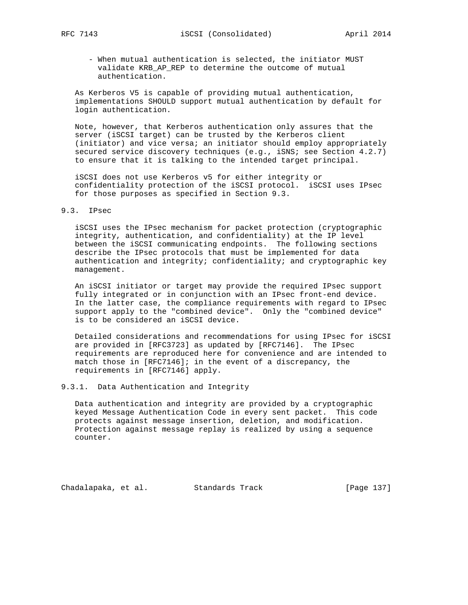- - When mutual authentication is selected, the initiator MUST validate KRB\_AP\_REP to determine the outcome of mutual authentication.

 As Kerberos V5 is capable of providing mutual authentication, implementations SHOULD support mutual authentication by default for login authentication.

 Note, however, that Kerberos authentication only assures that the server (iSCSI target) can be trusted by the Kerberos client (initiator) and vice versa; an initiator should employ appropriately secured service discovery techniques (e.g., iSNS; see Section 4.2.7) to ensure that it is talking to the intended target principal.

 iSCSI does not use Kerberos v5 for either integrity or confidentiality protection of the iSCSI protocol. iSCSI uses IPsec for those purposes as specified in Section 9.3.

### 9.3. IPsec

 iSCSI uses the IPsec mechanism for packet protection (cryptographic integrity, authentication, and confidentiality) at the IP level between the iSCSI communicating endpoints. The following sections describe the IPsec protocols that must be implemented for data authentication and integrity; confidentiality; and cryptographic key management.

 An iSCSI initiator or target may provide the required IPsec support fully integrated or in conjunction with an IPsec front-end device. In the latter case, the compliance requirements with regard to IPsec support apply to the "combined device". Only the "combined device" is to be considered an iSCSI device.

 Detailed considerations and recommendations for using IPsec for iSCSI are provided in [RFC3723] as updated by [RFC7146]. The IPsec requirements are reproduced here for convenience and are intended to match those in [RFC7146]; in the event of a discrepancy, the requirements in [RFC7146] apply.

# 9.3.1. Data Authentication and Integrity

 Data authentication and integrity are provided by a cryptographic keyed Message Authentication Code in every sent packet. This code protects against message insertion, deletion, and modification. Protection against message replay is realized by using a sequence counter.

Chadalapaka, et al. Standards Track [Page 137]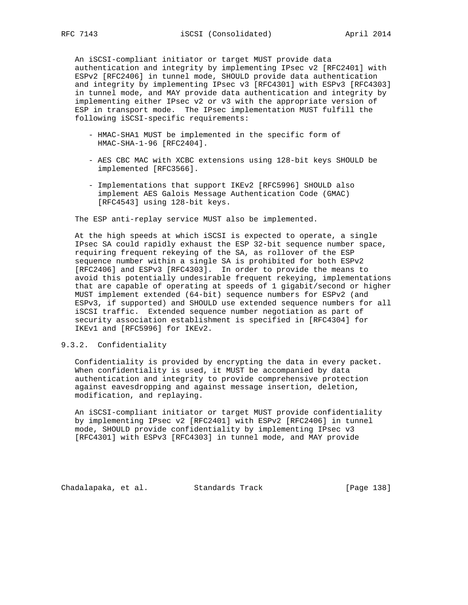An iSCSI-compliant initiator or target MUST provide data authentication and integrity by implementing IPsec v2 [RFC2401] with ESPv2 [RFC2406] in tunnel mode, SHOULD provide data authentication and integrity by implementing IPsec v3 [RFC4301] with ESPv3 [RFC4303] in tunnel mode, and MAY provide data authentication and integrity by implementing either IPsec v2 or v3 with the appropriate version of ESP in transport mode. The IPsec implementation MUST fulfill the following iSCSI-specific requirements:

- HMAC-SHA1 MUST be implemented in the specific form of HMAC-SHA-1-96 [RFC2404].
- AES CBC MAC with XCBC extensions using 128-bit keys SHOULD be implemented [RFC3566].
- Implementations that support IKEv2 [RFC5996] SHOULD also implement AES Galois Message Authentication Code (GMAC) [RFC4543] using 128-bit keys.

The ESP anti-replay service MUST also be implemented.

 At the high speeds at which iSCSI is expected to operate, a single IPsec SA could rapidly exhaust the ESP 32-bit sequence number space, requiring frequent rekeying of the SA, as rollover of the ESP sequence number within a single SA is prohibited for both ESPv2 [RFC2406] and ESPv3 [RFC4303]. In order to provide the means to avoid this potentially undesirable frequent rekeying, implementations that are capable of operating at speeds of 1 gigabit/second or higher MUST implement extended (64-bit) sequence numbers for ESPv2 (and ESPv3, if supported) and SHOULD use extended sequence numbers for all iSCSI traffic. Extended sequence number negotiation as part of security association establishment is specified in [RFC4304] for IKEv1 and [RFC5996] for IKEv2.

# 9.3.2. Confidentiality

 Confidentiality is provided by encrypting the data in every packet. When confidentiality is used, it MUST be accompanied by data authentication and integrity to provide comprehensive protection against eavesdropping and against message insertion, deletion, modification, and replaying.

 An iSCSI-compliant initiator or target MUST provide confidentiality by implementing IPsec v2 [RFC2401] with ESPv2 [RFC2406] in tunnel mode, SHOULD provide confidentiality by implementing IPsec v3 [RFC4301] with ESPv3 [RFC4303] in tunnel mode, and MAY provide

Chadalapaka, et al. Standards Track [Page 138]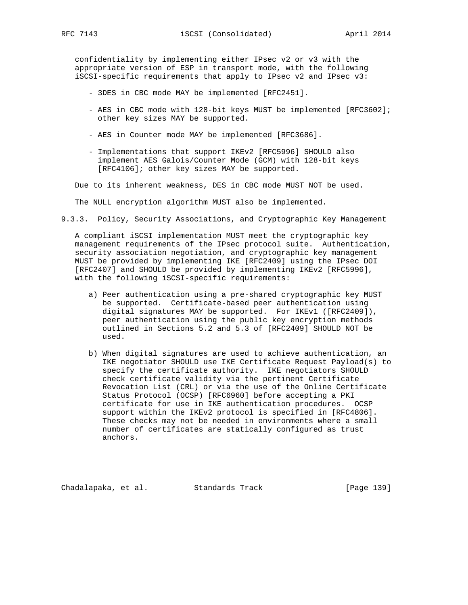confidentiality by implementing either IPsec v2 or v3 with the appropriate version of ESP in transport mode, with the following iSCSI-specific requirements that apply to IPsec v2 and IPsec v3:

- 3DES in CBC mode MAY be implemented [RFC2451].
- AES in CBC mode with 128-bit keys MUST be implemented [RFC3602]; other key sizes MAY be supported.
- AES in Counter mode MAY be implemented [RFC3686].
- Implementations that support IKEv2 [RFC5996] SHOULD also implement AES Galois/Counter Mode (GCM) with 128-bit keys [RFC4106]; other key sizes MAY be supported.

Due to its inherent weakness, DES in CBC mode MUST NOT be used.

The NULL encryption algorithm MUST also be implemented.

9.3.3. Policy, Security Associations, and Cryptographic Key Management

 A compliant iSCSI implementation MUST meet the cryptographic key management requirements of the IPsec protocol suite. Authentication, security association negotiation, and cryptographic key management MUST be provided by implementing IKE [RFC2409] using the IPsec DOI [RFC2407] and SHOULD be provided by implementing IKEv2 [RFC5996], with the following iSCSI-specific requirements:

- a) Peer authentication using a pre-shared cryptographic key MUST be supported. Certificate-based peer authentication using digital signatures MAY be supported. For IKEv1 ([RFC2409]), peer authentication using the public key encryption methods outlined in Sections 5.2 and 5.3 of [RFC2409] SHOULD NOT be used.
- b) When digital signatures are used to achieve authentication, an IKE negotiator SHOULD use IKE Certificate Request Payload(s) to specify the certificate authority. IKE negotiators SHOULD check certificate validity via the pertinent Certificate Revocation List (CRL) or via the use of the Online Certificate Status Protocol (OCSP) [RFC6960] before accepting a PKI certificate for use in IKE authentication procedures. OCSP support within the IKEv2 protocol is specified in [RFC4806]. These checks may not be needed in environments where a small number of certificates are statically configured as trust anchors.

Chadalapaka, et al. Standards Track [Page 139]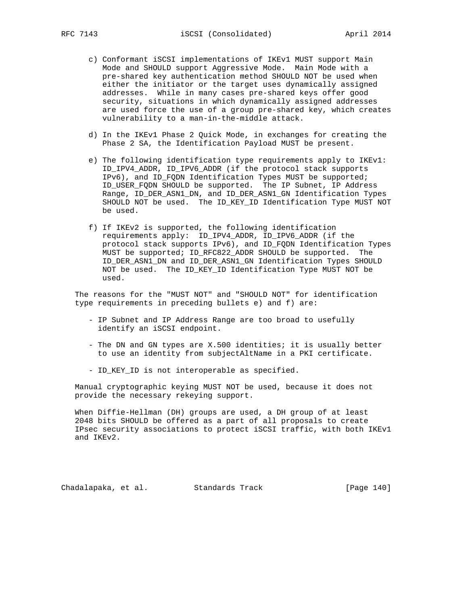- c) Conformant iSCSI implementations of IKEv1 MUST support Main Mode and SHOULD support Aggressive Mode. Main Mode with a pre-shared key authentication method SHOULD NOT be used when either the initiator or the target uses dynamically assigned addresses. While in many cases pre-shared keys offer good security, situations in which dynamically assigned addresses are used force the use of a group pre-shared key, which creates vulnerability to a man-in-the-middle attack.
- d) In the IKEv1 Phase 2 Quick Mode, in exchanges for creating the Phase 2 SA, the Identification Payload MUST be present.
- e) The following identification type requirements apply to IKEv1: ID\_IPV4\_ADDR, ID\_IPV6\_ADDR (if the protocol stack supports IPv6), and ID\_FQDN Identification Types MUST be supported; ID\_USER\_FQDN SHOULD be supported. The IP Subnet, IP Address Range, ID\_DER\_ASN1\_DN, and ID\_DER\_ASN1\_GN Identification Types SHOULD NOT be used. The ID\_KEY\_ID Identification Type MUST NOT be used.
- f) If IKEv2 is supported, the following identification requirements apply: ID\_IPV4\_ADDR, ID\_IPV6\_ADDR (if the protocol stack supports IPv6), and ID\_FQDN Identification Types MUST be supported; ID\_RFC822\_ADDR SHOULD be supported. The ID\_DER\_ASN1\_DN and ID\_DER\_ASN1\_GN Identification Types SHOULD NOT be used. The ID\_KEY\_ID Identification Type MUST NOT be used.

 The reasons for the "MUST NOT" and "SHOULD NOT" for identification type requirements in preceding bullets e) and f) are:

- IP Subnet and IP Address Range are too broad to usefully identify an iSCSI endpoint.
- The DN and GN types are X.500 identities; it is usually better to use an identity from subjectAltName in a PKI certificate.
- ID\_KEY\_ID is not interoperable as specified.

 Manual cryptographic keying MUST NOT be used, because it does not provide the necessary rekeying support.

 When Diffie-Hellman (DH) groups are used, a DH group of at least 2048 bits SHOULD be offered as a part of all proposals to create IPsec security associations to protect iSCSI traffic, with both IKEv1 and IKEv2.

Chadalapaka, et al. Standards Track [Page 140]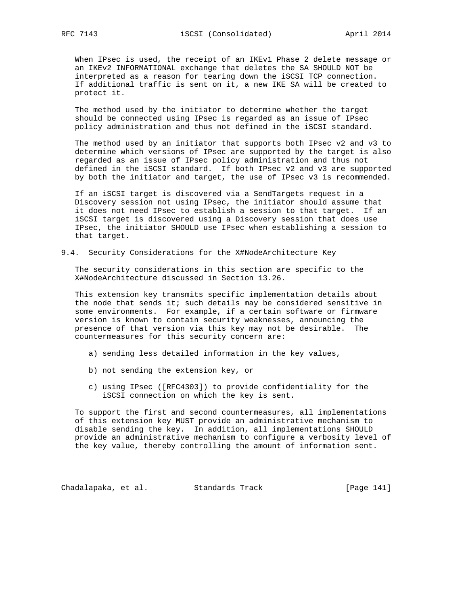When IPsec is used, the receipt of an IKEv1 Phase 2 delete message or an IKEv2 INFORMATIONAL exchange that deletes the SA SHOULD NOT be interpreted as a reason for tearing down the iSCSI TCP connection. If additional traffic is sent on it, a new IKE SA will be created to protect it.

 The method used by the initiator to determine whether the target should be connected using IPsec is regarded as an issue of IPsec policy administration and thus not defined in the iSCSI standard.

 The method used by an initiator that supports both IPsec v2 and v3 to determine which versions of IPsec are supported by the target is also regarded as an issue of IPsec policy administration and thus not defined in the iSCSI standard. If both IPsec v2 and v3 are supported by both the initiator and target, the use of IPsec v3 is recommended.

 If an iSCSI target is discovered via a SendTargets request in a Discovery session not using IPsec, the initiator should assume that it does not need IPsec to establish a session to that target. If an iSCSI target is discovered using a Discovery session that does use IPsec, the initiator SHOULD use IPsec when establishing a session to that target.

#### 9.4. Security Considerations for the X#NodeArchitecture Key

 The security considerations in this section are specific to the X#NodeArchitecture discussed in Section 13.26.

 This extension key transmits specific implementation details about the node that sends it; such details may be considered sensitive in some environments. For example, if a certain software or firmware version is known to contain security weaknesses, announcing the presence of that version via this key may not be desirable. The countermeasures for this security concern are:

- a) sending less detailed information in the key values,
- b) not sending the extension key, or
- c) using IPsec ([RFC4303]) to provide confidentiality for the iSCSI connection on which the key is sent.

 To support the first and second countermeasures, all implementations of this extension key MUST provide an administrative mechanism to disable sending the key. In addition, all implementations SHOULD provide an administrative mechanism to configure a verbosity level of the key value, thereby controlling the amount of information sent.

Chadalapaka, et al. Standards Track [Page 141]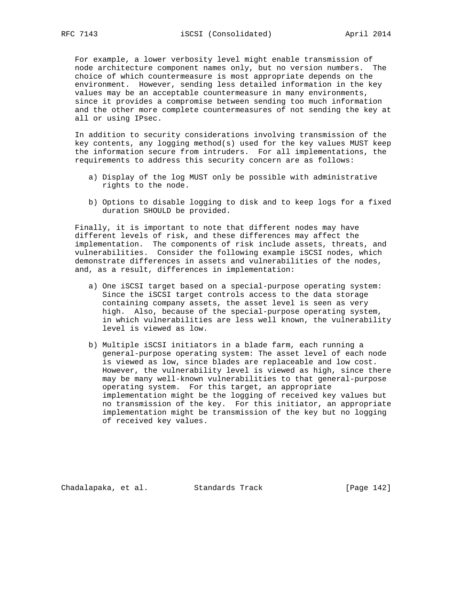For example, a lower verbosity level might enable transmission of node architecture component names only, but no version numbers. The choice of which countermeasure is most appropriate depends on the environment. However, sending less detailed information in the key values may be an acceptable countermeasure in many environments, since it provides a compromise between sending too much information and the other more complete countermeasures of not sending the key at all or using IPsec.

 In addition to security considerations involving transmission of the key contents, any logging method(s) used for the key values MUST keep the information secure from intruders. For all implementations, the requirements to address this security concern are as follows:

- a) Display of the log MUST only be possible with administrative rights to the node.
- b) Options to disable logging to disk and to keep logs for a fixed duration SHOULD be provided.

 Finally, it is important to note that different nodes may have different levels of risk, and these differences may affect the implementation. The components of risk include assets, threats, and vulnerabilities. Consider the following example iSCSI nodes, which demonstrate differences in assets and vulnerabilities of the nodes, and, as a result, differences in implementation:

- a) One iSCSI target based on a special-purpose operating system: Since the iSCSI target controls access to the data storage containing company assets, the asset level is seen as very high. Also, because of the special-purpose operating system, in which vulnerabilities are less well known, the vulnerability level is viewed as low.
- b) Multiple iSCSI initiators in a blade farm, each running a general-purpose operating system: The asset level of each node is viewed as low, since blades are replaceable and low cost. However, the vulnerability level is viewed as high, since there may be many well-known vulnerabilities to that general-purpose operating system. For this target, an appropriate implementation might be the logging of received key values but no transmission of the key. For this initiator, an appropriate implementation might be transmission of the key but no logging of received key values.

Chadalapaka, et al. Standards Track [Page 142]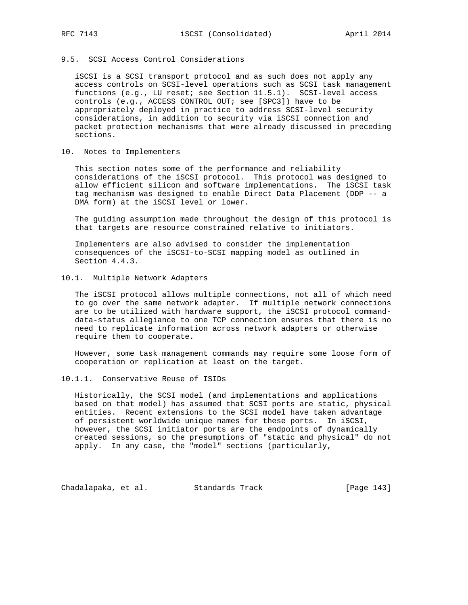# 9.5. SCSI Access Control Considerations

 iSCSI is a SCSI transport protocol and as such does not apply any access controls on SCSI-level operations such as SCSI task management functions (e.g., LU reset; see Section 11.5.1). SCSI-level access controls (e.g., ACCESS CONTROL OUT; see [SPC3]) have to be appropriately deployed in practice to address SCSI-level security considerations, in addition to security via iSCSI connection and packet protection mechanisms that were already discussed in preceding sections.

### 10. Notes to Implementers

 This section notes some of the performance and reliability considerations of the iSCSI protocol. This protocol was designed to allow efficient silicon and software implementations. The iSCSI task tag mechanism was designed to enable Direct Data Placement (DDP -- a DMA form) at the iSCSI level or lower.

 The guiding assumption made throughout the design of this protocol is that targets are resource constrained relative to initiators.

 Implementers are also advised to consider the implementation consequences of the iSCSI-to-SCSI mapping model as outlined in Section 4.4.3.

# 10.1. Multiple Network Adapters

 The iSCSI protocol allows multiple connections, not all of which need to go over the same network adapter. If multiple network connections are to be utilized with hardware support, the iSCSI protocol command data-status allegiance to one TCP connection ensures that there is no need to replicate information across network adapters or otherwise require them to cooperate.

 However, some task management commands may require some loose form of cooperation or replication at least on the target.

# 10.1.1. Conservative Reuse of ISIDs

 Historically, the SCSI model (and implementations and applications based on that model) has assumed that SCSI ports are static, physical entities. Recent extensions to the SCSI model have taken advantage of persistent worldwide unique names for these ports. In iSCSI, however, the SCSI initiator ports are the endpoints of dynamically created sessions, so the presumptions of "static and physical" do not apply. In any case, the "model" sections (particularly,

Chadalapaka, et al. Standards Track [Page 143]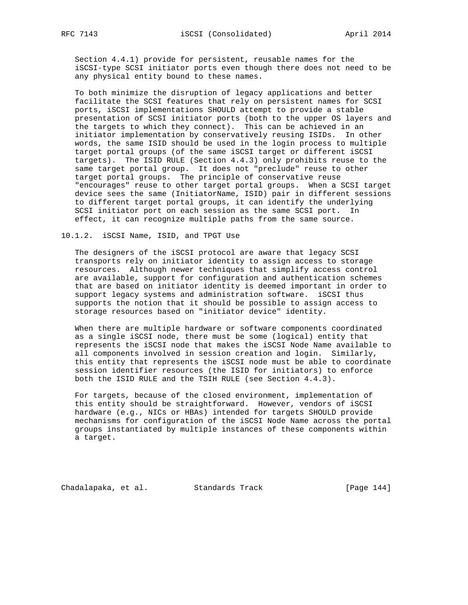Section 4.4.1) provide for persistent, reusable names for the iSCSI-type SCSI initiator ports even though there does not need to be any physical entity bound to these names.

 To both minimize the disruption of legacy applications and better facilitate the SCSI features that rely on persistent names for SCSI ports, iSCSI implementations SHOULD attempt to provide a stable presentation of SCSI initiator ports (both to the upper OS layers and the targets to which they connect). This can be achieved in an initiator implementation by conservatively reusing ISIDs. In other words, the same ISID should be used in the login process to multiple target portal groups (of the same iSCSI target or different iSCSI targets). The ISID RULE (Section 4.4.3) only prohibits reuse to the same target portal group. It does not "preclude" reuse to other target portal groups. The principle of conservative reuse "encourages" reuse to other target portal groups. When a SCSI target device sees the same (InitiatorName, ISID) pair in different sessions to different target portal groups, it can identify the underlying SCSI initiator port on each session as the same SCSI port. In effect, it can recognize multiple paths from the same source.

10.1.2. iSCSI Name, ISID, and TPGT Use

 The designers of the iSCSI protocol are aware that legacy SCSI transports rely on initiator identity to assign access to storage resources. Although newer techniques that simplify access control are available, support for configuration and authentication schemes that are based on initiator identity is deemed important in order to support legacy systems and administration software. iSCSI thus supports the notion that it should be possible to assign access to storage resources based on "initiator device" identity.

 When there are multiple hardware or software components coordinated as a single iSCSI node, there must be some (logical) entity that represents the iSCSI node that makes the iSCSI Node Name available to all components involved in session creation and login. Similarly, this entity that represents the iSCSI node must be able to coordinate session identifier resources (the ISID for initiators) to enforce both the ISID RULE and the TSIH RULE (see Section 4.4.3).

 For targets, because of the closed environment, implementation of this entity should be straightforward. However, vendors of iSCSI hardware (e.g., NICs or HBAs) intended for targets SHOULD provide mechanisms for configuration of the iSCSI Node Name across the portal groups instantiated by multiple instances of these components within a target.

Chadalapaka, et al. Standards Track [Page 144]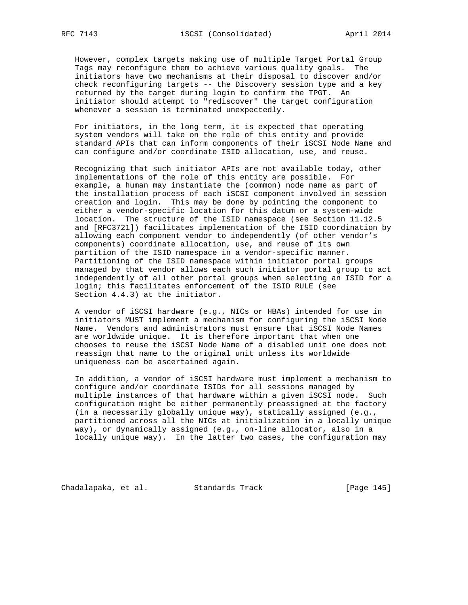However, complex targets making use of multiple Target Portal Group Tags may reconfigure them to achieve various quality goals. The initiators have two mechanisms at their disposal to discover and/or check reconfiguring targets -- the Discovery session type and a key returned by the target during login to confirm the TPGT. An initiator should attempt to "rediscover" the target configuration whenever a session is terminated unexpectedly.

 For initiators, in the long term, it is expected that operating system vendors will take on the role of this entity and provide standard APIs that can inform components of their iSCSI Node Name and can configure and/or coordinate ISID allocation, use, and reuse.

 Recognizing that such initiator APIs are not available today, other implementations of the role of this entity are possible. For example, a human may instantiate the (common) node name as part of the installation process of each iSCSI component involved in session creation and login. This may be done by pointing the component to either a vendor-specific location for this datum or a system-wide location. The structure of the ISID namespace (see Section 11.12.5 and [RFC3721]) facilitates implementation of the ISID coordination by allowing each component vendor to independently (of other vendor's components) coordinate allocation, use, and reuse of its own partition of the ISID namespace in a vendor-specific manner. Partitioning of the ISID namespace within initiator portal groups managed by that vendor allows each such initiator portal group to act independently of all other portal groups when selecting an ISID for a login; this facilitates enforcement of the ISID RULE (see Section 4.4.3) at the initiator.

 A vendor of iSCSI hardware (e.g., NICs or HBAs) intended for use in initiators MUST implement a mechanism for configuring the iSCSI Node Name. Vendors and administrators must ensure that iSCSI Node Names are worldwide unique. It is therefore important that when one chooses to reuse the iSCSI Node Name of a disabled unit one does not reassign that name to the original unit unless its worldwide uniqueness can be ascertained again.

 In addition, a vendor of iSCSI hardware must implement a mechanism to configure and/or coordinate ISIDs for all sessions managed by multiple instances of that hardware within a given iSCSI node. Such configuration might be either permanently preassigned at the factory (in a necessarily globally unique way), statically assigned (e.g., partitioned across all the NICs at initialization in a locally unique way), or dynamically assigned (e.g., on-line allocator, also in a locally unique way). In the latter two cases, the configuration may

Chadalapaka, et al. Standards Track [Page 145]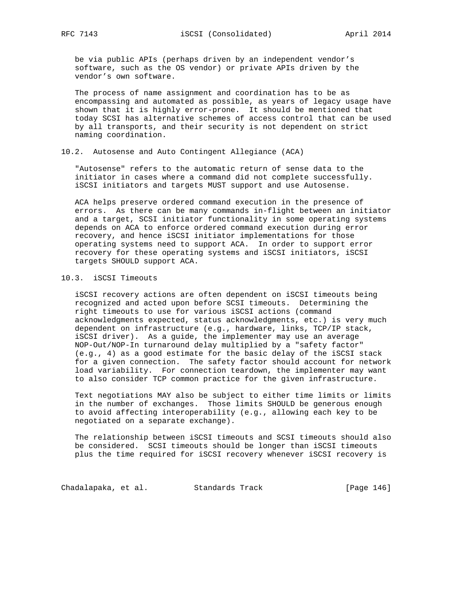be via public APIs (perhaps driven by an independent vendor's software, such as the OS vendor) or private APIs driven by the vendor's own software.

 The process of name assignment and coordination has to be as encompassing and automated as possible, as years of legacy usage have shown that it is highly error-prone. It should be mentioned that today SCSI has alternative schemes of access control that can be used by all transports, and their security is not dependent on strict naming coordination.

#### 10.2. Autosense and Auto Contingent Allegiance (ACA)

 "Autosense" refers to the automatic return of sense data to the initiator in cases where a command did not complete successfully. iSCSI initiators and targets MUST support and use Autosense.

 ACA helps preserve ordered command execution in the presence of errors. As there can be many commands in-flight between an initiator and a target, SCSI initiator functionality in some operating systems depends on ACA to enforce ordered command execution during error recovery, and hence iSCSI initiator implementations for those operating systems need to support ACA. In order to support error recovery for these operating systems and iSCSI initiators, iSCSI targets SHOULD support ACA.

# 10.3. iSCSI Timeouts

 iSCSI recovery actions are often dependent on iSCSI timeouts being recognized and acted upon before SCSI timeouts. Determining the right timeouts to use for various iSCSI actions (command acknowledgments expected, status acknowledgments, etc.) is very much dependent on infrastructure (e.g., hardware, links, TCP/IP stack, iSCSI driver). As a guide, the implementer may use an average NOP-Out/NOP-In turnaround delay multiplied by a "safety factor" (e.g., 4) as a good estimate for the basic delay of the iSCSI stack for a given connection. The safety factor should account for network load variability. For connection teardown, the implementer may want to also consider TCP common practice for the given infrastructure.

 Text negotiations MAY also be subject to either time limits or limits in the number of exchanges. Those limits SHOULD be generous enough to avoid affecting interoperability (e.g., allowing each key to be negotiated on a separate exchange).

 The relationship between iSCSI timeouts and SCSI timeouts should also be considered. SCSI timeouts should be longer than iSCSI timeouts plus the time required for iSCSI recovery whenever iSCSI recovery is

Chadalapaka, et al. Standards Track [Page 146]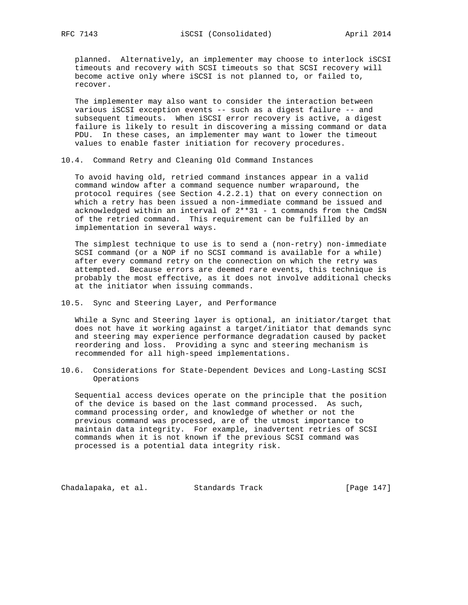planned. Alternatively, an implementer may choose to interlock iSCSI timeouts and recovery with SCSI timeouts so that SCSI recovery will become active only where iSCSI is not planned to, or failed to, recover.

 The implementer may also want to consider the interaction between various iSCSI exception events -- such as a digest failure -- and subsequent timeouts. When iSCSI error recovery is active, a digest failure is likely to result in discovering a missing command or data PDU. In these cases, an implementer may want to lower the timeout values to enable faster initiation for recovery procedures.

10.4. Command Retry and Cleaning Old Command Instances

 To avoid having old, retried command instances appear in a valid command window after a command sequence number wraparound, the protocol requires (see Section 4.2.2.1) that on every connection on which a retry has been issued a non-immediate command be issued and acknowledged within an interval of 2\*\*31 - 1 commands from the CmdSN of the retried command. This requirement can be fulfilled by an implementation in several ways.

 The simplest technique to use is to send a (non-retry) non-immediate SCSI command (or a NOP if no SCSI command is available for a while) after every command retry on the connection on which the retry was attempted. Because errors are deemed rare events, this technique is probably the most effective, as it does not involve additional checks at the initiator when issuing commands.

10.5. Sync and Steering Layer, and Performance

 While a Sync and Steering layer is optional, an initiator/target that does not have it working against a target/initiator that demands sync and steering may experience performance degradation caused by packet reordering and loss. Providing a sync and steering mechanism is recommended for all high-speed implementations.

10.6. Considerations for State-Dependent Devices and Long-Lasting SCSI Operations

 Sequential access devices operate on the principle that the position of the device is based on the last command processed. As such, command processing order, and knowledge of whether or not the previous command was processed, are of the utmost importance to maintain data integrity. For example, inadvertent retries of SCSI commands when it is not known if the previous SCSI command was processed is a potential data integrity risk.

Chadalapaka, et al. Standards Track [Page 147]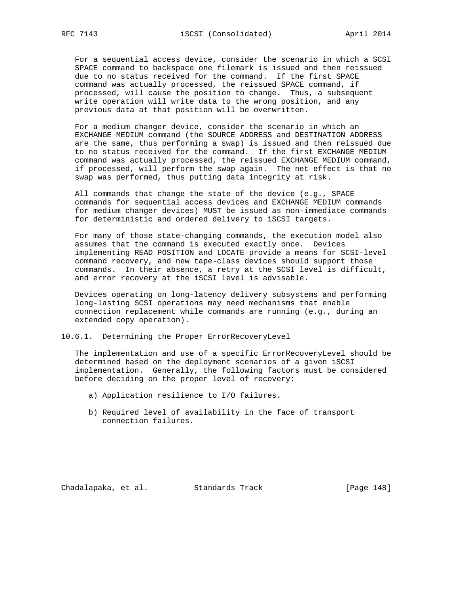For a sequential access device, consider the scenario in which a SCSI SPACE command to backspace one filemark is issued and then reissued due to no status received for the command. If the first SPACE command was actually processed, the reissued SPACE command, if processed, will cause the position to change. Thus, a subsequent write operation will write data to the wrong position, and any previous data at that position will be overwritten.

 For a medium changer device, consider the scenario in which an EXCHANGE MEDIUM command (the SOURCE ADDRESS and DESTINATION ADDRESS are the same, thus performing a swap) is issued and then reissued due to no status received for the command. If the first EXCHANGE MEDIUM command was actually processed, the reissued EXCHANGE MEDIUM command, if processed, will perform the swap again. The net effect is that no swap was performed, thus putting data integrity at risk.

 All commands that change the state of the device (e.g., SPACE commands for sequential access devices and EXCHANGE MEDIUM commands for medium changer devices) MUST be issued as non-immediate commands for deterministic and ordered delivery to iSCSI targets.

 For many of those state-changing commands, the execution model also assumes that the command is executed exactly once. Devices implementing READ POSITION and LOCATE provide a means for SCSI-level command recovery, and new tape-class devices should support those commands. In their absence, a retry at the SCSI level is difficult, and error recovery at the iSCSI level is advisable.

 Devices operating on long-latency delivery subsystems and performing long-lasting SCSI operations may need mechanisms that enable connection replacement while commands are running (e.g., during an extended copy operation).

10.6.1. Determining the Proper ErrorRecoveryLevel

 The implementation and use of a specific ErrorRecoveryLevel should be determined based on the deployment scenarios of a given iSCSI implementation. Generally, the following factors must be considered before deciding on the proper level of recovery:

- a) Application resilience to I/O failures.
- b) Required level of availability in the face of transport connection failures.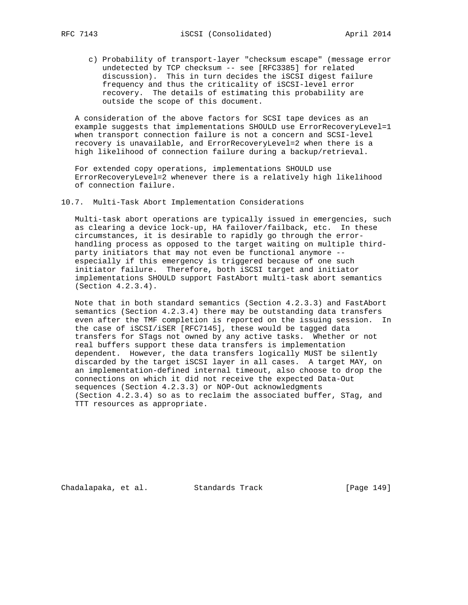c) Probability of transport-layer "checksum escape" (message error undetected by TCP checksum -- see [RFC3385] for related discussion). This in turn decides the iSCSI digest failure frequency and thus the criticality of iSCSI-level error recovery. The details of estimating this probability are outside the scope of this document.

 A consideration of the above factors for SCSI tape devices as an example suggests that implementations SHOULD use ErrorRecoveryLevel=1 when transport connection failure is not a concern and SCSI-level recovery is unavailable, and ErrorRecoveryLevel=2 when there is a high likelihood of connection failure during a backup/retrieval.

 For extended copy operations, implementations SHOULD use ErrorRecoveryLevel=2 whenever there is a relatively high likelihood of connection failure.

#### 10.7. Multi-Task Abort Implementation Considerations

 Multi-task abort operations are typically issued in emergencies, such as clearing a device lock-up, HA failover/failback, etc. In these circumstances, it is desirable to rapidly go through the error handling process as opposed to the target waiting on multiple third party initiators that may not even be functional anymore - especially if this emergency is triggered because of one such initiator failure. Therefore, both iSCSI target and initiator implementations SHOULD support FastAbort multi-task abort semantics (Section 4.2.3.4).

 Note that in both standard semantics (Section 4.2.3.3) and FastAbort semantics (Section 4.2.3.4) there may be outstanding data transfers even after the TMF completion is reported on the issuing session. In the case of iSCSI/iSER [RFC7145], these would be tagged data transfers for STags not owned by any active tasks. Whether or not real buffers support these data transfers is implementation dependent. However, the data transfers logically MUST be silently discarded by the target iSCSI layer in all cases. A target MAY, on an implementation-defined internal timeout, also choose to drop the connections on which it did not receive the expected Data-Out sequences (Section 4.2.3.3) or NOP-Out acknowledgments (Section 4.2.3.4) so as to reclaim the associated buffer, STag, and TTT resources as appropriate.

Chadalapaka, et al. Standards Track (Page 149)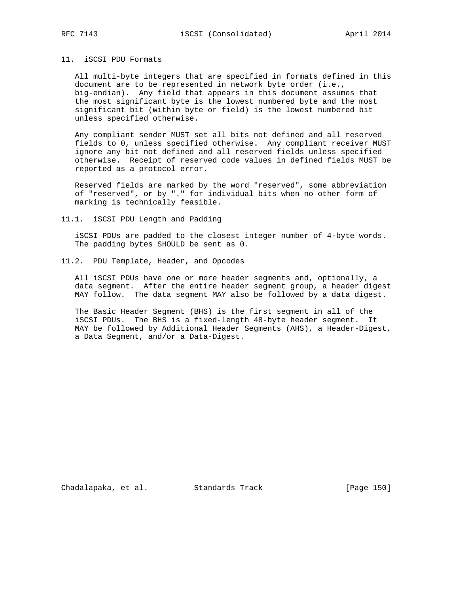# 11. iSCSI PDU Formats

 All multi-byte integers that are specified in formats defined in this document are to be represented in network byte order (i.e., big-endian). Any field that appears in this document assumes that the most significant byte is the lowest numbered byte and the most significant bit (within byte or field) is the lowest numbered bit unless specified otherwise.

 Any compliant sender MUST set all bits not defined and all reserved fields to 0, unless specified otherwise. Any compliant receiver MUST ignore any bit not defined and all reserved fields unless specified otherwise. Receipt of reserved code values in defined fields MUST be reported as a protocol error.

 Reserved fields are marked by the word "reserved", some abbreviation of "reserved", or by "." for individual bits when no other form of marking is technically feasible.

#### 11.1. iSCSI PDU Length and Padding

 iSCSI PDUs are padded to the closest integer number of 4-byte words. The padding bytes SHOULD be sent as 0.

11.2. PDU Template, Header, and Opcodes

 All iSCSI PDUs have one or more header segments and, optionally, a data segment. After the entire header segment group, a header digest MAY follow. The data segment MAY also be followed by a data digest.

 The Basic Header Segment (BHS) is the first segment in all of the iSCSI PDUs. The BHS is a fixed-length 48-byte header segment. It MAY be followed by Additional Header Segments (AHS), a Header-Digest, a Data Segment, and/or a Data-Digest.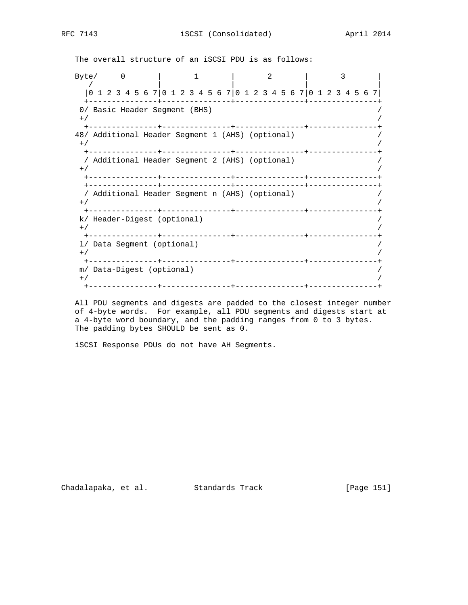The overall structure of an iSCSI PDU is as follows:

Byte/ 0 | 1 | 2 | 3 / | | | | |0 1 2 3 4 5 6 7|0 1 2 3 4 5 6 7|0 1 2 3 4 5 6 7|0 1 2 3 4 5 6 7| +---------------+---------------+---------------+---------------+ 0/ Basic Header Segment (BHS)  $^{+/-}$  /  $^{+/-}$  /  $^{+/-}$  /  $^{+/-}$  /  $^{+/-}$  /  $^{+/-}$  /  $^{+/-}$  /  $^{+/-}$  /  $^{+/-}$  /  $^{+/-}$  /  $^{+/-}$  /  $^{+/-}$  /  $^{+/-}$  /  $^{+/-}$  /  $^{+/-}$  /  $^{+/-}$  /  $^{+/-}$  /  $^{+/-}$  /  $^{+/-}$  /  $^{+/-}$  /  $^{+/-}$  /  $^{+/-}$  /  $^{+/-}$  /  $^{+/-}$  /  $^{+/-}$  +---------------+---------------+---------------+---------------+ 48/ Additional Header Segment 1 (AHS) (optional) /  $^{+/-}$  /  $^{+/-}$  /  $^{+/-}$  /  $^{+/-}$  /  $^{+/-}$  /  $^{+/-}$  /  $^{+/-}$  /  $^{+/-}$  /  $^{+/-}$  /  $^{+/-}$  /  $^{+/-}$  /  $^{+/-}$  /  $^{+/-}$  /  $^{+/-}$  /  $^{+/-}$  /  $^{+/-}$  /  $^{+/-}$  /  $^{+/-}$  /  $^{+/-}$  /  $^{+/-}$  /  $^{+/-}$  /  $^{+/-}$  /  $^{+/-}$  /  $^{+/-}$  /  $^{+/-}$  +---------------+---------------+---------------+---------------+ / Additional Header Segment 2 (AHS) (optional) /  $^{+/-}$  /  $^{+/-}$  /  $^{+/-}$  /  $^{+/-}$  /  $^{+/-}$  /  $^{+/-}$  /  $^{+/-}$  /  $^{+/-}$  /  $^{+/-}$  /  $^{+/-}$  /  $^{+/-}$  /  $^{+/-}$  /  $^{+/-}$  /  $^{+/-}$  /  $^{+/-}$  /  $^{+/-}$  /  $^{+/-}$  /  $^{+/-}$  /  $^{+/-}$  /  $^{+/-}$  /  $^{+/-}$  /  $^{+/-}$  /  $^{+/-}$  /  $^{+/-}$  /  $^{+/-}$  +---------------+---------------+---------------+---------------+ +---------------+---------------+---------------+---------------+ / Additional Header Segment n (AHS) (optional) /  $^{+/-}$  /  $^{+/-}$  /  $^{+/-}$  /  $^{+/-}$  /  $^{+/-}$  /  $^{+/-}$  /  $^{+/-}$  /  $^{+/-}$  /  $^{+/-}$  /  $^{+/-}$  /  $^{+/-}$  /  $^{+/-}$  /  $^{+/-}$  /  $^{+/-}$  /  $^{+/-}$  /  $^{+/-}$  /  $^{+/-}$  /  $^{+/-}$  /  $^{+/-}$  /  $^{+/-}$  /  $^{+/-}$  /  $^{+/-}$  /  $^{+/-}$  /  $^{+/-}$  /  $^{+/-}$  +---------------+---------------+---------------+---------------+ k/ Header-Digest (optional) /  $^{+/-}$  /  $^{+/-}$  /  $^{+/-}$  /  $^{+/-}$  /  $^{+/-}$  /  $^{+/-}$  /  $^{+/-}$  /  $^{+/-}$  /  $^{+/-}$  /  $^{+/-}$  /  $^{+/-}$  /  $^{+/-}$  /  $^{+/-}$  /  $^{+/-}$  /  $^{+/-}$  /  $^{+/-}$  /  $^{+/-}$  /  $^{+/-}$  /  $^{+/-}$  /  $^{+/-}$  /  $^{+/-}$  /  $^{+/-}$  /  $^{+/-}$  /  $^{+/-}$  /  $^{+/-}$  +---------------+---------------+---------------+---------------+ l/ Data Segment (optional) /  $^{+/-}$  /  $^{+/-}$  /  $^{+/-}$  /  $^{+/-}$  /  $^{+/-}$  /  $^{+/-}$  /  $^{+/-}$  /  $^{+/-}$  /  $^{+/-}$  /  $^{+/-}$  /  $^{+/-}$  /  $^{+/-}$  /  $^{+/-}$  /  $^{+/-}$  /  $^{+/-}$  /  $^{+/-}$  /  $^{+/-}$  /  $^{+/-}$  /  $^{+/-}$  /  $^{+/-}$  /  $^{+/-}$  /  $^{+/-}$  /  $^{+/-}$  /  $^{+/-}$  /  $^{+/-}$  +---------------+---------------+---------------+---------------+ m/ Data-Digest (optional) /  $^{+/-}$  /  $^{+/-}$  /  $^{+/-}$  /  $^{+/-}$  /  $^{+/-}$  /  $^{+/-}$  /  $^{+/-}$  /  $^{+/-}$  /  $^{+/-}$  /  $^{+/-}$  /  $^{+/-}$  /  $^{+/-}$  /  $^{+/-}$  /  $^{+/-}$  /  $^{+/-}$  /  $^{+/-}$  /  $^{+/-}$  /  $^{+/-}$  /  $^{+/-}$  /  $^{+/-}$  /  $^{+/-}$  /  $^{+/-}$  /  $^{+/-}$  /  $^{+/-}$  /  $^{+/-}$ +---------------+---------------+---------------+---------------+

 All PDU segments and digests are padded to the closest integer number of 4-byte words. For example, all PDU segments and digests start at a 4-byte word boundary, and the padding ranges from 0 to 3 bytes. The padding bytes SHOULD be sent as 0.

iSCSI Response PDUs do not have AH Segments.

Chadalapaka, et al. Standards Track [Page 151]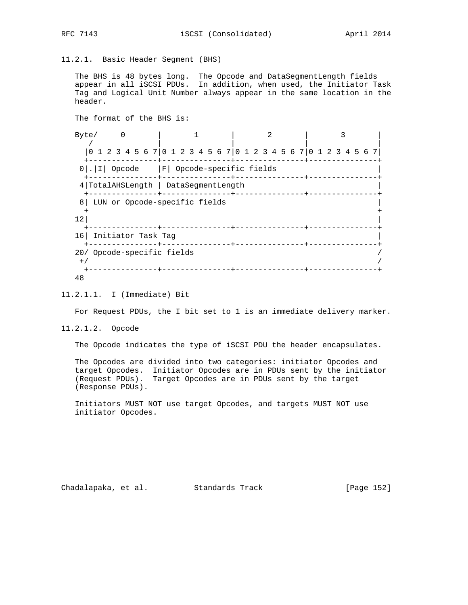11.2.1. Basic Header Segment (BHS)

 The BHS is 48 bytes long. The Opcode and DataSegmentLength fields appear in all iSCSI PDUs. In addition, when used, the Initiator Task Tag and Logical Unit Number always appear in the same location in the header.

 The format of the BHS is: Byte/ 0 | 1 | 2 | 3 | / | | | | |0 1 2 3 4 5 6 7|0 1 2 3 4 5 6 7|0 1 2 3 4 5 6 7|0 1 2 3 4 5 6 7| +---------------+---------------+---------------+---------------+ 0|.|I| Opcode |F| Opcode-specific fields +---------------+---------------+---------------+---------------+ 4|TotalAHSLength | DataSegmentLength | +---------------+---------------+---------------+---------------+ 8| LUN or Opcode-specific fields | + +  $\vert$  12| +---------------+---------------+---------------+---------------+ 16| Initiator Task Tag | +---------------+---------------+---------------+---------------+ 20/ Opcode-specific fields /  $^{+/-}$  /  $^{+/-}$  /  $^{+/-}$  /  $^{+/-}$  /  $^{+/-}$  /  $^{+/-}$  /  $^{+/-}$  /  $^{+/-}$  /  $^{+/-}$  /  $^{+/-}$  /  $^{+/-}$  /  $^{+/-}$  /  $^{+/-}$  /  $^{+/-}$  /  $^{+/-}$  /  $^{+/-}$  /  $^{+/-}$  /  $^{+/-}$  /  $^{+/-}$  /  $^{+/-}$  /  $^{+/-}$  /  $^{+/-}$  /  $^{+/-}$  /  $^{+/-}$  /  $^{+/-}$  +---------------+---------------+---------------+---------------+ 48

### 11.2.1.1. I (Immediate) Bit

For Request PDUs, the I bit set to 1 is an immediate delivery marker.

11.2.1.2. Opcode

The Opcode indicates the type of iSCSI PDU the header encapsulates.

 The Opcodes are divided into two categories: initiator Opcodes and target Opcodes. Initiator Opcodes are in PDUs sent by the initiator (Request PDUs). Target Opcodes are in PDUs sent by the target (Response PDUs).

 Initiators MUST NOT use target Opcodes, and targets MUST NOT use initiator Opcodes.

Chadalapaka, et al. Standards Track [Page 152]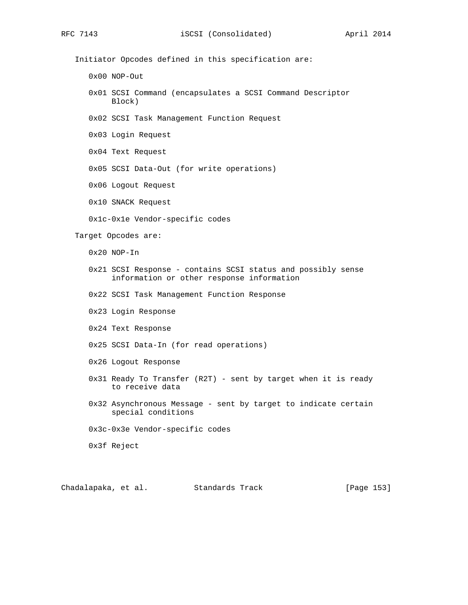Initiator Opcodes defined in this specification are:

0x00 NOP-Out

- 0x01 SCSI Command (encapsulates a SCSI Command Descriptor Block)
- 0x02 SCSI Task Management Function Request

0x03 Login Request

0x04 Text Request

0x05 SCSI Data-Out (for write operations)

0x06 Logout Request

0x10 SNACK Request

0x1c-0x1e Vendor-specific codes

Target Opcodes are:

0x20 NOP-In

- 0x21 SCSI Response contains SCSI status and possibly sense information or other response information
- 0x22 SCSI Task Management Function Response
- 0x23 Login Response
- 0x24 Text Response
- 0x25 SCSI Data-In (for read operations)
- 0x26 Logout Response
- 0x31 Ready To Transfer (R2T) sent by target when it is ready to receive data
- 0x32 Asynchronous Message sent by target to indicate certain special conditions
- 0x3c-0x3e Vendor-specific codes

0x3f Reject

Chadalapaka, et al. Standards Track [Page 153]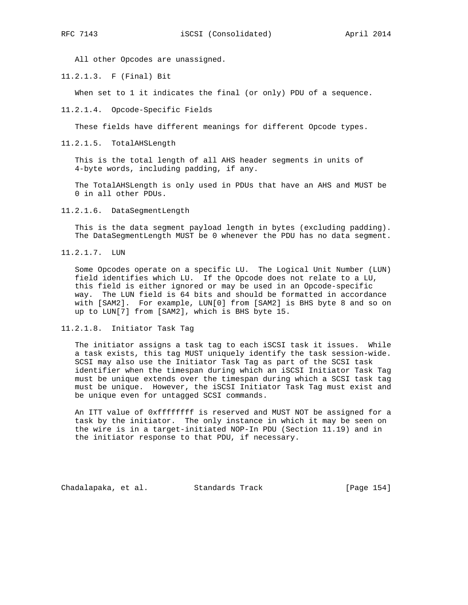All other Opcodes are unassigned.

11.2.1.3. F (Final) Bit

When set to 1 it indicates the final (or only) PDU of a sequence.

11.2.1.4. Opcode-Specific Fields

These fields have different meanings for different Opcode types.

11.2.1.5. TotalAHSLength

 This is the total length of all AHS header segments in units of 4-byte words, including padding, if any.

 The TotalAHSLength is only used in PDUs that have an AHS and MUST be 0 in all other PDUs.

11.2.1.6. DataSegmentLength

 This is the data segment payload length in bytes (excluding padding). The DataSegmentLength MUST be 0 whenever the PDU has no data segment.

11.2.1.7. LUN

 Some Opcodes operate on a specific LU. The Logical Unit Number (LUN) field identifies which LU. If the Opcode does not relate to a LU, this field is either ignored or may be used in an Opcode-specific way. The LUN field is 64 bits and should be formatted in accordance with [SAM2]. For example, LUN[0] from [SAM2] is BHS byte 8 and so on up to LUN[7] from [SAM2], which is BHS byte 15.

11.2.1.8. Initiator Task Tag

 The initiator assigns a task tag to each iSCSI task it issues. While a task exists, this tag MUST uniquely identify the task session-wide. SCSI may also use the Initiator Task Tag as part of the SCSI task identifier when the timespan during which an iSCSI Initiator Task Tag must be unique extends over the timespan during which a SCSI task tag must be unique. However, the iSCSI Initiator Task Tag must exist and be unique even for untagged SCSI commands.

 An ITT value of 0xffffffff is reserved and MUST NOT be assigned for a task by the initiator. The only instance in which it may be seen on the wire is in a target-initiated NOP-In PDU (Section 11.19) and in the initiator response to that PDU, if necessary.

Chadalapaka, et al. Standards Track [Page 154]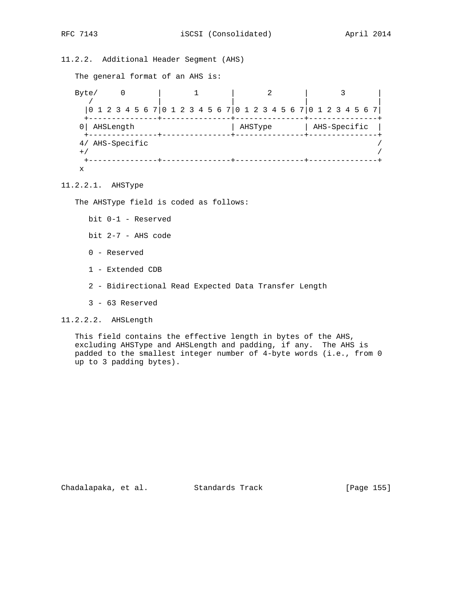11.2.2. Additional Header Segment (AHS)

The general format of an AHS is:

Byte/ 0 | 1 | 2 | 3 | / | | | | |0 1 2 3 4 5 6 7|0 1 2 3 4 5 6 7|0 1 2 3 4 5 6 7|0 1 2 3 4 5 6 7| +---------------+---------------+---------------+---------------+ | AHSType | AHS-Specific | +---------------+---------------+---------------+---------------+ 4/ AHS-Specific /  $^{+/-}$  /  $^{+/-}$  /  $^{+/-}$  /  $^{+/-}$  /  $^{+/-}$  /  $^{+/-}$  /  $^{+/-}$  /  $^{+/-}$  /  $^{+/-}$  /  $^{+/-}$  /  $^{+/-}$  /  $^{+/-}$  /  $^{+/-}$  /  $^{+/-}$  /  $^{+/-}$  /  $^{+/-}$  /  $^{+/-}$  /  $^{+/-}$  /  $^{+/-}$  /  $^{+/-}$  /  $^{+/-}$  /  $^{+/-}$  /  $^{+/-}$  /  $^{+/-}$  /  $^{+/-}$  +---------------+---------------+---------------+---------------+ x

11.2.2.1. AHSType

The AHSType field is coded as follows:

bit 0-1 - Reserved

bit 2-7 - AHS code

0 - Reserved

- 1 Extended CDB
- 2 Bidirectional Read Expected Data Transfer Length
- 3 63 Reserved

11.2.2.2. AHSLength

 This field contains the effective length in bytes of the AHS, excluding AHSType and AHSLength and padding, if any. The AHS is padded to the smallest integer number of 4-byte words (i.e., from 0 up to 3 padding bytes).

Chadalapaka, et al. Standards Track [Page 155]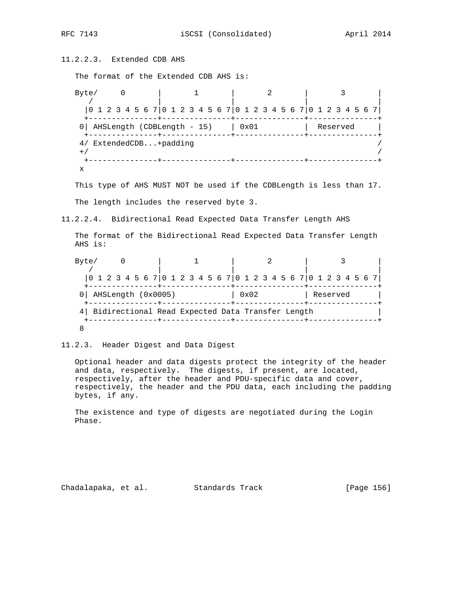11.2.2.3. Extended CDB AHS

The format of the Extended CDB AHS is:

Byte/ 0 | 1 | 2 | 3 / | | | | |0 1 2 3 4 5 6 7|0 1 2 3 4 5 6 7|0 1 2 3 4 5 6 7|0 1 2 3 4 5 6 7| +---------------+---------------+---------------+---------------+ 0| AHSLength (CDBLength - 15)  $| 0x01$  | Reserved +---------------+---------------+---------------+---------------+ 4/ ExtendedCDB...+padding /  $^{+/-}$  /  $^{+/-}$  /  $^{+/-}$  /  $^{+/-}$  /  $^{+/-}$  /  $^{+/-}$  /  $^{+/-}$  /  $^{+/-}$  /  $^{+/-}$  /  $^{+/-}$  /  $^{+/-}$  /  $^{+/-}$  /  $^{+/-}$  /  $^{+/-}$  /  $^{+/-}$  /  $^{+/-}$  /  $^{+/-}$  /  $^{+/-}$  /  $^{+/-}$  /  $^{+/-}$  /  $^{+/-}$  /  $^{+/-}$  /  $^{+/-}$  /  $^{+/-}$  /  $^{+/-}$  +---------------+---------------+---------------+---------------+ x

 This type of AHS MUST NOT be used if the CDBLength is less than 17. The length includes the reserved byte 3.

11.2.2.4. Bidirectional Read Expected Data Transfer Length AHS

 The format of the Bidirectional Read Expected Data Transfer Length AHS is:

| Byte/                                              |                    |                                                                        |               |          |  |  |  |  |  |  |  |  |  |
|----------------------------------------------------|--------------------|------------------------------------------------------------------------|---------------|----------|--|--|--|--|--|--|--|--|--|
|                                                    |                    | $[0 1 2 3 4 5 6 7] 0 1 2 3 4 5 6 7] 0 1 2 3 4 5 6 7] 0 1 2 3 4 5 6 7]$ |               |          |  |  |  |  |  |  |  |  |  |
|                                                    | AHSLength (0x0005) |                                                                        | $0 \times 02$ | Reserved |  |  |  |  |  |  |  |  |  |
| 4 Bidirectional Read Expected Data Transfer Length |                    |                                                                        |               |          |  |  |  |  |  |  |  |  |  |
|                                                    |                    |                                                                        |               |          |  |  |  |  |  |  |  |  |  |

11.2.3. Header Digest and Data Digest

 Optional header and data digests protect the integrity of the header and data, respectively. The digests, if present, are located, respectively, after the header and PDU-specific data and cover, respectively, the header and the PDU data, each including the padding bytes, if any.

 The existence and type of digests are negotiated during the Login Phase.

Chadalapaka, et al. Standards Track [Page 156]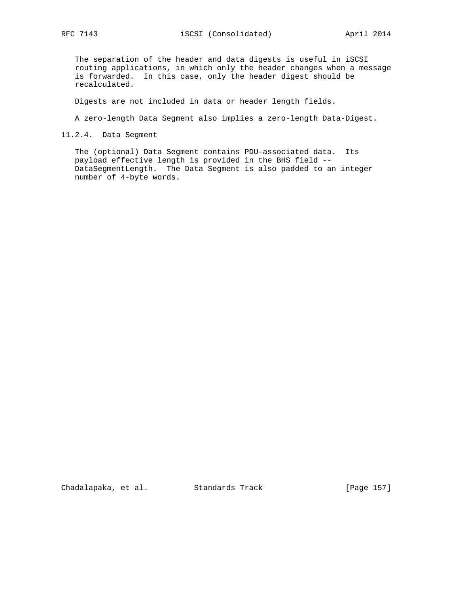The separation of the header and data digests is useful in iSCSI routing applications, in which only the header changes when a message is forwarded. In this case, only the header digest should be recalculated.

Digests are not included in data or header length fields.

A zero-length Data Segment also implies a zero-length Data-Digest.

11.2.4. Data Segment

 The (optional) Data Segment contains PDU-associated data. Its payload effective length is provided in the BHS field -- DataSegmentLength. The Data Segment is also padded to an integer number of 4-byte words.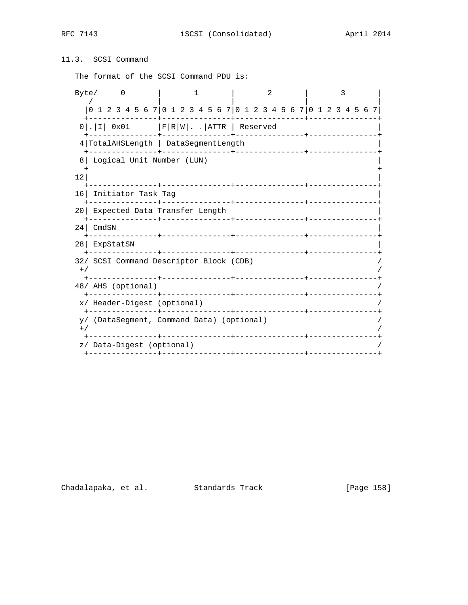RFC 7143 iSCSI (Consolidated) April 2014

# 11.3. SCSI Command

The format of the SCSI Command PDU is:

| Byte/ |                                                                 | 0                                |  |  |  | ı |  |                               |  |  |  | 2 |  |  |  |  |  |  |  |
|-------|-----------------------------------------------------------------|----------------------------------|--|--|--|---|--|-------------------------------|--|--|--|---|--|--|--|--|--|--|--|
|       | 0 1 2 3 4 5 6 7 0 1 2 3 4 5 6 7 0 1 2 3 4 5 6 7 0 1 2 3 4 5 6 7 |                                  |  |  |  |   |  | ________+____________________ |  |  |  |   |  |  |  |  |  |  |  |
|       | $0$ .   I   0x01   F   R   W     ATTR   Reserved                |                                  |  |  |  |   |  |                               |  |  |  |   |  |  |  |  |  |  |  |
|       | 4 TotalAHSLength   DataSegmentLength                            |                                  |  |  |  |   |  |                               |  |  |  |   |  |  |  |  |  |  |  |
| 81    | Logical Unit Number (LUN)                                       |                                  |  |  |  |   |  |                               |  |  |  |   |  |  |  |  |  |  |  |
| 12    |                                                                 |                                  |  |  |  |   |  |                               |  |  |  |   |  |  |  |  |  |  |  |
|       | 16 Initiator Task Tag                                           |                                  |  |  |  |   |  |                               |  |  |  |   |  |  |  |  |  |  |  |
|       |                                                                 | 20 Expected Data Transfer Length |  |  |  |   |  |                               |  |  |  |   |  |  |  |  |  |  |  |
| 24    | CmdSN                                                           |                                  |  |  |  |   |  |                               |  |  |  |   |  |  |  |  |  |  |  |
|       | 28 ExpStatSN                                                    |                                  |  |  |  |   |  |                               |  |  |  |   |  |  |  |  |  |  |  |
| $+$ / | 32/ SCSI Command Descriptor Block (CDB)                         |                                  |  |  |  |   |  |                               |  |  |  |   |  |  |  |  |  |  |  |
|       | 48/ AHS (optional)                                              |                                  |  |  |  |   |  |                               |  |  |  |   |  |  |  |  |  |  |  |
|       | x/ Header-Digest (optional)                                     |                                  |  |  |  |   |  |                               |  |  |  |   |  |  |  |  |  |  |  |
| $+ /$ | y/ (DataSegment, Command Data) (optional)                       |                                  |  |  |  |   |  |                               |  |  |  |   |  |  |  |  |  |  |  |
|       | z/ Data-Digest (optional)                                       |                                  |  |  |  |   |  |                               |  |  |  |   |  |  |  |  |  |  |  |
|       |                                                                 |                                  |  |  |  |   |  |                               |  |  |  |   |  |  |  |  |  |  |  |

Chadalapaka, et al. Standards Track [Page 158]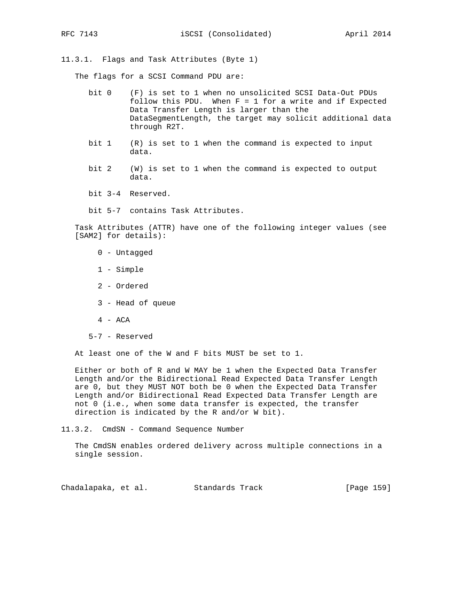11.3.1. Flags and Task Attributes (Byte 1)

The flags for a SCSI Command PDU are:

- bit 0 (F) is set to 1 when no unsolicited SCSI Data-Out PDUs follow this PDU. When  $F = 1$  for a write and if Expected Data Transfer Length is larger than the DataSegmentLength, the target may solicit additional data through R2T.
- bit 1 (R) is set to 1 when the command is expected to input data.
- bit 2 (W) is set to 1 when the command is expected to output data.
- bit 3-4 Reserved.
- bit 5-7 contains Task Attributes.

 Task Attributes (ATTR) have one of the following integer values (see [SAM2] for details):

- 0 Untagged
- 1 Simple
- 2 Ordered
- 3 Head of queue
- 4 ACA
- 5-7 Reserved

At least one of the W and F bits MUST be set to 1.

 Either or both of R and W MAY be 1 when the Expected Data Transfer Length and/or the Bidirectional Read Expected Data Transfer Length are 0, but they MUST NOT both be 0 when the Expected Data Transfer Length and/or Bidirectional Read Expected Data Transfer Length are not 0 (i.e., when some data transfer is expected, the transfer direction is indicated by the R and/or W bit).

11.3.2. CmdSN - Command Sequence Number

 The CmdSN enables ordered delivery across multiple connections in a single session.

Chadalapaka, et al. Standards Track [Page 159]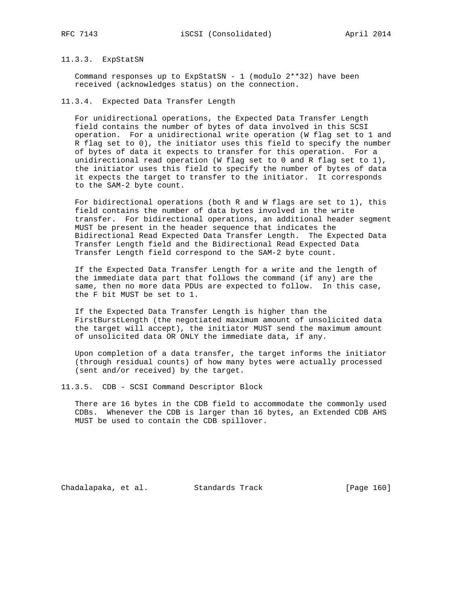# 11.3.3. ExpStatSN

Command responses up to ExpStatSN - 1 (modulo  $2**32$ ) have been received (acknowledges status) on the connection.

11.3.4. Expected Data Transfer Length

 For unidirectional operations, the Expected Data Transfer Length field contains the number of bytes of data involved in this SCSI operation. For a unidirectional write operation (W flag set to 1 and R flag set to 0), the initiator uses this field to specify the number of bytes of data it expects to transfer for this operation. For a unidirectional read operation (W flag set to 0 and R flag set to 1), the initiator uses this field to specify the number of bytes of data it expects the target to transfer to the initiator. It corresponds to the SAM-2 byte count.

 For bidirectional operations (both R and W flags are set to 1), this field contains the number of data bytes involved in the write transfer. For bidirectional operations, an additional header segment MUST be present in the header sequence that indicates the Bidirectional Read Expected Data Transfer Length. The Expected Data Transfer Length field and the Bidirectional Read Expected Data Transfer Length field correspond to the SAM-2 byte count.

 If the Expected Data Transfer Length for a write and the length of the immediate data part that follows the command (if any) are the same, then no more data PDUs are expected to follow. In this case, the F bit MUST be set to 1.

 If the Expected Data Transfer Length is higher than the FirstBurstLength (the negotiated maximum amount of unsolicited data the target will accept), the initiator MUST send the maximum amount of unsolicited data OR ONLY the immediate data, if any.

 Upon completion of a data transfer, the target informs the initiator (through residual counts) of how many bytes were actually processed (sent and/or received) by the target.

11.3.5. CDB - SCSI Command Descriptor Block

 There are 16 bytes in the CDB field to accommodate the commonly used CDBs. Whenever the CDB is larger than 16 bytes, an Extended CDB AHS MUST be used to contain the CDB spillover.

Chadalapaka, et al. Standards Track [Page 160]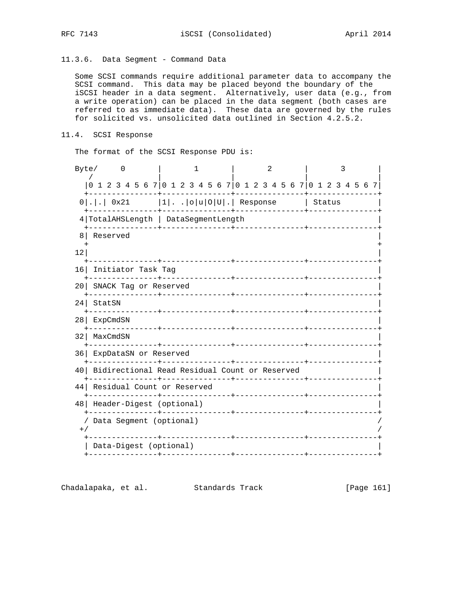11.3.6. Data Segment - Command Data

 Some SCSI commands require additional parameter data to accompany the SCSI command. This data may be placed beyond the boundary of the iSCSI header in a data segment. Alternatively, user data (e.g., from a write operation) can be placed in the data segment (both cases are referred to as immediate data). These data are governed by the rules for solicited vs. unsolicited data outlined in Section 4.2.5.2.

11.4. SCSI Response

The format of the SCSI Response PDU is:

| Byte/           | 0                                                      | 1                                                               | $\mathfrak{D}$ | 3 |
|-----------------|--------------------------------------------------------|-----------------------------------------------------------------|----------------|---|
|                 |                                                        | 0 1 2 3 4 5 6 7 0 1 2 3 4 5 6 7 0 1 2 3 4 5 6 7 0 1 2 3 4 5 6 7 |                |   |
|                 |                                                        | $0 . .$ 0x21  1  o u 0 U . Response   Status                    | -------------+ |   |
|                 |                                                        | 4 TotalAHSLength   DataSegmentLength                            |                |   |
| 8               | Reserved                                               |                                                                 |                |   |
| 12              |                                                        |                                                                 |                |   |
| 16              | Initiator Task Tag                                     |                                                                 |                |   |
| 20 L            | SNACK Tag or Reserved<br>. _ _ _ _ _ _ _ _ _ _ _ _ _ _ |                                                                 |                |   |
| 24 <sub>1</sub> | StatSN                                                 |                                                                 |                |   |
| 28              | ExpCmdSN                                               |                                                                 |                |   |
| 32              | MaxCmdSN                                               |                                                                 |                |   |
| 36              | ExpDataSN or Reserved                                  |                                                                 |                |   |
|                 |                                                        | 40   Bidirectional Read Residual Count or Reserved              |                |   |
| 44              | Residual Count or Reserved                             |                                                                 |                |   |
| 48              | Header-Digest (optional)                               |                                                                 |                |   |
| $+$ ,           | Data Segment (optional)<br>-------------               |                                                                 |                |   |
|                 | Data-Digest (optional)                                 |                                                                 |                |   |
|                 |                                                        | --------------+----------------+                                |                |   |

Chadalapaka, et al. Standards Track [Page 161]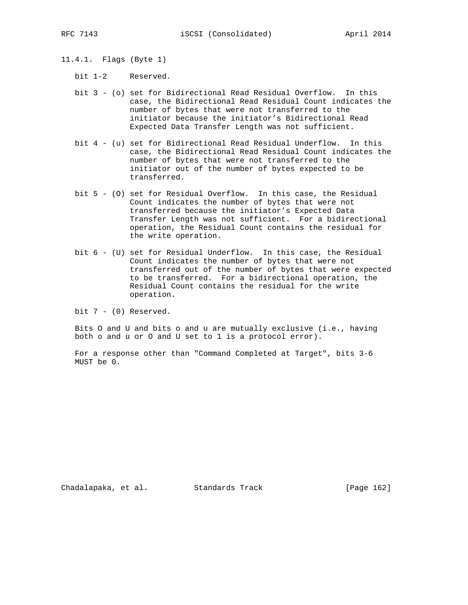- 11.4.1. Flags (Byte 1)
	- bit 1-2 Reserved.
	- bit 3 (o) set for Bidirectional Read Residual Overflow. In this case, the Bidirectional Read Residual Count indicates the number of bytes that were not transferred to the initiator because the initiator's Bidirectional Read Expected Data Transfer Length was not sufficient.
	- bit 4 (u) set for Bidirectional Read Residual Underflow. In this case, the Bidirectional Read Residual Count indicates the number of bytes that were not transferred to the initiator out of the number of bytes expected to be transferred.
	- bit 5 (O) set for Residual Overflow. In this case, the Residual Count indicates the number of bytes that were not transferred because the initiator's Expected Data Transfer Length was not sufficient. For a bidirectional operation, the Residual Count contains the residual for the write operation.
	- bit 6 (U) set for Residual Underflow. In this case, the Residual Count indicates the number of bytes that were not transferred out of the number of bytes that were expected to be transferred. For a bidirectional operation, the Residual Count contains the residual for the write operation.

bit 7 - (0) Reserved.

 Bits O and U and bits o and u are mutually exclusive (i.e., having both o and u or O and U set to 1 is a protocol error).

 For a response other than "Command Completed at Target", bits 3-6 MUST be 0.

Chadalapaka, et al. Standards Track [Page 162]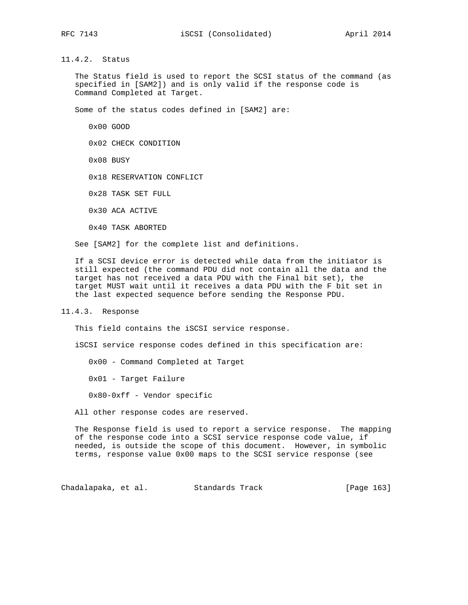11.4.2. Status

 The Status field is used to report the SCSI status of the command (as specified in [SAM2]) and is only valid if the response code is Command Completed at Target.

Some of the status codes defined in [SAM2] are:

0x00 GOOD

0x02 CHECK CONDITION

0x08 BUSY

0x18 RESERVATION CONFLICT

0x28 TASK SET FULL

0x30 ACA ACTIVE

0x40 TASK ABORTED

See [SAM2] for the complete list and definitions.

 If a SCSI device error is detected while data from the initiator is still expected (the command PDU did not contain all the data and the target has not received a data PDU with the Final bit set), the target MUST wait until it receives a data PDU with the F bit set in the last expected sequence before sending the Response PDU.

11.4.3. Response

This field contains the iSCSI service response.

iSCSI service response codes defined in this specification are:

0x00 - Command Completed at Target

0x01 - Target Failure

0x80-0xff - Vendor specific

All other response codes are reserved.

 The Response field is used to report a service response. The mapping of the response code into a SCSI service response code value, if needed, is outside the scope of this document. However, in symbolic terms, response value 0x00 maps to the SCSI service response (see

Chadalapaka, et al. Standards Track [Page 163]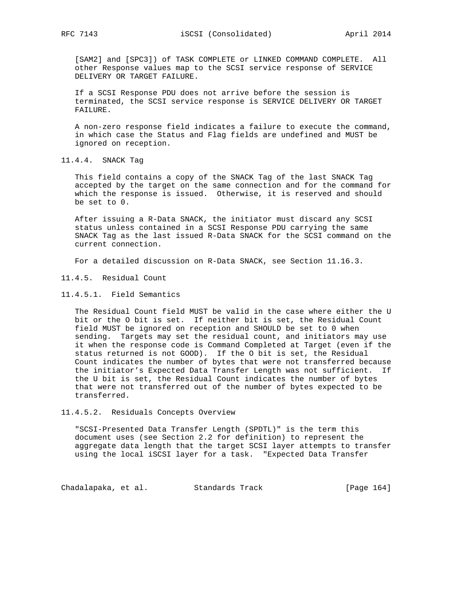[SAM2] and [SPC3]) of TASK COMPLETE or LINKED COMMAND COMPLETE. All other Response values map to the SCSI service response of SERVICE DELIVERY OR TARGET FAILURE.

 If a SCSI Response PDU does not arrive before the session is terminated, the SCSI service response is SERVICE DELIVERY OR TARGET FAILURE.

 A non-zero response field indicates a failure to execute the command, in which case the Status and Flag fields are undefined and MUST be ignored on reception.

11.4.4. SNACK Tag

 This field contains a copy of the SNACK Tag of the last SNACK Tag accepted by the target on the same connection and for the command for which the response is issued. Otherwise, it is reserved and should be set to 0.

 After issuing a R-Data SNACK, the initiator must discard any SCSI status unless contained in a SCSI Response PDU carrying the same SNACK Tag as the last issued R-Data SNACK for the SCSI command on the current connection.

For a detailed discussion on R-Data SNACK, see Section 11.16.3.

- 11.4.5. Residual Count
- 11.4.5.1. Field Semantics

 The Residual Count field MUST be valid in the case where either the U bit or the O bit is set. If neither bit is set, the Residual Count field MUST be ignored on reception and SHOULD be set to 0 when sending. Targets may set the residual count, and initiators may use it when the response code is Command Completed at Target (even if the status returned is not GOOD). If the O bit is set, the Residual Count indicates the number of bytes that were not transferred because the initiator's Expected Data Transfer Length was not sufficient. If the U bit is set, the Residual Count indicates the number of bytes that were not transferred out of the number of bytes expected to be transferred.

11.4.5.2. Residuals Concepts Overview

 "SCSI-Presented Data Transfer Length (SPDTL)" is the term this document uses (see Section 2.2 for definition) to represent the aggregate data length that the target SCSI layer attempts to transfer using the local iSCSI layer for a task. "Expected Data Transfer

Chadalapaka, et al. Standards Track [Page 164]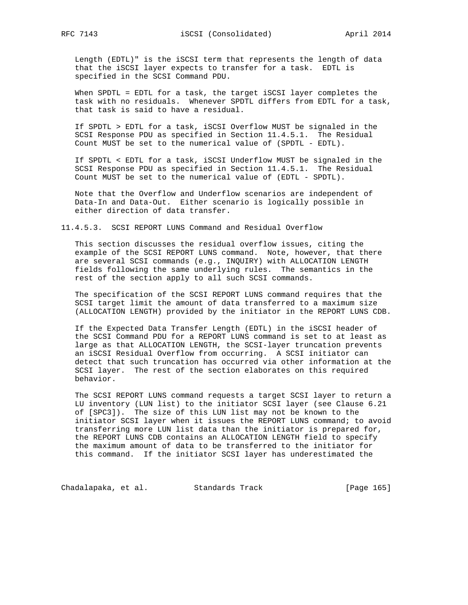Length (EDTL)" is the iSCSI term that represents the length of data that the iSCSI layer expects to transfer for a task. EDTL is specified in the SCSI Command PDU.

 When SPDTL = EDTL for a task, the target iSCSI layer completes the task with no residuals. Whenever SPDTL differs from EDTL for a task, that task is said to have a residual.

 If SPDTL > EDTL for a task, iSCSI Overflow MUST be signaled in the SCSI Response PDU as specified in Section 11.4.5.1. The Residual Count MUST be set to the numerical value of (SPDTL - EDTL).

 If SPDTL < EDTL for a task, iSCSI Underflow MUST be signaled in the SCSI Response PDU as specified in Section 11.4.5.1. The Residual Count MUST be set to the numerical value of (EDTL - SPDTL).

 Note that the Overflow and Underflow scenarios are independent of Data-In and Data-Out. Either scenario is logically possible in either direction of data transfer.

11.4.5.3. SCSI REPORT LUNS Command and Residual Overflow

 This section discusses the residual overflow issues, citing the example of the SCSI REPORT LUNS command. Note, however, that there are several SCSI commands (e.g., INQUIRY) with ALLOCATION LENGTH fields following the same underlying rules. The semantics in the rest of the section apply to all such SCSI commands.

 The specification of the SCSI REPORT LUNS command requires that the SCSI target limit the amount of data transferred to a maximum size (ALLOCATION LENGTH) provided by the initiator in the REPORT LUNS CDB.

 If the Expected Data Transfer Length (EDTL) in the iSCSI header of the SCSI Command PDU for a REPORT LUNS command is set to at least as large as that ALLOCATION LENGTH, the SCSI-layer truncation prevents an iSCSI Residual Overflow from occurring. A SCSI initiator can detect that such truncation has occurred via other information at the SCSI layer. The rest of the section elaborates on this required behavior.

 The SCSI REPORT LUNS command requests a target SCSI layer to return a LU inventory (LUN list) to the initiator SCSI layer (see Clause 6.21 of [SPC3]). The size of this LUN list may not be known to the initiator SCSI layer when it issues the REPORT LUNS command; to avoid transferring more LUN list data than the initiator is prepared for, the REPORT LUNS CDB contains an ALLOCATION LENGTH field to specify the maximum amount of data to be transferred to the initiator for this command. If the initiator SCSI layer has underestimated the

Chadalapaka, et al. Standards Track [Page 165]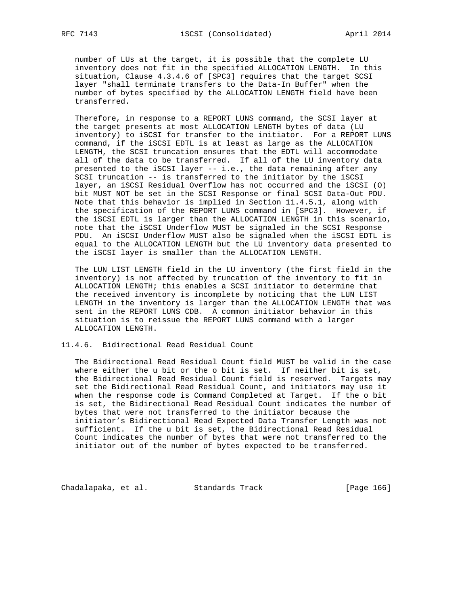number of LUs at the target, it is possible that the complete LU inventory does not fit in the specified ALLOCATION LENGTH. In this situation, Clause 4.3.4.6 of [SPC3] requires that the target SCSI layer "shall terminate transfers to the Data-In Buffer" when the number of bytes specified by the ALLOCATION LENGTH field have been transferred.

 Therefore, in response to a REPORT LUNS command, the SCSI layer at the target presents at most ALLOCATION LENGTH bytes of data (LU inventory) to iSCSI for transfer to the initiator. For a REPORT LUNS command, if the iSCSI EDTL is at least as large as the ALLOCATION LENGTH, the SCSI truncation ensures that the EDTL will accommodate all of the data to be transferred. If all of the LU inventory data presented to the iSCSI layer -- i.e., the data remaining after any SCSI truncation -- is transferred to the initiator by the iSCSI layer, an iSCSI Residual Overflow has not occurred and the iSCSI (O) bit MUST NOT be set in the SCSI Response or final SCSI Data-Out PDU. Note that this behavior is implied in Section 11.4.5.1, along with the specification of the REPORT LUNS command in [SPC3]. However, if the iSCSI EDTL is larger than the ALLOCATION LENGTH in this scenario, note that the iSCSI Underflow MUST be signaled in the SCSI Response PDU. An iSCSI Underflow MUST also be signaled when the iSCSI EDTL is equal to the ALLOCATION LENGTH but the LU inventory data presented to the iSCSI layer is smaller than the ALLOCATION LENGTH.

 The LUN LIST LENGTH field in the LU inventory (the first field in the inventory) is not affected by truncation of the inventory to fit in ALLOCATION LENGTH; this enables a SCSI initiator to determine that the received inventory is incomplete by noticing that the LUN LIST LENGTH in the inventory is larger than the ALLOCATION LENGTH that was sent in the REPORT LUNS CDB. A common initiator behavior in this situation is to reissue the REPORT LUNS command with a larger ALLOCATION LENGTH.

# 11.4.6. Bidirectional Read Residual Count

 The Bidirectional Read Residual Count field MUST be valid in the case where either the u bit or the o bit is set. If neither bit is set, the Bidirectional Read Residual Count field is reserved. Targets may set the Bidirectional Read Residual Count, and initiators may use it when the response code is Command Completed at Target. If the o bit is set, the Bidirectional Read Residual Count indicates the number of bytes that were not transferred to the initiator because the initiator's Bidirectional Read Expected Data Transfer Length was not sufficient. If the u bit is set, the Bidirectional Read Residual Count indicates the number of bytes that were not transferred to the initiator out of the number of bytes expected to be transferred.

Chadalapaka, et al. Standards Track [Page 166]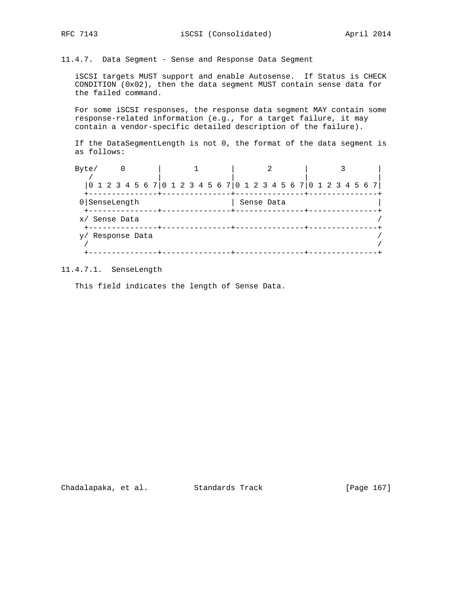11.4.7. Data Segment - Sense and Response Data Segment

 iSCSI targets MUST support and enable Autosense. If Status is CHECK CONDITION (0x02), then the data segment MUST contain sense data for the failed command.

 For some iSCSI responses, the response data segment MAY contain some response-related information (e.g., for a target failure, it may contain a vendor-specific detailed description of the failure).

 If the DataSegmentLength is not 0, the format of the data segment is as follows:

| Byte/            | O                                                                  |  |  |  |  |         |            |  |  |  |  |  |  |  |
|------------------|--------------------------------------------------------------------|--|--|--|--|---------|------------|--|--|--|--|--|--|--|
|                  | 0 1 2 3 4 5 6 7  0 1 2 3 4 5 6 7  0 1 2 3 4 5 6 7  0 1 2 3 4 5 6 7 |  |  |  |  |         |            |  |  |  |  |  |  |  |
| $0$ SenseLength  |                                                                    |  |  |  |  | ---+--- | Sense Data |  |  |  |  |  |  |  |
| x/ Sense Data    |                                                                    |  |  |  |  |         |            |  |  |  |  |  |  |  |
| y/ Response Data |                                                                    |  |  |  |  |         |            |  |  |  |  |  |  |  |
|                  |                                                                    |  |  |  |  |         |            |  |  |  |  |  |  |  |

11.4.7.1. SenseLength

This field indicates the length of Sense Data.

Chadalapaka, et al. Standards Track [Page 167]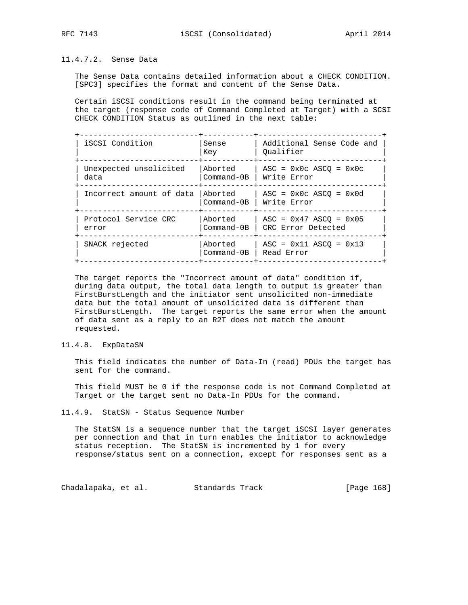# 11.4.7.2. Sense Data

 The Sense Data contains detailed information about a CHECK CONDITION. [SPC3] specifies the format and content of the Sense Data.

 Certain iSCSI conditions result in the command being terminated at the target (response code of Command Completed at Target) with a SCSI CHECK CONDITION Status as outlined in the next table:

| iSCSI Condition                | Sense<br>Key              | Additional Sense Code and<br>Oualifier         |
|--------------------------------|---------------------------|------------------------------------------------|
| Unexpected unsolicited<br>data | Aborted<br>$Commond - OB$ | $ASC = 0x0c ASC = 0x0c$<br>Write Error         |
| Incorrect amount of data       | Aborted<br>Command-0B     | $ASC = 0x0c ASC = 0x0d$<br>Write Error         |
| Protocol Service CRC<br>error  | Aborted<br>$Command-0B$   | $ASC = 0x47 ASC0 = 0x05$<br>CRC Error Detected |
| SNACK rejected                 | Aborted<br>$Command-0B$   | $ASC = 0x11 ASC = 0x13$<br>Read Error          |

 The target reports the "Incorrect amount of data" condition if, during data output, the total data length to output is greater than FirstBurstLength and the initiator sent unsolicited non-immediate data but the total amount of unsolicited data is different than FirstBurstLength. The target reports the same error when the amount of data sent as a reply to an R2T does not match the amount requested.

# 11.4.8. ExpDataSN

 This field indicates the number of Data-In (read) PDUs the target has sent for the command.

 This field MUST be 0 if the response code is not Command Completed at Target or the target sent no Data-In PDUs for the command.

#### 11.4.9. StatSN - Status Sequence Number

 The StatSN is a sequence number that the target iSCSI layer generates per connection and that in turn enables the initiator to acknowledge status reception. The StatSN is incremented by 1 for every response/status sent on a connection, except for responses sent as a

Chadalapaka, et al. Standards Track [Page 168]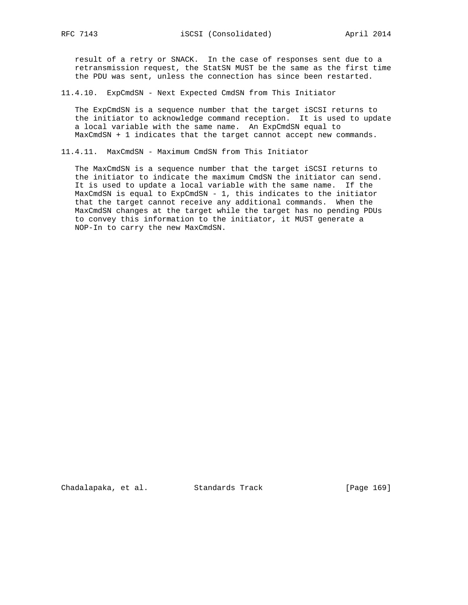result of a retry or SNACK. In the case of responses sent due to a retransmission request, the StatSN MUST be the same as the first time the PDU was sent, unless the connection has since been restarted.

#### 11.4.10. ExpCmdSN - Next Expected CmdSN from This Initiator

 The ExpCmdSN is a sequence number that the target iSCSI returns to the initiator to acknowledge command reception. It is used to update a local variable with the same name. An ExpCmdSN equal to MaxCmdSN + 1 indicates that the target cannot accept new commands.

11.4.11. MaxCmdSN - Maximum CmdSN from This Initiator

 The MaxCmdSN is a sequence number that the target iSCSI returns to the initiator to indicate the maximum CmdSN the initiator can send. It is used to update a local variable with the same name. If the MaxCmdSN is equal to ExpCmdSN - 1, this indicates to the initiator that the target cannot receive any additional commands. When the MaxCmdSN changes at the target while the target has no pending PDUs to convey this information to the initiator, it MUST generate a NOP-In to carry the new MaxCmdSN.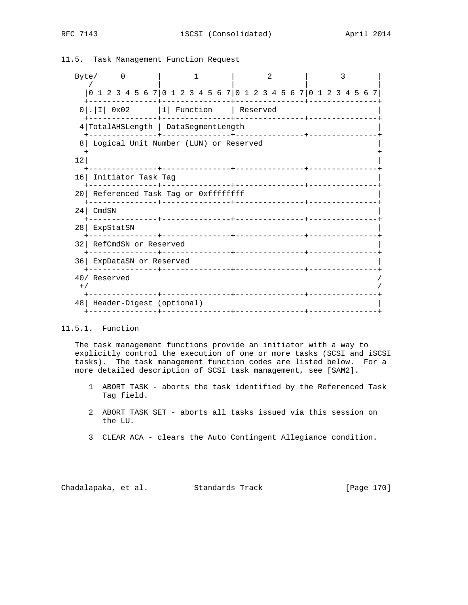# 11.5. Task Management Function Request

|       | Byte/                                                           | $\Omega$                             |  |  |  |  |  |          |  |                              |  |  |  |                            | 2 |                           |  |  |  |  |  |
|-------|-----------------------------------------------------------------|--------------------------------------|--|--|--|--|--|----------|--|------------------------------|--|--|--|----------------------------|---|---------------------------|--|--|--|--|--|
|       | 0 1 2 3 4 5 6 7 0 1 2 3 4 5 6 7 0 1 2 3 4 5 6 7 0 1 2 3 4 5 6 7 |                                      |  |  |  |  |  |          |  |                              |  |  |  |                            |   |                           |  |  |  |  |  |
|       | $0$ .   I   0x02   1   Function   Reserved                      |                                      |  |  |  |  |  |          |  | -----+--------------+------- |  |  |  |                            |   |                           |  |  |  |  |  |
|       | 4 TotalAHSLength   DataSegmentLength                            |                                      |  |  |  |  |  | -------- |  |                              |  |  |  | --------------+----------- |   |                           |  |  |  |  |  |
| 8     | Logical Unit Number (LUN) or Reserved                           |                                      |  |  |  |  |  |          |  |                              |  |  |  |                            |   |                           |  |  |  |  |  |
| 12    |                                                                 |                                      |  |  |  |  |  |          |  |                              |  |  |  |                            |   |                           |  |  |  |  |  |
|       |                                                                 | 16 Initiator Task Tag                |  |  |  |  |  |          |  |                              |  |  |  |                            |   |                           |  |  |  |  |  |
|       |                                                                 | 20 Referenced Task Tag or 0xffffffff |  |  |  |  |  |          |  |                              |  |  |  |                            |   |                           |  |  |  |  |  |
|       | $24$ CmdSN                                                      |                                      |  |  |  |  |  |          |  |                              |  |  |  |                            |   |                           |  |  |  |  |  |
|       | 28 ExpStatSN                                                    |                                      |  |  |  |  |  |          |  |                              |  |  |  |                            |   |                           |  |  |  |  |  |
|       | 32 RefCmdSN or Reserved                                         |                                      |  |  |  |  |  |          |  |                              |  |  |  |                            |   |                           |  |  |  |  |  |
|       | 36 ExpDataSN or Reserved                                        |                                      |  |  |  |  |  |          |  |                              |  |  |  |                            |   |                           |  |  |  |  |  |
| $+$ / | 40/ Reserved                                                    |                                      |  |  |  |  |  |          |  |                              |  |  |  |                            |   |                           |  |  |  |  |  |
|       |                                                                 | 48   Header-Digest (optional)        |  |  |  |  |  |          |  |                              |  |  |  |                            |   | -+---------------+------- |  |  |  |  |  |
|       |                                                                 |                                      |  |  |  |  |  |          |  |                              |  |  |  |                            |   |                           |  |  |  |  |  |

# 11.5.1. Function

 The task management functions provide an initiator with a way to explicitly control the execution of one or more tasks (SCSI and iSCSI tasks). The task management function codes are listed below. For a more detailed description of SCSI task management, see [SAM2].

- 1 ABORT TASK aborts the task identified by the Referenced Task Tag field.
- 2 ABORT TASK SET aborts all tasks issued via this session on the LU.
- 3 CLEAR ACA clears the Auto Contingent Allegiance condition.

Chadalapaka, et al. Standards Track [Page 170]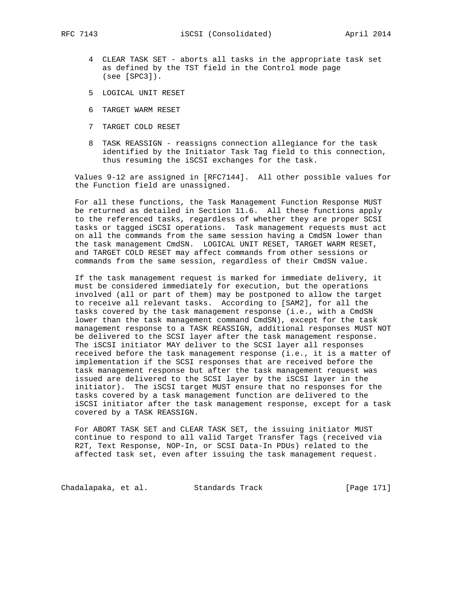- 4 CLEAR TASK SET aborts all tasks in the appropriate task set as defined by the TST field in the Control mode page (see [SPC3]).
- 5 LOGICAL UNIT RESET
- 6 TARGET WARM RESET
- 7 TARGET COLD RESET
- 8 TASK REASSIGN reassigns connection allegiance for the task identified by the Initiator Task Tag field to this connection, thus resuming the iSCSI exchanges for the task.

 Values 9-12 are assigned in [RFC7144]. All other possible values for the Function field are unassigned.

 For all these functions, the Task Management Function Response MUST be returned as detailed in Section 11.6. All these functions apply to the referenced tasks, regardless of whether they are proper SCSI tasks or tagged iSCSI operations. Task management requests must act on all the commands from the same session having a CmdSN lower than the task management CmdSN. LOGICAL UNIT RESET, TARGET WARM RESET, and TARGET COLD RESET may affect commands from other sessions or commands from the same session, regardless of their CmdSN value.

 If the task management request is marked for immediate delivery, it must be considered immediately for execution, but the operations involved (all or part of them) may be postponed to allow the target to receive all relevant tasks. According to [SAM2], for all the tasks covered by the task management response (i.e., with a CmdSN lower than the task management command CmdSN), except for the task management response to a TASK REASSIGN, additional responses MUST NOT be delivered to the SCSI layer after the task management response. The iSCSI initiator MAY deliver to the SCSI layer all responses received before the task management response (i.e., it is a matter of implementation if the SCSI responses that are received before the task management response but after the task management request was issued are delivered to the SCSI layer by the iSCSI layer in the initiator). The iSCSI target MUST ensure that no responses for the tasks covered by a task management function are delivered to the iSCSI initiator after the task management response, except for a task covered by a TASK REASSIGN.

 For ABORT TASK SET and CLEAR TASK SET, the issuing initiator MUST continue to respond to all valid Target Transfer Tags (received via R2T, Text Response, NOP-In, or SCSI Data-In PDUs) related to the affected task set, even after issuing the task management request.

Chadalapaka, et al. Standards Track [Page 171]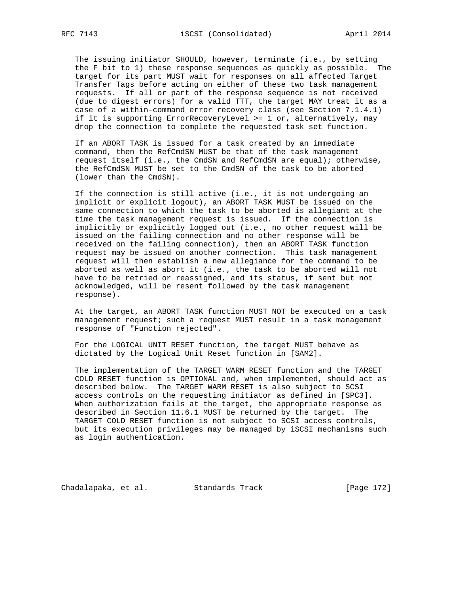The issuing initiator SHOULD, however, terminate (i.e., by setting the F bit to 1) these response sequences as quickly as possible. The target for its part MUST wait for responses on all affected Target Transfer Tags before acting on either of these two task management requests. If all or part of the response sequence is not received (due to digest errors) for a valid TTT, the target MAY treat it as a case of a within-command error recovery class (see Section 7.1.4.1) if it is supporting ErrorRecoveryLevel >= 1 or, alternatively, may drop the connection to complete the requested task set function.

 If an ABORT TASK is issued for a task created by an immediate command, then the RefCmdSN MUST be that of the task management request itself (i.e., the CmdSN and RefCmdSN are equal); otherwise, the RefCmdSN MUST be set to the CmdSN of the task to be aborted (lower than the CmdSN).

 If the connection is still active (i.e., it is not undergoing an implicit or explicit logout), an ABORT TASK MUST be issued on the same connection to which the task to be aborted is allegiant at the time the task management request is issued. If the connection is implicitly or explicitly logged out (i.e., no other request will be issued on the failing connection and no other response will be received on the failing connection), then an ABORT TASK function request may be issued on another connection. This task management request will then establish a new allegiance for the command to be aborted as well as abort it (i.e., the task to be aborted will not have to be retried or reassigned, and its status, if sent but not acknowledged, will be resent followed by the task management response).

 At the target, an ABORT TASK function MUST NOT be executed on a task management request; such a request MUST result in a task management response of "Function rejected".

 For the LOGICAL UNIT RESET function, the target MUST behave as dictated by the Logical Unit Reset function in [SAM2].

 The implementation of the TARGET WARM RESET function and the TARGET COLD RESET function is OPTIONAL and, when implemented, should act as described below. The TARGET WARM RESET is also subject to SCSI access controls on the requesting initiator as defined in [SPC3]. When authorization fails at the target, the appropriate response as described in Section 11.6.1 MUST be returned by the target. The TARGET COLD RESET function is not subject to SCSI access controls, but its execution privileges may be managed by iSCSI mechanisms such as login authentication.

Chadalapaka, et al. Standards Track [Page 172]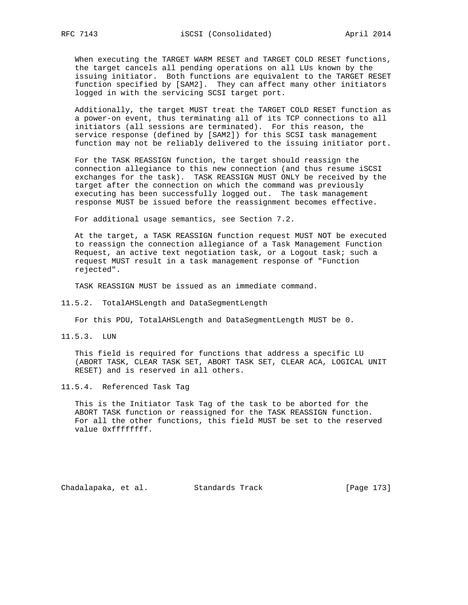When executing the TARGET WARM RESET and TARGET COLD RESET functions, the target cancels all pending operations on all LUs known by the issuing initiator. Both functions are equivalent to the TARGET RESET function specified by [SAM2]. They can affect many other initiators logged in with the servicing SCSI target port.

 Additionally, the target MUST treat the TARGET COLD RESET function as a power-on event, thus terminating all of its TCP connections to all initiators (all sessions are terminated). For this reason, the service response (defined by [SAM2]) for this SCSI task management function may not be reliably delivered to the issuing initiator port.

 For the TASK REASSIGN function, the target should reassign the connection allegiance to this new connection (and thus resume iSCSI exchanges for the task). TASK REASSIGN MUST ONLY be received by the target after the connection on which the command was previously executing has been successfully logged out. The task management response MUST be issued before the reassignment becomes effective.

For additional usage semantics, see Section 7.2.

 At the target, a TASK REASSIGN function request MUST NOT be executed to reassign the connection allegiance of a Task Management Function Request, an active text negotiation task, or a Logout task; such a request MUST result in a task management response of "Function rejected".

TASK REASSIGN MUST be issued as an immediate command.

11.5.2. TotalAHSLength and DataSegmentLength

For this PDU, TotalAHSLength and DataSegmentLength MUST be 0.

11.5.3. LUN

 This field is required for functions that address a specific LU (ABORT TASK, CLEAR TASK SET, ABORT TASK SET, CLEAR ACA, LOGICAL UNIT RESET) and is reserved in all others.

11.5.4. Referenced Task Tag

 This is the Initiator Task Tag of the task to be aborted for the ABORT TASK function or reassigned for the TASK REASSIGN function. For all the other functions, this field MUST be set to the reserved value 0xffffffff.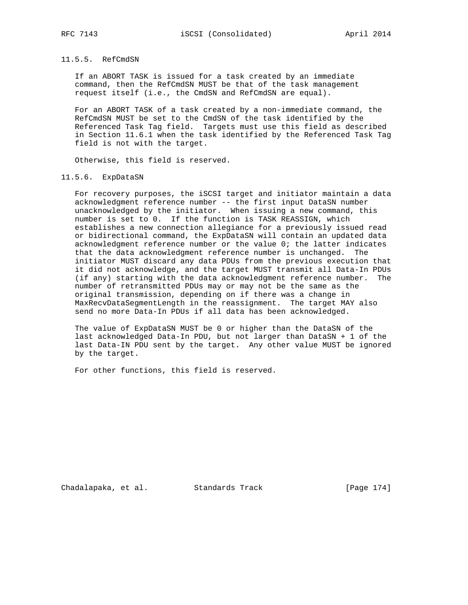## 11.5.5. RefCmdSN

 If an ABORT TASK is issued for a task created by an immediate command, then the RefCmdSN MUST be that of the task management request itself (i.e., the CmdSN and RefCmdSN are equal).

 For an ABORT TASK of a task created by a non-immediate command, the RefCmdSN MUST be set to the CmdSN of the task identified by the Referenced Task Tag field. Targets must use this field as described in Section 11.6.1 when the task identified by the Referenced Task Tag field is not with the target.

Otherwise, this field is reserved.

#### 11.5.6. ExpDataSN

 For recovery purposes, the iSCSI target and initiator maintain a data acknowledgment reference number -- the first input DataSN number unacknowledged by the initiator. When issuing a new command, this number is set to 0. If the function is TASK REASSIGN, which establishes a new connection allegiance for a previously issued read or bidirectional command, the ExpDataSN will contain an updated data acknowledgment reference number or the value 0; the latter indicates that the data acknowledgment reference number is unchanged. The initiator MUST discard any data PDUs from the previous execution that it did not acknowledge, and the target MUST transmit all Data-In PDUs (if any) starting with the data acknowledgment reference number. The number of retransmitted PDUs may or may not be the same as the original transmission, depending on if there was a change in MaxRecvDataSegmentLength in the reassignment. The target MAY also send no more Data-In PDUs if all data has been acknowledged.

 The value of ExpDataSN MUST be 0 or higher than the DataSN of the last acknowledged Data-In PDU, but not larger than DataSN + 1 of the last Data-IN PDU sent by the target. Any other value MUST be ignored by the target.

For other functions, this field is reserved.

Chadalapaka, et al. Standards Track [Page 174]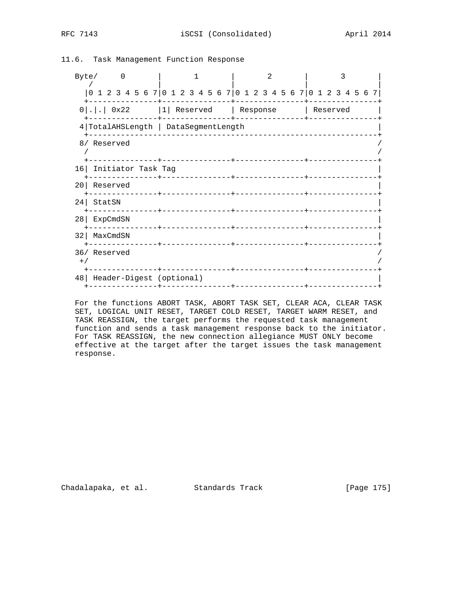| Byte/0                                              |                                | $\mathcal{D}$                                                   | ζ |
|-----------------------------------------------------|--------------------------------|-----------------------------------------------------------------|---|
|                                                     |                                | 0 1 2 3 4 5 6 7 0 1 2 3 4 5 6 7 0 1 2 3 4 5 6 7 0 1 2 3 4 5 6 7 |   |
| $0$  . .  0x22 $ 1 $ Reserved   Response   Reserved |                                |                                                                 |   |
| 4   TotalAHSLength   DataSegmentLength              |                                | ----+--------------                                             |   |
| 8/ Reserved                                         |                                |                                                                 |   |
| 16 Initiator Task Tag                               | ----------+---------------     |                                                                 |   |
| 20 Reserved                                         | -------------+---------------- |                                                                 |   |
| $24$ StatSN                                         |                                | _____________________________                                   |   |
| 28   ExpCmdSN                                       |                                |                                                                 |   |
| 32   MaxCmdSN                                       | _______________                |                                                                 |   |
| 36/ Reserved<br>$+$ /                               |                                |                                                                 |   |
| 48   Header-Digest (optional)                       |                                |                                                                 |   |

11.6. Task Management Function Response

 For the functions ABORT TASK, ABORT TASK SET, CLEAR ACA, CLEAR TASK SET, LOGICAL UNIT RESET, TARGET COLD RESET, TARGET WARM RESET, and TASK REASSIGN, the target performs the requested task management function and sends a task management response back to the initiator. For TASK REASSIGN, the new connection allegiance MUST ONLY become effective at the target after the target issues the task management response.

Chadalapaka, et al. Standards Track [Page 175]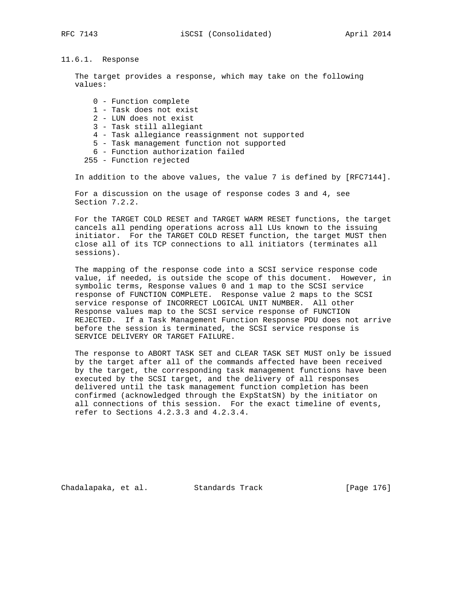# 11.6.1. Response

 The target provides a response, which may take on the following values:

 0 - Function complete 1 - Task does not exist 2 - LUN does not exist 3 - Task still allegiant 4 - Task allegiance reassignment not supported 5 - Task management function not supported 6 - Function authorization failed 255 - Function rejected

In addition to the above values, the value 7 is defined by [RFC7144].

 For a discussion on the usage of response codes 3 and 4, see Section 7.2.2.

 For the TARGET COLD RESET and TARGET WARM RESET functions, the target cancels all pending operations across all LUs known to the issuing initiator. For the TARGET COLD RESET function, the target MUST then close all of its TCP connections to all initiators (terminates all sessions).

 The mapping of the response code into a SCSI service response code value, if needed, is outside the scope of this document. However, in symbolic terms, Response values 0 and 1 map to the SCSI service response of FUNCTION COMPLETE. Response value 2 maps to the SCSI service response of INCORRECT LOGICAL UNIT NUMBER. All other Response values map to the SCSI service response of FUNCTION REJECTED. If a Task Management Function Response PDU does not arrive before the session is terminated, the SCSI service response is SERVICE DELIVERY OR TARGET FAILURE.

 The response to ABORT TASK SET and CLEAR TASK SET MUST only be issued by the target after all of the commands affected have been received by the target, the corresponding task management functions have been executed by the SCSI target, and the delivery of all responses delivered until the task management function completion has been confirmed (acknowledged through the ExpStatSN) by the initiator on all connections of this session. For the exact timeline of events, refer to Sections 4.2.3.3 and 4.2.3.4.

Chadalapaka, et al. Standards Track (Page 176]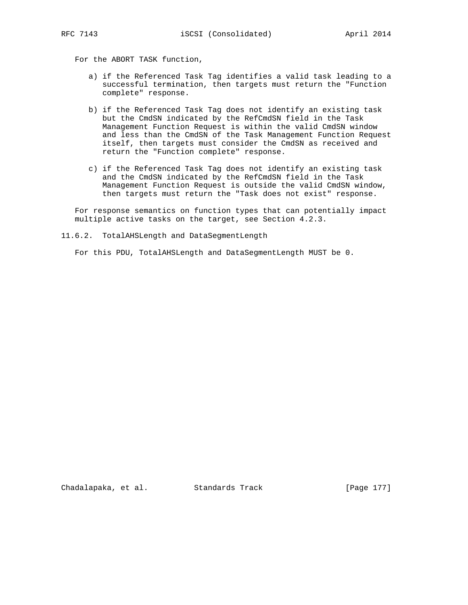For the ABORT TASK function,

- a) if the Referenced Task Tag identifies a valid task leading to a successful termination, then targets must return the "Function complete" response.
- b) if the Referenced Task Tag does not identify an existing task but the CmdSN indicated by the RefCmdSN field in the Task Management Function Request is within the valid CmdSN window and less than the CmdSN of the Task Management Function Request itself, then targets must consider the CmdSN as received and return the "Function complete" response.
- c) if the Referenced Task Tag does not identify an existing task and the CmdSN indicated by the RefCmdSN field in the Task Management Function Request is outside the valid CmdSN window, then targets must return the "Task does not exist" response.

 For response semantics on function types that can potentially impact multiple active tasks on the target, see Section 4.2.3.

11.6.2. TotalAHSLength and DataSegmentLength

For this PDU, TotalAHSLength and DataSegmentLength MUST be 0.

Chadalapaka, et al. Standards Track [Page 177]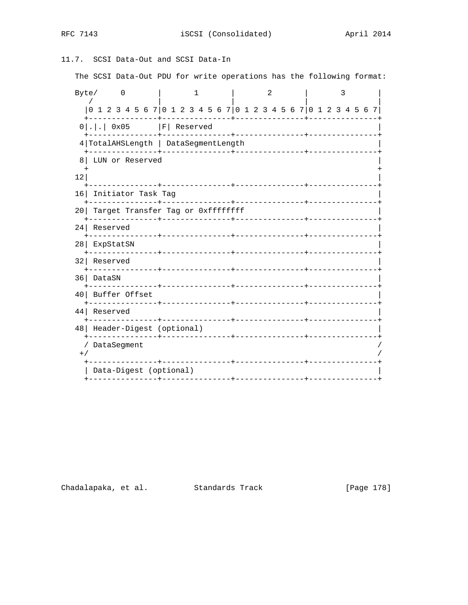# 11.7. SCSI Data-Out and SCSI Data-In

The SCSI Data-Out PDU for write operations has the following format:

| Byte/             |                  |          | 0                                 |  |                                                                 |  |                                  |  |  |  |                        |  |  |  |  |            | 2 |  |  |                        | 3                           |  |  |
|-------------------|------------------|----------|-----------------------------------|--|-----------------------------------------------------------------|--|----------------------------------|--|--|--|------------------------|--|--|--|--|------------|---|--|--|------------------------|-----------------------------|--|--|
|                   |                  |          |                                   |  | 0 1 2 3 4 5 6 7 0 1 2 3 4 5 6 7 0 1 2 3 4 5 6 7 0 1 2 3 4 5 6 7 |  |                                  |  |  |  |                        |  |  |  |  |            |   |  |  |                        |                             |  |  |
|                   |                  |          |                                   |  | $0 . .$ 0x05   F   Reserved                                     |  |                                  |  |  |  | -------+-------------- |  |  |  |  |            |   |  |  |                        |                             |  |  |
|                   |                  |          |                                   |  | 4 TotalAHSLength   DataSegmentLength                            |  |                                  |  |  |  |                        |  |  |  |  |            |   |  |  |                        |                             |  |  |
| 8                 |                  |          |                                   |  | LUN or Reserved                                                 |  |                                  |  |  |  |                        |  |  |  |  |            |   |  |  |                        |                             |  |  |
| 12                |                  |          |                                   |  |                                                                 |  | --------------+-                 |  |  |  |                        |  |  |  |  |            |   |  |  |                        |                             |  |  |
| 16                |                  |          |                                   |  | Initiator Task Tag<br>___________                               |  | --------------+-                 |  |  |  |                        |  |  |  |  |            |   |  |  |                        | ___________________________ |  |  |
| 20 L              |                  |          | Target Transfer Tag or 0xffffffff |  |                                                                 |  |                                  |  |  |  |                        |  |  |  |  |            |   |  |  |                        |                             |  |  |
| 24 <sub>1</sub>   |                  | Reserved |                                   |  |                                                                 |  |                                  |  |  |  |                        |  |  |  |  |            |   |  |  |                        |                             |  |  |
|                   | 28 ExpStatSN     |          |                                   |  | --------------+---------------+-                                |  |                                  |  |  |  |                        |  |  |  |  |            |   |  |  | ______________________ |                             |  |  |
| 32                |                  |          | Reserved                          |  |                                                                 |  |                                  |  |  |  |                        |  |  |  |  |            |   |  |  |                        |                             |  |  |
|                   | 36 DataSN        |          |                                   |  |                                                                 |  |                                  |  |  |  |                        |  |  |  |  |            |   |  |  |                        |                             |  |  |
|                   | 40 Buffer Offset |          | -----------                       |  |                                                                 |  | ________________________________ |  |  |  |                        |  |  |  |  |            |   |  |  |                        |                             |  |  |
| 44                |                  |          | Reserved                          |  |                                                                 |  |                                  |  |  |  |                        |  |  |  |  |            |   |  |  |                        | ----------                  |  |  |
| 48                |                  |          |                                   |  | Header-Digest (optional)<br>-------------+-------------         |  |                                  |  |  |  |                        |  |  |  |  | ---------- |   |  |  |                        |                             |  |  |
| $\prime$<br>$+ /$ |                  |          | DataSeqment                       |  |                                                                 |  |                                  |  |  |  |                        |  |  |  |  |            |   |  |  |                        |                             |  |  |
|                   |                  |          | Data-Digest (optional)            |  |                                                                 |  |                                  |  |  |  |                        |  |  |  |  |            |   |  |  |                        |                             |  |  |
|                   |                  |          |                                   |  | ------------+-----                                              |  |                                  |  |  |  |                        |  |  |  |  |            |   |  |  |                        |                             |  |  |

Chadalapaka, et al. Standards Track [Page 178]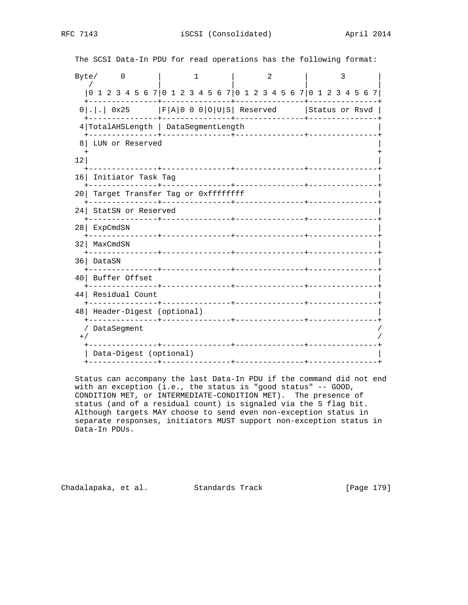| Byte/           |                                                             | $\overline{0}$                                                    |  |  |  |  |                                       |  | 1 |  |       |  |  |                        |            | $\mathfrak{D}$ |  |  |  | 3 |  |  |
|-----------------|-------------------------------------------------------------|-------------------------------------------------------------------|--|--|--|--|---------------------------------------|--|---|--|-------|--|--|------------------------|------------|----------------|--|--|--|---|--|--|
|                 |                                                             | 0 1 2 3 4 5 6 7 0 1 2 3 4 5 6 7 0 1 2 3 4 5 6 7 0 1 2 3 4 5 6 7   |  |  |  |  |                                       |  |   |  |       |  |  |                        |            |                |  |  |  |   |  |  |
|                 | $0$  . .  0x25   F A 0 0 0 O U S  Reserved   Status or Rsvd |                                                                   |  |  |  |  |                                       |  |   |  |       |  |  |                        |            |                |  |  |  |   |  |  |
|                 | 4 TotalAHSLength   DataSegmentLength                        |                                                                   |  |  |  |  |                                       |  |   |  |       |  |  |                        |            |                |  |  |  |   |  |  |
| 8               |                                                             | LUN or Reserved                                                   |  |  |  |  |                                       |  |   |  |       |  |  |                        |            |                |  |  |  |   |  |  |
| 12              |                                                             |                                                                   |  |  |  |  |                                       |  |   |  |       |  |  |                        |            |                |  |  |  |   |  |  |
| 16              |                                                             | Initiator Task Tag                                                |  |  |  |  |                                       |  |   |  |       |  |  |                        |            |                |  |  |  |   |  |  |
| 201             |                                                             | Target Transfer Tag or Oxffffffff<br>-------------+-------------- |  |  |  |  |                                       |  |   |  |       |  |  |                        | ---------- |                |  |  |  |   |  |  |
| 24              |                                                             | StatSN or Reserved                                                |  |  |  |  | --------------+                       |  |   |  |       |  |  | <u>Liste Liste Lis</u> |            |                |  |  |  |   |  |  |
| 28 <sub>1</sub> |                                                             | ExpCmdSN<br>-------------+------------                            |  |  |  |  |                                       |  |   |  |       |  |  |                        |            |                |  |  |  |   |  |  |
| 32              |                                                             | MaxCmdSN                                                          |  |  |  |  |                                       |  |   |  |       |  |  |                        |            |                |  |  |  |   |  |  |
| 36              |                                                             | DataSN                                                            |  |  |  |  |                                       |  |   |  |       |  |  |                        |            |                |  |  |  |   |  |  |
| 40 <sup>1</sup> |                                                             | Buffer Offset<br>. _ _ _ _ _ _ _ _ _ _                            |  |  |  |  |                                       |  |   |  |       |  |  |                        |            |                |  |  |  |   |  |  |
| 44              |                                                             | Residual Count                                                    |  |  |  |  | -+----------------+------------------ |  |   |  |       |  |  |                        |            |                |  |  |  |   |  |  |
| 48              |                                                             | Header-Digest (optional)                                          |  |  |  |  |                                       |  |   |  |       |  |  | ______________         |            |                |  |  |  |   |  |  |
| $+$ /           |                                                             | DataSegment                                                       |  |  |  |  |                                       |  |   |  |       |  |  |                        |            |                |  |  |  |   |  |  |
|                 |                                                             | Data-Digest (optional)                                            |  |  |  |  |                                       |  |   |  | ----- |  |  |                        |            |                |  |  |  |   |  |  |
|                 |                                                             |                                                                   |  |  |  |  |                                       |  |   |  |       |  |  |                        |            |                |  |  |  |   |  |  |

The SCSI Data-In PDU for read operations has the following format:

 Status can accompany the last Data-In PDU if the command did not end with an exception (i.e., the status is "good status" -- GOOD, CONDITION MET, or INTERMEDIATE-CONDITION MET). The presence of status (and of a residual count) is signaled via the S flag bit. Although targets MAY choose to send even non-exception status in separate responses, initiators MUST support non-exception status in Data-In PDUs.

Chadalapaka, et al. Standards Track [Page 179]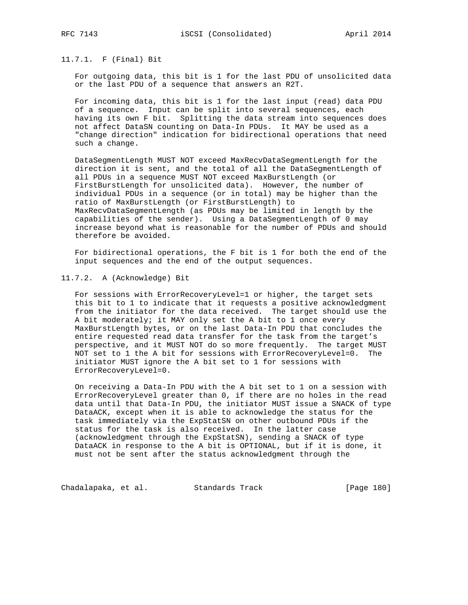# 11.7.1. F (Final) Bit

 For outgoing data, this bit is 1 for the last PDU of unsolicited data or the last PDU of a sequence that answers an R2T.

 For incoming data, this bit is 1 for the last input (read) data PDU of a sequence. Input can be split into several sequences, each having its own F bit. Splitting the data stream into sequences does not affect DataSN counting on Data-In PDUs. It MAY be used as a "change direction" indication for bidirectional operations that need such a change.

 DataSegmentLength MUST NOT exceed MaxRecvDataSegmentLength for the direction it is sent, and the total of all the DataSegmentLength of all PDUs in a sequence MUST NOT exceed MaxBurstLength (or FirstBurstLength for unsolicited data). However, the number of individual PDUs in a sequence (or in total) may be higher than the ratio of MaxBurstLength (or FirstBurstLength) to MaxRecvDataSegmentLength (as PDUs may be limited in length by the capabilities of the sender). Using a DataSegmentLength of 0 may increase beyond what is reasonable for the number of PDUs and should therefore be avoided.

 For bidirectional operations, the F bit is 1 for both the end of the input sequences and the end of the output sequences.

### 11.7.2. A (Acknowledge) Bit

 For sessions with ErrorRecoveryLevel=1 or higher, the target sets this bit to 1 to indicate that it requests a positive acknowledgment from the initiator for the data received. The target should use the A bit moderately; it MAY only set the A bit to 1 once every MaxBurstLength bytes, or on the last Data-In PDU that concludes the entire requested read data transfer for the task from the target's perspective, and it MUST NOT do so more frequently. The target MUST NOT set to 1 the A bit for sessions with ErrorRecoveryLevel=0. The initiator MUST ignore the A bit set to 1 for sessions with ErrorRecoveryLevel=0.

 On receiving a Data-In PDU with the A bit set to 1 on a session with ErrorRecoveryLevel greater than 0, if there are no holes in the read data until that Data-In PDU, the initiator MUST issue a SNACK of type DataACK, except when it is able to acknowledge the status for the task immediately via the ExpStatSN on other outbound PDUs if the status for the task is also received. In the latter case (acknowledgment through the ExpStatSN), sending a SNACK of type DataACK in response to the A bit is OPTIONAL, but if it is done, it must not be sent after the status acknowledgment through the

Chadalapaka, et al. Standards Track [Page 180]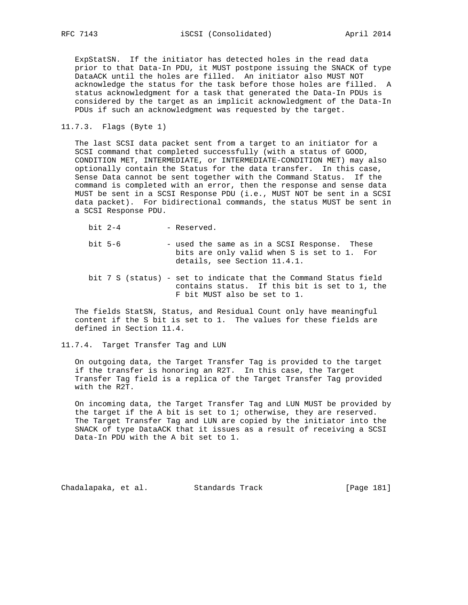ExpStatSN. If the initiator has detected holes in the read data prior to that Data-In PDU, it MUST postpone issuing the SNACK of type DataACK until the holes are filled. An initiator also MUST NOT acknowledge the status for the task before those holes are filled. A status acknowledgment for a task that generated the Data-In PDUs is considered by the target as an implicit acknowledgment of the Data-In PDUs if such an acknowledgment was requested by the target.

## 11.7.3. Flags (Byte 1)

 The last SCSI data packet sent from a target to an initiator for a SCSI command that completed successfully (with a status of GOOD, CONDITION MET, INTERMEDIATE, or INTERMEDIATE-CONDITION MET) may also optionally contain the Status for the data transfer. In this case, Sense Data cannot be sent together with the Command Status. If the command is completed with an error, then the response and sense data MUST be sent in a SCSI Response PDU (i.e., MUST NOT be sent in a SCSI data packet). For bidirectional commands, the status MUST be sent in a SCSI Response PDU.

bit 2-4 - Reserved.

- bit 5-6 used the same as in a SCSI Response. These bits are only valid when S is set to 1. For details, see Section 11.4.1.
- bit 7 S (status) set to indicate that the Command Status field contains status. If this bit is set to 1, the F bit MUST also be set to 1.

 The fields StatSN, Status, and Residual Count only have meaningful content if the S bit is set to 1. The values for these fields are defined in Section 11.4.

11.7.4. Target Transfer Tag and LUN

 On outgoing data, the Target Transfer Tag is provided to the target if the transfer is honoring an R2T. In this case, the Target Transfer Tag field is a replica of the Target Transfer Tag provided with the R2T.

 On incoming data, the Target Transfer Tag and LUN MUST be provided by the target if the A bit is set to 1; otherwise, they are reserved. The Target Transfer Tag and LUN are copied by the initiator into the SNACK of type DataACK that it issues as a result of receiving a SCSI Data-In PDU with the A bit set to 1.

Chadalapaka, et al. Standards Track [Page 181]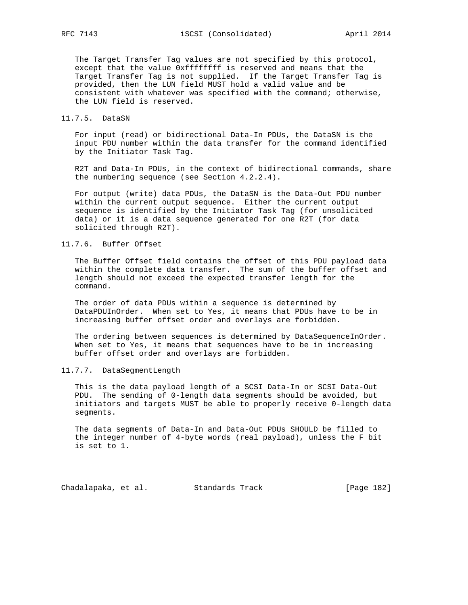The Target Transfer Tag values are not specified by this protocol, except that the value 0xffffffff is reserved and means that the Target Transfer Tag is not supplied. If the Target Transfer Tag is provided, then the LUN field MUST hold a valid value and be consistent with whatever was specified with the command; otherwise, the LUN field is reserved.

11.7.5. DataSN

 For input (read) or bidirectional Data-In PDUs, the DataSN is the input PDU number within the data transfer for the command identified by the Initiator Task Tag.

 R2T and Data-In PDUs, in the context of bidirectional commands, share the numbering sequence (see Section 4.2.2.4).

For output (write) data PDUs, the DataSN is the Data-Out PDU number within the current output sequence. Either the current output sequence is identified by the Initiator Task Tag (for unsolicited data) or it is a data sequence generated for one R2T (for data solicited through R2T).

# 11.7.6. Buffer Offset

 The Buffer Offset field contains the offset of this PDU payload data within the complete data transfer. The sum of the buffer offset and length should not exceed the expected transfer length for the command.

 The order of data PDUs within a sequence is determined by DataPDUInOrder. When set to Yes, it means that PDUs have to be in increasing buffer offset order and overlays are forbidden.

 The ordering between sequences is determined by DataSequenceInOrder. When set to Yes, it means that sequences have to be in increasing buffer offset order and overlays are forbidden.

## 11.7.7. DataSegmentLength

 This is the data payload length of a SCSI Data-In or SCSI Data-Out PDU. The sending of 0-length data segments should be avoided, but initiators and targets MUST be able to properly receive 0-length data segments.

 The data segments of Data-In and Data-Out PDUs SHOULD be filled to the integer number of 4-byte words (real payload), unless the F bit is set to 1.

Chadalapaka, et al. Standards Track [Page 182]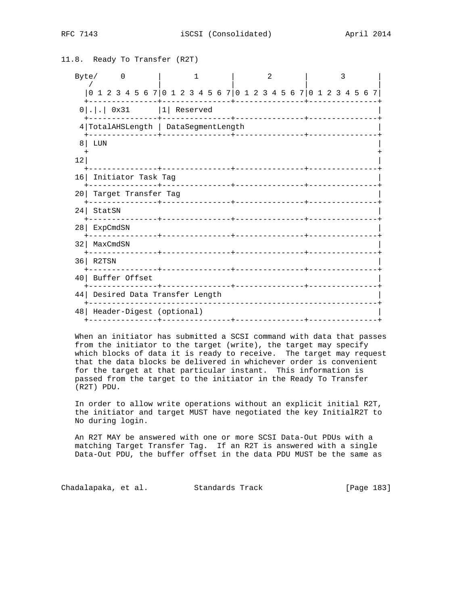RFC 7143 **iSCSI** (Consolidated) **April 2014** 

```
11.8. Ready To Transfer (R2T)
  Byte/ 0 | 1 | 2 | 3
 / | | | |
     |0 1 2 3 4 5 6 7|0 1 2 3 4 5 6 7|0 1 2 3 4 5 6 7|0 1 2 3 4 5 6 7|
     +---------------+---------------+---------------+---------------+
   0 | . | . | 0x31 | 1| Reserved
     +---------------+---------------+---------------+---------------+
    4|TotalAHSLength | DataSegmentLength |
     +---------------+---------------+---------------+---------------+
8\vert LUN \vert + +
\vert 12|
       +---------------+---------------+---------------+---------------+
   16| Initiator Task Tag |
     +---------------+---------------+---------------+---------------+
   20| Target Transfer Tag |
     +---------------+---------------+---------------+---------------+
   24| StatSN |
    +---------------+---------------+---------------+---------------+
   28| ExpCmdSN |
     +---------------+---------------+---------------+---------------+
   32| MaxCmdSN |
    +---------------+---------------+---------------+---------------+
   36| R2TSN |
    +---------------+---------------+---------------+---------------+
   40| Buffer Offset |
     +---------------+---------------+---------------+---------------+
   44| Desired Data Transfer Length |
     +---------------------------------------------------------------+
   48| Header-Digest (optional) |
    +---------------+---------------+---------------+---------------+
```
 When an initiator has submitted a SCSI command with data that passes from the initiator to the target (write), the target may specify which blocks of data it is ready to receive. The target may request that the data blocks be delivered in whichever order is convenient for the target at that particular instant. This information is passed from the target to the initiator in the Ready To Transfer (R2T) PDU.

 In order to allow write operations without an explicit initial R2T, the initiator and target MUST have negotiated the key InitialR2T to No during login.

 An R2T MAY be answered with one or more SCSI Data-Out PDUs with a matching Target Transfer Tag. If an R2T is answered with a single Data-Out PDU, the buffer offset in the data PDU MUST be the same as

Chadalapaka, et al. Standards Track (Page 183)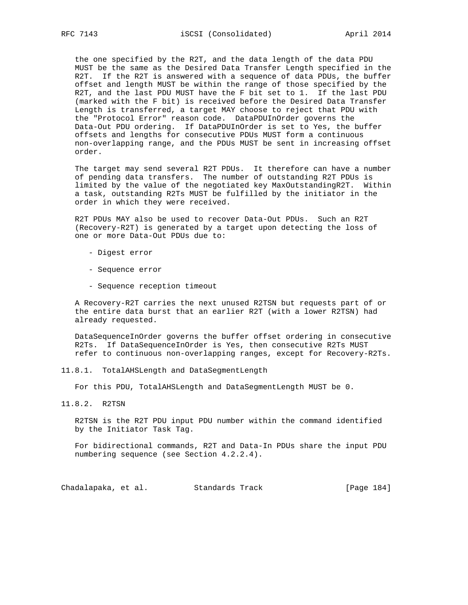the one specified by the R2T, and the data length of the data PDU MUST be the same as the Desired Data Transfer Length specified in the R2T. If the R2T is answered with a sequence of data PDUs, the buffer offset and length MUST be within the range of those specified by the R2T, and the last PDU MUST have the F bit set to 1. If the last PDU (marked with the F bit) is received before the Desired Data Transfer Length is transferred, a target MAY choose to reject that PDU with the "Protocol Error" reason code. DataPDUInOrder governs the Data-Out PDU ordering. If DataPDUInOrder is set to Yes, the buffer offsets and lengths for consecutive PDUs MUST form a continuous non-overlapping range, and the PDUs MUST be sent in increasing offset order.

 The target may send several R2T PDUs. It therefore can have a number of pending data transfers. The number of outstanding R2T PDUs is limited by the value of the negotiated key MaxOutstandingR2T. Within a task, outstanding R2Ts MUST be fulfilled by the initiator in the order in which they were received.

 R2T PDUs MAY also be used to recover Data-Out PDUs. Such an R2T (Recovery-R2T) is generated by a target upon detecting the loss of one or more Data-Out PDUs due to:

- Digest error
- Sequence error
- Sequence reception timeout

 A Recovery-R2T carries the next unused R2TSN but requests part of or the entire data burst that an earlier R2T (with a lower R2TSN) had already requested.

 DataSequenceInOrder governs the buffer offset ordering in consecutive R2Ts. If DataSequenceInOrder is Yes, then consecutive R2Ts MUST refer to continuous non-overlapping ranges, except for Recovery-R2Ts.

11.8.1. TotalAHSLength and DataSegmentLength

For this PDU, TotalAHSLength and DataSegmentLength MUST be 0.

11.8.2. R2TSN

 R2TSN is the R2T PDU input PDU number within the command identified by the Initiator Task Tag.

 For bidirectional commands, R2T and Data-In PDUs share the input PDU numbering sequence (see Section 4.2.2.4).

Chadalapaka, et al. Standards Track [Page 184]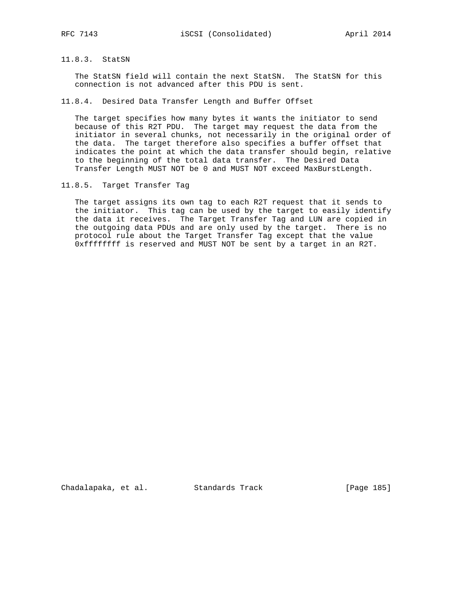# 11.8.3. StatSN

 The StatSN field will contain the next StatSN. The StatSN for this connection is not advanced after this PDU is sent.

11.8.4. Desired Data Transfer Length and Buffer Offset

 The target specifies how many bytes it wants the initiator to send because of this R2T PDU. The target may request the data from the initiator in several chunks, not necessarily in the original order of the data. The target therefore also specifies a buffer offset that indicates the point at which the data transfer should begin, relative to the beginning of the total data transfer. The Desired Data Transfer Length MUST NOT be 0 and MUST NOT exceed MaxBurstLength.

11.8.5. Target Transfer Tag

 The target assigns its own tag to each R2T request that it sends to the initiator. This tag can be used by the target to easily identify the data it receives. The Target Transfer Tag and LUN are copied in the outgoing data PDUs and are only used by the target. There is no protocol rule about the Target Transfer Tag except that the value 0xffffffff is reserved and MUST NOT be sent by a target in an R2T.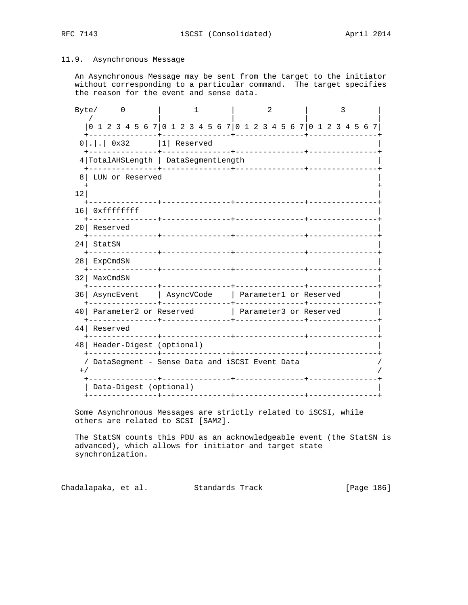# 11.9. Asynchronous Message

 An Asynchronous Message may be sent from the target to the initiator without corresponding to a particular command. The target specifies the reason for the event and sense data.

| Byte/           |                                                                 | $\Omega$ |  |                                         | 1                  |  |  |                                | 2 |  |  |  | 3           |  |  |
|-----------------|-----------------------------------------------------------------|----------|--|-----------------------------------------|--------------------|--|--|--------------------------------|---|--|--|--|-------------|--|--|
|                 | 0 1 2 3 4 5 6 7 0 1 2 3 4 5 6 7 0 1 2 3 4 5 6 7 0 1 2 3 4 5 6 7 |          |  |                                         |                    |  |  |                                |   |  |  |  |             |  |  |
|                 | $0 . .$ 0x32  1 Reserved                                        |          |  |                                         |                    |  |  | _____________                  |   |  |  |  |             |  |  |
|                 | 4 TotalAHSLength   DataSegmentLength                            |          |  |                                         | ----------+------- |  |  |                                |   |  |  |  |             |  |  |
| 8               | LUN or Reserved                                                 |          |  |                                         |                    |  |  |                                |   |  |  |  |             |  |  |
| 12              |                                                                 |          |  |                                         |                    |  |  |                                |   |  |  |  |             |  |  |
| 16 <sup>1</sup> | Oxffffffff                                                      |          |  | . _ _ _ _ _ _ + _ _ _ _ _ _ _ _ _ _ _ _ |                    |  |  | _______________                |   |  |  |  |             |  |  |
|                 | 20 Reserved                                                     |          |  |                                         |                    |  |  |                                |   |  |  |  |             |  |  |
| 24 <sub>1</sub> | StatSN                                                          |          |  |                                         |                    |  |  | ______________________________ |   |  |  |  |             |  |  |
| 28              | ExpCmdSN                                                        |          |  | ________________                        |                    |  |  | ----------------+----------    |   |  |  |  |             |  |  |
| 32              | MaxCmdSN                                                        |          |  |                                         |                    |  |  |                                |   |  |  |  |             |  |  |
| 36              | AsyncEvent   AsyncVCode   Parameter1 or Reserved                |          |  | -+----------------                      |                    |  |  |                                |   |  |  |  | ----------- |  |  |
| 40              | Parameter2 or Reserved Parameter3 or Reserved                   |          |  |                                         | ________________   |  |  | ---------------                |   |  |  |  | .           |  |  |
| 44              | Reserved                                                        |          |  |                                         |                    |  |  | ___________                    |   |  |  |  |             |  |  |
|                 | 48   Header-Digest (optional)                                   |          |  |                                         |                    |  |  |                                |   |  |  |  |             |  |  |
| $+$ /           | DataSegment - Sense Data and iSCSI Event Data                   |          |  |                                         | _____________      |  |  |                                |   |  |  |  |             |  |  |
|                 | Data-Digest (optional)<br>---------------+------------          |          |  |                                         |                    |  |  |                                |   |  |  |  |             |  |  |
|                 |                                                                 |          |  |                                         |                    |  |  |                                |   |  |  |  |             |  |  |

 Some Asynchronous Messages are strictly related to iSCSI, while others are related to SCSI [SAM2].

 The StatSN counts this PDU as an acknowledgeable event (the StatSN is advanced), which allows for initiator and target state synchronization.

Chadalapaka, et al. Standards Track [Page 186]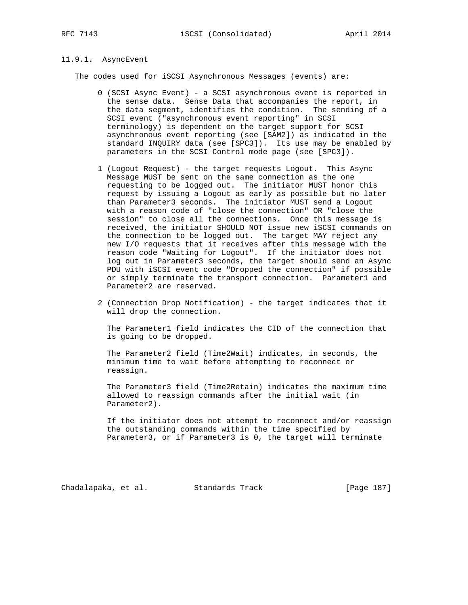# 11.9.1. AsyncEvent

The codes used for iSCSI Asynchronous Messages (events) are:

- 0 (SCSI Async Event) a SCSI asynchronous event is reported in the sense data. Sense Data that accompanies the report, in the data segment, identifies the condition. The sending of a SCSI event ("asynchronous event reporting" in SCSI terminology) is dependent on the target support for SCSI asynchronous event reporting (see [SAM2]) as indicated in the standard INQUIRY data (see [SPC3]). Its use may be enabled by parameters in the SCSI Control mode page (see [SPC3]).
- 1 (Logout Request) the target requests Logout. This Async Message MUST be sent on the same connection as the one requesting to be logged out. The initiator MUST honor this request by issuing a Logout as early as possible but no later than Parameter3 seconds. The initiator MUST send a Logout with a reason code of "close the connection" OR "close the session" to close all the connections. Once this message is received, the initiator SHOULD NOT issue new iSCSI commands on the connection to be logged out. The target MAY reject any new I/O requests that it receives after this message with the reason code "Waiting for Logout". If the initiator does not log out in Parameter3 seconds, the target should send an Async PDU with iSCSI event code "Dropped the connection" if possible or simply terminate the transport connection. Parameter1 and Parameter2 are reserved.
- 2 (Connection Drop Notification) the target indicates that it will drop the connection.

 The Parameter1 field indicates the CID of the connection that is going to be dropped.

 The Parameter2 field (Time2Wait) indicates, in seconds, the minimum time to wait before attempting to reconnect or reassign.

 The Parameter3 field (Time2Retain) indicates the maximum time allowed to reassign commands after the initial wait (in Parameter2).

 If the initiator does not attempt to reconnect and/or reassign the outstanding commands within the time specified by Parameter3, or if Parameter3 is 0, the target will terminate

Chadalapaka, et al. Standards Track [Page 187]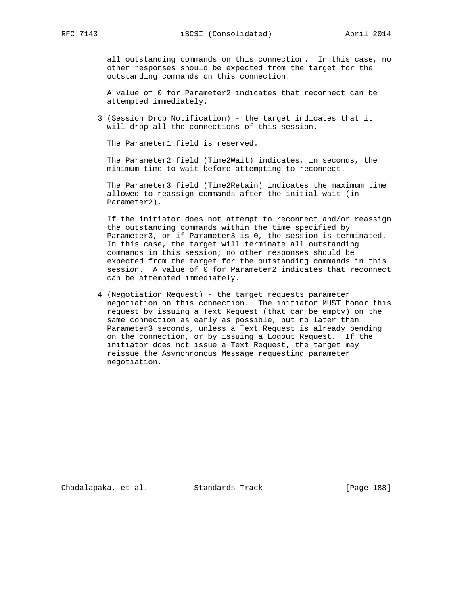all outstanding commands on this connection. In this case, no other responses should be expected from the target for the outstanding commands on this connection.

 A value of 0 for Parameter2 indicates that reconnect can be attempted immediately.

 3 (Session Drop Notification) - the target indicates that it will drop all the connections of this session.

The Parameter1 field is reserved.

 The Parameter2 field (Time2Wait) indicates, in seconds, the minimum time to wait before attempting to reconnect.

 The Parameter3 field (Time2Retain) indicates the maximum time allowed to reassign commands after the initial wait (in Parameter2).

 If the initiator does not attempt to reconnect and/or reassign the outstanding commands within the time specified by Parameter3, or if Parameter3 is 0, the session is terminated. In this case, the target will terminate all outstanding commands in this session; no other responses should be expected from the target for the outstanding commands in this session. A value of 0 for Parameter2 indicates that reconnect can be attempted immediately.

 4 (Negotiation Request) - the target requests parameter negotiation on this connection. The initiator MUST honor this request by issuing a Text Request (that can be empty) on the same connection as early as possible, but no later than Parameter3 seconds, unless a Text Request is already pending on the connection, or by issuing a Logout Request. If the initiator does not issue a Text Request, the target may reissue the Asynchronous Message requesting parameter negotiation.

Chadalapaka, et al. Standards Track [Page 188]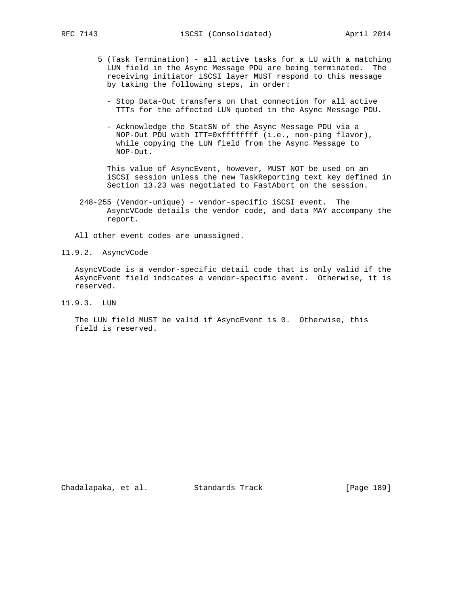- 5 (Task Termination) all active tasks for a LU with a matching LUN field in the Async Message PDU are being terminated. The receiving initiator iSCSI layer MUST respond to this message by taking the following steps, in order:
	- Stop Data-Out transfers on that connection for all active TTTs for the affected LUN quoted in the Async Message PDU.
	- Acknowledge the StatSN of the Async Message PDU via a NOP-Out PDU with ITT=0xffffffff (i.e., non-ping flavor), while copying the LUN field from the Async Message to NOP-Out.

 This value of AsyncEvent, however, MUST NOT be used on an iSCSI session unless the new TaskReporting text key defined in Section 13.23 was negotiated to FastAbort on the session.

 248-255 (Vendor-unique) - vendor-specific iSCSI event. The AsyncVCode details the vendor code, and data MAY accompany the report.

All other event codes are unassigned.

11.9.2. AsyncVCode

 AsyncVCode is a vendor-specific detail code that is only valid if the AsyncEvent field indicates a vendor-specific event. Otherwise, it is reserved.

11.9.3. LUN

 The LUN field MUST be valid if AsyncEvent is 0. Otherwise, this field is reserved.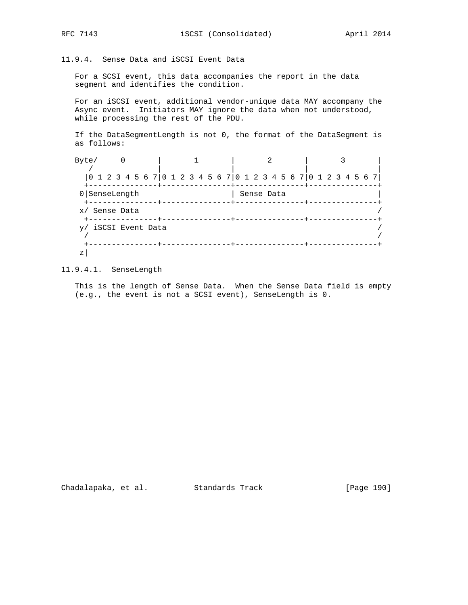11.9.4. Sense Data and iSCSI Event Data

 For a SCSI event, this data accompanies the report in the data segment and identifies the condition.

 For an iSCSI event, additional vendor-unique data MAY accompany the Async event. Initiators MAY ignore the data when not understood, while processing the rest of the PDU.

 If the DataSegmentLength is not 0, the format of the DataSegment is as follows:

| Byte/                                                           |  |  |  |  |  |            |  |  |  |  |  |  |  |
|-----------------------------------------------------------------|--|--|--|--|--|------------|--|--|--|--|--|--|--|
| 0 1 2 3 4 5 6 7 0 1 2 3 4 5 6 7 0 1 2 3 4 5 6 7 0 1 2 3 4 5 6 7 |  |  |  |  |  |            |  |  |  |  |  |  |  |
| 0 SenseLength                                                   |  |  |  |  |  | Sense Data |  |  |  |  |  |  |  |
| x/ Sense Data                                                   |  |  |  |  |  |            |  |  |  |  |  |  |  |
| y/ iSCSI Event Data                                             |  |  |  |  |  |            |  |  |  |  |  |  |  |
| Ζ                                                               |  |  |  |  |  |            |  |  |  |  |  |  |  |

11.9.4.1. SenseLength

 This is the length of Sense Data. When the Sense Data field is empty (e.g., the event is not a SCSI event), SenseLength is 0.

Chadalapaka, et al. Standards Track [Page 190]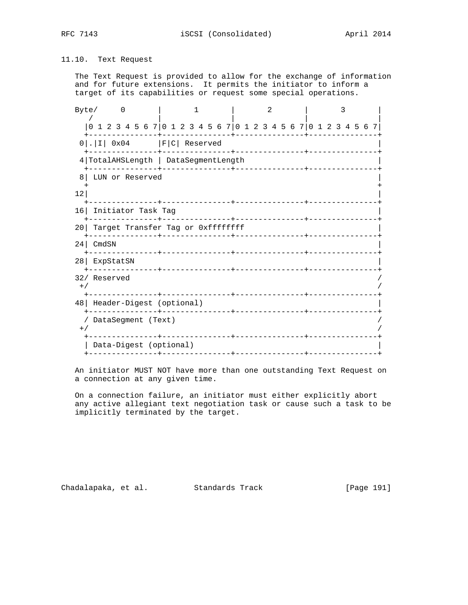# 11.10. Text Request

 The Text Request is provided to allow for the exchange of information and for future extensions. It permits the initiator to inform a target of its capabilities or request some special operations.

|       | Byte/                                                           |                 | - 0 |  |                                   | 1 |  |  |  | 2 |  |  |  | 3 |  |  |
|-------|-----------------------------------------------------------------|-----------------|-----|--|-----------------------------------|---|--|--|--|---|--|--|--|---|--|--|
|       | 0 1 2 3 4 5 6 7 0 1 2 3 4 5 6 7 0 1 2 3 4 5 6 7 0 1 2 3 4 5 6 7 |                 |     |  |                                   |   |  |  |  |   |  |  |  |   |  |  |
|       | $0$ . I $0 \times 04$   F   C   Reserved                        |                 |     |  |                                   |   |  |  |  |   |  |  |  |   |  |  |
|       | 4 TotalAHSLength   DataSegmentLength                            |                 |     |  |                                   |   |  |  |  |   |  |  |  |   |  |  |
| 8     |                                                                 | LUN or Reserved |     |  |                                   |   |  |  |  |   |  |  |  |   |  |  |
| 12    |                                                                 |                 |     |  |                                   |   |  |  |  |   |  |  |  |   |  |  |
|       | 16 Initiator Task Tag                                           |                 |     |  |                                   |   |  |  |  |   |  |  |  |   |  |  |
| 20 L  |                                                                 |                 |     |  | Target Transfer Tag or Oxffffffff |   |  |  |  |   |  |  |  |   |  |  |
|       | 24 CmdSN                                                        |                 |     |  |                                   |   |  |  |  |   |  |  |  |   |  |  |
|       | 28 ExpStatSN                                                    |                 |     |  |                                   |   |  |  |  |   |  |  |  |   |  |  |
| $+$ / | 32/ Reserved                                                    |                 |     |  |                                   |   |  |  |  |   |  |  |  |   |  |  |
|       | 48   Header-Digest (optional)                                   |                 |     |  |                                   |   |  |  |  |   |  |  |  |   |  |  |
| $+$ / | / DataSegment (Text)                                            |                 |     |  |                                   |   |  |  |  |   |  |  |  |   |  |  |
|       |                                                                 |                 |     |  | Data-Digest (optional)            |   |  |  |  |   |  |  |  |   |  |  |
|       |                                                                 |                 |     |  |                                   |   |  |  |  |   |  |  |  |   |  |  |

 An initiator MUST NOT have more than one outstanding Text Request on a connection at any given time.

 On a connection failure, an initiator must either explicitly abort any active allegiant text negotiation task or cause such a task to be implicitly terminated by the target.

Chadalapaka, et al. Standards Track [Page 191]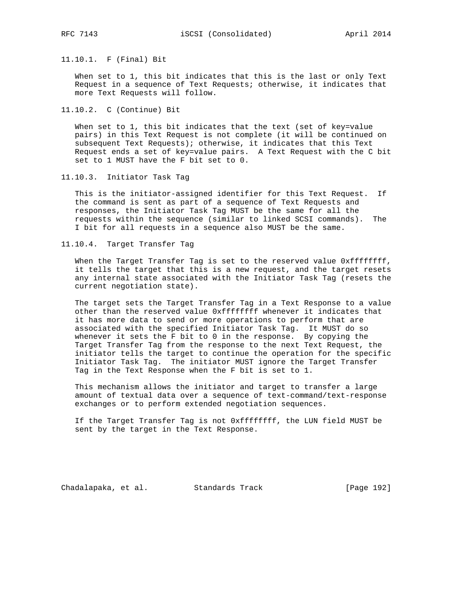## 11.10.1. F (Final) Bit

 When set to 1, this bit indicates that this is the last or only Text Request in a sequence of Text Requests; otherwise, it indicates that more Text Requests will follow.

## 11.10.2. C (Continue) Bit

 When set to 1, this bit indicates that the text (set of key=value pairs) in this Text Request is not complete (it will be continued on subsequent Text Requests); otherwise, it indicates that this Text Request ends a set of key=value pairs. A Text Request with the C bit set to 1 MUST have the F bit set to 0.

11.10.3. Initiator Task Tag

 This is the initiator-assigned identifier for this Text Request. If the command is sent as part of a sequence of Text Requests and responses, the Initiator Task Tag MUST be the same for all the requests within the sequence (similar to linked SCSI commands). The I bit for all requests in a sequence also MUST be the same.

## 11.10.4. Target Transfer Tag

When the Target Transfer Tag is set to the reserved value 0xffffffff, it tells the target that this is a new request, and the target resets any internal state associated with the Initiator Task Tag (resets the current negotiation state).

 The target sets the Target Transfer Tag in a Text Response to a value other than the reserved value Oxffffffff whenever it indicates that it has more data to send or more operations to perform that are associated with the specified Initiator Task Tag. It MUST do so whenever it sets the F bit to 0 in the response. By copying the Target Transfer Tag from the response to the next Text Request, the initiator tells the target to continue the operation for the specific Initiator Task Tag. The initiator MUST ignore the Target Transfer Tag in the Text Response when the F bit is set to 1.

 This mechanism allows the initiator and target to transfer a large amount of textual data over a sequence of text-command/text-response exchanges or to perform extended negotiation sequences.

 If the Target Transfer Tag is not 0xffffffff, the LUN field MUST be sent by the target in the Text Response.

Chadalapaka, et al. Standards Track [Page 192]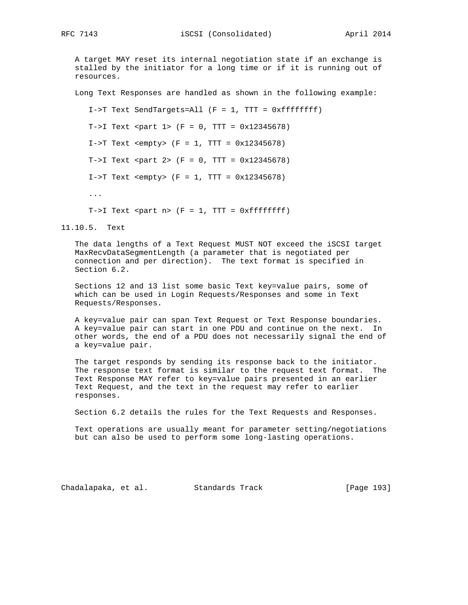A target MAY reset its internal negotiation state if an exchange is stalled by the initiator for a long time or if it is running out of resources.

Long Text Responses are handled as shown in the following example:

 I->T Text SendTargets=All (F = 1, TTT = 0xffffffff)  $T->I$  Text <part 1> ( $F = 0$ , TTT =  $0x12345678$ )  $I->T$  Text <empty>  $(F = 1, TTT = 0x12345678)$  $T->I$  Text <part 2> (F = 0, TTT = 0x12345678)  $I->T$  Text <empty> (F = 1, TTT =  $0x12345678$ ) ... T->I Text <part n>  $(F = 1, TTT = 0xffffffff)$ 

# 11.10.5. Text

 The data lengths of a Text Request MUST NOT exceed the iSCSI target MaxRecvDataSegmentLength (a parameter that is negotiated per connection and per direction). The text format is specified in Section 6.2.

 Sections 12 and 13 list some basic Text key=value pairs, some of which can be used in Login Requests/Responses and some in Text Requests/Responses.

 A key=value pair can span Text Request or Text Response boundaries. A key=value pair can start in one PDU and continue on the next. In other words, the end of a PDU does not necessarily signal the end of a key=value pair.

 The target responds by sending its response back to the initiator. The response text format is similar to the request text format. The Text Response MAY refer to key=value pairs presented in an earlier Text Request, and the text in the request may refer to earlier responses.

Section 6.2 details the rules for the Text Requests and Responses.

 Text operations are usually meant for parameter setting/negotiations but can also be used to perform some long-lasting operations.

Chadalapaka, et al. Standards Track [Page 193]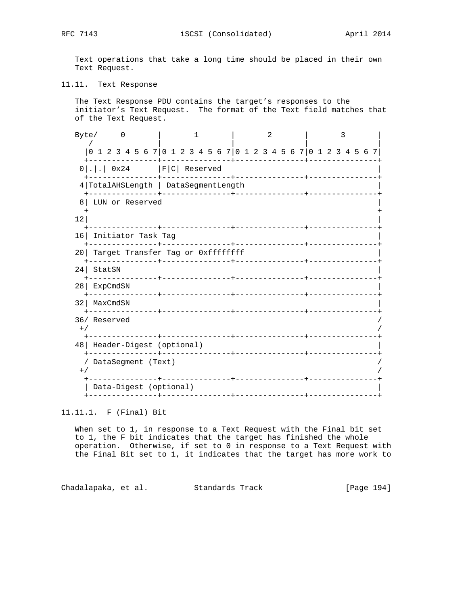RFC 7143 **iSCSI** (Consolidated) April 2014

 Text operations that take a long time should be placed in their own Text Request.

11.11. Text Response

 The Text Response PDU contains the target's responses to the initiator's Text Request. The format of the Text field matches that of the Text Request.

|                 | Byte/                                                           | 0                                             |  |                |  | 1 |                    |  |             | $\mathfrak{D}$ |  |  |                                | 3 |  |  |
|-----------------|-----------------------------------------------------------------|-----------------------------------------------|--|----------------|--|---|--------------------|--|-------------|----------------|--|--|--------------------------------|---|--|--|
|                 | 0 1 2 3 4 5 6 7 0 1 2 3 4 5 6 7 0 1 2 3 4 5 6 7 0 1 2 3 4 5 6 7 |                                               |  |                |  |   |                    |  |             |                |  |  |                                |   |  |  |
|                 | $0 . .$ 0x24   F C  Reserved                                    |                                               |  |                |  |   | ----+------------- |  |             |                |  |  |                                |   |  |  |
|                 | 4 TotalAHSLength   DataSegmentLength                            |                                               |  | -+------------ |  |   |                    |  |             |                |  |  | ____________________________   |   |  |  |
| 8               | LUN or Reserved                                                 |                                               |  |                |  |   |                    |  |             |                |  |  |                                |   |  |  |
| 12              |                                                                 |                                               |  |                |  |   |                    |  |             |                |  |  |                                |   |  |  |
|                 | 16 Initiator Task Tag                                           |                                               |  |                |  |   |                    |  |             |                |  |  |                                |   |  |  |
| 20 <sub>1</sub> | Target Transfer Tag or 0xffffffff                               |                                               |  |                |  |   |                    |  |             |                |  |  |                                |   |  |  |
| 24 <sub>1</sub> | StatSN                                                          | ------------- <del>-</del> ------------------ |  |                |  |   |                    |  |             |                |  |  | ---------------+------         |   |  |  |
| 28 <sup>1</sup> | ExpCmdSN                                                        |                                               |  |                |  |   |                    |  |             |                |  |  |                                |   |  |  |
| 32              | MaxCmdSN                                                        | --------------+----------------               |  |                |  |   |                    |  |             |                |  |  | ______________________________ |   |  |  |
| $+$ /           | 36/ Reserved                                                    |                                               |  |                |  |   |                    |  |             |                |  |  |                                |   |  |  |
|                 | 48   Header-Digest (optional)                                   |                                               |  |                |  |   |                    |  | ----------- |                |  |  |                                |   |  |  |
| $+$ /           | / DataSegment (Text)                                            |                                               |  |                |  |   |                    |  |             |                |  |  |                                |   |  |  |
|                 | Data-Digest (optional)                                          | -------------- <b>-</b> ------                |  |                |  |   |                    |  |             |                |  |  | <u>_+___________</u>           |   |  |  |

11.11.1. F (Final) Bit

 When set to 1, in response to a Text Request with the Final bit set to 1, the F bit indicates that the target has finished the whole operation. Otherwise, if set to 0 in response to a Text Request with the Final Bit set to 1, it indicates that the target has more work to

Chadalapaka, et al. Standards Track [Page 194]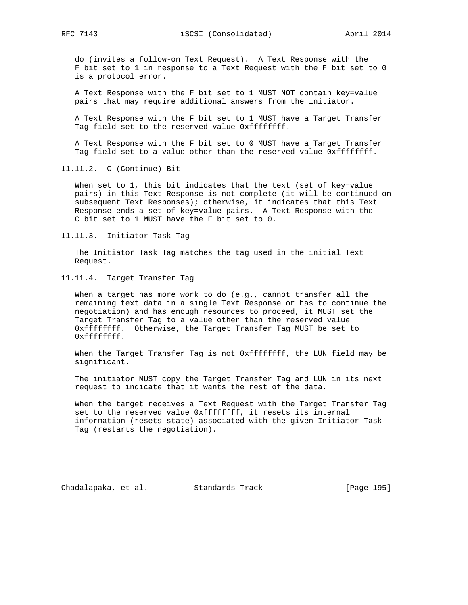do (invites a follow-on Text Request). A Text Response with the F bit set to 1 in response to a Text Request with the F bit set to 0 is a protocol error.

 A Text Response with the F bit set to 1 MUST NOT contain key=value pairs that may require additional answers from the initiator.

 A Text Response with the F bit set to 1 MUST have a Target Transfer Tag field set to the reserved value 0xffffffff.

 A Text Response with the F bit set to 0 MUST have a Target Transfer Tag field set to a value other than the reserved value 0xffffffff.

11.11.2. C (Continue) Bit

When set to 1, this bit indicates that the text (set of key=value pairs) in this Text Response is not complete (it will be continued on subsequent Text Responses); otherwise, it indicates that this Text Response ends a set of key=value pairs. A Text Response with the C bit set to 1 MUST have the F bit set to 0.

11.11.3. Initiator Task Tag

 The Initiator Task Tag matches the tag used in the initial Text Request.

11.11.4. Target Transfer Tag

 When a target has more work to do (e.g., cannot transfer all the remaining text data in a single Text Response or has to continue the negotiation) and has enough resources to proceed, it MUST set the Target Transfer Tag to a value other than the reserved value 0xffffffff. Otherwise, the Target Transfer Tag MUST be set to 0xffffffff.

When the Target Transfer Tag is not 0xffffffff, the LUN field may be significant.

 The initiator MUST copy the Target Transfer Tag and LUN in its next request to indicate that it wants the rest of the data.

 When the target receives a Text Request with the Target Transfer Tag set to the reserved value 0xffffffff, it resets its internal information (resets state) associated with the given Initiator Task Tag (restarts the negotiation).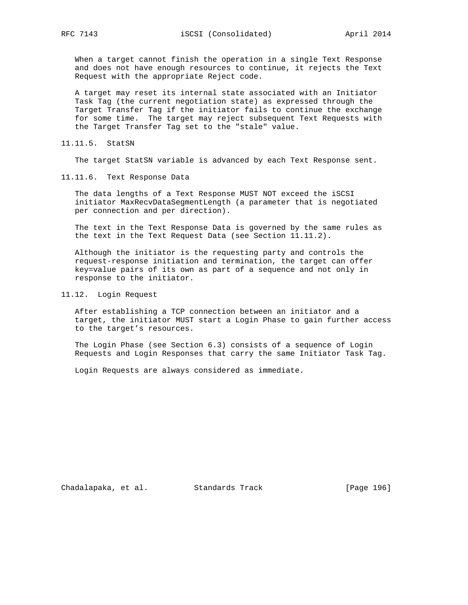When a target cannot finish the operation in a single Text Response and does not have enough resources to continue, it rejects the Text Request with the appropriate Reject code.

 A target may reset its internal state associated with an Initiator Task Tag (the current negotiation state) as expressed through the Target Transfer Tag if the initiator fails to continue the exchange for some time. The target may reject subsequent Text Requests with the Target Transfer Tag set to the "stale" value.

11.11.5. StatSN

The target StatSN variable is advanced by each Text Response sent.

11.11.6. Text Response Data

 The data lengths of a Text Response MUST NOT exceed the iSCSI initiator MaxRecvDataSegmentLength (a parameter that is negotiated per connection and per direction).

 The text in the Text Response Data is governed by the same rules as the text in the Text Request Data (see Section 11.11.2).

 Although the initiator is the requesting party and controls the request-response initiation and termination, the target can offer key=value pairs of its own as part of a sequence and not only in response to the initiator.

11.12. Login Request

 After establishing a TCP connection between an initiator and a target, the initiator MUST start a Login Phase to gain further access to the target's resources.

 The Login Phase (see Section 6.3) consists of a sequence of Login Requests and Login Responses that carry the same Initiator Task Tag.

Login Requests are always considered as immediate.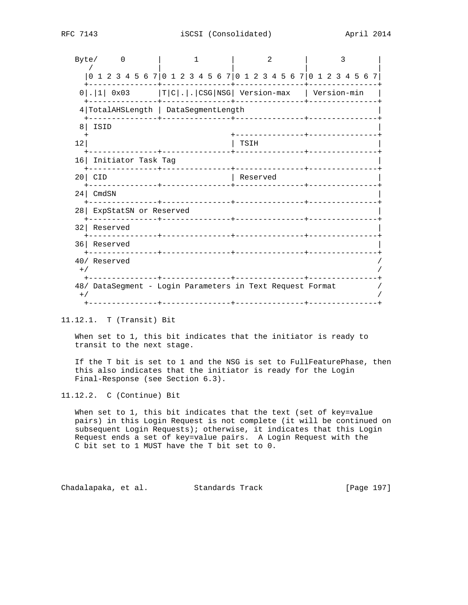|                 | Byte/                                                           | $\Omega$ |                       |  | ı. |          |      |          | 2 |  |  | 3 |  |
|-----------------|-----------------------------------------------------------------|----------|-----------------------|--|----|----------|------|----------|---|--|--|---|--|
|                 | 0 1 2 3 4 5 6 7 0 1 2 3 4 5 6 7 0 1 2 3 4 5 6 7 0 1 2 3 4 5 6 7 |          |                       |  |    |          |      |          |   |  |  |   |  |
|                 | $0 .  1 $ 0x03  T C . . CSG NSG  Version-max   Version-min      |          |                       |  |    |          |      |          |   |  |  |   |  |
|                 | 4 TotalAHSLength   DataSegmentLength                            |          |                       |  |    |          |      |          |   |  |  |   |  |
| 8 <sup>1</sup>  | ISID                                                            |          |                       |  |    |          |      |          |   |  |  |   |  |
| 12              |                                                                 |          |                       |  |    |          | TSIH |          |   |  |  |   |  |
| 16              |                                                                 |          | Initiator Task Tag    |  |    |          |      |          |   |  |  |   |  |
| 20 <sub>1</sub> | <b>CID</b>                                                      |          |                       |  |    |          |      | Reserved |   |  |  |   |  |
| 24 <sub>1</sub> | CmdSN                                                           |          |                       |  |    |          |      |          |   |  |  |   |  |
| 28 <sup>1</sup> |                                                                 |          | ExpStatSN or Reserved |  |    |          |      |          |   |  |  |   |  |
| 32              | Reserved                                                        |          |                       |  |    |          |      |          |   |  |  |   |  |
| 36              | Reserved                                                        |          |                       |  |    |          |      |          |   |  |  |   |  |
| $+$ /           | 40/ Reserved                                                    |          |                       |  |    | -------+ |      |          |   |  |  |   |  |
| $+$ /           | 48/ DataSegment - Login Parameters in Text Request Format       |          |                       |  |    |          |      |          |   |  |  |   |  |
|                 |                                                                 |          |                       |  |    |          |      |          |   |  |  |   |  |

11.12.1. T (Transit) Bit

 When set to 1, this bit indicates that the initiator is ready to transit to the next stage.

 If the T bit is set to 1 and the NSG is set to FullFeaturePhase, then this also indicates that the initiator is ready for the Login Final-Response (see Section 6.3).

11.12.2. C (Continue) Bit

When set to 1, this bit indicates that the text (set of key=value pairs) in this Login Request is not complete (it will be continued on subsequent Login Requests); otherwise, it indicates that this Login Request ends a set of key=value pairs. A Login Request with the C bit set to 1 MUST have the T bit set to 0.

Chadalapaka, et al. Standards Track [Page 197]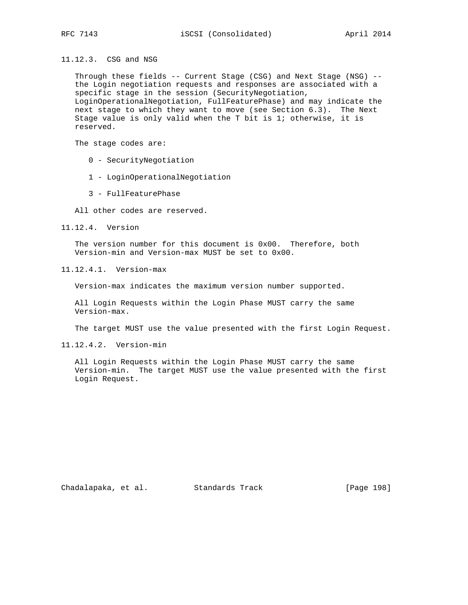11.12.3. CSG and NSG

 Through these fields -- Current Stage (CSG) and Next Stage (NSG) - the Login negotiation requests and responses are associated with a specific stage in the session (SecurityNegotiation, LoginOperationalNegotiation, FullFeaturePhase) and may indicate the next stage to which they want to move (see Section 6.3). The Next Stage value is only valid when the T bit is 1; otherwise, it is reserved.

The stage codes are:

0 - SecurityNegotiation

1 - LoginOperationalNegotiation

3 - FullFeaturePhase

All other codes are reserved.

11.12.4. Version

 The version number for this document is 0x00. Therefore, both Version-min and Version-max MUST be set to 0x00.

11.12.4.1. Version-max

Version-max indicates the maximum version number supported.

 All Login Requests within the Login Phase MUST carry the same Version-max.

The target MUST use the value presented with the first Login Request.

11.12.4.2. Version-min

 All Login Requests within the Login Phase MUST carry the same Version-min. The target MUST use the value presented with the first Login Request.

Chadalapaka, et al. Standards Track [Page 198]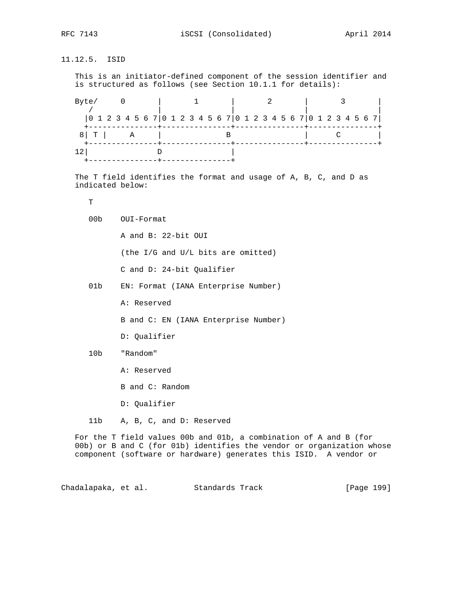11.12.5. ISID This is an initiator-defined component of the session identifier and is structured as follows (see Section 10.1.1 for details): Byte/ 0 | 1 | 2 | 3 | / | | | | |0 1 2 3 4 5 6 7|0 1 2 3 4 5 6 7|0 1 2 3 4 5 6 7|0 1 2 3 4 5 6 7| +---------------+---------------+---------------+---------------+ 8 | T | A | B | C +---------------+---------------+---------------+---------------+  $12$  D  $\qquad$  D +---------------+---------------+ The T field identifies the format and usage of A, B, C, and D as indicated below:  $T$  00b OUI-Format A and B: 22-bit OUI (the I/G and U/L bits are omitted) C and D: 24-bit Qualifier 01b EN: Format (IANA Enterprise Number) A: Reserved B and C: EN (IANA Enterprise Number) D: Qualifier 10b "Random" A: Reserved B and C: Random D: Qualifier 11b A, B, C, and D: Reserved For the T field values 00b and 01b, a combination of A and B (for 00b) or B and C (for 01b) identifies the vendor or organization whose component (software or hardware) generates this ISID. A vendor or Chadalapaka, et al. Standards Track [Page 199]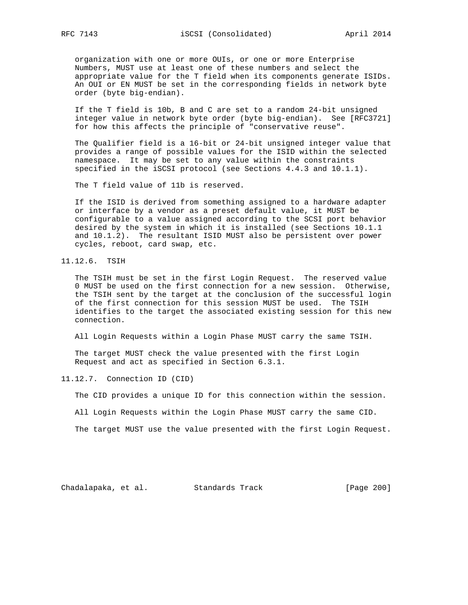organization with one or more OUIs, or one or more Enterprise Numbers, MUST use at least one of these numbers and select the appropriate value for the T field when its components generate ISIDs. An OUI or EN MUST be set in the corresponding fields in network byte order (byte big-endian).

 If the T field is 10b, B and C are set to a random 24-bit unsigned integer value in network byte order (byte big-endian). See [RFC3721] for how this affects the principle of "conservative reuse".

 The Qualifier field is a 16-bit or 24-bit unsigned integer value that provides a range of possible values for the ISID within the selected namespace. It may be set to any value within the constraints specified in the iSCSI protocol (see Sections 4.4.3 and 10.1.1).

The T field value of 11b is reserved.

 If the ISID is derived from something assigned to a hardware adapter or interface by a vendor as a preset default value, it MUST be configurable to a value assigned according to the SCSI port behavior desired by the system in which it is installed (see Sections 10.1.1 and 10.1.2). The resultant ISID MUST also be persistent over power cycles, reboot, card swap, etc.

11.12.6. TSIH

 The TSIH must be set in the first Login Request. The reserved value 0 MUST be used on the first connection for a new session. Otherwise, the TSIH sent by the target at the conclusion of the successful login of the first connection for this session MUST be used. The TSIH identifies to the target the associated existing session for this new connection.

All Login Requests within a Login Phase MUST carry the same TSIH.

 The target MUST check the value presented with the first Login Request and act as specified in Section 6.3.1.

11.12.7. Connection ID (CID)

The CID provides a unique ID for this connection within the session.

All Login Requests within the Login Phase MUST carry the same CID.

The target MUST use the value presented with the first Login Request.

Chadalapaka, et al. Standards Track [Page 200]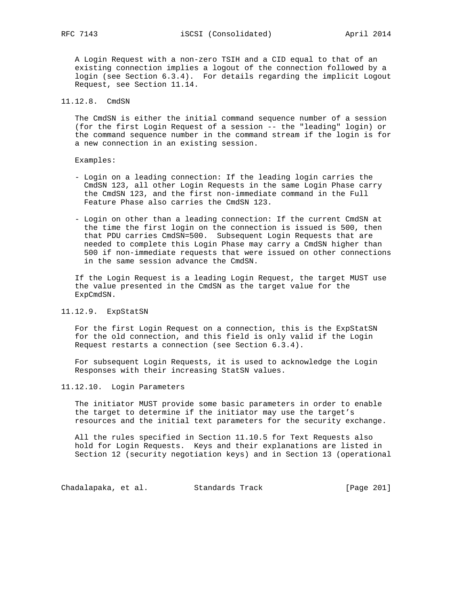A Login Request with a non-zero TSIH and a CID equal to that of an existing connection implies a logout of the connection followed by a login (see Section 6.3.4). For details regarding the implicit Logout Request, see Section 11.14.

## 11.12.8. CmdSN

 The CmdSN is either the initial command sequence number of a session (for the first Login Request of a session -- the "leading" login) or the command sequence number in the command stream if the login is for a new connection in an existing session.

Examples:

- Login on a leading connection: If the leading login carries the CmdSN 123, all other Login Requests in the same Login Phase carry the CmdSN 123, and the first non-immediate command in the Full Feature Phase also carries the CmdSN 123.
- Login on other than a leading connection: If the current CmdSN at the time the first login on the connection is issued is 500, then that PDU carries CmdSN=500. Subsequent Login Requests that are needed to complete this Login Phase may carry a CmdSN higher than 500 if non-immediate requests that were issued on other connections in the same session advance the CmdSN.

 If the Login Request is a leading Login Request, the target MUST use the value presented in the CmdSN as the target value for the ExpCmdSN.

### 11.12.9. ExpStatSN

 For the first Login Request on a connection, this is the ExpStatSN for the old connection, and this field is only valid if the Login Request restarts a connection (see Section 6.3.4).

 For subsequent Login Requests, it is used to acknowledge the Login Responses with their increasing StatSN values.

### 11.12.10. Login Parameters

 The initiator MUST provide some basic parameters in order to enable the target to determine if the initiator may use the target's resources and the initial text parameters for the security exchange.

 All the rules specified in Section 11.10.5 for Text Requests also hold for Login Requests. Keys and their explanations are listed in Section 12 (security negotiation keys) and in Section 13 (operational

Chadalapaka, et al. Standards Track [Page 201]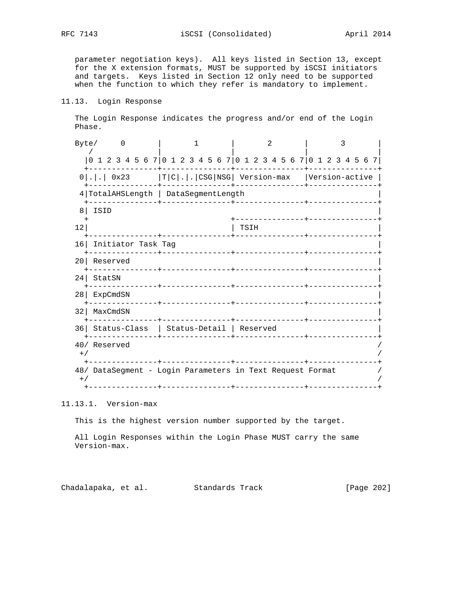parameter negotiation keys). All keys listed in Section 13, except for the X extension formats, MUST be supported by iSCSI initiators and targets. Keys listed in Section 12 only need to be supported when the function to which they refer is mandatory to implement.

# 11.13. Login Response

 The Login Response indicates the progress and/or end of the Login Phase.

| 0 1 2 3 4 5 6 7 0 1 2 3 4 5 6 7 0 1 2 3 4 5 6 7 0 1 2 3 4 5 6 7<br>$0 . .$ 0x23 $ T C . .$ CSG NSG   Version-max   Version-active<br>4 TotalAHSLength   DataSegmentLength<br>ISID<br>8<br>____________________________<br>12<br>TSIH<br>16 Initiator Task Tag<br>Reserved<br>201<br>StatSN<br>24 <sub>1</sub><br>--------------+----------------<br>___________________________<br>ExpCmdSN<br>28 l<br>-------------+----------------<br>_______________ <b>____</b> ___<br>MaxCmdSN<br>32 <br>. <u>.</u><br>36 Status-Class   Status-Detail   Reserved<br>40/ Reserved<br>$+ /$ |  | 3 |  |  | 2 |  |  |  |  |  |  |  | Byte/ |
|----------------------------------------------------------------------------------------------------------------------------------------------------------------------------------------------------------------------------------------------------------------------------------------------------------------------------------------------------------------------------------------------------------------------------------------------------------------------------------------------------------------------------------------------------------------------------------|--|---|--|--|---|--|--|--|--|--|--|--|-------|
|                                                                                                                                                                                                                                                                                                                                                                                                                                                                                                                                                                                  |  |   |  |  |   |  |  |  |  |  |  |  |       |
|                                                                                                                                                                                                                                                                                                                                                                                                                                                                                                                                                                                  |  |   |  |  |   |  |  |  |  |  |  |  |       |
|                                                                                                                                                                                                                                                                                                                                                                                                                                                                                                                                                                                  |  |   |  |  |   |  |  |  |  |  |  |  |       |
|                                                                                                                                                                                                                                                                                                                                                                                                                                                                                                                                                                                  |  |   |  |  |   |  |  |  |  |  |  |  |       |
|                                                                                                                                                                                                                                                                                                                                                                                                                                                                                                                                                                                  |  |   |  |  |   |  |  |  |  |  |  |  |       |
|                                                                                                                                                                                                                                                                                                                                                                                                                                                                                                                                                                                  |  |   |  |  |   |  |  |  |  |  |  |  |       |
|                                                                                                                                                                                                                                                                                                                                                                                                                                                                                                                                                                                  |  |   |  |  |   |  |  |  |  |  |  |  |       |
|                                                                                                                                                                                                                                                                                                                                                                                                                                                                                                                                                                                  |  |   |  |  |   |  |  |  |  |  |  |  |       |
|                                                                                                                                                                                                                                                                                                                                                                                                                                                                                                                                                                                  |  |   |  |  |   |  |  |  |  |  |  |  |       |
|                                                                                                                                                                                                                                                                                                                                                                                                                                                                                                                                                                                  |  |   |  |  |   |  |  |  |  |  |  |  |       |
|                                                                                                                                                                                                                                                                                                                                                                                                                                                                                                                                                                                  |  |   |  |  |   |  |  |  |  |  |  |  |       |
|                                                                                                                                                                                                                                                                                                                                                                                                                                                                                                                                                                                  |  |   |  |  |   |  |  |  |  |  |  |  |       |
| 48/ DataSegment - Login Parameters in Text Request Format<br>$+$ /                                                                                                                                                                                                                                                                                                                                                                                                                                                                                                               |  |   |  |  |   |  |  |  |  |  |  |  |       |

11.13.1. Version-max

This is the highest version number supported by the target.

 All Login Responses within the Login Phase MUST carry the same Version-max.

Chadalapaka, et al. Standards Track [Page 202]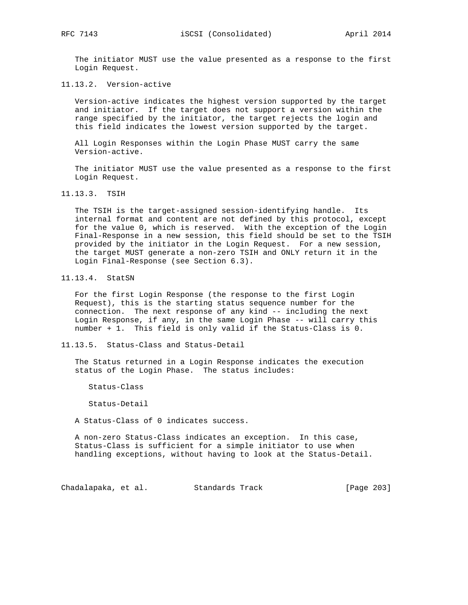The initiator MUST use the value presented as a response to the first Login Request.

11.13.2. Version-active

 Version-active indicates the highest version supported by the target and initiator. If the target does not support a version within the range specified by the initiator, the target rejects the login and this field indicates the lowest version supported by the target.

 All Login Responses within the Login Phase MUST carry the same Version-active.

 The initiator MUST use the value presented as a response to the first Login Request.

11.13.3. TSIH

 The TSIH is the target-assigned session-identifying handle. Its internal format and content are not defined by this protocol, except for the value 0, which is reserved. With the exception of the Login Final-Response in a new session, this field should be set to the TSIH provided by the initiator in the Login Request. For a new session, the target MUST generate a non-zero TSIH and ONLY return it in the Login Final-Response (see Section 6.3).

11.13.4. StatSN

 For the first Login Response (the response to the first Login Request), this is the starting status sequence number for the connection. The next response of any kind -- including the next Login Response, if any, in the same Login Phase -- will carry this number + 1. This field is only valid if the Status-Class is 0.

11.13.5. Status-Class and Status-Detail

 The Status returned in a Login Response indicates the execution status of the Login Phase. The status includes:

Status-Class

Status-Detail

A Status-Class of 0 indicates success.

 A non-zero Status-Class indicates an exception. In this case, Status-Class is sufficient for a simple initiator to use when handling exceptions, without having to look at the Status-Detail.

Chadalapaka, et al. Standards Track [Page 203]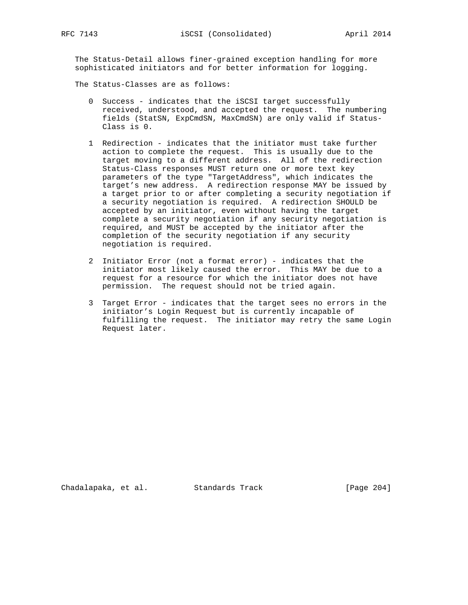The Status-Detail allows finer-grained exception handling for more sophisticated initiators and for better information for logging.

The Status-Classes are as follows:

- 0 Success indicates that the iSCSI target successfully received, understood, and accepted the request. The numbering fields (StatSN, ExpCmdSN, MaxCmdSN) are only valid if Status- Class is 0.
- 1 Redirection indicates that the initiator must take further action to complete the request. This is usually due to the target moving to a different address. All of the redirection Status-Class responses MUST return one or more text key parameters of the type "TargetAddress", which indicates the target's new address. A redirection response MAY be issued by a target prior to or after completing a security negotiation if a security negotiation is required. A redirection SHOULD be accepted by an initiator, even without having the target complete a security negotiation if any security negotiation is required, and MUST be accepted by the initiator after the completion of the security negotiation if any security negotiation is required.
- 2 Initiator Error (not a format error) indicates that the initiator most likely caused the error. This MAY be due to a request for a resource for which the initiator does not have permission. The request should not be tried again.
- 3 Target Error indicates that the target sees no errors in the initiator's Login Request but is currently incapable of fulfilling the request. The initiator may retry the same Login Request later.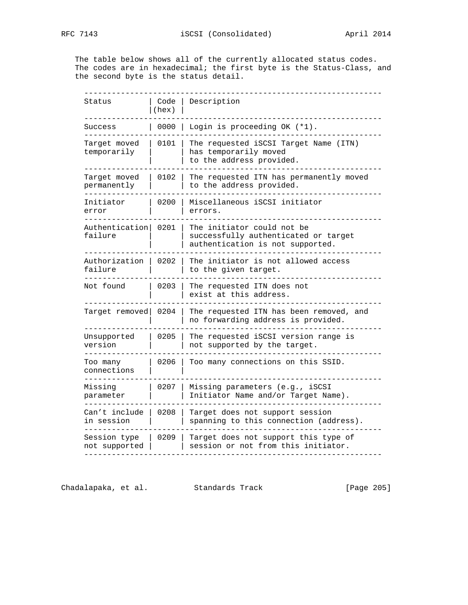The table below shows all of the currently allocated status codes. The codes are in hexadecimal; the first byte is the Status-Class, and the second byte is the status detail.

| Status                        | Code<br>(hex) | Description                                                                                            |
|-------------------------------|---------------|--------------------------------------------------------------------------------------------------------|
| Success                       | 0000          | Login is proceeding OK (*1).                                                                           |
| Target moved<br>temporarily   | 0101          | The requested iSCSI Target Name (ITN)<br>has temporarily moved<br>to the address provided.             |
| Target moved<br>permanently   | 0102          | The requested ITN has permanently moved<br>to the address provided.                                    |
| Initiator<br>error            | 0200          | Miscellaneous iSCSI initiator<br>errors.                                                               |
| Authentication<br>failure     | 0201          | The initiator could not be<br>successfully authenticated or target<br>authentication is not supported. |
| Authorization  <br>failure    | 0202          | The initiator is not allowed access<br>to the given target.                                            |
| Not found                     | 0203          | The requested ITN does not<br>exist at this address.                                                   |
| Target removed                | 0204          | The requested ITN has been removed, and<br>no forwarding address is provided.                          |
| Unsupported<br>version        | 0205          | The requested iSCSI version range is<br>not supported by the target.                                   |
| Too many<br>connections       | 0206          | Too many connections on this SSID.                                                                     |
| Missing<br>parameter          | 0207          | Missing parameters (e.g., iSCSI<br>Initiator Name and/or Target Name).                                 |
| Can't include<br>in session   | 0208          | Target does not support session<br>spanning to this connection (address).                              |
| Session type<br>not supported | 0209          | Target does not support this type of<br>session or not from this initiator.                            |

Chadalapaka, et al. Standards Track [Page 205]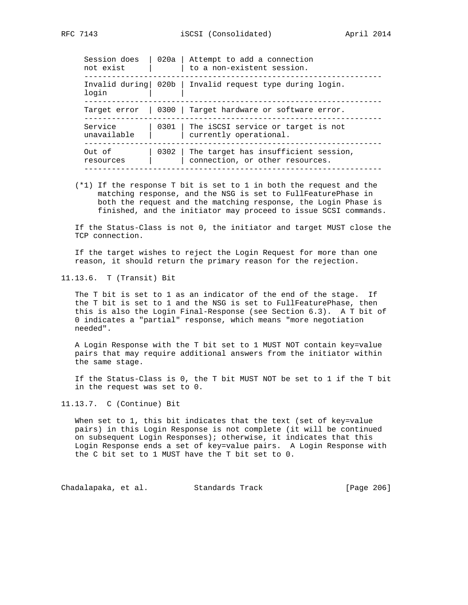| Session does<br>not exist | 020a   Attempt to add a connection<br>to a non-existent session.             |
|---------------------------|------------------------------------------------------------------------------|
| login                     | Invalid during 020b   Invalid request type during login.                     |
| Target error              | 0300 Target hardware or software error.                                      |
| Service<br>unavailable    | 0301 The iSCSI service or target is not<br>currently operational.            |
| Out of<br>resources       | 0302 The target has insufficient session,<br>connection, or other resources. |
|                           |                                                                              |

 (\*1) If the response T bit is set to 1 in both the request and the matching response, and the NSG is set to FullFeaturePhase in both the request and the matching response, the Login Phase is finished, and the initiator may proceed to issue SCSI commands.

 If the Status-Class is not 0, the initiator and target MUST close the TCP connection.

 If the target wishes to reject the Login Request for more than one reason, it should return the primary reason for the rejection.

11.13.6. T (Transit) Bit

 The T bit is set to 1 as an indicator of the end of the stage. If the T bit is set to 1 and the NSG is set to FullFeaturePhase, then this is also the Login Final-Response (see Section 6.3). A T bit of 0 indicates a "partial" response, which means "more negotiation needed".

 A Login Response with the T bit set to 1 MUST NOT contain key=value pairs that may require additional answers from the initiator within the same stage.

 If the Status-Class is 0, the T bit MUST NOT be set to 1 if the T bit in the request was set to 0.

# 11.13.7. C (Continue) Bit

When set to 1, this bit indicates that the text (set of key=value pairs) in this Login Response is not complete (it will be continued on subsequent Login Responses); otherwise, it indicates that this Login Response ends a set of key=value pairs. A Login Response with the C bit set to 1 MUST have the T bit set to 0.

Chadalapaka, et al. Standards Track [Page 206]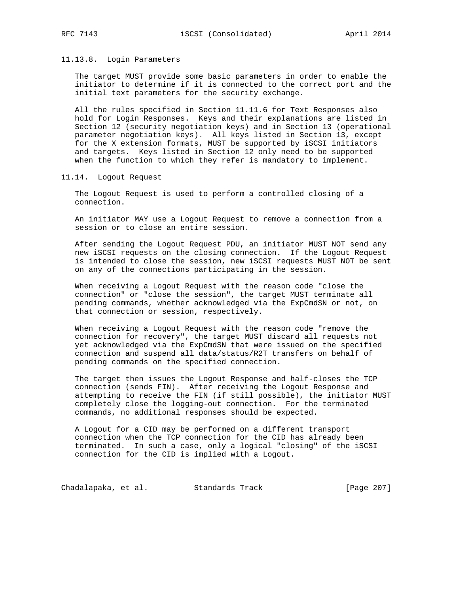# 11.13.8. Login Parameters

 The target MUST provide some basic parameters in order to enable the initiator to determine if it is connected to the correct port and the initial text parameters for the security exchange.

 All the rules specified in Section 11.11.6 for Text Responses also hold for Login Responses. Keys and their explanations are listed in Section 12 (security negotiation keys) and in Section 13 (operational parameter negotiation keys). All keys listed in Section 13, except for the X extension formats, MUST be supported by iSCSI initiators and targets. Keys listed in Section 12 only need to be supported when the function to which they refer is mandatory to implement.

11.14. Logout Request

 The Logout Request is used to perform a controlled closing of a connection.

 An initiator MAY use a Logout Request to remove a connection from a session or to close an entire session.

 After sending the Logout Request PDU, an initiator MUST NOT send any new iSCSI requests on the closing connection. If the Logout Request is intended to close the session, new iSCSI requests MUST NOT be sent on any of the connections participating in the session.

 When receiving a Logout Request with the reason code "close the connection" or "close the session", the target MUST terminate all pending commands, whether acknowledged via the ExpCmdSN or not, on that connection or session, respectively.

 When receiving a Logout Request with the reason code "remove the connection for recovery", the target MUST discard all requests not yet acknowledged via the ExpCmdSN that were issued on the specified connection and suspend all data/status/R2T transfers on behalf of pending commands on the specified connection.

 The target then issues the Logout Response and half-closes the TCP connection (sends FIN). After receiving the Logout Response and attempting to receive the FIN (if still possible), the initiator MUST completely close the logging-out connection. For the terminated commands, no additional responses should be expected.

 A Logout for a CID may be performed on a different transport connection when the TCP connection for the CID has already been terminated. In such a case, only a logical "closing" of the iSCSI connection for the CID is implied with a Logout.

Chadalapaka, et al. Standards Track [Page 207]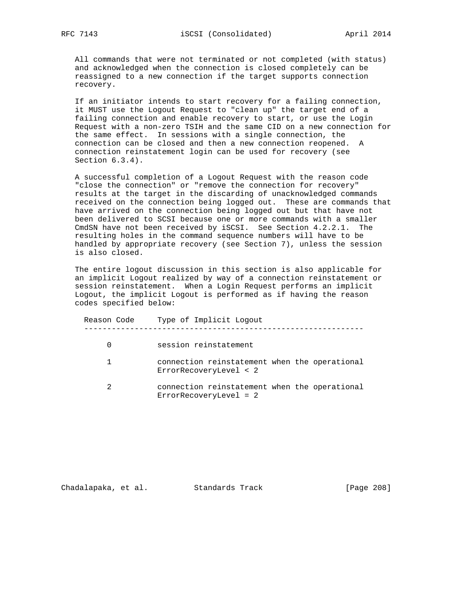All commands that were not terminated or not completed (with status) and acknowledged when the connection is closed completely can be reassigned to a new connection if the target supports connection recovery.

 If an initiator intends to start recovery for a failing connection, it MUST use the Logout Request to "clean up" the target end of a failing connection and enable recovery to start, or use the Login Request with a non-zero TSIH and the same CID on a new connection for the same effect. In sessions with a single connection, the connection can be closed and then a new connection reopened. A connection reinstatement login can be used for recovery (see Section 6.3.4).

 A successful completion of a Logout Request with the reason code "close the connection" or "remove the connection for recovery" results at the target in the discarding of unacknowledged commands received on the connection being logged out. These are commands that have arrived on the connection being logged out but that have not been delivered to SCSI because one or more commands with a smaller CmdSN have not been received by iSCSI. See Section 4.2.2.1. The resulting holes in the command sequence numbers will have to be handled by appropriate recovery (see Section 7), unless the session is also closed.

 The entire logout discussion in this section is also applicable for an implicit Logout realized by way of a connection reinstatement or session reinstatement. When a Login Request performs an implicit Logout, the implicit Logout is performed as if having the reason codes specified below:

| Reason Code | Type of Implicit Logout                                                 |
|-------------|-------------------------------------------------------------------------|
|             | session reinstatement                                                   |
|             | connection reinstatement when the operational<br>ErrorRecoveryLevel < 2 |
| 2           | connection reinstatement when the operational<br>ErrorRecoveryLevel = 2 |

Chadalapaka, et al. Standards Track [Page 208]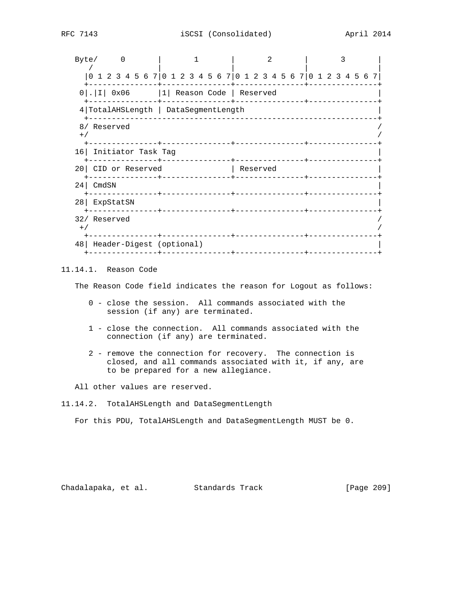| Byte/ |                                                                 |                            | 0 |  |                     |  |  |  |  |  |          | 2 |  |  |  | ς |  |  |
|-------|-----------------------------------------------------------------|----------------------------|---|--|---------------------|--|--|--|--|--|----------|---|--|--|--|---|--|--|
|       | 0 1 2 3 4 5 6 7 0 1 2 3 4 5 6 7 0 1 2 3 4 5 6 7 0 1 2 3 4 5 6 7 |                            |   |  |                     |  |  |  |  |  |          |   |  |  |  |   |  |  |
|       | $0$  . I  0x06   1  Reason Code   Reserved                      |                            |   |  |                     |  |  |  |  |  |          |   |  |  |  |   |  |  |
|       | 4 TotalAHSLength   DataSegmentLength                            |                            |   |  |                     |  |  |  |  |  |          |   |  |  |  |   |  |  |
| $+$ / | 8/ Reserved                                                     |                            |   |  |                     |  |  |  |  |  |          |   |  |  |  |   |  |  |
|       | 16 Initiator Task Tag                                           |                            |   |  |                     |  |  |  |  |  |          |   |  |  |  |   |  |  |
|       | 20 CID or Reserved                                              | . <u>_ _ _ _ _ _ _ _ _</u> |   |  |                     |  |  |  |  |  | Reserved |   |  |  |  |   |  |  |
|       | $24$ CmdSN                                                      | ------------+-             |   |  |                     |  |  |  |  |  |          |   |  |  |  |   |  |  |
|       | 28 ExpStatSN                                                    |                            |   |  | $- - - - - - - + -$ |  |  |  |  |  |          |   |  |  |  |   |  |  |
| $+$ / | 32/ Reserved                                                    |                            |   |  |                     |  |  |  |  |  |          |   |  |  |  |   |  |  |
|       | 48   Header-Digest (optional)                                   |                            |   |  |                     |  |  |  |  |  |          |   |  |  |  |   |  |  |

# 11.14.1. Reason Code

The Reason Code field indicates the reason for Logout as follows:

- 0 close the session. All commands associated with the session (if any) are terminated.
- 1 close the connection. All commands associated with the connection (if any) are terminated.
- 2 remove the connection for recovery. The connection is closed, and all commands associated with it, if any, are to be prepared for a new allegiance.
- All other values are reserved.

For this PDU, TotalAHSLength and DataSegmentLength MUST be 0.

Chadalapaka, et al. Standards Track [Page 209]

<sup>11.14.2.</sup> TotalAHSLength and DataSegmentLength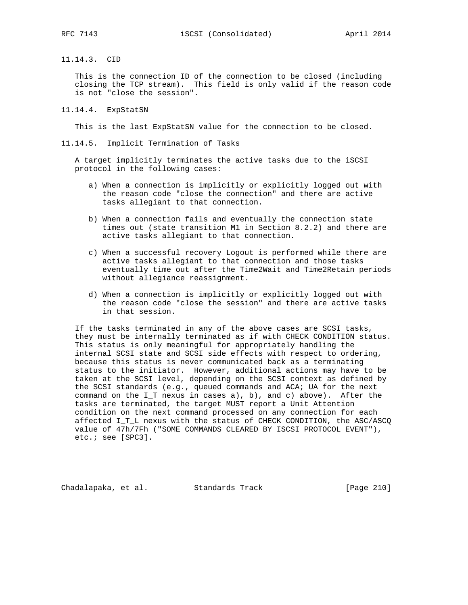11.14.3. CID

 This is the connection ID of the connection to be closed (including closing the TCP stream). This field is only valid if the reason code is not "close the session".

11.14.4. ExpStatSN

This is the last ExpStatSN value for the connection to be closed.

11.14.5. Implicit Termination of Tasks

 A target implicitly terminates the active tasks due to the iSCSI protocol in the following cases:

- a) When a connection is implicitly or explicitly logged out with the reason code "close the connection" and there are active tasks allegiant to that connection.
- b) When a connection fails and eventually the connection state times out (state transition M1 in Section 8.2.2) and there are active tasks allegiant to that connection.
- c) When a successful recovery Logout is performed while there are active tasks allegiant to that connection and those tasks eventually time out after the Time2Wait and Time2Retain periods without allegiance reassignment.
- d) When a connection is implicitly or explicitly logged out with the reason code "close the session" and there are active tasks in that session.

 If the tasks terminated in any of the above cases are SCSI tasks, they must be internally terminated as if with CHECK CONDITION status. This status is only meaningful for appropriately handling the internal SCSI state and SCSI side effects with respect to ordering, because this status is never communicated back as a terminating status to the initiator. However, additional actions may have to be taken at the SCSI level, depending on the SCSI context as defined by the SCSI standards (e.g., queued commands and ACA; UA for the next command on the I\_T nexus in cases a), b), and c) above). After the tasks are terminated, the target MUST report a Unit Attention condition on the next command processed on any connection for each affected I\_T\_L nexus with the status of CHECK CONDITION, the ASC/ASCQ value of 47h/7Fh ("SOME COMMANDS CLEARED BY ISCSI PROTOCOL EVENT"), etc.; see [SPC3].

Chadalapaka, et al. Standards Track [Page 210]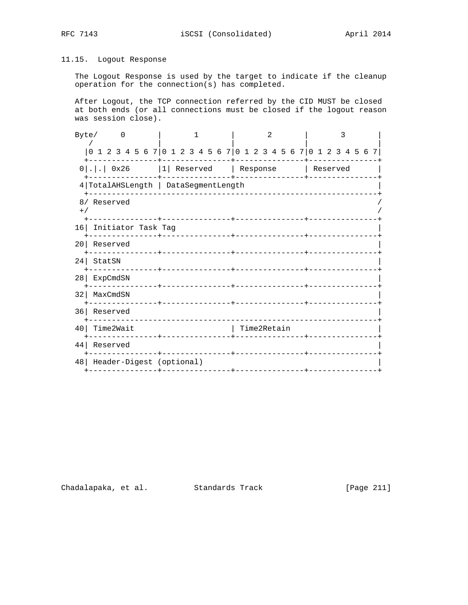# 11.15. Logout Response

 The Logout Response is used by the target to indicate if the cleanup operation for the connection(s) has completed.

 After Logout, the TCP connection referred by the CID MUST be closed at both ends (or all connections must be closed if the logout reason was session close).

| Byte/           | $\left($                                                        |                          |  |              |  |             | 2 |  |          | 3 |  |  |
|-----------------|-----------------------------------------------------------------|--------------------------|--|--------------|--|-------------|---|--|----------|---|--|--|
|                 | 0 1 2 3 4 5 6 7 0 1 2 3 4 5 6 7 0 1 2 3 4 5 6 7 0 1 2 3 4 5 6 7 |                          |  |              |  |             |   |  |          |   |  |  |
|                 | $0 . $ $0x26$ $ 1 $ Reserved   Response                         |                          |  |              |  |             |   |  | Reserved |   |  |  |
|                 | 4 TotalAHSLength   DataSegmentLength                            |                          |  |              |  |             |   |  |          |   |  |  |
| $+$ /           | 8/ Reserved                                                     |                          |  |              |  |             |   |  |          |   |  |  |
|                 | 16 Initiator Task Tag                                           | --------+--------------  |  |              |  |             |   |  |          |   |  |  |
| 201             | Reserved<br>----------                                          |                          |  | ------------ |  |             |   |  |          |   |  |  |
| 24 <sub>1</sub> | StatSN                                                          | -----------+------------ |  |              |  |             |   |  |          |   |  |  |
| 28 <sup>1</sup> | ExpCmdSN                                                        |                          |  |              |  |             |   |  |          |   |  |  |
| 32              | MaxCmdSN                                                        |                          |  |              |  |             |   |  |          |   |  |  |
|                 | 36 Reserved                                                     |                          |  |              |  |             |   |  |          |   |  |  |
| 40              | Time2Wait                                                       |                          |  |              |  | Time2Retain |   |  |          |   |  |  |
| 44              | Reserved                                                        | ------+--------------    |  |              |  |             |   |  |          |   |  |  |
| 48              | Header-Digest (optional)<br>--------------+------               |                          |  |              |  |             |   |  |          |   |  |  |

Chadalapaka, et al. Standards Track [Page 211]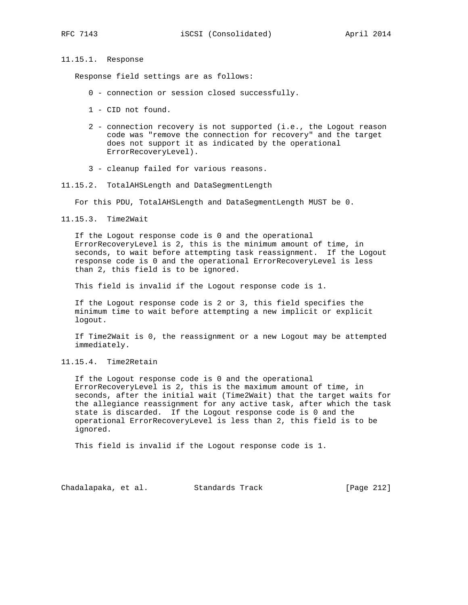## 11.15.1. Response

Response field settings are as follows:

- 0 connection or session closed successfully.
- 1 CID not found.
- 2 connection recovery is not supported (i.e., the Logout reason code was "remove the connection for recovery" and the target does not support it as indicated by the operational ErrorRecoveryLevel).
- 3 cleanup failed for various reasons.
- 11.15.2. TotalAHSLength and DataSegmentLength

For this PDU, TotalAHSLength and DataSegmentLength MUST be 0.

11.15.3. Time2Wait

 If the Logout response code is 0 and the operational ErrorRecoveryLevel is 2, this is the minimum amount of time, in seconds, to wait before attempting task reassignment. If the Logout response code is 0 and the operational ErrorRecoveryLevel is less than 2, this field is to be ignored.

This field is invalid if the Logout response code is 1.

 If the Logout response code is 2 or 3, this field specifies the minimum time to wait before attempting a new implicit or explicit logout.

 If Time2Wait is 0, the reassignment or a new Logout may be attempted immediately.

# 11.15.4. Time2Retain

 If the Logout response code is 0 and the operational ErrorRecoveryLevel is 2, this is the maximum amount of time, in seconds, after the initial wait (Time2Wait) that the target waits for the allegiance reassignment for any active task, after which the task state is discarded. If the Logout response code is 0 and the operational ErrorRecoveryLevel is less than 2, this field is to be ignored.

This field is invalid if the Logout response code is 1.

Chadalapaka, et al. Standards Track [Page 212]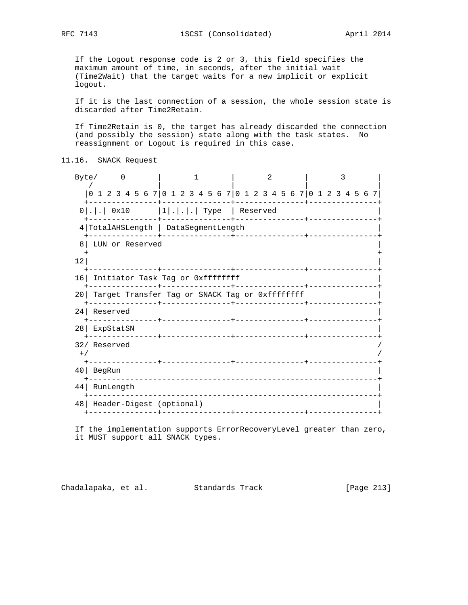If the Logout response code is 2 or 3, this field specifies the maximum amount of time, in seconds, after the initial wait (Time2Wait) that the target waits for a new implicit or explicit logout.

 If it is the last connection of a session, the whole session state is discarded after Time2Retain.

 If Time2Retain is 0, the target has already discarded the connection (and possibly the session) state along with the task states. No reassignment or Logout is required in this case.

11.16. SNACK Request

Byte/ 0 | 1 | 2 | 3 / | | | | |0 1 2 3 4 5 6 7|0 1 2 3 4 5 6 7|0 1 2 3 4 5 6 7|0 1 2 3 4 5 6 7| +---------------+---------------+---------------+---------------+ 0|.|.| 0x10 |1|.|.|.| Type | Reserved +---------------+---------------+---------------+---------------+ 4|TotalAHSLength | DataSegmentLength | +---------------+---------------+---------------+---------------+ 8| LUN or Reserved | + +  $\vert$  12| +---------------+---------------+---------------+---------------+ 16| Initiator Task Tag or 0xffffffff +---------------+---------------+---------------+---------------+ 20| Target Transfer Tag or SNACK Tag or 0xffffffff | +---------------+---------------+---------------+---------------+ 24| Reserved | +---------------+---------------+---------------+---------------+ 28| ExpStatSN | +---------------+---------------+---------------+---------------+ 32/ Reserved /  $^{+/-}$  /  $^{+/-}$  /  $^{+/-}$  /  $^{+/-}$  /  $^{+/-}$  /  $^{+/-}$  /  $^{+/-}$  /  $^{+/-}$  /  $^{+/-}$  /  $^{+/-}$  /  $^{+/-}$  /  $^{+/-}$  /  $^{+/-}$  /  $^{+/-}$  /  $^{+/-}$  /  $^{+/-}$  /  $^{+/-}$  /  $^{+/-}$  /  $^{+/-}$  /  $^{+/-}$  /  $^{+/-}$  /  $^{+/-}$  /  $^{+/-}$  /  $^{+/-}$  /  $^{+/-}$  +---------------+---------------+---------------+---------------+ 40| BegRun | +---------------------------------------------------------------+ 44| RunLength | +---------------------------------------------------------------+ 48| Header-Digest (optional) | +---------------+---------------+---------------+---------------+

 If the implementation supports ErrorRecoveryLevel greater than zero, it MUST support all SNACK types.

Chadalapaka, et al. Standards Track [Page 213]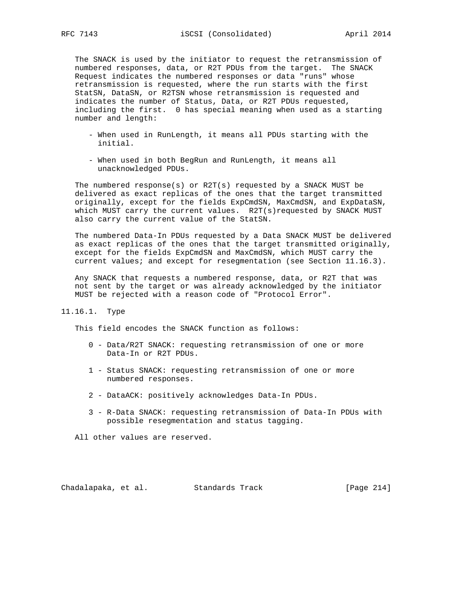The SNACK is used by the initiator to request the retransmission of numbered responses, data, or R2T PDUs from the target. The SNACK Request indicates the numbered responses or data "runs" whose retransmission is requested, where the run starts with the first StatSN, DataSN, or R2TSN whose retransmission is requested and indicates the number of Status, Data, or R2T PDUs requested, including the first. 0 has special meaning when used as a starting number and length:

- When used in RunLength, it means all PDUs starting with the initial.
- When used in both BegRun and RunLength, it means all unacknowledged PDUs.

 The numbered response(s) or R2T(s) requested by a SNACK MUST be delivered as exact replicas of the ones that the target transmitted originally, except for the fields ExpCmdSN, MaxCmdSN, and ExpDataSN, which MUST carry the current values. R2T(s)requested by SNACK MUST also carry the current value of the StatSN.

 The numbered Data-In PDUs requested by a Data SNACK MUST be delivered as exact replicas of the ones that the target transmitted originally, except for the fields ExpCmdSN and MaxCmdSN, which MUST carry the current values; and except for resegmentation (see Section 11.16.3).

 Any SNACK that requests a numbered response, data, or R2T that was not sent by the target or was already acknowledged by the initiator MUST be rejected with a reason code of "Protocol Error".

# 11.16.1. Type

This field encodes the SNACK function as follows:

- 0 Data/R2T SNACK: requesting retransmission of one or more Data-In or R2T PDUs.
- 1 Status SNACK: requesting retransmission of one or more numbered responses.
- 2 DataACK: positively acknowledges Data-In PDUs.
- 3 R-Data SNACK: requesting retransmission of Data-In PDUs with possible resegmentation and status tagging.

All other values are reserved.

Chadalapaka, et al. Standards Track [Page 214]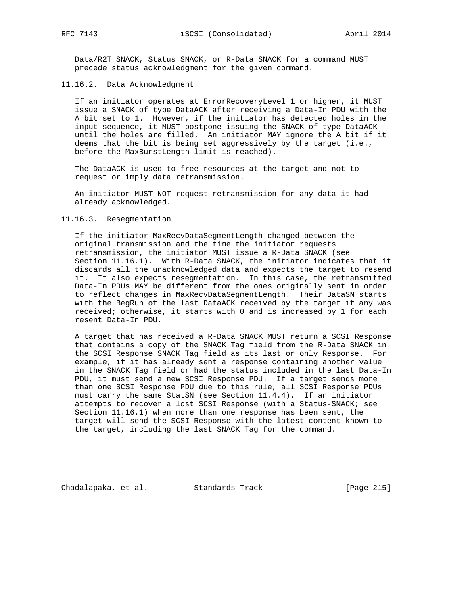Data/R2T SNACK, Status SNACK, or R-Data SNACK for a command MUST precede status acknowledgment for the given command.

## 11.16.2. Data Acknowledgment

 If an initiator operates at ErrorRecoveryLevel 1 or higher, it MUST issue a SNACK of type DataACK after receiving a Data-In PDU with the A bit set to 1. However, if the initiator has detected holes in the input sequence, it MUST postpone issuing the SNACK of type DataACK until the holes are filled. An initiator MAY ignore the A bit if it deems that the bit is being set aggressively by the target (i.e., before the MaxBurstLength limit is reached).

 The DataACK is used to free resources at the target and not to request or imply data retransmission.

 An initiator MUST NOT request retransmission for any data it had already acknowledged.

### 11.16.3. Resegmentation

 If the initiator MaxRecvDataSegmentLength changed between the original transmission and the time the initiator requests retransmission, the initiator MUST issue a R-Data SNACK (see Section 11.16.1). With R-Data SNACK, the initiator indicates that it discards all the unacknowledged data and expects the target to resend it. It also expects resegmentation. In this case, the retransmitted Data-In PDUs MAY be different from the ones originally sent in order to reflect changes in MaxRecvDataSegmentLength. Their DataSN starts with the BegRun of the last DataACK received by the target if any was received; otherwise, it starts with 0 and is increased by 1 for each resent Data-In PDU.

 A target that has received a R-Data SNACK MUST return a SCSI Response that contains a copy of the SNACK Tag field from the R-Data SNACK in the SCSI Response SNACK Tag field as its last or only Response. For example, if it has already sent a response containing another value in the SNACK Tag field or had the status included in the last Data-In PDU, it must send a new SCSI Response PDU. If a target sends more than one SCSI Response PDU due to this rule, all SCSI Response PDUs must carry the same StatSN (see Section 11.4.4). If an initiator attempts to recover a lost SCSI Response (with a Status-SNACK; see Section 11.16.1) when more than one response has been sent, the target will send the SCSI Response with the latest content known to the target, including the last SNACK Tag for the command.

Chadalapaka, et al. Standards Track [Page 215]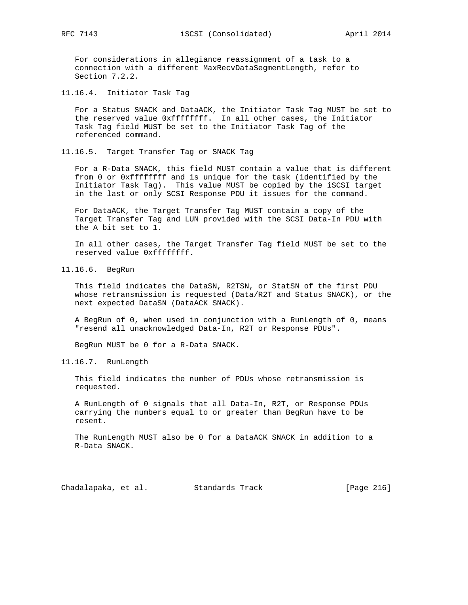For considerations in allegiance reassignment of a task to a connection with a different MaxRecvDataSegmentLength, refer to Section 7.2.2.

11.16.4. Initiator Task Tag

 For a Status SNACK and DataACK, the Initiator Task Tag MUST be set to the reserved value 0xffffffff. In all other cases, the Initiator Task Tag field MUST be set to the Initiator Task Tag of the referenced command.

11.16.5. Target Transfer Tag or SNACK Tag

 For a R-Data SNACK, this field MUST contain a value that is different from 0 or 0xfffffffff and is unique for the task (identified by the Initiator Task Tag). This value MUST be copied by the iSCSI target in the last or only SCSI Response PDU it issues for the command.

 For DataACK, the Target Transfer Tag MUST contain a copy of the Target Transfer Tag and LUN provided with the SCSI Data-In PDU with the A bit set to 1.

 In all other cases, the Target Transfer Tag field MUST be set to the reserved value 0xffffffff.

11.16.6. BegRun

 This field indicates the DataSN, R2TSN, or StatSN of the first PDU whose retransmission is requested (Data/R2T and Status SNACK), or the next expected DataSN (DataACK SNACK).

 A BegRun of 0, when used in conjunction with a RunLength of 0, means "resend all unacknowledged Data-In, R2T or Response PDUs".

BegRun MUST be 0 for a R-Data SNACK.

11.16.7. RunLength

 This field indicates the number of PDUs whose retransmission is requested.

 A RunLength of 0 signals that all Data-In, R2T, or Response PDUs carrying the numbers equal to or greater than BegRun have to be resent.

 The RunLength MUST also be 0 for a DataACK SNACK in addition to a R-Data SNACK.

Chadalapaka, et al. Standards Track [Page 216]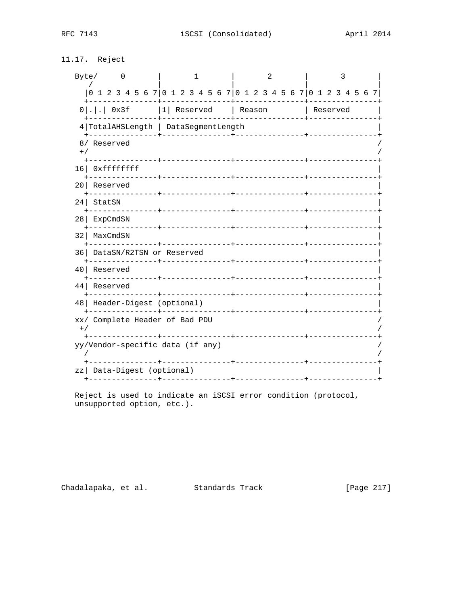# 11.17. Reject

| Byte/<br>0                                                      |                                                                 | 2                              | 3            |
|-----------------------------------------------------------------|-----------------------------------------------------------------|--------------------------------|--------------|
|                                                                 | 0 1 2 3 4 5 6 7 0 1 2 3 4 5 6 7 0 1 2 3 4 5 6 7 0 1 2 3 4 5 6 7 |                                |              |
| $0$ 0x3f 1 Reserved Reason                                      |                                                                 |                                | and Reserved |
| 4   TotalAHSLength   DataSegmentLength                          | ---+--------------                                              | _____________                  |              |
| 8/ Reserved<br>$+ /$                                            | -------------+-----------                                       |                                |              |
| 16 Oxffffffff                                                   |                                                                 |                                |              |
| 20 Reserved<br>-------------+                                   |                                                                 |                                |              |
| 24 StatSN                                                       |                                                                 |                                |              |
| 28   ExpCmdSN                                                   |                                                                 |                                |              |
| 32   MaxCmdSN<br>____________                                   |                                                                 | ------------+---------------+- |              |
| 36 DataSN/R2TSN or Reserved                                     |                                                                 |                                |              |
| Reserved<br>40                                                  | ---------------+----------------+                               | ______________________________ |              |
| 44 Reserved                                                     | . _ _ _ _ _ _ _ _ _ _ +                                         | ____________________________   |              |
| 48   Header-Digest (optional)                                   |                                                                 |                                |              |
| xx/ Complete Header of Bad PDU<br>$+$ /<br><u>___________</u> . | ------------                                                    |                                |              |
| yy/Vendor-specific data (if any)                                |                                                                 |                                |              |
| Data-Digest (optional)<br>zzl<br>----+-                         |                                                                 |                                |              |

Reject is used to indicate an iSCSI error condition (protocol, unsupported option, etc.).

Chadalapaka, et al. Standards Track [Page 217]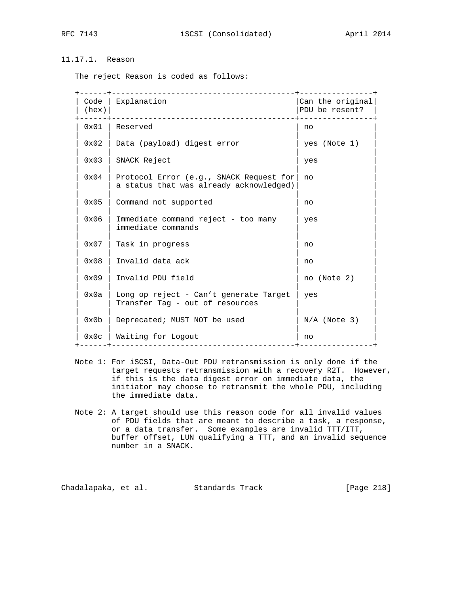# 11.17.1. Reason

The reject Reason is coded as follows:

| Code<br>(hex) | Explanation                                                                        | Can the original<br>PDU be resent? |
|---------------|------------------------------------------------------------------------------------|------------------------------------|
| 0x01          | Reserved                                                                           | no                                 |
| 0x02          | Data (payload) digest error                                                        | yes (Note 1)                       |
| 0x03          | SNACK Reject                                                                       | yes                                |
| 0x04          | Protocol Error (e.g., SNACK Request for<br>a status that was already acknowledged) | no                                 |
| 0x05          | Command not supported                                                              | no                                 |
| 0x06          | Immediate command reject - too many<br>immediate commands                          | yes                                |
| $0 \times 07$ | Task in progress                                                                   | no                                 |
| $0 \times 08$ | Invalid data ack                                                                   | no                                 |
| 0x09          | Invalid PDU field                                                                  | no (Note 2)                        |
| 0x0a          | Long op reject - Can't generate Target<br>Transfer Tag - out of resources          | yes                                |
| 0x0b          | Deprecated; MUST NOT be used                                                       | $N/A$ (Note 3)                     |
| 0x0c          | Waiting for Logout<br>_____________________________                                | no                                 |

- Note 1: For iSCSI, Data-Out PDU retransmission is only done if the target requests retransmission with a recovery R2T. However, if this is the data digest error on immediate data, the initiator may choose to retransmit the whole PDU, including the immediate data.
- Note 2: A target should use this reason code for all invalid values of PDU fields that are meant to describe a task, a response, or a data transfer. Some examples are invalid TTT/ITT, buffer offset, LUN qualifying a TTT, and an invalid sequence number in a SNACK.

Chadalapaka, et al. Standards Track [Page 218]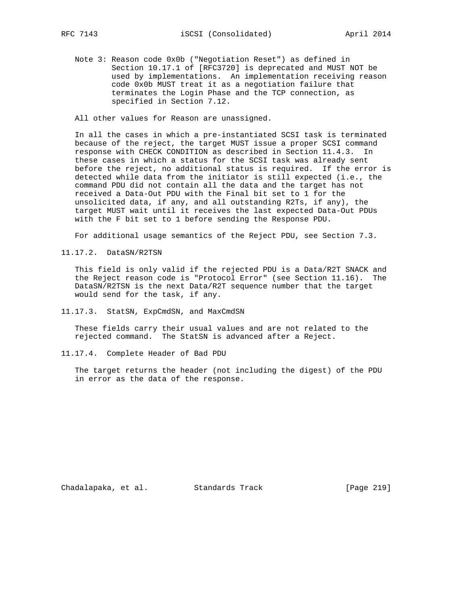Note 3: Reason code 0x0b ("Negotiation Reset") as defined in Section 10.17.1 of [RFC3720] is deprecated and MUST NOT be used by implementations. An implementation receiving reason code 0x0b MUST treat it as a negotiation failure that terminates the Login Phase and the TCP connection, as specified in Section 7.12.

All other values for Reason are unassigned.

 In all the cases in which a pre-instantiated SCSI task is terminated because of the reject, the target MUST issue a proper SCSI command response with CHECK CONDITION as described in Section 11.4.3. In these cases in which a status for the SCSI task was already sent before the reject, no additional status is required. If the error is detected while data from the initiator is still expected (i.e., the command PDU did not contain all the data and the target has not received a Data-Out PDU with the Final bit set to 1 for the unsolicited data, if any, and all outstanding R2Ts, if any), the target MUST wait until it receives the last expected Data-Out PDUs with the F bit set to 1 before sending the Response PDU.

For additional usage semantics of the Reject PDU, see Section 7.3.

11.17.2. DataSN/R2TSN

 This field is only valid if the rejected PDU is a Data/R2T SNACK and the Reject reason code is "Protocol Error" (see Section 11.16). The DataSN/R2TSN is the next Data/R2T sequence number that the target would send for the task, if any.

11.17.3. StatSN, ExpCmdSN, and MaxCmdSN

 These fields carry their usual values and are not related to the rejected command. The StatSN is advanced after a Reject.

11.17.4. Complete Header of Bad PDU

 The target returns the header (not including the digest) of the PDU in error as the data of the response.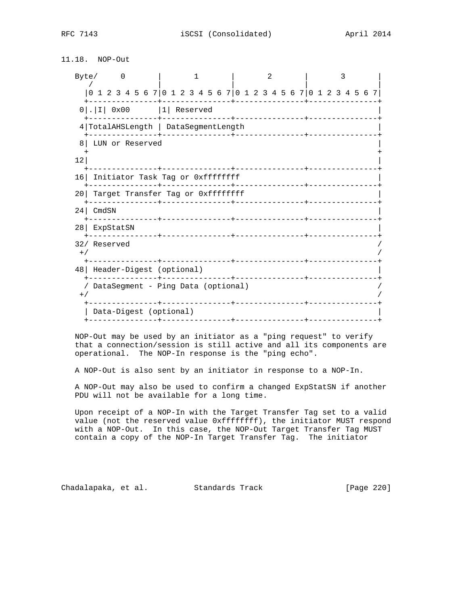RFC 7143 **iSCSI** (Consolidated) April 2014

# 11.18. NOP-Out

|                 | Byte/<br>$\overline{\phantom{0}}$                               |  |  |  | 1 |                                |  |  | 2 |  |  |                     |  |  |  |  |
|-----------------|-----------------------------------------------------------------|--|--|--|---|--------------------------------|--|--|---|--|--|---------------------|--|--|--|--|
|                 | 0 1 2 3 4 5 6 7 0 1 2 3 4 5 6 7 0 1 2 3 4 5 6 7 0 1 2 3 4 5 6 7 |  |  |  |   |                                |  |  |   |  |  |                     |  |  |  |  |
|                 | $0$ . $ I $ 0x00 $ 1 $ Reserved                                 |  |  |  |   | -------+---------------+------ |  |  |   |  |  |                     |  |  |  |  |
|                 | 4 TotalAHSLength   DataSegmentLength                            |  |  |  |   | ------------                   |  |  |   |  |  |                     |  |  |  |  |
| 8               | LUN or Reserved                                                 |  |  |  |   |                                |  |  |   |  |  |                     |  |  |  |  |
| 12 <sup>°</sup> |                                                                 |  |  |  |   |                                |  |  |   |  |  |                     |  |  |  |  |
|                 | 16 Initiator Task Tag or 0xffffffff                             |  |  |  |   |                                |  |  |   |  |  |                     |  |  |  |  |
| 20 <sub>1</sub> | Target Transfer Tag or Oxffffffff                               |  |  |  |   |                                |  |  |   |  |  | ___________________ |  |  |  |  |
|                 | $24$ CmdSN                                                      |  |  |  |   |                                |  |  |   |  |  |                     |  |  |  |  |
|                 | 28 ExpStatSN                                                    |  |  |  |   |                                |  |  |   |  |  |                     |  |  |  |  |
| $+$ /           | 32/ Reserved                                                    |  |  |  |   |                                |  |  |   |  |  |                     |  |  |  |  |
|                 | 48   Header-Digest (optional)                                   |  |  |  |   | -------+---------------+       |  |  |   |  |  |                     |  |  |  |  |
| $+$ ,           | DataSegment - Ping Data (optional)                              |  |  |  |   |                                |  |  |   |  |  |                     |  |  |  |  |
|                 | Data-Digest (optional)<br>--------------+---------------+       |  |  |  |   |                                |  |  |   |  |  |                     |  |  |  |  |

 NOP-Out may be used by an initiator as a "ping request" to verify that a connection/session is still active and all its components are operational. The NOP-In response is the "ping echo".

A NOP-Out is also sent by an initiator in response to a NOP-In.

 A NOP-Out may also be used to confirm a changed ExpStatSN if another PDU will not be available for a long time.

 Upon receipt of a NOP-In with the Target Transfer Tag set to a valid value (not the reserved value 0xffffffff), the initiator MUST respond with a NOP-Out. In this case, the NOP-Out Target Transfer Tag MUST contain a copy of the NOP-In Target Transfer Tag. The initiator

Chadalapaka, et al. Standards Track [Page 220]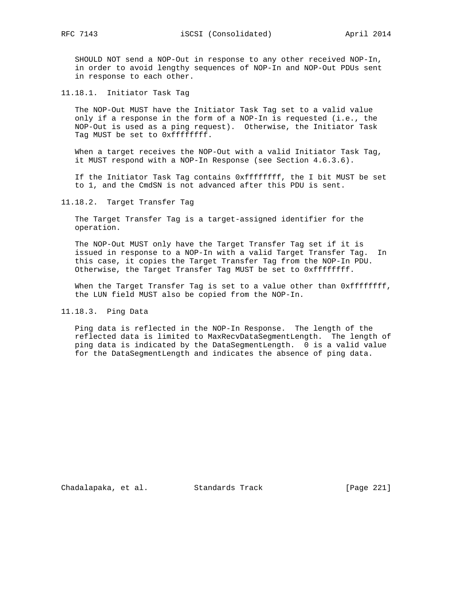SHOULD NOT send a NOP-Out in response to any other received NOP-In, in order to avoid lengthy sequences of NOP-In and NOP-Out PDUs sent in response to each other.

11.18.1. Initiator Task Tag

 The NOP-Out MUST have the Initiator Task Tag set to a valid value only if a response in the form of a NOP-In is requested (i.e., the NOP-Out is used as a ping request). Otherwise, the Initiator Task Tag MUST be set to 0xffffffff.

When a target receives the NOP-Out with a valid Initiator Task Tag, it MUST respond with a NOP-In Response (see Section 4.6.3.6).

 If the Initiator Task Tag contains 0xffffffff, the I bit MUST be set to 1, and the CmdSN is not advanced after this PDU is sent.

11.18.2. Target Transfer Tag

 The Target Transfer Tag is a target-assigned identifier for the operation.

 The NOP-Out MUST only have the Target Transfer Tag set if it is issued in response to a NOP-In with a valid Target Transfer Tag. In this case, it copies the Target Transfer Tag from the NOP-In PDU. Otherwise, the Target Transfer Tag MUST be set to 0xffffffff.

When the Target Transfer Tag is set to a value other than 0xffffffff, the LUN field MUST also be copied from the NOP-In.

11.18.3. Ping Data

 Ping data is reflected in the NOP-In Response. The length of the reflected data is limited to MaxRecvDataSegmentLength. The length of ping data is indicated by the DataSegmentLength. 0 is a valid value for the DataSegmentLength and indicates the absence of ping data.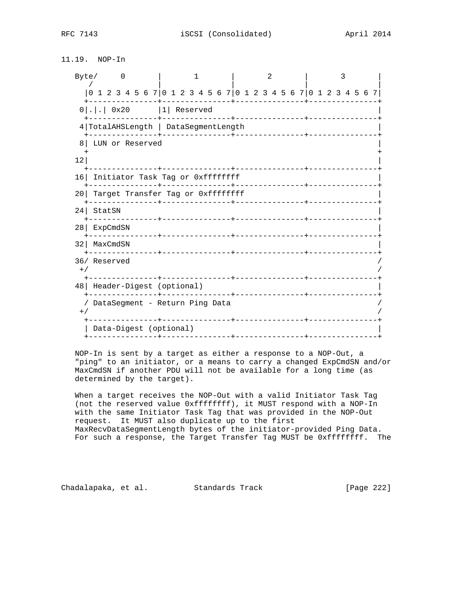11.19. NOP-In

|                 | Byte/                                                           | $\overline{\phantom{0}}$ |                                      |  |  | 1                          |                         |  | 2 |  |  |                                    |  | २ |  |  |
|-----------------|-----------------------------------------------------------------|--------------------------|--------------------------------------|--|--|----------------------------|-------------------------|--|---|--|--|------------------------------------|--|---|--|--|
|                 | 0 1 2 3 4 5 6 7 0 1 2 3 4 5 6 7 0 1 2 3 4 5 6 7 0 1 2 3 4 5 6 7 |                          |                                      |  |  |                            |                         |  |   |  |  |                                    |  |   |  |  |
|                 | $0 . .$ 0x20  1 Reserved                                        |                          |                                      |  |  |                            | ------+---------------+ |  |   |  |  |                                    |  |   |  |  |
|                 | 4 TotalAHSLength   DataSegmentLength                            |                          | -----+---------------+-------------- |  |  |                            |                         |  |   |  |  |                                    |  |   |  |  |
| 8               | LUN or Reserved                                                 |                          |                                      |  |  |                            |                         |  |   |  |  |                                    |  |   |  |  |
| 12              |                                                                 |                          |                                      |  |  |                            |                         |  |   |  |  |                                    |  |   |  |  |
| 16              | Initiator Task Tag or Oxffffffff                                |                          |                                      |  |  |                            |                         |  |   |  |  |                                    |  |   |  |  |
| 20 I            | Target Transfer Tag or Oxffffffff                               |                          |                                      |  |  |                            |                         |  |   |  |  | . Le celes de la celes de la celes |  |   |  |  |
| 24              | StatSN                                                          |                          |                                      |  |  | <u> Liberalis Liberali</u> |                         |  |   |  |  |                                    |  |   |  |  |
| 28 <sub>1</sub> | ExpCmdSN                                                        |                          |                                      |  |  |                            |                         |  |   |  |  | --------------+-------             |  |   |  |  |
| 32              | MaxCmdSN                                                        |                          |                                      |  |  |                            |                         |  |   |  |  |                                    |  |   |  |  |
| $+$ /           | 36/ Reserved                                                    |                          |                                      |  |  |                            |                         |  |   |  |  |                                    |  |   |  |  |
|                 |                                                                 |                          |                                      |  |  | ---------------            |                         |  |   |  |  |                                    |  |   |  |  |
|                 | 48   Header-Digest (optional)                                   |                          |                                      |  |  |                            |                         |  |   |  |  |                                    |  |   |  |  |
| $+$ /           | / DataSegment - Return Ping Data                                |                          |                                      |  |  |                            |                         |  |   |  |  |                                    |  |   |  |  |
|                 | Data-Digest (optional)                                          |                          |                                      |  |  | ---------                  |                         |  |   |  |  |                                    |  |   |  |  |
|                 | --------------+------------                                     |                          |                                      |  |  |                            |                         |  |   |  |  |                                    |  |   |  |  |

 NOP-In is sent by a target as either a response to a NOP-Out, a "ping" to an initiator, or a means to carry a changed ExpCmdSN and/or MaxCmdSN if another PDU will not be available for a long time (as determined by the target).

 When a target receives the NOP-Out with a valid Initiator Task Tag (not the reserved value 0xffffffff), it MUST respond with a NOP-In with the same Initiator Task Tag that was provided in the NOP-Out request. It MUST also duplicate up to the first MaxRecvDataSegmentLength bytes of the initiator-provided Ping Data. For such a response, the Target Transfer Tag MUST be 0xffffffff. The

Chadalapaka, et al. Standards Track [Page 222]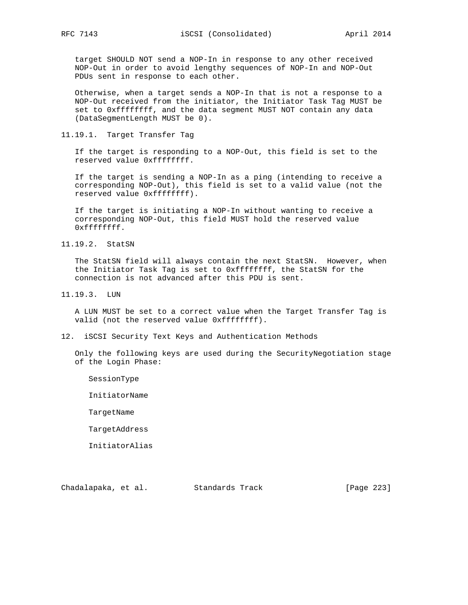target SHOULD NOT send a NOP-In in response to any other received NOP-Out in order to avoid lengthy sequences of NOP-In and NOP-Out PDUs sent in response to each other.

 Otherwise, when a target sends a NOP-In that is not a response to a NOP-Out received from the initiator, the Initiator Task Tag MUST be set to 0xffffffff, and the data segment MUST NOT contain any data (DataSegmentLength MUST be 0).

11.19.1. Target Transfer Tag

 If the target is responding to a NOP-Out, this field is set to the reserved value 0xffffffff.

 If the target is sending a NOP-In as a ping (intending to receive a corresponding NOP-Out), this field is set to a valid value (not the reserved value 0xffffffff).

 If the target is initiating a NOP-In without wanting to receive a corresponding NOP-Out, this field MUST hold the reserved value 0xffffffff.

11.19.2. StatSN

 The StatSN field will always contain the next StatSN. However, when the Initiator Task Tag is set to 0xffffffff, the StatSN for the connection is not advanced after this PDU is sent.

11.19.3. LUN

 A LUN MUST be set to a correct value when the Target Transfer Tag is valid (not the reserved value 0xffffffff).

12. iSCSI Security Text Keys and Authentication Methods

 Only the following keys are used during the SecurityNegotiation stage of the Login Phase:

SessionType

InitiatorName

TargetName

TargetAddress

InitiatorAlias

Chadalapaka, et al. Standards Track [Page 223]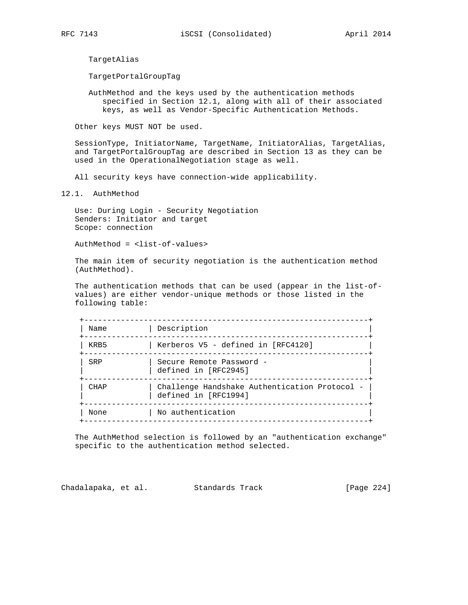TargetAlias

TargetPortalGroupTag

 AuthMethod and the keys used by the authentication methods specified in Section 12.1, along with all of their associated keys, as well as Vendor-Specific Authentication Methods.

Other keys MUST NOT be used.

 SessionType, InitiatorName, TargetName, InitiatorAlias, TargetAlias, and TargetPortalGroupTag are described in Section 13 as they can be used in the OperationalNegotiation stage as well.

All security keys have connection-wide applicability.

12.1. AuthMethod

 Use: During Login - Security Negotiation Senders: Initiator and target Scope: connection

AuthMethod = <list-of-values>

 The main item of security negotiation is the authentication method (AuthMethod).

 The authentication methods that can be used (appear in the list-of values) are either vendor-unique methods or those listed in the following table:

| Name | Description                                                           |
|------|-----------------------------------------------------------------------|
| KRB5 | Kerberos V5 - defined in [RFC4120]                                    |
| SRP  | Secure Remote Password -<br>defined in [RFC2945]                      |
| CHAP | Challenge Handshake Authentication Protocol -<br>defined in [RFC1994] |
| None | No authentication                                                     |
|      |                                                                       |

 The AuthMethod selection is followed by an "authentication exchange" specific to the authentication method selected.

Chadalapaka, et al. Standards Track [Page 224]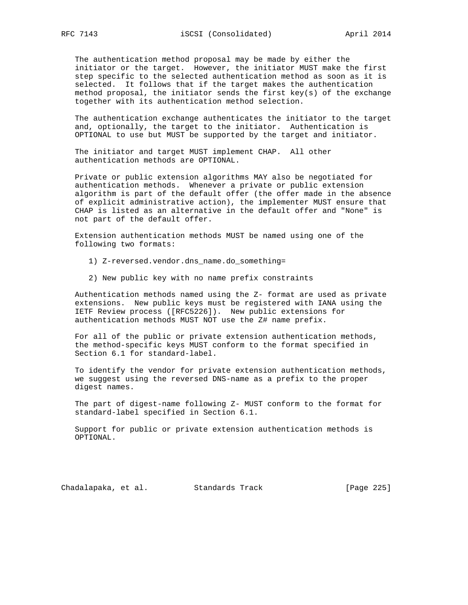The authentication method proposal may be made by either the initiator or the target. However, the initiator MUST make the first step specific to the selected authentication method as soon as it is selected. It follows that if the target makes the authentication method proposal, the initiator sends the first key(s) of the exchange together with its authentication method selection.

 The authentication exchange authenticates the initiator to the target and, optionally, the target to the initiator. Authentication is OPTIONAL to use but MUST be supported by the target and initiator.

 The initiator and target MUST implement CHAP. All other authentication methods are OPTIONAL.

 Private or public extension algorithms MAY also be negotiated for authentication methods. Whenever a private or public extension algorithm is part of the default offer (the offer made in the absence of explicit administrative action), the implementer MUST ensure that CHAP is listed as an alternative in the default offer and "None" is not part of the default offer.

 Extension authentication methods MUST be named using one of the following two formats:

- 1) Z-reversed.vendor.dns\_name.do\_something=
- 2) New public key with no name prefix constraints

 Authentication methods named using the Z- format are used as private extensions. New public keys must be registered with IANA using the IETF Review process ([RFC5226]). New public extensions for authentication methods MUST NOT use the Z# name prefix.

 For all of the public or private extension authentication methods, the method-specific keys MUST conform to the format specified in Section 6.1 for standard-label.

 To identify the vendor for private extension authentication methods, we suggest using the reversed DNS-name as a prefix to the proper digest names.

 The part of digest-name following Z- MUST conform to the format for standard-label specified in Section 6.1.

 Support for public or private extension authentication methods is OPTIONAL.

Chadalapaka, et al. Standards Track [Page 225]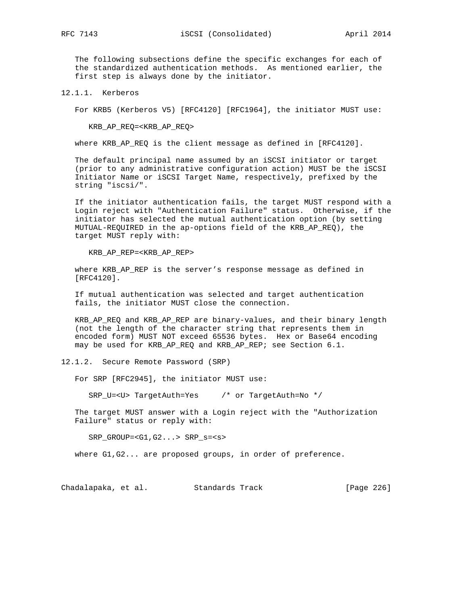The following subsections define the specific exchanges for each of the standardized authentication methods. As mentioned earlier, the first step is always done by the initiator.

12.1.1. Kerberos

For KRB5 (Kerberos V5) [RFC4120] [RFC1964], the initiator MUST use:

KRB\_AP\_REQ=<KRB\_AP\_REQ>

where KRB\_AP\_REQ is the client message as defined in [RFC4120].

 The default principal name assumed by an iSCSI initiator or target (prior to any administrative configuration action) MUST be the iSCSI Initiator Name or iSCSI Target Name, respectively, prefixed by the string "iscsi/".

 If the initiator authentication fails, the target MUST respond with a Login reject with "Authentication Failure" status. Otherwise, if the initiator has selected the mutual authentication option (by setting MUTUAL-REQUIRED in the ap-options field of the KRB\_AP\_REQ), the target MUST reply with:

KRB\_AP\_REP=<KRB\_AP\_REP>

where KRB\_AP\_REP is the server's response message as defined in [RFC4120].

 If mutual authentication was selected and target authentication fails, the initiator MUST close the connection.

 KRB\_AP\_REQ and KRB\_AP\_REP are binary-values, and their binary length (not the length of the character string that represents them in encoded form) MUST NOT exceed 65536 bytes. Hex or Base64 encoding may be used for KRB\_AP\_REQ and KRB\_AP\_REP; see Section 6.1.

12.1.2. Secure Remote Password (SRP)

For SRP [RFC2945], the initiator MUST use:

SRP\_U=<U> TargetAuth=Yes /\* or TargetAuth=No \*/

 The target MUST answer with a Login reject with the "Authorization Failure" status or reply with:

SRP\_GROUP=<G1,G2...> SRP\_s=<s>

where G1,G2... are proposed groups, in order of preference.

Chadalapaka, et al. Standards Track [Page 226]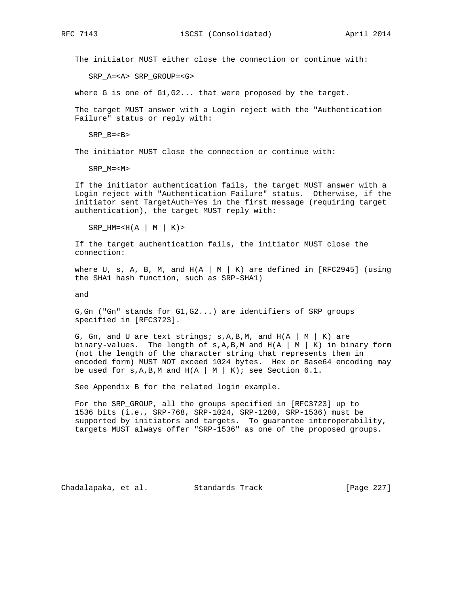The initiator MUST either close the connection or continue with:

SRP\_A=<A> SRP\_GROUP=<G>

where G is one of G1,G2... that were proposed by the target.

 The target MUST answer with a Login reject with the "Authentication Failure" status or reply with:

SRP\_B=<B>

The initiator MUST close the connection or continue with:

SRP\_M=<M>

 If the initiator authentication fails, the target MUST answer with a Login reject with "Authentication Failure" status. Otherwise, if the initiator sent TargetAuth=Yes in the first message (requiring target authentication), the target MUST reply with:

 $SRP$ \_HM=<H(A | M | K)>

 If the target authentication fails, the initiator MUST close the connection:

where U, s, A, B, M, and  $H(A \mid M \mid K)$  are defined in [RFC2945] (using the SHA1 hash function, such as SRP-SHA1)

and

 G,Gn ("Gn" stands for G1,G2...) are identifiers of SRP groups specified in [RFC3723].

G, Gn, and U are text strings;  $s, A, B, M$ , and  $H(A \mid M \mid K)$  are binary-values. The length of  $s, A, B, M$  and  $H(A \mid M \mid K)$  in binary form (not the length of the character string that represents them in encoded form) MUST NOT exceed 1024 bytes. Hex or Base64 encoding may be used for  $s, A, B, M$  and  $H(A \mid M \mid K)$ ; see Section 6.1.

See Appendix B for the related login example.

 For the SRP\_GROUP, all the groups specified in [RFC3723] up to 1536 bits (i.e., SRP-768, SRP-1024, SRP-1280, SRP-1536) must be supported by initiators and targets. To guarantee interoperability, targets MUST always offer "SRP-1536" as one of the proposed groups.

Chadalapaka, et al. Standards Track [Page 227]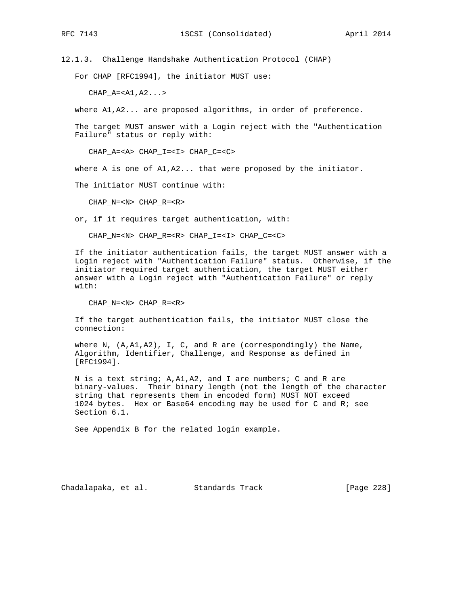12.1.3. Challenge Handshake Authentication Protocol (CHAP)

For CHAP [RFC1994], the initiator MUST use:

 $CHAP_A=$ 

where A1,A2... are proposed algorithms, in order of preference.

 The target MUST answer with a Login reject with the "Authentication Failure" status or reply with:

CHAP\_A=<A> CHAP\_I=<I> CHAP\_C=<C>

where A is one of  $A1, A2...$  that were proposed by the initiator.

The initiator MUST continue with:

CHAP\_N=<N> CHAP\_R=<R>

or, if it requires target authentication, with:

CHAP\_N=<N> CHAP\_R=<R> CHAP\_I=<I> CHAP\_C=<C>

 If the initiator authentication fails, the target MUST answer with a Login reject with "Authentication Failure" status. Otherwise, if the initiator required target authentication, the target MUST either answer with a Login reject with "Authentication Failure" or reply with:

CHAP\_N=<N> CHAP\_R=<R>

 If the target authentication fails, the initiator MUST close the connection:

 where N, (A,A1,A2), I, C, and R are (correspondingly) the Name, Algorithm, Identifier, Challenge, and Response as defined in [RFC1994].

 N is a text string; A,A1,A2, and I are numbers; C and R are binary-values. Their binary length (not the length of the character string that represents them in encoded form) MUST NOT exceed 1024 bytes. Hex or Base64 encoding may be used for C and R; see Section 6.1.

See Appendix B for the related login example.

Chadalapaka, et al. Standards Track [Page 228]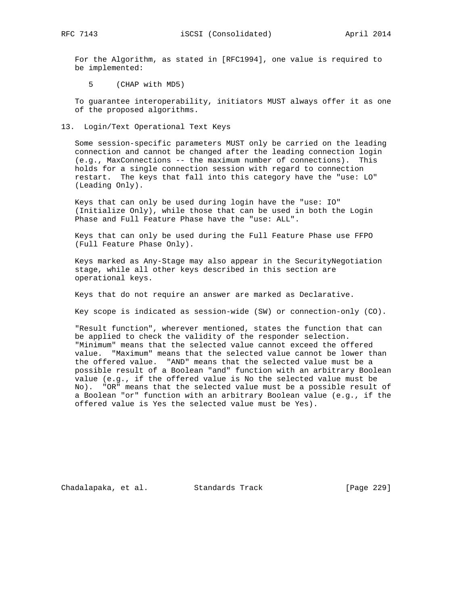For the Algorithm, as stated in [RFC1994], one value is required to be implemented:

5 (CHAP with MD5)

 To guarantee interoperability, initiators MUST always offer it as one of the proposed algorithms.

13. Login/Text Operational Text Keys

 Some session-specific parameters MUST only be carried on the leading connection and cannot be changed after the leading connection login (e.g., MaxConnections -- the maximum number of connections). This holds for a single connection session with regard to connection restart. The keys that fall into this category have the "use: LO" (Leading Only).

 Keys that can only be used during login have the "use: IO" (Initialize Only), while those that can be used in both the Login Phase and Full Feature Phase have the "use: ALL".

 Keys that can only be used during the Full Feature Phase use FFPO (Full Feature Phase Only).

 Keys marked as Any-Stage may also appear in the SecurityNegotiation stage, while all other keys described in this section are operational keys.

Keys that do not require an answer are marked as Declarative.

Key scope is indicated as session-wide (SW) or connection-only (CO).

 "Result function", wherever mentioned, states the function that can be applied to check the validity of the responder selection. "Minimum" means that the selected value cannot exceed the offered value. "Maximum" means that the selected value cannot be lower than the offered value. "AND" means that the selected value must be a possible result of a Boolean "and" function with an arbitrary Boolean value (e.g., if the offered value is No the selected value must be No). "OR" means that the selected value must be a possible result of a Boolean "or" function with an arbitrary Boolean value (e.g., if the offered value is Yes the selected value must be Yes).

Chadalapaka, et al. Standards Track [Page 229]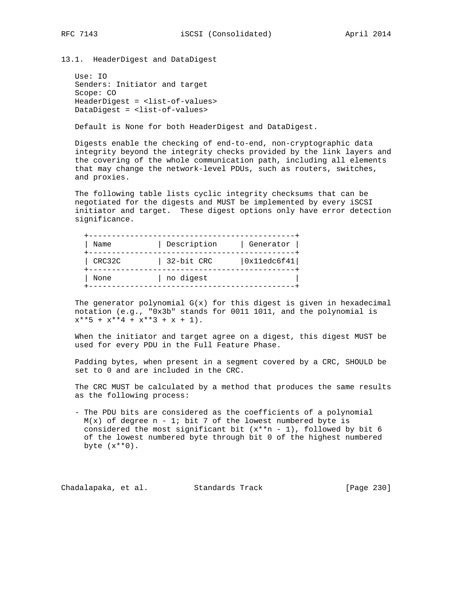13.1. HeaderDigest and DataDigest

 Use: IO Senders: Initiator and target Scope: CO HeaderDigest = <list-of-values> DataDigest = <list-of-values>

Default is None for both HeaderDigest and DataDigest.

 Digests enable the checking of end-to-end, non-cryptographic data integrity beyond the integrity checks provided by the link layers and the covering of the whole communication path, including all elements that may change the network-level PDUs, such as routers, switches, and proxies.

 The following table lists cyclic integrity checksums that can be negotiated for the digests and MUST be implemented by every iSCSI initiator and target. These digest options only have error detection significance.

| Name   | Description | Generator   |
|--------|-------------|-------------|
| CRC32C | 32-bit CRC  | 0x11edc6f41 |
| None   | no digest   |             |

The generator polynomial  $G(x)$  for this digest is given in hexadecimal notation (e.g., "0x3b" stands for 0011 1011, and the polynomial is  $x^{***}5 + x^{**}4 + x^{**}3 + x + 1$ .

 When the initiator and target agree on a digest, this digest MUST be used for every PDU in the Full Feature Phase.

 Padding bytes, when present in a segment covered by a CRC, SHOULD be set to 0 and are included in the CRC.

 The CRC MUST be calculated by a method that produces the same results as the following process:

 - The PDU bits are considered as the coefficients of a polynomial  $M(x)$  of degree n - 1; bit 7 of the lowest numbered byte is considered the most significant bit  $(x^{**}n - 1)$ , followed by bit 6 of the lowest numbered byte through bit 0 of the highest numbered byte  $(x**0)$ .

Chadalapaka, et al. Standards Track [Page 230]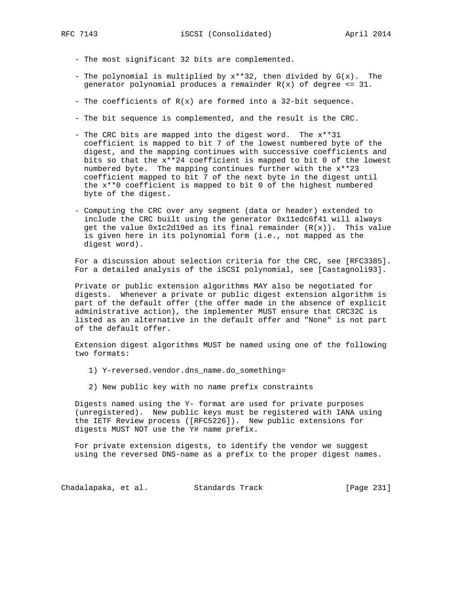- The most significant 32 bits are complemented.
- The polynomial is multiplied by  $x^{**}32$ , then divided by  $G(x)$ . The generator polynomial produces a remainder  $R(x)$  of degree  $\leq 31$ .
- The coefficients of  $R(x)$  are formed into a 32-bit sequence.
- The bit sequence is complemented, and the result is the CRC.
- The CRC bits are mapped into the digest word. The x\*\*31 coefficient is mapped to bit 7 of the lowest numbered byte of the digest, and the mapping continues with successive coefficients and bits so that the x\*\*24 coefficient is mapped to bit 0 of the lowest numbered byte. The mapping continues further with the x\*\*23 coefficient mapped to bit 7 of the next byte in the digest until the x\*\*0 coefficient is mapped to bit 0 of the highest numbered byte of the digest.
- Computing the CRC over any segment (data or header) extended to include the CRC built using the generator 0x11edc6f41 will always get the value  $0x1c2d19ed$  as its final remainder  $(R(x))$ . This value is given here in its polynomial form (i.e., not mapped as the digest word).

 For a discussion about selection criteria for the CRC, see [RFC3385]. For a detailed analysis of the iSCSI polynomial, see [Castagnoli93].

 Private or public extension algorithms MAY also be negotiated for digests. Whenever a private or public digest extension algorithm is part of the default offer (the offer made in the absence of explicit administrative action), the implementer MUST ensure that CRC32C is listed as an alternative in the default offer and "None" is not part of the default offer.

 Extension digest algorithms MUST be named using one of the following two formats:

- 1) Y-reversed.vendor.dns\_name.do\_something=
- 2) New public key with no name prefix constraints

 Digests named using the Y- format are used for private purposes (unregistered). New public keys must be registered with IANA using the IETF Review process ([RFC5226]). New public extensions for digests MUST NOT use the Y# name prefix.

 For private extension digests, to identify the vendor we suggest using the reversed DNS-name as a prefix to the proper digest names.

Chadalapaka, et al. Standards Track [Page 231]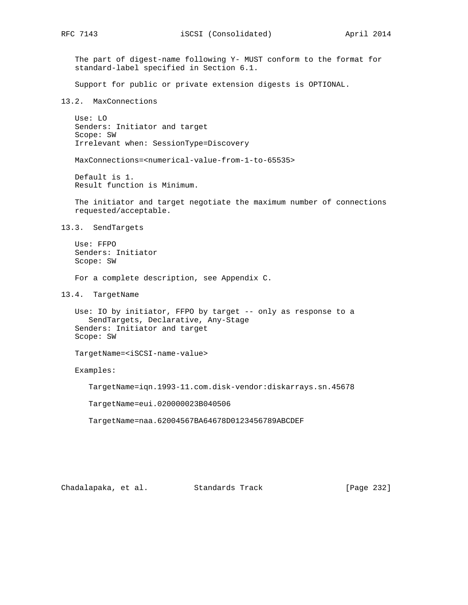The part of digest-name following Y- MUST conform to the format for standard-label specified in Section 6.1.

Support for public or private extension digests is OPTIONAL.

### 13.2. MaxConnections

 Use: LO Senders: Initiator and target Scope: SW Irrelevant when: SessionType=Discovery

MaxConnections=<numerical-value-from-1-to-65535>

 Default is 1. Result function is Minimum.

 The initiator and target negotiate the maximum number of connections requested/acceptable.

13.3. SendTargets

 Use: FFPO Senders: Initiator Scope: SW

For a complete description, see Appendix C.

13.4. TargetName

 Use: IO by initiator, FFPO by target -- only as response to a SendTargets, Declarative, Any-Stage Senders: Initiator and target Scope: SW

TargetName=<iSCSI-name-value>

Examples:

TargetName=iqn.1993-11.com.disk-vendor:diskarrays.sn.45678

TargetName=eui.020000023B040506

TargetName=naa.62004567BA64678D0123456789ABCDEF

Chadalapaka, et al. Standards Track [Page 232]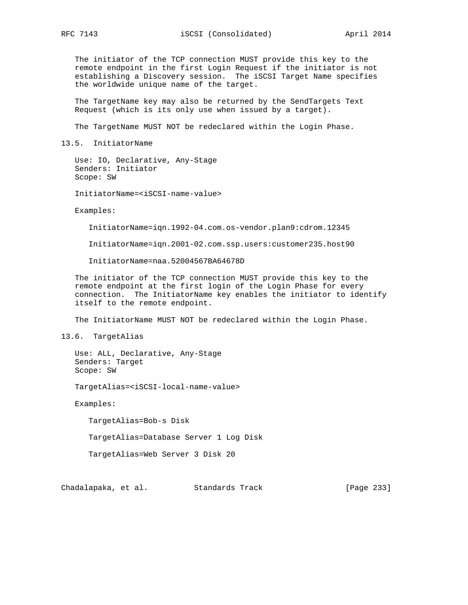RFC 7143 **iSCSI** (Consolidated) April 2014

 The initiator of the TCP connection MUST provide this key to the remote endpoint in the first Login Request if the initiator is not establishing a Discovery session. The iSCSI Target Name specifies the worldwide unique name of the target.

 The TargetName key may also be returned by the SendTargets Text Request (which is its only use when issued by a target).

The TargetName MUST NOT be redeclared within the Login Phase.

13.5. InitiatorName

 Use: IO, Declarative, Any-Stage Senders: Initiator Scope: SW

InitiatorName=<iSCSI-name-value>

Examples:

InitiatorName=iqn.1992-04.com.os-vendor.plan9:cdrom.12345

InitiatorName=iqn.2001-02.com.ssp.users:customer235.host90

InitiatorName=naa.52004567BA64678D

 The initiator of the TCP connection MUST provide this key to the remote endpoint at the first login of the Login Phase for every connection. The InitiatorName key enables the initiator to identify itself to the remote endpoint.

The InitiatorName MUST NOT be redeclared within the Login Phase.

13.6. TargetAlias

 Use: ALL, Declarative, Any-Stage Senders: Target Scope: SW

TargetAlias=<iSCSI-local-name-value>

Examples:

TargetAlias=Bob-s Disk

TargetAlias=Database Server 1 Log Disk

TargetAlias=Web Server 3 Disk 20

Chadalapaka, et al. Standards Track [Page 233]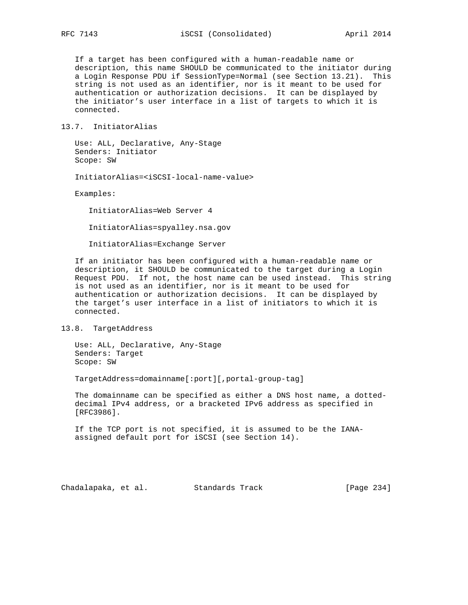If a target has been configured with a human-readable name or description, this name SHOULD be communicated to the initiator during a Login Response PDU if SessionType=Normal (see Section 13.21). This string is not used as an identifier, nor is it meant to be used for authentication or authorization decisions. It can be displayed by the initiator's user interface in a list of targets to which it is connected.

### 13.7. InitiatorAlias

 Use: ALL, Declarative, Any-Stage Senders: Initiator Scope: SW

InitiatorAlias=<iSCSI-local-name-value>

Examples:

InitiatorAlias=Web Server 4

InitiatorAlias=spyalley.nsa.gov

InitiatorAlias=Exchange Server

 If an initiator has been configured with a human-readable name or description, it SHOULD be communicated to the target during a Login Request PDU. If not, the host name can be used instead. This string is not used as an identifier, nor is it meant to be used for authentication or authorization decisions. It can be displayed by the target's user interface in a list of initiators to which it is connected.

### 13.8. TargetAddress

 Use: ALL, Declarative, Any-Stage Senders: Target Scope: SW

TargetAddress=domainname[:port][,portal-group-tag]

 The domainname can be specified as either a DNS host name, a dotted decimal IPv4 address, or a bracketed IPv6 address as specified in [RFC3986].

 If the TCP port is not specified, it is assumed to be the IANA assigned default port for iSCSI (see Section 14).

Chadalapaka, et al. Standards Track [Page 234]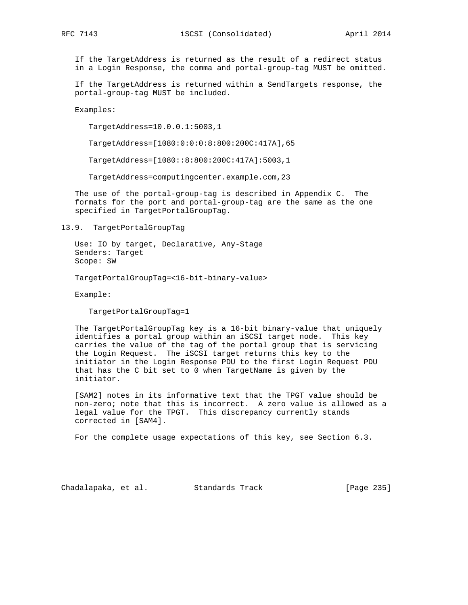If the TargetAddress is returned as the result of a redirect status in a Login Response, the comma and portal-group-tag MUST be omitted.

 If the TargetAddress is returned within a SendTargets response, the portal-group-tag MUST be included.

Examples:

TargetAddress=10.0.0.1:5003,1

TargetAddress=[1080:0:0:0:8:800:200C:417A],65

TargetAddress=[1080::8:800:200C:417A]:5003,1

TargetAddress=computingcenter.example.com,23

 The use of the portal-group-tag is described in Appendix C. The formats for the port and portal-group-tag are the same as the one specified in TargetPortalGroupTag.

13.9. TargetPortalGroupTag

 Use: IO by target, Declarative, Any-Stage Senders: Target Scope: SW

TargetPortalGroupTag=<16-bit-binary-value>

Example:

TargetPortalGroupTag=1

 The TargetPortalGroupTag key is a 16-bit binary-value that uniquely identifies a portal group within an iSCSI target node. This key carries the value of the tag of the portal group that is servicing the Login Request. The iSCSI target returns this key to the initiator in the Login Response PDU to the first Login Request PDU that has the C bit set to 0 when TargetName is given by the initiator.

 [SAM2] notes in its informative text that the TPGT value should be non-zero; note that this is incorrect. A zero value is allowed as a legal value for the TPGT. This discrepancy currently stands corrected in [SAM4].

For the complete usage expectations of this key, see Section 6.3.

Chadalapaka, et al. Standards Track [Page 235]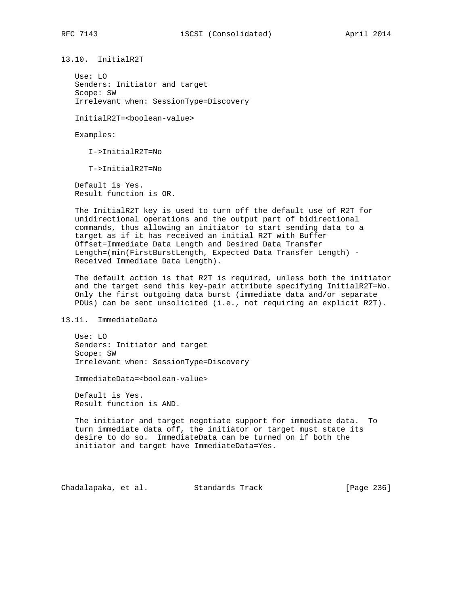13.10. InitialR2T

 Use: LO Senders: Initiator and target Scope: SW Irrelevant when: SessionType=Discovery

InitialR2T=<boolean-value>

Examples:

I->InitialR2T=No

T->InitialR2T=No

 Default is Yes. Result function is OR.

 The InitialR2T key is used to turn off the default use of R2T for unidirectional operations and the output part of bidirectional commands, thus allowing an initiator to start sending data to a target as if it has received an initial R2T with Buffer Offset=Immediate Data Length and Desired Data Transfer Length=(min(FirstBurstLength, Expected Data Transfer Length) - Received Immediate Data Length).

 The default action is that R2T is required, unless both the initiator and the target send this key-pair attribute specifying InitialR2T=No. Only the first outgoing data burst (immediate data and/or separate PDUs) can be sent unsolicited (i.e., not requiring an explicit R2T).

13.11. ImmediateData

 Use: LO Senders: Initiator and target Scope: SW Irrelevant when: SessionType=Discovery

ImmediateData=<boolean-value>

 Default is Yes. Result function is AND.

 The initiator and target negotiate support for immediate data. To turn immediate data off, the initiator or target must state its desire to do so. ImmediateData can be turned on if both the initiator and target have ImmediateData=Yes.

Chadalapaka, et al. Standards Track [Page 236]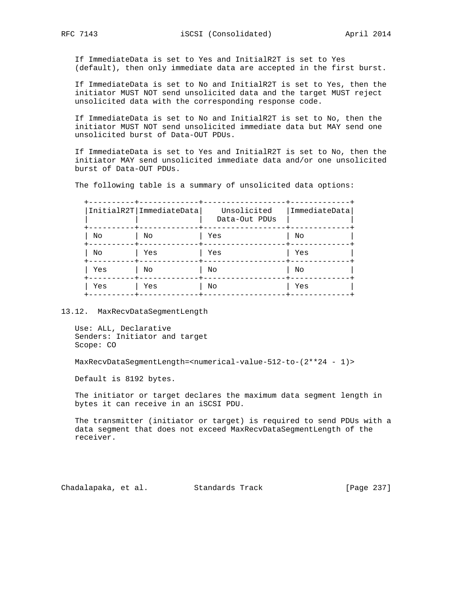If ImmediateData is set to Yes and InitialR2T is set to Yes (default), then only immediate data are accepted in the first burst.

 If ImmediateData is set to No and InitialR2T is set to Yes, then the initiator MUST NOT send unsolicited data and the target MUST reject unsolicited data with the corresponding response code.

 If ImmediateData is set to No and InitialR2T is set to No, then the initiator MUST NOT send unsolicited immediate data but MAY send one unsolicited burst of Data-OUT PDUs.

 If ImmediateData is set to Yes and InitialR2T is set to No, then the initiator MAY send unsolicited immediate data and/or one unsolicited burst of Data-OUT PDUs.

The following table is a summary of unsolicited data options:

|     | InitialR2T   ImmediateData | Unsolicited<br>Data-Out PDUs | ImmediateData |
|-----|----------------------------|------------------------------|---------------|
| Νo  | No                         | Yes                          | No            |
| No  | Yes                        | Yes                          | Yes           |
| Yes | No                         | No                           | No            |
| Yes | Yes                        | No                           | Yes           |

13.12. MaxRecvDataSegmentLength

```
 Use: ALL, Declarative
Senders: Initiator and target
Scope: CO
```
MaxRecvDataSegmentLength=<numerical-value-512-to-(2\*\*24 - 1)>

Default is 8192 bytes.

 The initiator or target declares the maximum data segment length in bytes it can receive in an iSCSI PDU.

 The transmitter (initiator or target) is required to send PDUs with a data segment that does not exceed MaxRecvDataSegmentLength of the receiver.

Chadalapaka, et al. Standards Track [Page 237]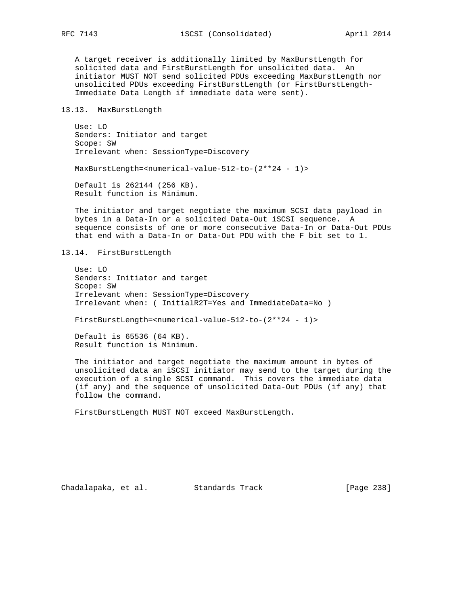A target receiver is additionally limited by MaxBurstLength for solicited data and FirstBurstLength for unsolicited data. An initiator MUST NOT send solicited PDUs exceeding MaxBurstLength nor unsolicited PDUs exceeding FirstBurstLength (or FirstBurstLength- Immediate Data Length if immediate data were sent).

### 13.13. MaxBurstLength

 Use: LO Senders: Initiator and target Scope: SW Irrelevant when: SessionType=Discovery

MaxBurstLength=<numerical-value-512-to-(2\*\*24 - 1)>

 Default is 262144 (256 KB). Result function is Minimum.

 The initiator and target negotiate the maximum SCSI data payload in bytes in a Data-In or a solicited Data-Out iSCSI sequence. A sequence consists of one or more consecutive Data-In or Data-Out PDUs that end with a Data-In or Data-Out PDU with the F bit set to 1.

13.14. FirstBurstLength

 Use: LO Senders: Initiator and target Scope: SW Irrelevant when: SessionType=Discovery Irrelevant when: ( InitialR2T=Yes and ImmediateData=No )

FirstBurstLength=<numerical-value-512-to-(2\*\*24 - 1)>

 Default is 65536 (64 KB). Result function is Minimum.

 The initiator and target negotiate the maximum amount in bytes of unsolicited data an iSCSI initiator may send to the target during the execution of a single SCSI command. This covers the immediate data (if any) and the sequence of unsolicited Data-Out PDUs (if any) that follow the command.

FirstBurstLength MUST NOT exceed MaxBurstLength.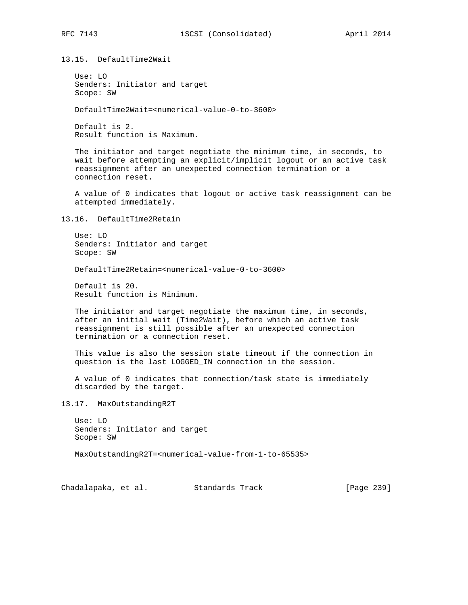13.15. DefaultTime2Wait

 Use: LO Senders: Initiator and target Scope: SW

DefaultTime2Wait=<numerical-value-0-to-3600>

 Default is 2. Result function is Maximum.

 The initiator and target negotiate the minimum time, in seconds, to wait before attempting an explicit/implicit logout or an active task reassignment after an unexpected connection termination or a connection reset.

 A value of 0 indicates that logout or active task reassignment can be attempted immediately.

13.16. DefaultTime2Retain

 Use: LO Senders: Initiator and target Scope: SW

DefaultTime2Retain=<numerical-value-0-to-3600>

 Default is 20. Result function is Minimum.

 The initiator and target negotiate the maximum time, in seconds, after an initial wait (Time2Wait), before which an active task reassignment is still possible after an unexpected connection termination or a connection reset.

 This value is also the session state timeout if the connection in question is the last LOGGED\_IN connection in the session.

 A value of 0 indicates that connection/task state is immediately discarded by the target.

13.17. MaxOutstandingR2T

 Use: LO Senders: Initiator and target Scope: SW

MaxOutstandingR2T=<numerical-value-from-1-to-65535>

Chadalapaka, et al. Standards Track [Page 239]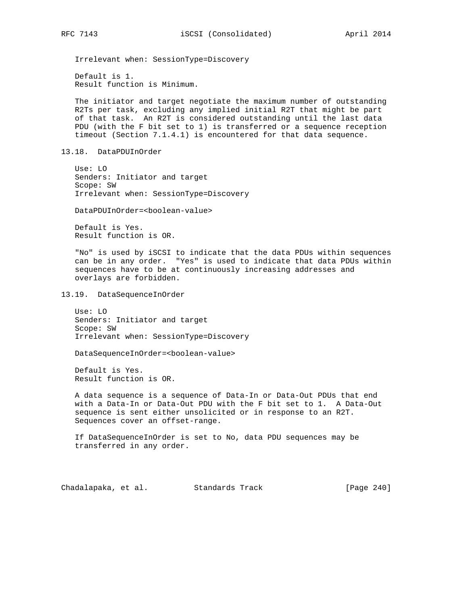Irrelevant when: SessionType=Discovery

 Default is 1. Result function is Minimum.

 The initiator and target negotiate the maximum number of outstanding R2Ts per task, excluding any implied initial R2T that might be part of that task. An R2T is considered outstanding until the last data PDU (with the F bit set to 1) is transferred or a sequence reception timeout (Section 7.1.4.1) is encountered for that data sequence.

13.18. DataPDUInOrder

 Use: LO Senders: Initiator and target Scope: SW Irrelevant when: SessionType=Discovery

DataPDUInOrder=<boolean-value>

 Default is Yes. Result function is OR.

 "No" is used by iSCSI to indicate that the data PDUs within sequences can be in any order. "Yes" is used to indicate that data PDUs within sequences have to be at continuously increasing addresses and overlays are forbidden.

13.19. DataSequenceInOrder

 Use: LO Senders: Initiator and target Scope: SW Irrelevant when: SessionType=Discovery

DataSequenceInOrder=<boolean-value>

 Default is Yes. Result function is OR.

 A data sequence is a sequence of Data-In or Data-Out PDUs that end with a Data-In or Data-Out PDU with the F bit set to 1. A Data-Out sequence is sent either unsolicited or in response to an R2T. Sequences cover an offset-range.

 If DataSequenceInOrder is set to No, data PDU sequences may be transferred in any order.

Chadalapaka, et al. Standards Track [Page 240]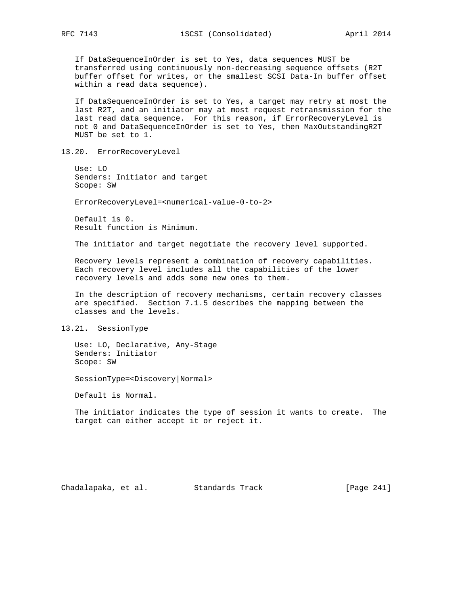If DataSequenceInOrder is set to Yes, data sequences MUST be transferred using continuously non-decreasing sequence offsets (R2T buffer offset for writes, or the smallest SCSI Data-In buffer offset within a read data sequence).

 If DataSequenceInOrder is set to Yes, a target may retry at most the last R2T, and an initiator may at most request retransmission for the last read data sequence. For this reason, if ErrorRecoveryLevel is not 0 and DataSequenceInOrder is set to Yes, then MaxOutstandingR2T MUST be set to 1.

13.20. ErrorRecoveryLevel

 Use: LO Senders: Initiator and target Scope: SW

ErrorRecoveryLevel=<numerical-value-0-to-2>

 Default is 0. Result function is Minimum.

The initiator and target negotiate the recovery level supported.

 Recovery levels represent a combination of recovery capabilities. Each recovery level includes all the capabilities of the lower recovery levels and adds some new ones to them.

 In the description of recovery mechanisms, certain recovery classes are specified. Section 7.1.5 describes the mapping between the classes and the levels.

13.21. SessionType

 Use: LO, Declarative, Any-Stage Senders: Initiator Scope: SW

SessionType=<Discovery|Normal>

Default is Normal.

 The initiator indicates the type of session it wants to create. The target can either accept it or reject it.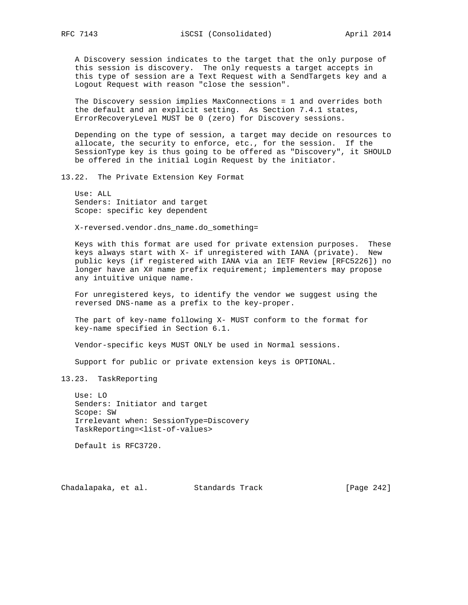A Discovery session indicates to the target that the only purpose of this session is discovery. The only requests a target accepts in this type of session are a Text Request with a SendTargets key and a Logout Request with reason "close the session".

 The Discovery session implies MaxConnections = 1 and overrides both the default and an explicit setting. As Section 7.4.1 states, ErrorRecoveryLevel MUST be 0 (zero) for Discovery sessions.

 Depending on the type of session, a target may decide on resources to allocate, the security to enforce, etc., for the session. If the SessionType key is thus going to be offered as "Discovery", it SHOULD be offered in the initial Login Request by the initiator.

13.22. The Private Extension Key Format

 Use: ALL Senders: Initiator and target Scope: specific key dependent

X-reversed.vendor.dns\_name.do\_something=

 Keys with this format are used for private extension purposes. These keys always start with X- if unregistered with IANA (private). New public keys (if registered with IANA via an IETF Review [RFC5226]) no longer have an X# name prefix requirement; implementers may propose any intuitive unique name.

 For unregistered keys, to identify the vendor we suggest using the reversed DNS-name as a prefix to the key-proper.

 The part of key-name following X- MUST conform to the format for key-name specified in Section 6.1.

Vendor-specific keys MUST ONLY be used in Normal sessions.

Support for public or private extension keys is OPTIONAL.

### 13.23. TaskReporting

 Use: LO Senders: Initiator and target Scope: SW Irrelevant when: SessionType=Discovery TaskReporting=<list-of-values>

Default is RFC3720.

Chadalapaka, et al. Standards Track [Page 242]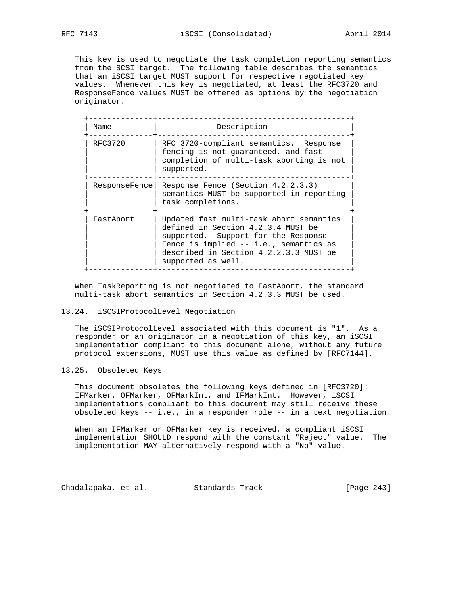This key is used to negotiate the task completion reporting semantics from the SCSI target. The following table describes the semantics that an iSCSI target MUST support for respective negotiated key values. Whenever this key is negotiated, at least the RFC3720 and ResponseFence values MUST be offered as options by the negotiation originator.

| Name          | Description                                                                                                                                                                                                                    |
|---------------|--------------------------------------------------------------------------------------------------------------------------------------------------------------------------------------------------------------------------------|
| RFC3720       | RFC 3720-compliant semantics. Response<br>fencing is not guaranteed, and fast<br>completion of multi-task aborting is not<br>supported.                                                                                        |
| ResponseFence | Response Fence (Section 4.2.2.3.3)<br>semantics MUST be supported in reporting<br>task completions.                                                                                                                            |
| FastAbort     | Updated fast multi-task abort semantics<br>defined in Section 4.2.3.4 MUST be<br>supported. Support for the Response<br>Fence is implied -- i.e., semantics as<br>described in Section 4.2.2.3.3 MUST be<br>supported as well. |

 When TaskReporting is not negotiated to FastAbort, the standard multi-task abort semantics in Section 4.2.3.3 MUST be used.

### 13.24. iSCSIProtocolLevel Negotiation

 The iSCSIProtocolLevel associated with this document is "1". As a responder or an originator in a negotiation of this key, an iSCSI implementation compliant to this document alone, without any future protocol extensions, MUST use this value as defined by [RFC7144].

### 13.25. Obsoleted Keys

 This document obsoletes the following keys defined in [RFC3720]: IFMarker, OFMarker, OFMarkInt, and IFMarkInt. However, iSCSI implementations compliant to this document may still receive these obsoleted keys -- i.e., in a responder role -- in a text negotiation.

 When an IFMarker or OFMarker key is received, a compliant iSCSI implementation SHOULD respond with the constant "Reject" value. The implementation MAY alternatively respond with a "No" value.

Chadalapaka, et al. Standards Track [Page 243]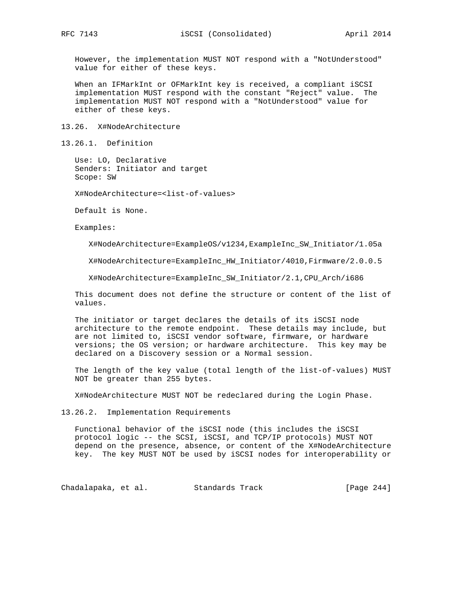However, the implementation MUST NOT respond with a "NotUnderstood" value for either of these keys.

 When an IFMarkInt or OFMarkInt key is received, a compliant iSCSI implementation MUST respond with the constant "Reject" value. The implementation MUST NOT respond with a "NotUnderstood" value for either of these keys.

13.26. X#NodeArchitecture

13.26.1. Definition

 Use: LO, Declarative Senders: Initiator and target Scope: SW

X#NodeArchitecture=<list-of-values>

Default is None.

Examples:

X#NodeArchitecture=ExampleOS/v1234,ExampleInc\_SW\_Initiator/1.05a

X#NodeArchitecture=ExampleInc\_HW\_Initiator/4010,Firmware/2.0.0.5

X#NodeArchitecture=ExampleInc\_SW\_Initiator/2.1,CPU\_Arch/i686

 This document does not define the structure or content of the list of values.

 The initiator or target declares the details of its iSCSI node architecture to the remote endpoint. These details may include, but are not limited to, iSCSI vendor software, firmware, or hardware versions; the OS version; or hardware architecture. This key may be declared on a Discovery session or a Normal session.

 The length of the key value (total length of the list-of-values) MUST NOT be greater than 255 bytes.

X#NodeArchitecture MUST NOT be redeclared during the Login Phase.

13.26.2. Implementation Requirements

 Functional behavior of the iSCSI node (this includes the iSCSI protocol logic -- the SCSI, iSCSI, and TCP/IP protocols) MUST NOT depend on the presence, absence, or content of the X#NodeArchitecture key. The key MUST NOT be used by iSCSI nodes for interoperability or

Chadalapaka, et al. Standards Track [Page 244]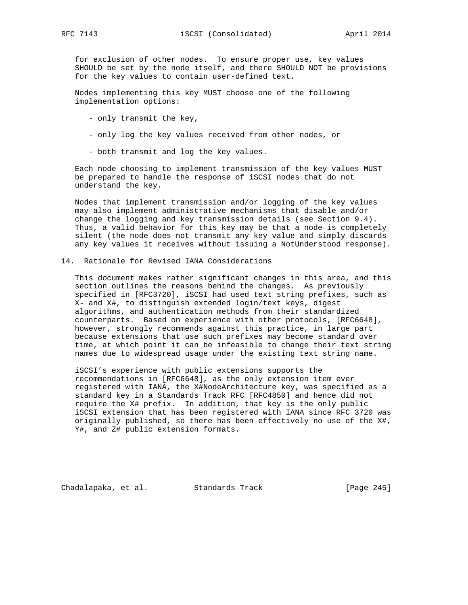for exclusion of other nodes. To ensure proper use, key values SHOULD be set by the node itself, and there SHOULD NOT be provisions for the key values to contain user-defined text.

 Nodes implementing this key MUST choose one of the following implementation options:

- only transmit the key,
- only log the key values received from other nodes, or
- both transmit and log the key values.

 Each node choosing to implement transmission of the key values MUST be prepared to handle the response of iSCSI nodes that do not understand the key.

 Nodes that implement transmission and/or logging of the key values may also implement administrative mechanisms that disable and/or change the logging and key transmission details (see Section 9.4). Thus, a valid behavior for this key may be that a node is completely silent (the node does not transmit any key value and simply discards any key values it receives without issuing a NotUnderstood response).

14. Rationale for Revised IANA Considerations

 This document makes rather significant changes in this area, and this section outlines the reasons behind the changes. As previously specified in [RFC3720], iSCSI had used text string prefixes, such as X- and X#, to distinguish extended login/text keys, digest algorithms, and authentication methods from their standardized counterparts. Based on experience with other protocols, [RFC6648], however, strongly recommends against this practice, in large part because extensions that use such prefixes may become standard over time, at which point it can be infeasible to change their text string names due to widespread usage under the existing text string name.

 iSCSI's experience with public extensions supports the recommendations in [RFC6648], as the only extension item ever registered with IANA, the X#NodeArchitecture key, was specified as a standard key in a Standards Track RFC [RFC4850] and hence did not require the X# prefix. In addition, that key is the only public iSCSI extension that has been registered with IANA since RFC 3720 was originally published, so there has been effectively no use of the X#, Y#, and Z# public extension formats.

Chadalapaka, et al. Standards Track [Page 245]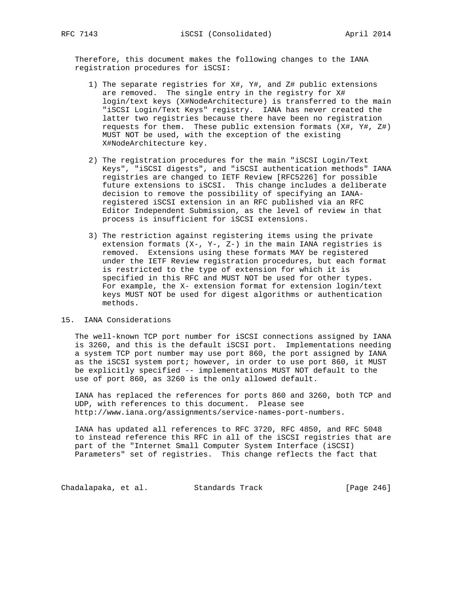Therefore, this document makes the following changes to the IANA registration procedures for iSCSI:

- 1) The separate registries for X#, Y#, and Z# public extensions are removed. The single entry in the registry for X# login/text keys (X#NodeArchitecture) is transferred to the main "iSCSI Login/Text Keys" registry. IANA has never created the latter two registries because there have been no registration requests for them. These public extension formats (X#, Y#, Z#) MUST NOT be used, with the exception of the existing X#NodeArchitecture key.
- 2) The registration procedures for the main "iSCSI Login/Text Keys", "iSCSI digests", and "iSCSI authentication methods" IANA registries are changed to IETF Review [RFC5226] for possible future extensions to iSCSI. This change includes a deliberate decision to remove the possibility of specifying an IANA registered iSCSI extension in an RFC published via an RFC Editor Independent Submission, as the level of review in that process is insufficient for iSCSI extensions.
- 3) The restriction against registering items using the private extension formats (X-, Y-, Z-) in the main IANA registries is removed. Extensions using these formats MAY be registered under the IETF Review registration procedures, but each format is restricted to the type of extension for which it is specified in this RFC and MUST NOT be used for other types. For example, the X- extension format for extension login/text keys MUST NOT be used for digest algorithms or authentication methods.

### 15. IANA Considerations

 The well-known TCP port number for iSCSI connections assigned by IANA is 3260, and this is the default iSCSI port. Implementations needing a system TCP port number may use port 860, the port assigned by IANA as the iSCSI system port; however, in order to use port 860, it MUST be explicitly specified -- implementations MUST NOT default to the use of port 860, as 3260 is the only allowed default.

 IANA has replaced the references for ports 860 and 3260, both TCP and UDP, with references to this document. Please see http://www.iana.org/assignments/service-names-port-numbers.

 IANA has updated all references to RFC 3720, RFC 4850, and RFC 5048 to instead reference this RFC in all of the iSCSI registries that are part of the "Internet Small Computer System Interface (iSCSI) Parameters" set of registries. This change reflects the fact that

Chadalapaka, et al. Standards Track [Page 246]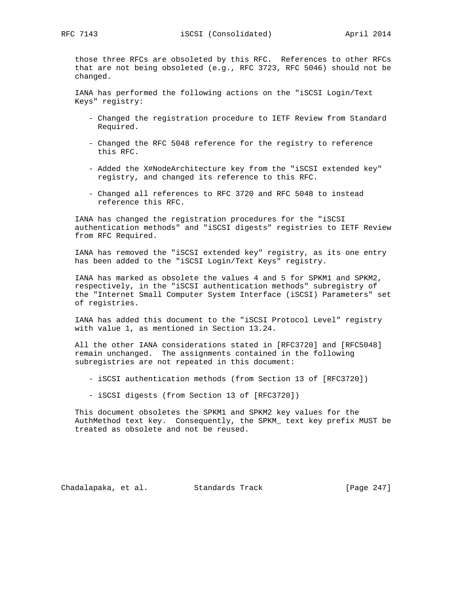those three RFCs are obsoleted by this RFC. References to other RFCs that are not being obsoleted (e.g., RFC 3723, RFC 5046) should not be changed.

 IANA has performed the following actions on the "iSCSI Login/Text Keys" registry:

- Changed the registration procedure to IETF Review from Standard Required.
- Changed the RFC 5048 reference for the registry to reference this RFC.
- Added the X#NodeArchitecture key from the "iSCSI extended key" registry, and changed its reference to this RFC.
- Changed all references to RFC 3720 and RFC 5048 to instead reference this RFC.

 IANA has changed the registration procedures for the "iSCSI authentication methods" and "iSCSI digests" registries to IETF Review from RFC Required.

 IANA has removed the "iSCSI extended key" registry, as its one entry has been added to the "iSCSI Login/Text Keys" registry.

 IANA has marked as obsolete the values 4 and 5 for SPKM1 and SPKM2, respectively, in the "iSCSI authentication methods" subregistry of the "Internet Small Computer System Interface (iSCSI) Parameters" set of registries.

 IANA has added this document to the "iSCSI Protocol Level" registry with value 1, as mentioned in Section 13.24.

 All the other IANA considerations stated in [RFC3720] and [RFC5048] remain unchanged. The assignments contained in the following subregistries are not repeated in this document:

- iSCSI authentication methods (from Section 13 of [RFC3720])
- iSCSI digests (from Section 13 of [RFC3720])

 This document obsoletes the SPKM1 and SPKM2 key values for the AuthMethod text key. Consequently, the SPKM\_ text key prefix MUST be treated as obsolete and not be reused.

Chadalapaka, et al. Standards Track [Page 247]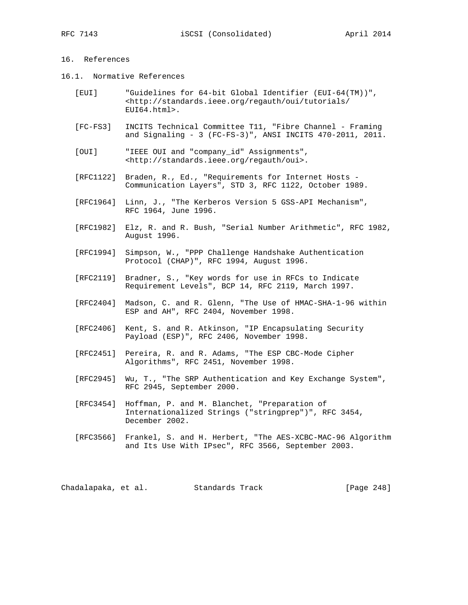### 16. References

- 16.1. Normative References
	- [EUI] "Guidelines for 64-bit Global Identifier (EUI-64(TM))", <http://standards.ieee.org/regauth/oui/tutorials/ EUI64.html>.
	- [FC-FS3] INCITS Technical Committee T11, "Fibre Channel Framing and Signaling - 3 (FC-FS-3)", ANSI INCITS 470-2011, 2011.
	- [OUI] "IEEE OUI and "company\_id" Assignments", <http://standards.ieee.org/regauth/oui>.
	- [RFC1122] Braden, R., Ed., "Requirements for Internet Hosts Communication Layers", STD 3, RFC 1122, October 1989.
	- [RFC1964] Linn, J., "The Kerberos Version 5 GSS-API Mechanism", RFC 1964, June 1996.
	- [RFC1982] Elz, R. and R. Bush, "Serial Number Arithmetic", RFC 1982, August 1996.
	- [RFC1994] Simpson, W., "PPP Challenge Handshake Authentication Protocol (CHAP)", RFC 1994, August 1996.
	- [RFC2119] Bradner, S., "Key words for use in RFCs to Indicate Requirement Levels", BCP 14, RFC 2119, March 1997.
	- [RFC2404] Madson, C. and R. Glenn, "The Use of HMAC-SHA-1-96 within ESP and AH", RFC 2404, November 1998.
	- [RFC2406] Kent, S. and R. Atkinson, "IP Encapsulating Security Payload (ESP)", RFC 2406, November 1998.
	- [RFC2451] Pereira, R. and R. Adams, "The ESP CBC-Mode Cipher Algorithms", RFC 2451, November 1998.
	- [RFC2945] Wu, T., "The SRP Authentication and Key Exchange System", RFC 2945, September 2000.
	- [RFC3454] Hoffman, P. and M. Blanchet, "Preparation of Internationalized Strings ("stringprep")", RFC 3454, December 2002.
	- [RFC3566] Frankel, S. and H. Herbert, "The AES-XCBC-MAC-96 Algorithm and Its Use With IPsec", RFC 3566, September 2003.

Chadalapaka, et al. Standards Track [Page 248]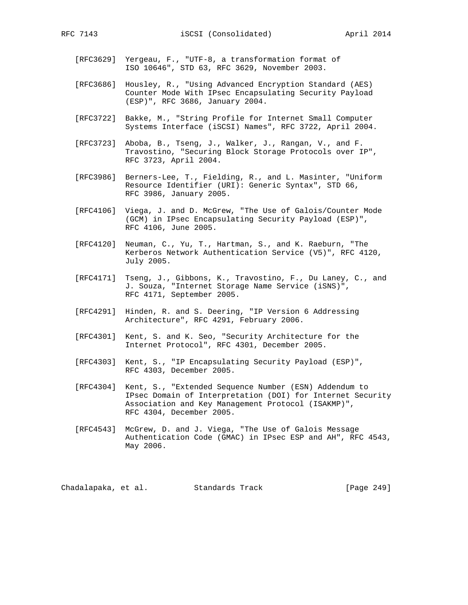- [RFC3629] Yergeau, F., "UTF-8, a transformation format of ISO 10646", STD 63, RFC 3629, November 2003.
- [RFC3686] Housley, R., "Using Advanced Encryption Standard (AES) Counter Mode With IPsec Encapsulating Security Payload (ESP)", RFC 3686, January 2004.
- [RFC3722] Bakke, M., "String Profile for Internet Small Computer Systems Interface (iSCSI) Names", RFC 3722, April 2004.
- [RFC3723] Aboba, B., Tseng, J., Walker, J., Rangan, V., and F. Travostino, "Securing Block Storage Protocols over IP", RFC 3723, April 2004.
- [RFC3986] Berners-Lee, T., Fielding, R., and L. Masinter, "Uniform Resource Identifier (URI): Generic Syntax", STD 66, RFC 3986, January 2005.
- [RFC4106] Viega, J. and D. McGrew, "The Use of Galois/Counter Mode (GCM) in IPsec Encapsulating Security Payload (ESP)", RFC 4106, June 2005.
- [RFC4120] Neuman, C., Yu, T., Hartman, S., and K. Raeburn, "The Kerberos Network Authentication Service (V5)", RFC 4120, July 2005.
- [RFC4171] Tseng, J., Gibbons, K., Travostino, F., Du Laney, C., and J. Souza, "Internet Storage Name Service (iSNS)", RFC 4171, September 2005.
- [RFC4291] Hinden, R. and S. Deering, "IP Version 6 Addressing Architecture", RFC 4291, February 2006.
- [RFC4301] Kent, S. and K. Seo, "Security Architecture for the Internet Protocol", RFC 4301, December 2005.
- [RFC4303] Kent, S., "IP Encapsulating Security Payload (ESP)", RFC 4303, December 2005.
- [RFC4304] Kent, S., "Extended Sequence Number (ESN) Addendum to IPsec Domain of Interpretation (DOI) for Internet Security Association and Key Management Protocol (ISAKMP)", RFC 4304, December 2005.
- [RFC4543] McGrew, D. and J. Viega, "The Use of Galois Message Authentication Code (GMAC) in IPsec ESP and AH", RFC 4543, May 2006.

Chadalapaka, et al. Standards Track [Page 249]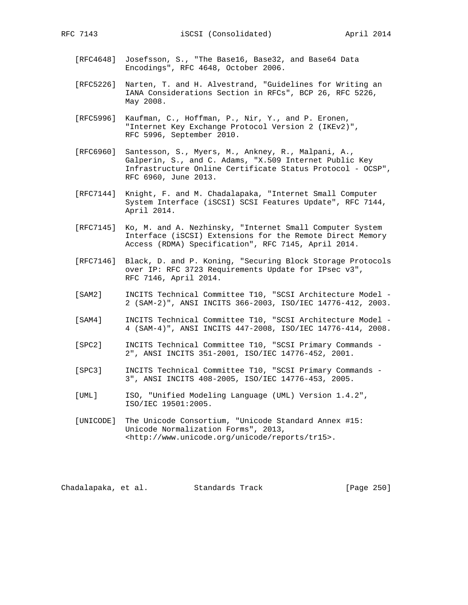- [RFC4648] Josefsson, S., "The Base16, Base32, and Base64 Data Encodings", RFC 4648, October 2006.
- [RFC5226] Narten, T. and H. Alvestrand, "Guidelines for Writing an IANA Considerations Section in RFCs", BCP 26, RFC 5226, May 2008.
- [RFC5996] Kaufman, C., Hoffman, P., Nir, Y., and P. Eronen, "Internet Key Exchange Protocol Version 2 (IKEv2)", RFC 5996, September 2010.
- [RFC6960] Santesson, S., Myers, M., Ankney, R., Malpani, A., Galperin, S., and C. Adams, "X.509 Internet Public Key Infrastructure Online Certificate Status Protocol - OCSP", RFC 6960, June 2013.
- [RFC7144] Knight, F. and M. Chadalapaka, "Internet Small Computer System Interface (iSCSI) SCSI Features Update", RFC 7144, April 2014.
- [RFC7145] Ko, M. and A. Nezhinsky, "Internet Small Computer System Interface (iSCSI) Extensions for the Remote Direct Memory Access (RDMA) Specification", RFC 7145, April 2014.
- [RFC7146] Black, D. and P. Koning, "Securing Block Storage Protocols over IP: RFC 3723 Requirements Update for IPsec v3", RFC 7146, April 2014.
- [SAM2] INCITS Technical Committee T10, "SCSI Architecture Model 2 (SAM-2)", ANSI INCITS 366-2003, ISO/IEC 14776-412, 2003.
- [SAM4] INCITS Technical Committee T10, "SCSI Architecture Model 4 (SAM-4)", ANSI INCITS 447-2008, ISO/IEC 14776-414, 2008.
- [SPC2] INCITS Technical Committee T10, "SCSI Primary Commands 2", ANSI INCITS 351-2001, ISO/IEC 14776-452, 2001.
- [SPC3] INCITS Technical Committee T10, "SCSI Primary Commands 3", ANSI INCITS 408-2005, ISO/IEC 14776-453, 2005.
- [UML] ISO, "Unified Modeling Language (UML) Version 1.4.2", ISO/IEC 19501:2005.
- [UNICODE] The Unicode Consortium, "Unicode Standard Annex #15: Unicode Normalization Forms", 2013, <http://www.unicode.org/unicode/reports/tr15>.

Chadalapaka, et al. Standards Track [Page 250]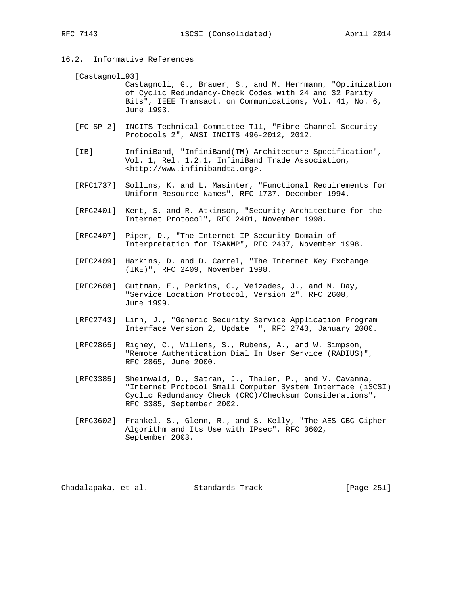16.2. Informative References

#### [Castagnoli93]

 Castagnoli, G., Brauer, S., and M. Herrmann, "Optimization of Cyclic Redundancy-Check Codes with 24 and 32 Parity Bits", IEEE Transact. on Communications, Vol. 41, No. 6, June 1993.

- [FC-SP-2] INCITS Technical Committee T11, "Fibre Channel Security Protocols 2", ANSI INCITS 496-2012, 2012.
- [IB] InfiniBand, "InfiniBand(TM) Architecture Specification", Vol. 1, Rel. 1.2.1, InfiniBand Trade Association, <http://www.infinibandta.org>.
- [RFC1737] Sollins, K. and L. Masinter, "Functional Requirements for Uniform Resource Names", RFC 1737, December 1994.
- [RFC2401] Kent, S. and R. Atkinson, "Security Architecture for the Internet Protocol", RFC 2401, November 1998.
- [RFC2407] Piper, D., "The Internet IP Security Domain of Interpretation for ISAKMP", RFC 2407, November 1998.
- [RFC2409] Harkins, D. and D. Carrel, "The Internet Key Exchange (IKE)", RFC 2409, November 1998.
- [RFC2608] Guttman, E., Perkins, C., Veizades, J., and M. Day, "Service Location Protocol, Version 2", RFC 2608, June 1999.
- [RFC2743] Linn, J., "Generic Security Service Application Program Interface Version 2, Update ", RFC 2743, January 2000.
- [RFC2865] Rigney, C., Willens, S., Rubens, A., and W. Simpson, "Remote Authentication Dial In User Service (RADIUS)", RFC 2865, June 2000.
- [RFC3385] Sheinwald, D., Satran, J., Thaler, P., and V. Cavanna, "Internet Protocol Small Computer System Interface (iSCSI) Cyclic Redundancy Check (CRC)/Checksum Considerations", RFC 3385, September 2002.
- [RFC3602] Frankel, S., Glenn, R., and S. Kelly, "The AES-CBC Cipher Algorithm and Its Use with IPsec", RFC 3602, September 2003.

Chadalapaka, et al. Standards Track [Page 251]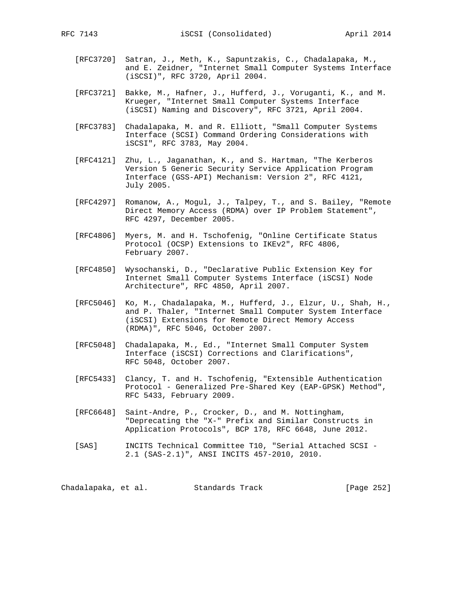- [RFC3720] Satran, J., Meth, K., Sapuntzakis, C., Chadalapaka, M., and E. Zeidner, "Internet Small Computer Systems Interface (iSCSI)", RFC 3720, April 2004.
- [RFC3721] Bakke, M., Hafner, J., Hufferd, J., Voruganti, K., and M. Krueger, "Internet Small Computer Systems Interface (iSCSI) Naming and Discovery", RFC 3721, April 2004.
- [RFC3783] Chadalapaka, M. and R. Elliott, "Small Computer Systems Interface (SCSI) Command Ordering Considerations with iSCSI", RFC 3783, May 2004.
- [RFC4121] Zhu, L., Jaganathan, K., and S. Hartman, "The Kerberos Version 5 Generic Security Service Application Program Interface (GSS-API) Mechanism: Version 2", RFC 4121, July 2005.
- [RFC4297] Romanow, A., Mogul, J., Talpey, T., and S. Bailey, "Remote Direct Memory Access (RDMA) over IP Problem Statement", RFC 4297, December 2005.
- [RFC4806] Myers, M. and H. Tschofenig, "Online Certificate Status Protocol (OCSP) Extensions to IKEv2", RFC 4806, February 2007.
- [RFC4850] Wysochanski, D., "Declarative Public Extension Key for Internet Small Computer Systems Interface (iSCSI) Node Architecture", RFC 4850, April 2007.
- [RFC5046] Ko, M., Chadalapaka, M., Hufferd, J., Elzur, U., Shah, H., and P. Thaler, "Internet Small Computer System Interface (iSCSI) Extensions for Remote Direct Memory Access (RDMA)", RFC 5046, October 2007.
- [RFC5048] Chadalapaka, M., Ed., "Internet Small Computer System Interface (iSCSI) Corrections and Clarifications", RFC 5048, October 2007.
- [RFC5433] Clancy, T. and H. Tschofenig, "Extensible Authentication Protocol - Generalized Pre-Shared Key (EAP-GPSK) Method", RFC 5433, February 2009.
- [RFC6648] Saint-Andre, P., Crocker, D., and M. Nottingham, "Deprecating the "X-" Prefix and Similar Constructs in Application Protocols", BCP 178, RFC 6648, June 2012.
- [SAS] INCITS Technical Committee T10, "Serial Attached SCSI 2.1 (SAS-2.1)", ANSI INCITS 457-2010, 2010.

Chadalapaka, et al. Standards Track [Page 252]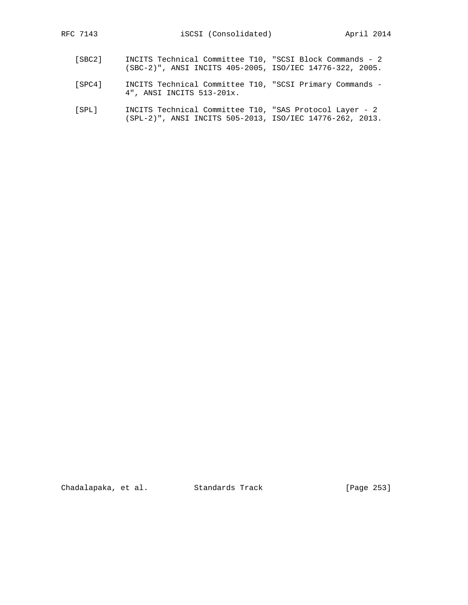- [SBC2] INCITS Technical Committee T10, "SCSI Block Commands 2 (SBC-2)", ANSI INCITS 405-2005, ISO/IEC 14776-322, 2005.
- [SPC4] INCITS Technical Committee T10, "SCSI Primary Commands 4", ANSI INCITS 513-201x.
- [SPL] INCITS Technical Committee T10, "SAS Protocol Layer 2 (SPL-2)", ANSI INCITS 505-2013, ISO/IEC 14776-262, 2013.

Chadalapaka, et al. Standards Track [Page 253]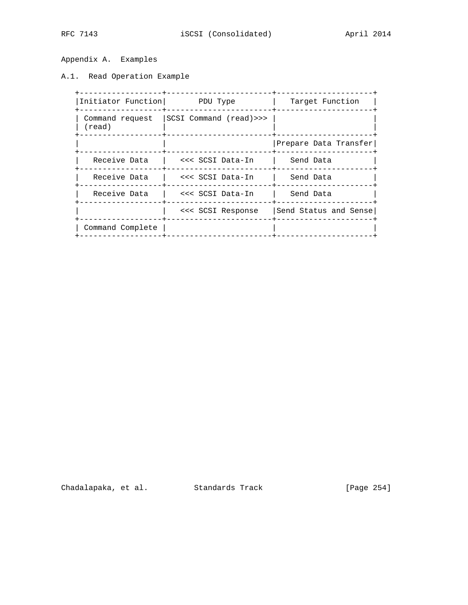Appendix A. Examples

A.1. Read Operation Example

| Initiator Function        | PDU Type                | Target Function       |  |
|---------------------------|-------------------------|-----------------------|--|
| Command request<br>(read) | SCSI Command (read) >>> |                       |  |
|                           |                         | Prepare Data Transfer |  |
| Receive Data              | <<< SCSI Data-In        | Send Data             |  |
| Receive Data              | <<< SCSI Data-In        | Send Data             |  |
| Receive Data              | <<< SCSI Data-In        | Send Data             |  |
|                           | <<< SCSI Response       | Send Status and Sense |  |
| Command Complete          |                         |                       |  |

Chadalapaka, et al. Standards Track [Page 254]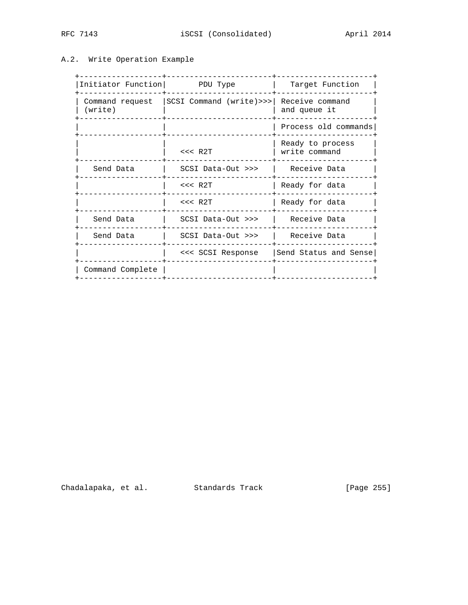# A.2. Write Operation Example

| Initiator Function         |                            |                                   |  |
|----------------------------|----------------------------|-----------------------------------|--|
|                            | PDU Type                   | Target Function                   |  |
| Command request<br>(write) | $SCSI$ Command (write) >>> | Receive command<br>and queue it   |  |
|                            |                            | Process old commands              |  |
|                            | $<<$ R2T                   | Ready to process<br>write command |  |
| Send Data                  | $SCSI$ Data-Out $>>$       | Receive Data                      |  |
|                            | $<<$ R2T                   | Ready for data                    |  |
|                            | $<<$ R2T                   | Ready for data                    |  |
| Send Data                  | SCSI Data-Out >>>          | Receive Data                      |  |
| Send Data                  | SCSI Data-Out >>>          | Receive Data                      |  |
|                            | <<< SCSI Response          | Send Status and Sense             |  |
| Command Complete           |                            |                                   |  |

Chadalapaka, et al. Standards Track (Page 255)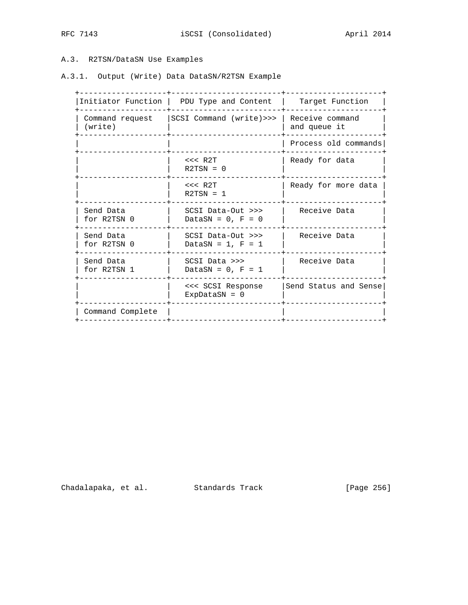# A.3. R2TSN/DataSN Use Examples

A.3.1. Output (Write) Data DataSN/R2TSN Example

| Initiator Function         | PDU Type and Content                         | Target Function                 |  |
|----------------------------|----------------------------------------------|---------------------------------|--|
| Command request<br>(write) | SCSI Command (write) >>>                     | Receive command<br>and queue it |  |
|                            |                                              | Process old commands            |  |
|                            | $<<$ R2T<br>$R2TSN = 0$                      | Ready for data                  |  |
|                            | $<<$ R2T<br>$R2TSN = 1$                      | Ready for more data             |  |
| Send Data<br>for R2TSN 0   | $SCSI$ Data-Out $>>$<br>DataSN = $0$ , F = 0 | Receive Data                    |  |
| Send Data<br>for R2TSN 0   | $SCSI$ Data-Out $>>$<br>DataSN = $1$ , F = 1 | Receive Data                    |  |
| Send Data<br>for R2TSN 1   | SCSI Data >>><br>DataSN = $0$ , F = 1        | Receive Data                    |  |
|                            | <<< SCSI Response<br>ExpDataSN = $0$         | Send Status and Sense           |  |
| Command Complete           |                                              |                                 |  |
|                            |                                              |                                 |  |

Chadalapaka, et al. Standards Track [Page 256]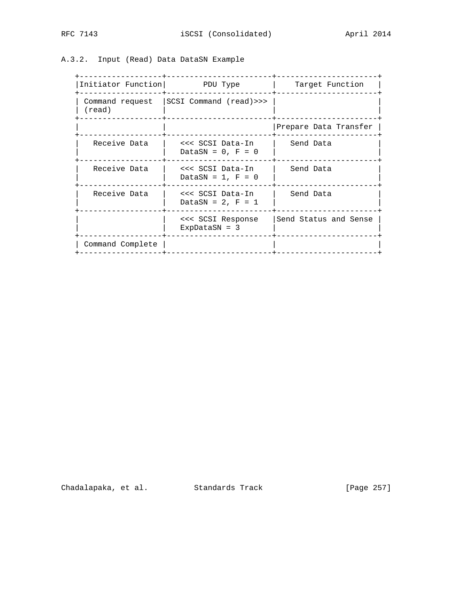# A.3.2. Input (Read) Data DataSN Example

| Initiator Function   PDU Type |                                           | Target Function       |  |
|-------------------------------|-------------------------------------------|-----------------------|--|
| $(\text{read})$<br>--------   | Command request   SCSI Command (read) >>> |                       |  |
|                               |                                           | Prepare Data Transfer |  |
| Receive Data                  | <<< SCSI Data-In<br>DataSN = $0$ , F = 0  | Send Data             |  |
| Receive Data                  | <<< SCSI Data-In<br>DataSN = $1, F = 0$   | Send Data             |  |
| Receive Data                  | <<< SCSI Data-In<br>DataSN = $2$ , F = 1  | Send Data             |  |
|                               | <<< SCSI Response<br>$ExpDatasN = 3$      | Send Status and Sense |  |
| Command Complete              |                                           |                       |  |

Chadalapaka, et al. Standards Track (Page 257)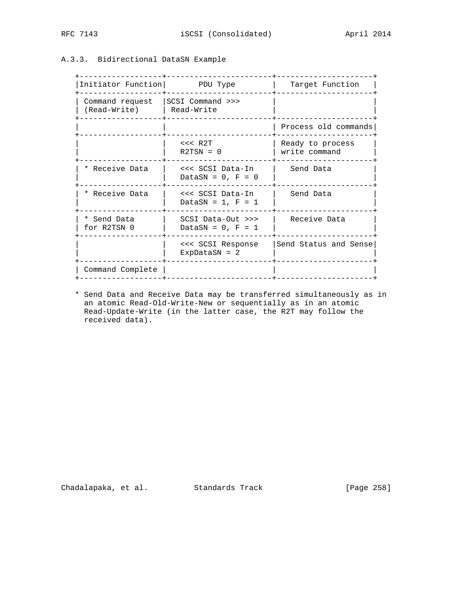# A.3.3. Bidirectional DataSN Example

| Initiator Function   PDU Type   |                                            | Target Function                   |  |
|---------------------------------|--------------------------------------------|-----------------------------------|--|
| Command request<br>(Read-Write) | SCSI Command >>><br>  Read-Write           |                                   |  |
|                                 |                                            | Process old commands              |  |
|                                 | $<<$ R2T<br>$R2TSN = 0$                    | Ready to process<br>write command |  |
| * Receive Data                  | <<< SCSI Data-In<br>DataSN = $0$ , F = 0   | Send Data                         |  |
| * Receive Data                  | <<< SCSI Data-In<br>DataSN = $1$ , F = $1$ | Send Data                         |  |
| * Send Data<br>for R2TSN 0      | SCSI Data-Out >>><br>DataSN = $0$ , F = 1  | Receive Data                      |  |
|                                 | <<< SCSI Response<br>ExpDataSN = $2$       | Send Status and Sense             |  |
| Command Complete                |                                            |                                   |  |

 \* Send Data and Receive Data may be transferred simultaneously as in an atomic Read-Old-Write-New or sequentially as in an atomic Read-Update-Write (in the latter case, the R2T may follow the received data).

Chadalapaka, et al. Standards Track (Page 258)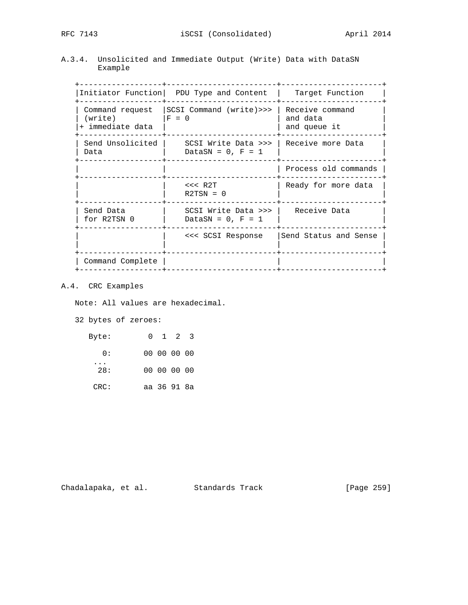A.3.4. Unsolicited and Immediate Output (Write) Data with DataSN Example

 +------------------+------------------------+----------------------+ |Initiator Function| PDU Type and Content | Target Function | +------------------+------------------------+----------------------+ | Command request |SCSI Command (write)>>> | Receive command |  $|($  write)  $|F = 0$   $|$  and data  $|$  and queue it  $|$  and queue it  $|+$  immediate data  $|$  +------------------+------------------------+----------------------+ | Send Unsolicited | SCSI Write Data >>> | Receive more Data | | Data | DataSN = 0, F = 1 | | +------------------+------------------------+----------------------+ | | | Process old commands | +------------------+------------------------+----------------------+ | | <<< R2T | Ready for more data | | | R2TSN = 0 | | +------------------+------------------------+----------------------+ | Send Data | SCSI Write Data >>> | Receive Data | | for R2TSN 0 | DataSN = 0, F = 1 | | +------------------+------------------------+----------------------+ | | <<< SCSI Response |Send Status and Sense | | | | | +------------------+------------------------+----------------------+ | Command Complete | | | +------------------+------------------------+----------------------+

## A.4. CRC Examples

Note: All values are hexadecimal.

32 bytes of zeroes:

| $0 \t1 \t2 \t3$ |  | Byte:      |
|-----------------|--|------------|
| 00 00 00 00     |  | $\Omega$ : |
| 00 00 00 00     |  | 28:        |
| aa 36 91 8a     |  | CRC:       |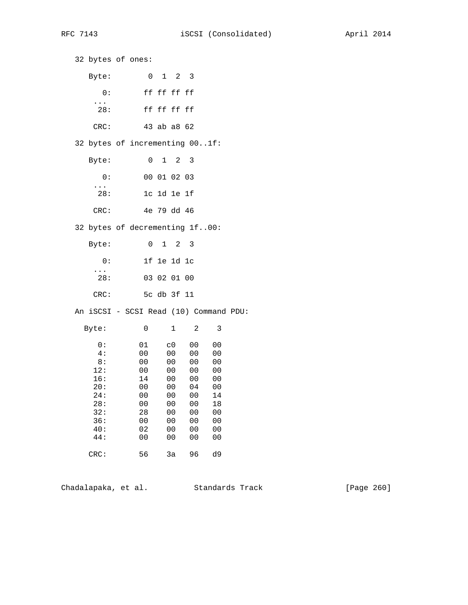32 bytes of ones: Byte: 0 1 2 3 0: ff ff ff ff ... 28: ff ff ff ff CRC: 43 ab a8 62 32 bytes of incrementing 00..1f: Byte: 0 1 2 3 0: 00 01 02 03 ... 28: 1c 1d 1e 1f CRC: 4e 79 dd 46 32 bytes of decrementing 1f..00: Byte: 0 1 2 3 0: 1f 1e 1d 1c ... 28: 03 02 01 00 CRC: 5c db 3f 11 An iSCSI - SCSI Read (10) Command PDU: Byte: 0 1 2 3  $0:$   $01$   $c0$   $00$   $00$ <br> $4:$   $00$   $00$   $00$   $00$  4: 00 00 00 00 8: 00 00 00 00 12: 00 00 00 00<br>16: 14 00 00 00 16: 14 00 00 00 20: 00 00 04 00 00 00 00 14<br>00 00 00 18 28: 00 00 00<br>32: 28 00 00 32: 28 00 00 00 36: 00 00 00 00 40: 02 00 00 00 44: 00 00 00 00 CRC: 56 3a 96 d9

Chadalapaka, et al. Standards Track [Page 260]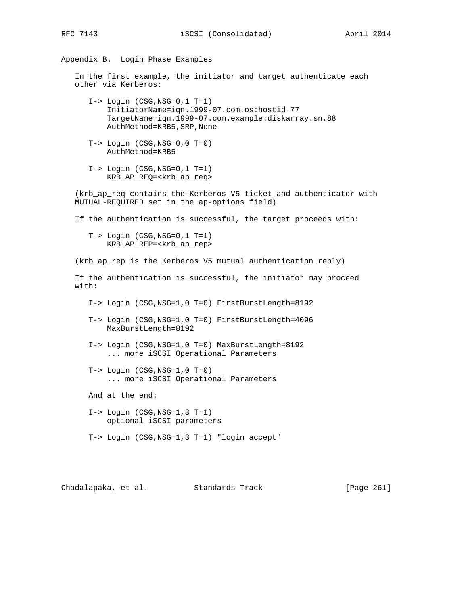# Appendix B. Login Phase Examples

 In the first example, the initiator and target authenticate each other via Kerberos:

- I-> Login (CSG,NSG=0,1 T=1) InitiatorName=iqn.1999-07.com.os:hostid.77 TargetName=iqn.1999-07.com.example:diskarray.sn.88 AuthMethod=KRB5,SRP,None
- T-> Login (CSG,NSG=0,0 T=0) AuthMethod=KRB5
- I-> Login (CSG,NSG=0,1 T=1) KRB\_AP\_REQ=<krb\_ap\_req>

 (krb\_ap\_req contains the Kerberos V5 ticket and authenticator with MUTUAL-REQUIRED set in the ap-options field)

If the authentication is successful, the target proceeds with:

 T-> Login (CSG,NSG=0,1 T=1) KRB\_AP\_REP=<krb\_ap\_rep>

(krb\_ap\_rep is the Kerberos V5 mutual authentication reply)

 If the authentication is successful, the initiator may proceed with:

- I-> Login (CSG,NSG=1,0 T=0) FirstBurstLength=8192
- T-> Login (CSG,NSG=1,0 T=0) FirstBurstLength=4096 MaxBurstLength=8192
- I-> Login (CSG,NSG=1,0 T=0) MaxBurstLength=8192 ... more iSCSI Operational Parameters
- $T->$  Login  $(CSG, NSG=1, 0 T=0)$ ... more iSCSI Operational Parameters

And at the end:

- I-> Login (CSG,NSG=1,3 T=1) optional iSCSI parameters
- T-> Login (CSG,NSG=1,3 T=1) "login accept"

Chadalapaka, et al. Standards Track [Page 261]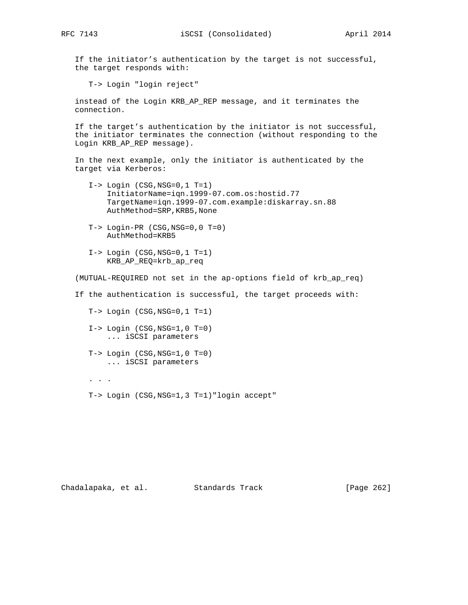If the initiator's authentication by the target is not successful, the target responds with:

T-> Login "login reject"

 instead of the Login KRB\_AP\_REP message, and it terminates the connection.

 If the target's authentication by the initiator is not successful, the initiator terminates the connection (without responding to the Login KRB\_AP\_REP message).

 In the next example, only the initiator is authenticated by the target via Kerberos:

- I-> Login (CSG,NSG=0,1 T=1) InitiatorName=iqn.1999-07.com.os:hostid.77 TargetName=iqn.1999-07.com.example:diskarray.sn.88 AuthMethod=SRP,KRB5,None
- T-> Login-PR (CSG,NSG=0,0 T=0) AuthMethod=KRB5
- I-> Login (CSG,NSG=0,1 T=1) KRB\_AP\_REQ=krb\_ap\_req

(MUTUAL-REQUIRED not set in the ap-options field of krb\_ap\_req)

If the authentication is successful, the target proceeds with:

T-> Login (CSG,NSG=0,1 T=1)

- $I->$  Login  $(CSG, NSG=1, 0 T=0)$ ... iSCSI parameters
- $T->$  Login  $(CSG, NSG=1, 0 T=0)$ ... iSCSI parameters
- . . .
	- T-> Login (CSG,NSG=1,3 T=1)"login accept"

Chadalapaka, et al. Standards Track [Page 262]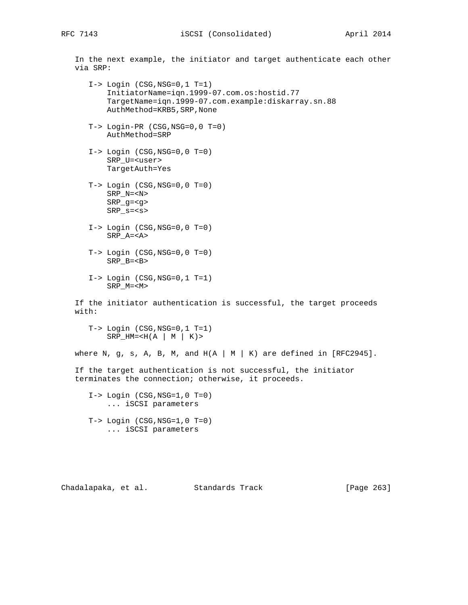In the next example, the initiator and target authenticate each other via SRP:

- I-> Login (CSG,NSG=0,1 T=1) InitiatorName=iqn.1999-07.com.os:hostid.77 TargetName=iqn.1999-07.com.example:diskarray.sn.88 AuthMethod=KRB5,SRP,None
- T-> Login-PR (CSG,NSG=0,0 T=0) AuthMethod=SRP
- $I->$  Login  $(CSG, NSG=0, 0 T=0)$  SRP\_U=<user> TargetAuth=Yes
- T-> Login (CSG,NSG=0,0 T=0) SRP\_N=<N> SRP\_g=<g> SRP\_s=<s>
- $I->$  Login  $(CSG, NSG=0, 0 T=0)$ SRP\_A=<A>
- $T->$  Login  $(CSG, NSG=0, 0 T=0)$ SRP\_B=<B>
- I-> Login (CSG,NSG=0,1 T=1) SRP\_M=<M>

 If the initiator authentication is successful, the target proceeds with:

 T-> Login (CSG,NSG=0,1 T=1) SRP  $HM=$ 

where N, g, s, A, B, M, and  $H(A \mid M \mid K)$  are defined in [RFC2945].

 If the target authentication is not successful, the initiator terminates the connection; otherwise, it proceeds.

 $I->$  Login  $(CSG, NSG=1, 0 T=0)$  ... iSCSI parameters  $T->$  Login  $(CSG, NSG=1, 0 T=0)$ 

... iSCSI parameters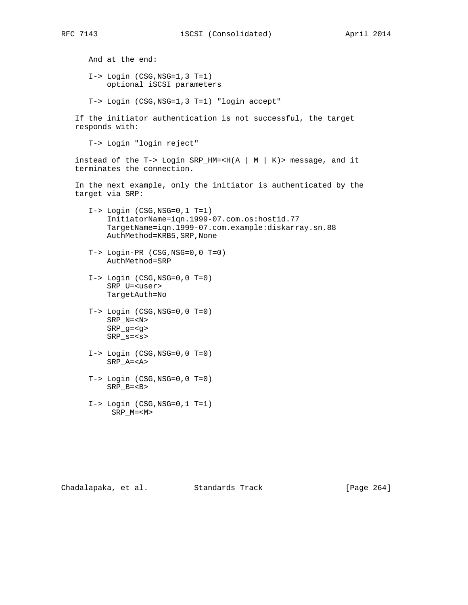And at the end:  $I->$  Login  $(CSG, NSG=1, 3 T=1)$  optional iSCSI parameters T-> Login (CSG,NSG=1,3 T=1) "login accept" If the initiator authentication is not successful, the target responds with: T-> Login "login reject" instead of the T-> Login SRP\_HM=<H(A | M | K)> message, and it terminates the connection. In the next example, only the initiator is authenticated by the target via SRP: I-> Login (CSG,NSG=0,1 T=1) InitiatorName=iqn.1999-07.com.os:hostid.77 TargetName=iqn.1999-07.com.example:diskarray.sn.88 AuthMethod=KRB5,SRP,None T-> Login-PR (CSG,NSG=0,0 T=0) AuthMethod=SRP  $I->$  Login  $(CSG, NSG=0, 0 T=0)$  SRP\_U=<user> TargetAuth=No T-> Login (CSG,NSG=0,0 T=0) SRP\_N=<N> SRP\_g=<g> SRP\_s=<s>  $I->$  Login  $(CSG, NSG=0, 0 T=0)$  SRP\_A=<A>  $T->$  Login  $(CSG, NSG=0, 0 T=0)$  SRP\_B=<B> I-> Login (CSG,NSG=0,1 T=1) SRP\_M=<M>

Chadalapaka, et al. Standards Track [Page 264]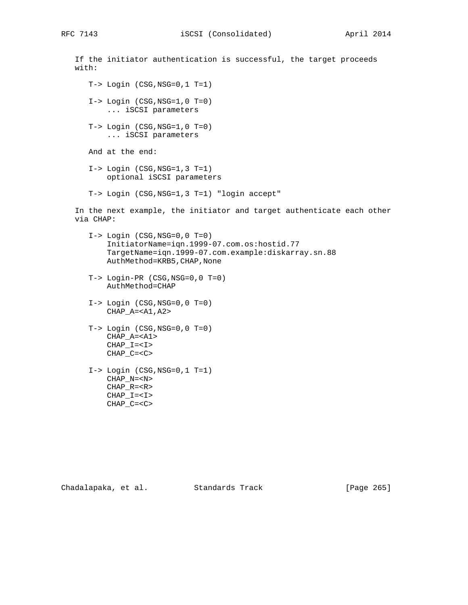If the initiator authentication is successful, the target proceeds with:  $T->$  Login (CSG, NSG=0, 1 T=1)  $I->$  Login  $(CSG, NSG=1, 0 T=0)$  ... iSCSI parameters  $T->$  Login  $(CSG, NSG=1, 0 T=0)$  ... iSCSI parameters And at the end:  $I->$  Login  $(CSG, NSG=1, 3 T=1)$  optional iSCSI parameters T-> Login (CSG,NSG=1,3 T=1) "login accept" In the next example, the initiator and target authenticate each other via CHAP: I-> Login (CSG,NSG=0,0 T=0) InitiatorName=iqn.1999-07.com.os:hostid.77 TargetName=iqn.1999-07.com.example:diskarray.sn.88 AuthMethod=KRB5,CHAP,None T-> Login-PR (CSG,NSG=0,0 T=0) AuthMethod=CHAP  $I->$  Login  $(CSG, NSG=0, 0 T=0)$  CHAP\_A=<A1,A2>  $T->$  Login  $(CSG, NSG=0, 0 T=0)$  CHAP\_A=<A1>  $CHAP$ <sup> $I=$ </sup> CHAP\_C=<C>  $I->$  Login  $(CSG, NSG=0, 1 T=1)$ CHAP\_N=<N>

Chadalapaka, et al. Standards Track [Page 265]

 CHAP\_R=<R> CHAP\_I=<I> CHAP\_C=<C>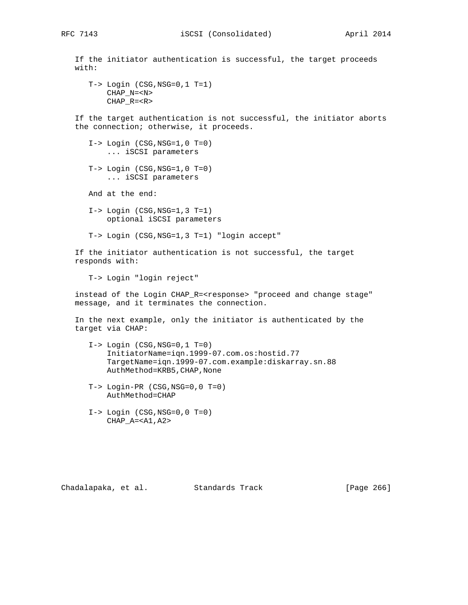If the initiator authentication is successful, the target proceeds with: T-> Login (CSG,NSG=0,1 T=1) CHAP\_N=<N> CHAP\_R=<R> If the target authentication is not successful, the initiator aborts the connection; otherwise, it proceeds.  $I->$  Login  $(CSG, NSG=1, 0 T=0)$  ... iSCSI parameters  $T->$  Login  $(CSG, NSG=1, 0 T=0)$ ... iSCSI parameters

And at the end:

 I-> Login (CSG,NSG=1,3 T=1) optional iSCSI parameters

T-> Login (CSG,NSG=1,3 T=1) "login accept"

 If the initiator authentication is not successful, the target responds with:

T-> Login "login reject"

 instead of the Login CHAP\_R=<response> "proceed and change stage" message, and it terminates the connection.

 In the next example, only the initiator is authenticated by the target via CHAP:

- $I->$  Login  $(CSG, NSG=0, 1 T=0)$  InitiatorName=iqn.1999-07.com.os:hostid.77 TargetName=iqn.1999-07.com.example:diskarray.sn.88 AuthMethod=KRB5,CHAP,None
- T-> Login-PR (CSG,NSG=0,0 T=0) AuthMethod=CHAP
- I-> Login (CSG,NSG=0,0 T=0)  $CHAP$ <sub>\_A</sub>=<A1, A2>

Chadalapaka, et al. Standards Track [Page 266]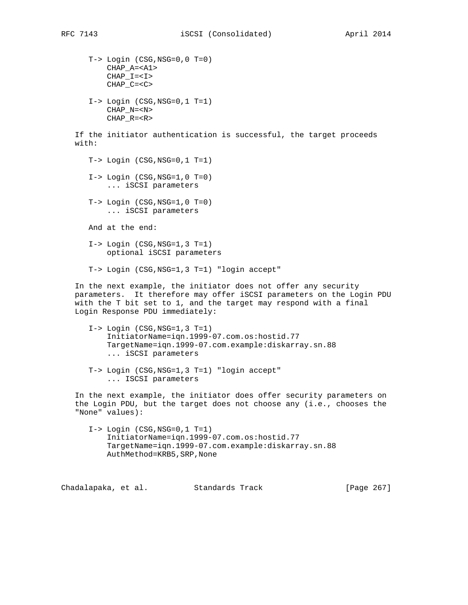T-> Login (CSG,NSG=0,0 T=0) CHAP\_A=<A1>  $CHAP_I=$  CHAP\_C=<C> I-> Login (CSG,NSG=0,1 T=1) CHAP\_N=<N> CHAP\_R=<R> If the initiator authentication is successful, the target proceeds with:  $T->$  Login (CSG, NSG=0, 1 T=1)  $I->$  Login  $(CSG, NSG=1, 0 T=0)$  ... iSCSI parameters  $T->$  Login  $(CSG, NSG=1, 0 T=0)$  ... iSCSI parameters And at the end:  $I->$  Login  $(CSG, NSG=1, 3 T=1)$  optional iSCSI parameters T-> Login (CSG,NSG=1,3 T=1) "login accept" In the next example, the initiator does not offer any security

 parameters. It therefore may offer iSCSI parameters on the Login PDU with the T bit set to 1, and the target may respond with a final Login Response PDU immediately:

- $I->$  Login  $(CSG, NSG=1, 3 T=1)$  InitiatorName=iqn.1999-07.com.os:hostid.77 TargetName=iqn.1999-07.com.example:diskarray.sn.88 ... iSCSI parameters
- T-> Login (CSG,NSG=1,3 T=1) "login accept" ... ISCSI parameters

 In the next example, the initiator does offer security parameters on the Login PDU, but the target does not choose any (i.e., chooses the "None" values):

 $I->$  Login  $(CSG, NSG=0, 1 T=1)$  InitiatorName=iqn.1999-07.com.os:hostid.77 TargetName=iqn.1999-07.com.example:diskarray.sn.88 AuthMethod=KRB5,SRP,None

Chadalapaka, et al. Standards Track [Page 267]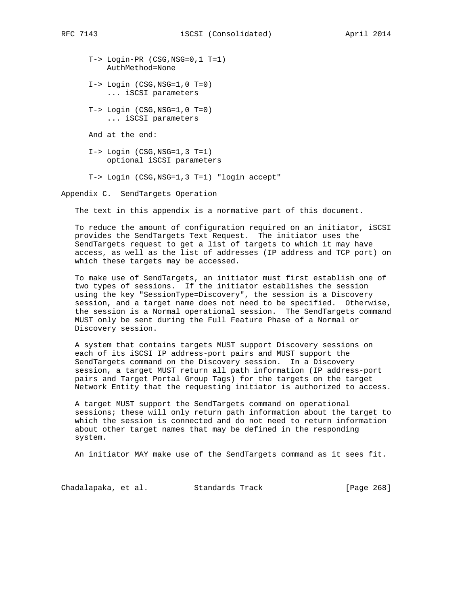T-> Login-PR (CSG,NSG=0,1 T=1) AuthMethod=None I-> Login (CSG,NSG=1,0 T=0) ... iSCSI parameters

 $T->$  Login  $(CSG, NSG=1, 0 T=0)$ ... iSCSI parameters

And at the end:

 I-> Login (CSG,NSG=1,3 T=1) optional iSCSI parameters

T-> Login (CSG,NSG=1,3 T=1) "login accept"

Appendix C. SendTargets Operation

The text in this appendix is a normative part of this document.

 To reduce the amount of configuration required on an initiator, iSCSI provides the SendTargets Text Request. The initiator uses the SendTargets request to get a list of targets to which it may have access, as well as the list of addresses (IP address and TCP port) on which these targets may be accessed.

 To make use of SendTargets, an initiator must first establish one of two types of sessions. If the initiator establishes the session using the key "SessionType=Discovery", the session is a Discovery session, and a target name does not need to be specified. Otherwise, the session is a Normal operational session. The SendTargets command MUST only be sent during the Full Feature Phase of a Normal or Discovery session.

 A system that contains targets MUST support Discovery sessions on each of its iSCSI IP address-port pairs and MUST support the SendTargets command on the Discovery session. In a Discovery session, a target MUST return all path information (IP address-port pairs and Target Portal Group Tags) for the targets on the target Network Entity that the requesting initiator is authorized to access.

 A target MUST support the SendTargets command on operational sessions; these will only return path information about the target to which the session is connected and do not need to return information about other target names that may be defined in the responding system.

An initiator MAY make use of the SendTargets command as it sees fit.

Chadalapaka, et al. Standards Track [Page 268]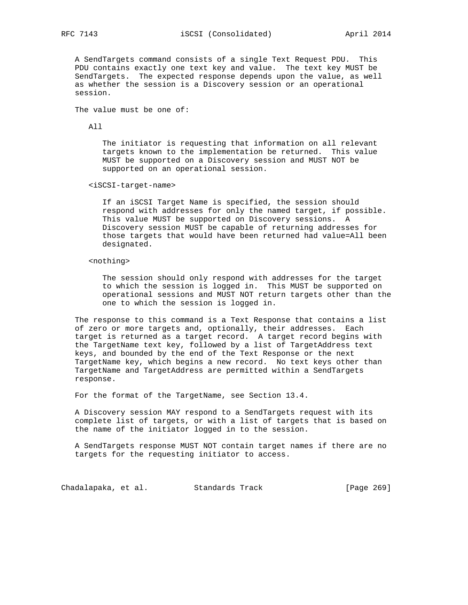A SendTargets command consists of a single Text Request PDU. This PDU contains exactly one text key and value. The text key MUST be SendTargets. The expected response depends upon the value, as well as whether the session is a Discovery session or an operational session.

The value must be one of:

All

 The initiator is requesting that information on all relevant targets known to the implementation be returned. This value MUST be supported on a Discovery session and MUST NOT be supported on an operational session.

<iSCSI-target-name>

 If an iSCSI Target Name is specified, the session should respond with addresses for only the named target, if possible. This value MUST be supported on Discovery sessions. A Discovery session MUST be capable of returning addresses for those targets that would have been returned had value=All been designated.

### <nothing>

 The session should only respond with addresses for the target to which the session is logged in. This MUST be supported on operational sessions and MUST NOT return targets other than the one to which the session is logged in.

 The response to this command is a Text Response that contains a list of zero or more targets and, optionally, their addresses. Each target is returned as a target record. A target record begins with the TargetName text key, followed by a list of TargetAddress text keys, and bounded by the end of the Text Response or the next TargetName key, which begins a new record. No text keys other than TargetName and TargetAddress are permitted within a SendTargets response.

For the format of the TargetName, see Section 13.4.

 A Discovery session MAY respond to a SendTargets request with its complete list of targets, or with a list of targets that is based on the name of the initiator logged in to the session.

 A SendTargets response MUST NOT contain target names if there are no targets for the requesting initiator to access.

Chadalapaka, et al. Standards Track [Page 269]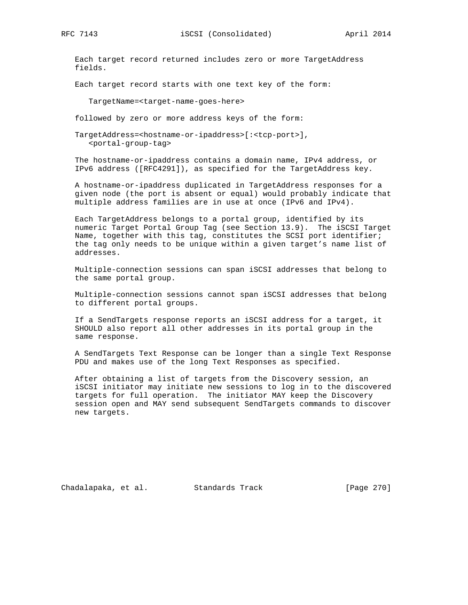RFC 7143 **iSCSI** (Consolidated) April 2014

 Each target record returned includes zero or more TargetAddress fields.

Each target record starts with one text key of the form:

TargetName=<target-name-goes-here>

followed by zero or more address keys of the form:

 TargetAddress=<hostname-or-ipaddress>[:<tcp-port>], <portal-group-tag>

 The hostname-or-ipaddress contains a domain name, IPv4 address, or IPv6 address ([RFC4291]), as specified for the TargetAddress key.

 A hostname-or-ipaddress duplicated in TargetAddress responses for a given node (the port is absent or equal) would probably indicate that multiple address families are in use at once (IPv6 and IPv4).

 Each TargetAddress belongs to a portal group, identified by its numeric Target Portal Group Tag (see Section 13.9). The iSCSI Target Name, together with this tag, constitutes the SCSI port identifier; the tag only needs to be unique within a given target's name list of addresses.

 Multiple-connection sessions can span iSCSI addresses that belong to the same portal group.

 Multiple-connection sessions cannot span iSCSI addresses that belong to different portal groups.

 If a SendTargets response reports an iSCSI address for a target, it SHOULD also report all other addresses in its portal group in the same response.

 A SendTargets Text Response can be longer than a single Text Response PDU and makes use of the long Text Responses as specified.

 After obtaining a list of targets from the Discovery session, an iSCSI initiator may initiate new sessions to log in to the discovered targets for full operation. The initiator MAY keep the Discovery session open and MAY send subsequent SendTargets commands to discover new targets.

Chadalapaka, et al. Standards Track [Page 270]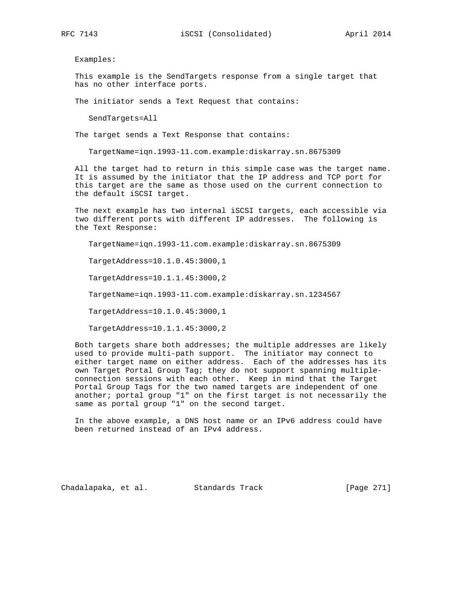Examples:

 This example is the SendTargets response from a single target that has no other interface ports.

The initiator sends a Text Request that contains:

SendTargets=All

The target sends a Text Response that contains:

TargetName=iqn.1993-11.com.example:diskarray.sn.8675309

 All the target had to return in this simple case was the target name. It is assumed by the initiator that the IP address and TCP port for this target are the same as those used on the current connection to the default iSCSI target.

 The next example has two internal iSCSI targets, each accessible via two different ports with different IP addresses. The following is the Text Response:

TargetName=iqn.1993-11.com.example:diskarray.sn.8675309

TargetAddress=10.1.0.45:3000,1

TargetAddress=10.1.1.45:3000,2

TargetName=iqn.1993-11.com.example:diskarray.sn.1234567

TargetAddress=10.1.0.45:3000,1

TargetAddress=10.1.1.45:3000,2

 Both targets share both addresses; the multiple addresses are likely used to provide multi-path support. The initiator may connect to either target name on either address. Each of the addresses has its own Target Portal Group Tag; they do not support spanning multiple connection sessions with each other. Keep in mind that the Target Portal Group Tags for the two named targets are independent of one another; portal group "1" on the first target is not necessarily the same as portal group "1" on the second target.

 In the above example, a DNS host name or an IPv6 address could have been returned instead of an IPv4 address.

Chadalapaka, et al. Standards Track [Page 271]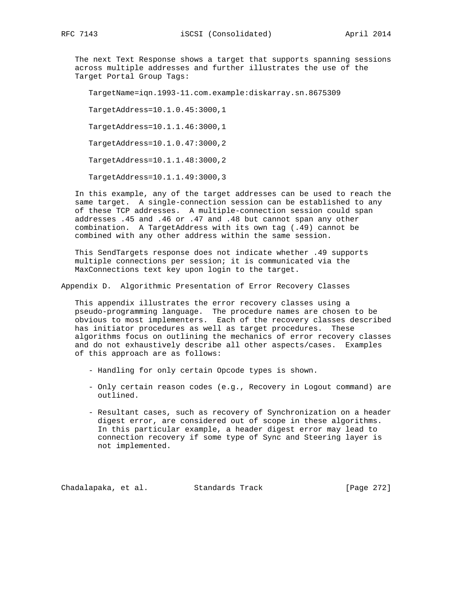The next Text Response shows a target that supports spanning sessions across multiple addresses and further illustrates the use of the Target Portal Group Tags:

TargetName=iqn.1993-11.com.example:diskarray.sn.8675309

TargetAddress=10.1.0.45:3000,1

TargetAddress=10.1.1.46:3000,1

TargetAddress=10.1.0.47:3000,2

TargetAddress=10.1.1.48:3000,2

TargetAddress=10.1.1.49:3000,3

 In this example, any of the target addresses can be used to reach the same target. A single-connection session can be established to any of these TCP addresses. A multiple-connection session could span addresses .45 and .46 or .47 and .48 but cannot span any other combination. A TargetAddress with its own tag (.49) cannot be combined with any other address within the same session.

 This SendTargets response does not indicate whether .49 supports multiple connections per session; it is communicated via the MaxConnections text key upon login to the target.

Appendix D. Algorithmic Presentation of Error Recovery Classes

 This appendix illustrates the error recovery classes using a pseudo-programming language. The procedure names are chosen to be obvious to most implementers. Each of the recovery classes described has initiator procedures as well as target procedures. These algorithms focus on outlining the mechanics of error recovery classes and do not exhaustively describe all other aspects/cases. Examples of this approach are as follows:

- Handling for only certain Opcode types is shown.
- Only certain reason codes (e.g., Recovery in Logout command) are outlined.
- Resultant cases, such as recovery of Synchronization on a header digest error, are considered out of scope in these algorithms. In this particular example, a header digest error may lead to connection recovery if some type of Sync and Steering layer is not implemented.

Chadalapaka, et al. Standards Track [Page 272]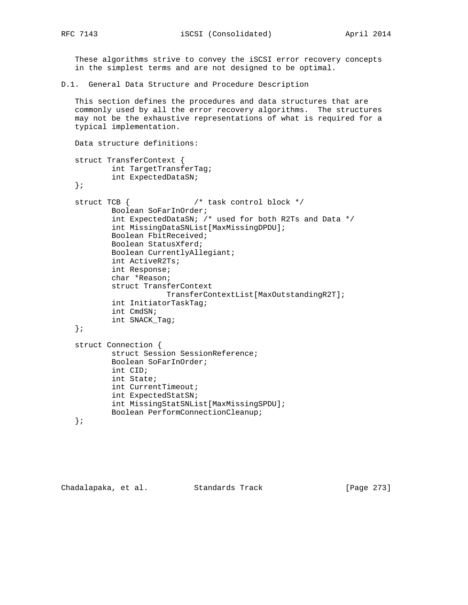These algorithms strive to convey the iSCSI error recovery concepts in the simplest terms and are not designed to be optimal.

D.1. General Data Structure and Procedure Description

 This section defines the procedures and data structures that are commonly used by all the error recovery algorithms. The structures may not be the exhaustive representations of what is required for a typical implementation.

```
 Data structure definitions:
 struct TransferContext {
         int TargetTransferTag;
         int ExpectedDataSN;
 };
 struct TCB { /* task control block */
         Boolean SoFarInOrder;
         int ExpectedDataSN; /* used for both R2Ts and Data */
         int MissingDataSNList[MaxMissingDPDU];
         Boolean FbitReceived;
         Boolean StatusXferd;
         Boolean CurrentlyAllegiant;
         int ActiveR2Ts;
         int Response;
         char *Reason;
         struct TransferContext
                     TransferContextList[MaxOutstandingR2T];
         int InitiatorTaskTag;
         int CmdSN;
         int SNACK_Tag;
 };
 struct Connection {
         struct Session SessionReference;
         Boolean SoFarInOrder;
         int CID;
         int State;
         int CurrentTimeout;
         int ExpectedStatSN;
         int MissingStatSNList[MaxMissingSPDU];
         Boolean PerformConnectionCleanup;
 };
```
Chadalapaka, et al. Standards Track [Page 273]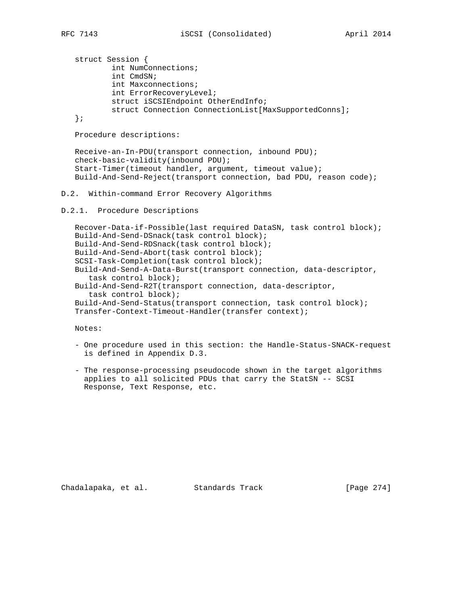struct Session { int NumConnections; int CmdSN; int Maxconnections; int ErrorRecoveryLevel; struct iSCSIEndpoint OtherEndInfo; struct Connection ConnectionList[MaxSupportedConns]; };

Procedure descriptions:

 Receive-an-In-PDU(transport connection, inbound PDU); check-basic-validity(inbound PDU); Start-Timer(timeout handler, argument, timeout value); Build-And-Send-Reject(transport connection, bad PDU, reason code);

# D.2. Within-command Error Recovery Algorithms

D.2.1. Procedure Descriptions

 Recover-Data-if-Possible(last required DataSN, task control block); Build-And-Send-DSnack(task control block); Build-And-Send-RDSnack(task control block); Build-And-Send-Abort(task control block); SCSI-Task-Completion(task control block); Build-And-Send-A-Data-Burst(transport connection, data-descriptor, task control block); Build-And-Send-R2T(transport connection, data-descriptor, task control block); Build-And-Send-Status(transport connection, task control block); Transfer-Context-Timeout-Handler(transfer context);

Notes:

- One procedure used in this section: the Handle-Status-SNACK-request is defined in Appendix D.3.
- The response-processing pseudocode shown in the target algorithms applies to all solicited PDUs that carry the StatSN -- SCSI Response, Text Response, etc.

Chadalapaka, et al. Standards Track [Page 274]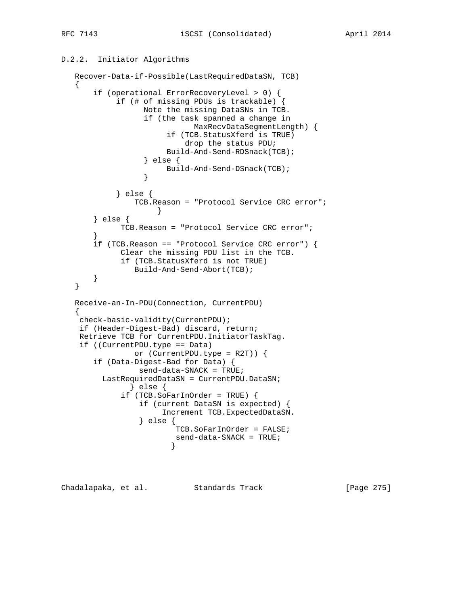```
D.2.2. Initiator Algorithms
```

```
 Recover-Data-if-Possible(LastRequiredDataSN, TCB)
   {
       if (operational ErrorRecoveryLevel > 0) {
            if (# of missing PDUs is trackable) {
                  Note the missing DataSNs in TCB.
                  if (the task spanned a change in
                             MaxRecvDataSegmentLength) {
                       if (TCB.StatusXferd is TRUE)
                           drop the status PDU;
                       Build-And-Send-RDSnack(TCB);
                  } else {
                 Build-And-Send-DSnack(TCB);<br>}
 }
            } else {
                TCB.Reason = "Protocol Service CRC error";
 }
       } else {
             TCB.Reason = "Protocol Service CRC error";
 }
       if (TCB.Reason == "Protocol Service CRC error") {
             Clear the missing PDU list in the TCB.
             if (TCB.StatusXferd is not TRUE)
                Build-And-Send-Abort(TCB);
       }
   }
   Receive-an-In-PDU(Connection, CurrentPDU)
   {
    check-basic-validity(CurrentPDU);
    if (Header-Digest-Bad) discard, return;
    Retrieve TCB for CurrentPDU.InitiatorTaskTag.
    if ((CurrentPDU.type == Data)
                or (CurrentPDU.type = R2T)) {
       if (Data-Digest-Bad for Data) {
                send-data-SNACK = TRUE;
         LastRequiredDataSN = CurrentPDU.DataSN;
               } else {
             if (TCB.SoFarInOrder = TRUE) {
                 if (current DataSN is expected) {
                      Increment TCB.ExpectedDataSN.
                 } else {
                         TCB.SoFarInOrder = FALSE;
                         send-data-SNACK = TRUE;
 }
```
Chadalapaka, et al. Standards Track [Page 275]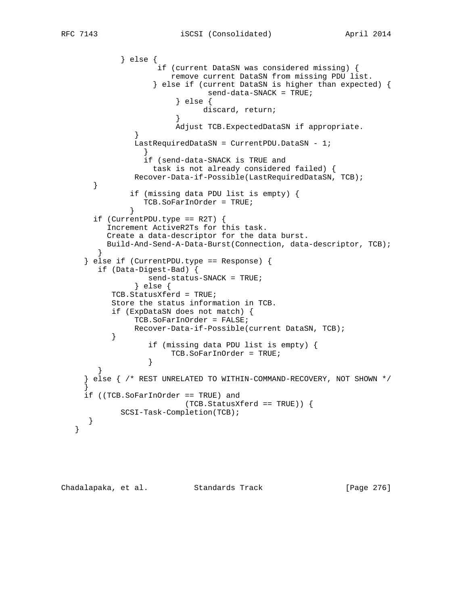```
 } else {
                    if (current DataSN was considered missing) {
                       remove current DataSN from missing PDU list.
                   } else if (current DataSN is higher than expected) {
                               send-data-SNACK = TRUE;
                        } else {
                       discard, return;<br>}
 }
                        Adjust TCB.ExpectedDataSN if appropriate.
 }
               LastRequiredDataSN = CurrentPDU.DataSN - 1;
 }
                 if (send-data-SNACK is TRUE and
                  task is not already considered failed) {
               Recover-Data-if-Possible(LastRequiredDataSN, TCB);
       }
               if (missing data PDU list is empty) {
                 TCB.SoFarInOrder = TRUE;
 }
      if (CurrentPDU.type == R2T) {
          Increment ActiveR2Ts for this task.
          Create a data-descriptor for the data burst.
          Build-And-Send-A-Data-Burst(Connection, data-descriptor, TCB);
 }
     } else if (CurrentPDU.type == Response) {
        if (Data-Digest-Bad) {
                  send-status-SNACK = TRUE;
                } else {
           TCB.StatusXferd = TRUE;
           Store the status information in TCB.
           if (ExpDataSN does not match) {
               TCB.SoFarInOrder = FALSE;
               Recover-Data-if-Possible(current DataSN, TCB);
 }
                  if (missing data PDU list is empty) {
                 TCB.SoFarInOrder = TRUE;
 }
 }
     } else { /* REST UNRELATED TO WITHIN-COMMAND-RECOVERY, NOT SHOWN */
 }
     if ((TCB.SoFarInOrder == TRUE) and
                          (TCB.StatusXferd == TRUE)) {
             SCSI-Task-Completion(TCB);
      }
   }
```
Chadalapaka, et al. Standards Track [Page 276]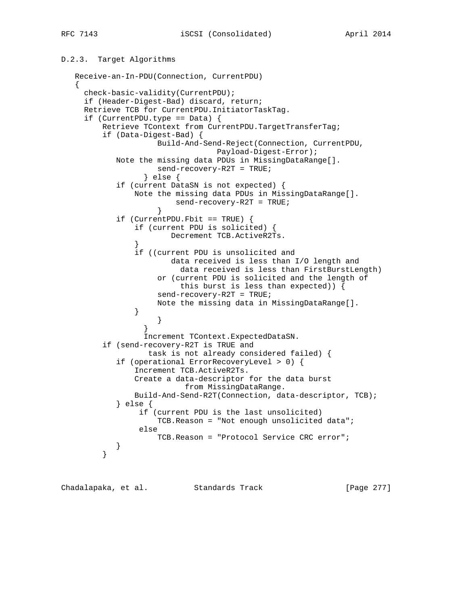# D.2.3. Target Algorithms Receive-an-In-PDU(Connection, CurrentPDU) {

```
 check-basic-validity(CurrentPDU);
     if (Header-Digest-Bad) discard, return;
     Retrieve TCB for CurrentPDU.InitiatorTaskTag.
     if (CurrentPDU.type == Data) {
         Retrieve TContext from CurrentPDU.TargetTransferTag;
         if (Data-Digest-Bad) {
                     Build-And-Send-Reject(Connection, CurrentPDU,
                                Payload-Digest-Error);
            Note the missing data PDUs in MissingDataRange[].
                     send-recovery-R2T = TRUE;
                  } else {
            if (current DataSN is not expected) {
                Note the missing data PDUs in MissingDataRange[].
                        send-recovery-R2T = TRUE;
 }
            if (CurrentPDU.Fbit == TRUE) {
                if (current PDU is solicited) {
                        Decrement TCB.ActiveR2Ts.
 }
                if ((current PDU is unsolicited and
                        data received is less than I/O length and
                          data received is less than FirstBurstLength)
                     or (current PDU is solicited and the length of
                          this burst is less than expected)) {
                     send-recovery-R2T = TRUE;
                     Note the missing data in MissingDataRange[].
 }
 }
 }
                  Increment TContext.ExpectedDataSN.
         if (send-recovery-R2T is TRUE and
                   task is not already considered failed) {
            if (operational ErrorRecoveryLevel > 0) {
                Increment TCB.ActiveR2Ts.
                Create a data-descriptor for the data burst
                           from MissingDataRange.
                Build-And-Send-R2T(Connection, data-descriptor, TCB);
            } else {
                 if (current PDU is the last unsolicited)
                     TCB.Reason = "Not enough unsolicited data";
                 else
                     TCB.Reason = "Protocol Service CRC error";
        \begin{matrix} \end{matrix} }
```
Chadalapaka, et al. Standards Track [Page 277]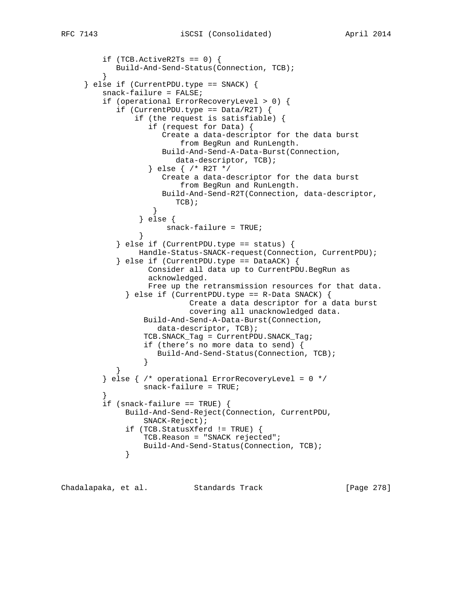```
if (TCB.ActiveR2Ts == 0) {
        Build-And-Send-Status(Connection, TCB);
 }
     } else if (CurrentPDU.type == SNACK) {
         snack-failure = FALSE;
         if (operational ErrorRecoveryLevel > 0) {
           if (CurrentPDU.type == Data/RT) {
                if (the request is satisfiable) {
                   if (request for Data) {
                      Create a data-descriptor for the data burst
                          from BegRun and RunLength.
                      Build-And-Send-A-Data-Burst(Connection,
                        data-descriptor, TCB);
                   } else { /* R2T */
                      Create a data-descriptor for the data burst
                         from BegRun and RunLength.
                      Build-And-Send-R2T(Connection, data-descriptor,
                        TCB);
 }
                 } else {
                snack-failure = TRUE;
 }
           \} else if (CurrentPDU.type == status) {
                 Handle-Status-SNACK-request(Connection, CurrentPDU);
            } else if (CurrentPDU.type == DataACK) {
                   Consider all data up to CurrentPDU.BegRun as
                   acknowledged.
                   Free up the retransmission resources for that data.
             \} else if (CurrentPDU.type == R-Data SNACK) {
                           Create a data descriptor for a data burst
                           covering all unacknowledged data.
                  Build-And-Send-A-Data-Burst(Connection,
                    data-descriptor, TCB);
                  TCB.SNACK_Tag = CurrentPDU.SNACK_Tag;
                  if (there's no more data to send) {
                     Build-And-Send-Status(Connection, TCB);
 }
 }
        \} else \{ /* operational ErrorRecoveryLevel = 0 */
                  snack-failure = TRUE;
 }
         if (snack-failure == TRUE) {
              Build-And-Send-Reject(Connection, CurrentPDU,
                  SNACK-Reject);
              if (TCB.StatusXferd != TRUE) {
                 TCB.Reason = "SNACK rejected";
             Build-And-Send-Status(Connection, TCB);
 }
```
Chadalapaka, et al. Standards Track [Page 278]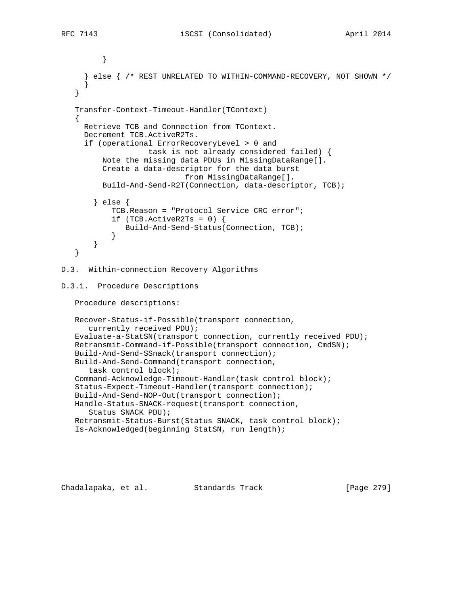```
 }
      } else { /* REST UNRELATED TO WITHIN-COMMAND-RECOVERY, NOT SHOWN */
 }
    }
    Transfer-Context-Timeout-Handler(TContext)
    {
      Retrieve TCB and Connection from TContext.
      Decrement TCB.ActiveR2Ts.
      if (operational ErrorRecoveryLevel > 0 and
                    task is not already considered failed) {
          Note the missing data PDUs in MissingDataRange[].
          Create a data-descriptor for the data burst
                            from MissingDataRange[].
          Build-And-Send-R2T(Connection, data-descriptor, TCB);
        } else {
            TCB.Reason = "Protocol Service CRC error";
           if (TCB.ActiveR2Ts = 0) {
               Build-And-Send-Status(Connection, TCB);
 }
        }
    }
D.3. Within-connection Recovery Algorithms
D.3.1. Procedure Descriptions
    Procedure descriptions:
    Recover-Status-if-Possible(transport connection,
      currently received PDU);
    Evaluate-a-StatSN(transport connection, currently received PDU);
   Retransmit-Command-if-Possible(transport connection, CmdSN);
    Build-And-Send-SSnack(transport connection);
    Build-And-Send-Command(transport connection,
       task control block);
    Command-Acknowledge-Timeout-Handler(task control block);
    Status-Expect-Timeout-Handler(transport connection);
    Build-And-Send-NOP-Out(transport connection);
   Handle-Status-SNACK-request(transport connection,
       Status SNACK PDU);
   Retransmit-Status-Burst(Status SNACK, task control block);
    Is-Acknowledged(beginning StatSN, run length);
```
Chadalapaka, et al. Standards Track [Page 279]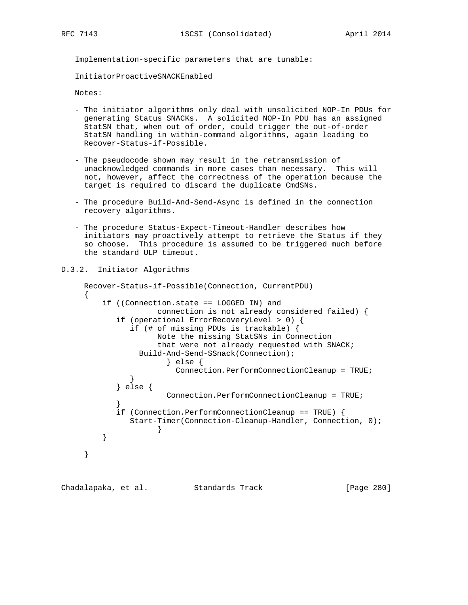Implementation-specific parameters that are tunable:

InitiatorProactiveSNACKEnabled

Notes:

- The initiator algorithms only deal with unsolicited NOP-In PDUs for generating Status SNACKs. A solicited NOP-In PDU has an assigned StatSN that, when out of order, could trigger the out-of-order StatSN handling in within-command algorithms, again leading to Recover-Status-if-Possible.
- The pseudocode shown may result in the retransmission of unacknowledged commands in more cases than necessary. This will not, however, affect the correctness of the operation because the target is required to discard the duplicate CmdSNs.
- The procedure Build-And-Send-Async is defined in the connection recovery algorithms.
- The procedure Status-Expect-Timeout-Handler describes how initiators may proactively attempt to retrieve the Status if they so choose. This procedure is assumed to be triggered much before the standard ULP timeout.

## D.3.2. Initiator Algorithms

```
 Recover-Status-if-Possible(Connection, CurrentPDU)
     {
         if ((Connection.state == LOGGED_IN) and
                    connection is not already considered failed) {
            if (operational ErrorRecoveryLevel > 0) {
              if (# of missing PDUs is trackable) {
                    Note the missing StatSNs in Connection
                    that were not already requested with SNACK;
                Build-And-Send-SSnack(Connection);
                     } else {
              Connection.PerformConnectionCleanup = TRUE;
 }
            } else {
                      Connection.PerformConnectionCleanup = TRUE;
 }
            if (Connection.PerformConnectionCleanup == TRUE) {
              Start-Timer(Connection-Cleanup-Handler, Connection, 0);
 }
 }
     }
```
Chadalapaka, et al. Standards Track [Page 280]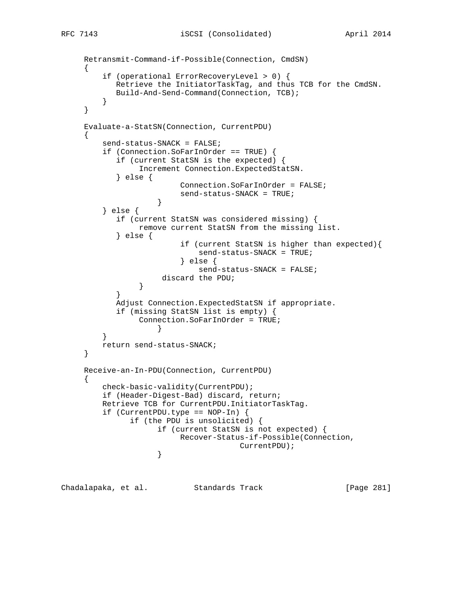```
 Retransmit-Command-if-Possible(Connection, CmdSN)
     {
         if (operational ErrorRecoveryLevel > 0) {
            Retrieve the InitiatorTaskTag, and thus TCB for the CmdSN.
            Build-And-Send-Command(Connection, TCB);
 }
     }
     Evaluate-a-StatSN(Connection, CurrentPDU)
\{ send-status-SNACK = FALSE;
         if (Connection.SoFarInOrder == TRUE) {
            if (current StatSN is the expected) {
                 Increment Connection.ExpectedStatSN.
            } else {
                          Connection.SoFarInOrder = FALSE;
                     send-status-SNACK = TRUE;
 }
         } else {
            if (current StatSN was considered missing) {
                 remove current StatSN from the missing list.
            } else {
                          if (current StatSN is higher than expected){
                              send-status-SNACK = TRUE;
                           } else {
                              send-status-SNACK = FALSE;
                      discard the PDU;
 }
 }
            Adjust Connection.ExpectedStatSN if appropriate.
            if (missing StatSN list is empty) {
                 Connection.SoFarInOrder = TRUE;
 }
         }
         return send-status-SNACK;
     }
     Receive-an-In-PDU(Connection, CurrentPDU)
     {
         check-basic-validity(CurrentPDU);
         if (Header-Digest-Bad) discard, return;
         Retrieve TCB for CurrentPDU.InitiatorTaskTag.
         if (CurrentPDU.type == NOP-In) {
               if (the PDU is unsolicited) {
                     if (current StatSN is not expected) {
                          Recover-Status-if-Possible(Connection,
                    \begin{minipage}{.4\linewidth} \textbf{CurrentPDU)} \textbf{;} \end{minipage} }
```
Chadalapaka, et al. Standards Track [Page 281]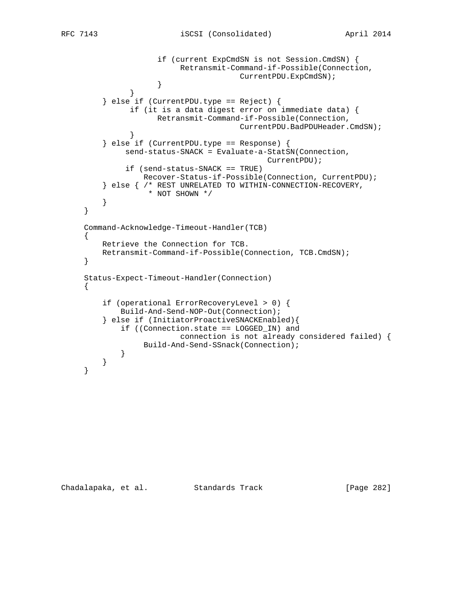```
 if (current ExpCmdSN is not Session.CmdSN) {
                          Retransmit-Command-if-Possible(Connection,
                     \begin{array}{c} \texttt{CurrentPDU}.\texttt{ExpCmdSN}\texttt{)}\texttt{;}\end{array} }
 }
          } else if (CurrentPDU.type == Reject) {
               if (it is a data digest error on immediate data) {
                     Retransmit-Command-if-Possible(Connection,
              \verb|CurrentPDU.BadPDUHeader.CmdSN| ; }
          } else if (CurrentPDU.type == Response) {
              send-status-SNACK = Evaluate-a-StatSN(Connection,
                                             CurrentPDU);
              if (send-status-SNACK == TRUE)
                  Recover-Status-if-Possible(Connection, CurrentPDU);
          } else { /* REST UNRELATED TO WITHIN-CONNECTION-RECOVERY,
                   * NOT SHOWN */
         }
     }
     Command-Acknowledge-Timeout-Handler(TCB)
     {
         Retrieve the Connection for TCB.
         Retransmit-Command-if-Possible(Connection, TCB.CmdSN);
     }
     Status-Expect-Timeout-Handler(Connection)
     {
         if (operational ErrorRecoveryLevel > 0) {
             Build-And-Send-NOP-Out(Connection);
          } else if (InitiatorProactiveSNACKEnabled){
             if ((Connection.state == LOGGED_IN) and
                          connection is not already considered failed) {
            Build-And-Send-SSnack(Connection);
 }
         }
     }
```
Chadalapaka, et al. Standards Track [Page 282]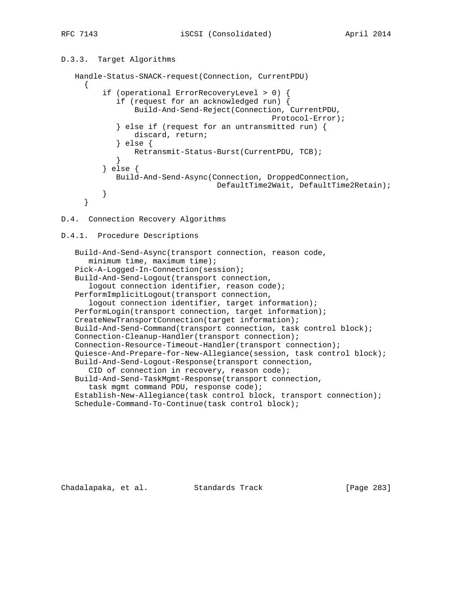# D.3.3. Target Algorithms

```
 Handle-Status-SNACK-request(Connection, CurrentPDU)
     {
          if (operational ErrorRecoveryLevel > 0) {
             if (request for an acknowledged run) {
                 Build-And-Send-Reject(Connection, CurrentPDU,
                                               Protocol-Error);
             } else if (request for an untransmitted run) {
                discard, return;
             } else {
                Retransmit-Status-Burst(CurrentPDU, TCB);
 }
          } else {
            Build-And-Send-Async(Connection, DroppedConnection,
                                   DefaultTime2Wait, DefaultTime2Retain);
          }
      }
```
## D.4. Connection Recovery Algorithms

# D.4.1. Procedure Descriptions

```
 Build-And-Send-Async(transport connection, reason code,
    minimum time, maximum time);
 Pick-A-Logged-In-Connection(session);
 Build-And-Send-Logout(transport connection,
   logout connection identifier, reason code);
 PerformImplicitLogout(transport connection,
    logout connection identifier, target information);
 PerformLogin(transport connection, target information);
 CreateNewTransportConnection(target information);
 Build-And-Send-Command(transport connection, task control block);
 Connection-Cleanup-Handler(transport connection);
 Connection-Resource-Timeout-Handler(transport connection);
 Quiesce-And-Prepare-for-New-Allegiance(session, task control block);
 Build-And-Send-Logout-Response(transport connection,
    CID of connection in recovery, reason code);
 Build-And-Send-TaskMgmt-Response(transport connection,
    task mgmt command PDU, response code);
 Establish-New-Allegiance(task control block, transport connection);
 Schedule-Command-To-Continue(task control block);
```
Chadalapaka, et al. Standards Track [Page 283]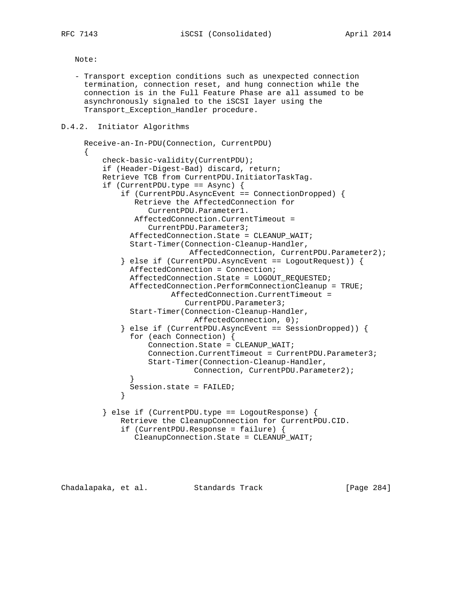Note:

 - Transport exception conditions such as unexpected connection termination, connection reset, and hung connection while the connection is in the Full Feature Phase are all assumed to be asynchronously signaled to the iSCSI layer using the Transport\_Exception\_Handler procedure.

## D.4.2. Initiator Algorithms

```
 Receive-an-In-PDU(Connection, CurrentPDU)
\left\{\begin{array}{ccc} \end{array}\right\} check-basic-validity(CurrentPDU);
          if (Header-Digest-Bad) discard, return;
          Retrieve TCB from CurrentPDU.InitiatorTaskTag.
          if (CurrentPDU.type == Async) {
              if (CurrentPDU.AsyncEvent == ConnectionDropped) {
                 Retrieve the AffectedConnection for
                    CurrentPDU.Parameter1.
                 AffectedConnection.CurrentTimeout =
                    CurrentPDU.Parameter3;
                AffectedConnection.State = CLEANUP_WAIT;
                Start-Timer(Connection-Cleanup-Handler,
                              AffectedConnection, CurrentPDU.Parameter2);
              } else if (CurrentPDU.AsyncEvent == LogoutRequest)) {
                AffectedConnection = Connection;
                AffectedConnection.State = LOGOUT_REQUESTED;
                AffectedConnection.PerformConnectionCleanup = TRUE;
                         AffectedConnection.CurrentTimeout =
                             CurrentPDU.Parameter3;
                Start-Timer(Connection-Cleanup-Handler,
                              AffectedConnection, 0);
              } else if (CurrentPDU.AsyncEvent == SessionDropped)) {
                for (each Connection) {
                    Connection.State = CLEANUP_WAIT;
                    Connection.CurrentTimeout = CurrentPDU.Parameter3;
                    Start-Timer(Connection-Cleanup-Handler,
                               Connection, CurrentPDU.Parameter2);
 }
                Session.state = FAILED;
 }
          } else if (CurrentPDU.type == LogoutResponse) {
              Retrieve the CleanupConnection for CurrentPDU.CID.
              if (CurrentPDU.Response = failure) {
                 CleanupConnection.State = CLEANUP_WAIT;
```
Chadalapaka, et al. Standards Track [Page 284]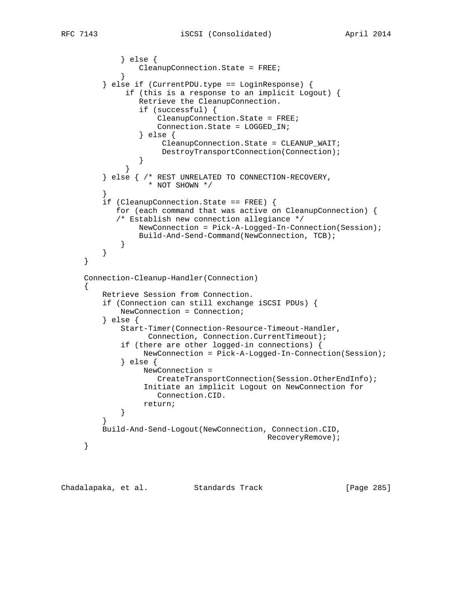```
 } else {
            CleanupConnection.State = FREE;
 }
         } else if (CurrentPDU.type == LoginResponse) {
              if (this is a response to an implicit Logout) {
                 Retrieve the CleanupConnection.
                 if (successful) {
                     CleanupConnection.State = FREE;
                     Connection.State = LOGGED_IN;
                 } else {
                      CleanupConnection.State = CLEANUP_WAIT;
                      DestroyTransportConnection(Connection);
 }
 }
         } else { /* REST UNRELATED TO CONNECTION-RECOVERY,
                   * NOT SHOWN */
 }
         if (CleanupConnection.State == FREE) {
            for (each command that was active on CleanupConnection) {
            /* Establish new connection allegiance */
                 NewConnection = Pick-A-Logged-In-Connection(Session);
                 Build-And-Send-Command(NewConnection, TCB);
 }
         }
     }
     Connection-Cleanup-Handler(Connection)
     {
         Retrieve Session from Connection.
         if (Connection can still exchange iSCSI PDUs) {
             NewConnection = Connection;
         } else {
             Start-Timer(Connection-Resource-Timeout-Handler,
                   Connection, Connection.CurrentTimeout);
             if (there are other logged-in connections) {
                  NewConnection = Pick-A-Logged-In-Connection(Session);
             } else {
                  NewConnection =
                    CreateTransportConnection(Session.OtherEndInfo);
                  Initiate an implicit Logout on NewConnection for
                     Connection.CID.
            return;
 }
 }
         Build-And-Send-Logout(NewConnection, Connection.CID,
                                            RecoveryRemove);
     }
```
Chadalapaka, et al. Standards Track [Page 285]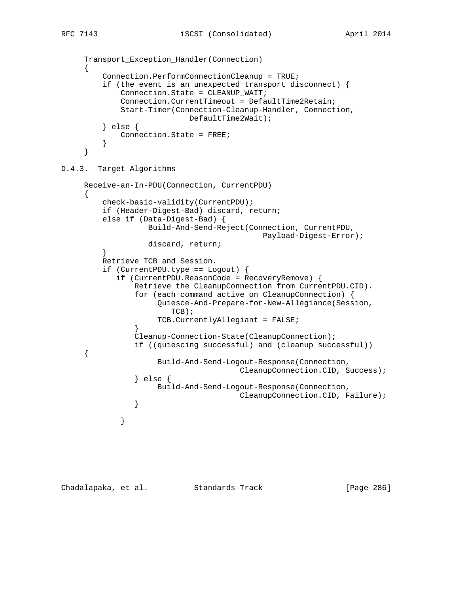```
 Transport_Exception_Handler(Connection)
      {
          Connection.PerformConnectionCleanup = TRUE;
          if (the event is an unexpected transport disconnect) {
              Connection.State = CLEANUP_WAIT;
              Connection.CurrentTimeout = DefaultTime2Retain;
              Start-Timer(Connection-Cleanup-Handler, Connection,
                            DefaultTime2Wait);
          } else {
             Connection.State = FREE;
 }
      }
D.4.3. Target Algorithms
      Receive-an-In-PDU(Connection, CurrentPDU)
      {
          check-basic-validity(CurrentPDU);
          if (Header-Digest-Bad) discard, return;
          else if (Data-Digest-Bad) {
                    Build-And-Send-Reject(Connection, CurrentPDU,
                                            Payload-Digest-Error);
                    discard, return;
 }
          Retrieve TCB and Session.
          if (CurrentPDU.type == Logout) {
             if (CurrentPDU.ReasonCode = RecoveryRemove) {
                 Retrieve the CleanupConnection from CurrentPDU.CID).
                 for (each command active on CleanupConnection) {
                      Quiesce-And-Prepare-for-New-Allegiance(Session,
                         TCB);
                      TCB.CurrentlyAllegiant = FALSE;
 }
                 Cleanup-Connection-State(CleanupConnection);
                 if ((quiescing successful) and (cleanup successful))
      {
                      Build-And-Send-Logout-Response(Connection,
                                       CleanupConnection.CID, Success);
                 } else {
                      Build-And-Send-Logout-Response(Connection,
                                       CleanupConnection.CID, Failure);
 }
 }
```
Chadalapaka, et al. Standards Track [Page 286]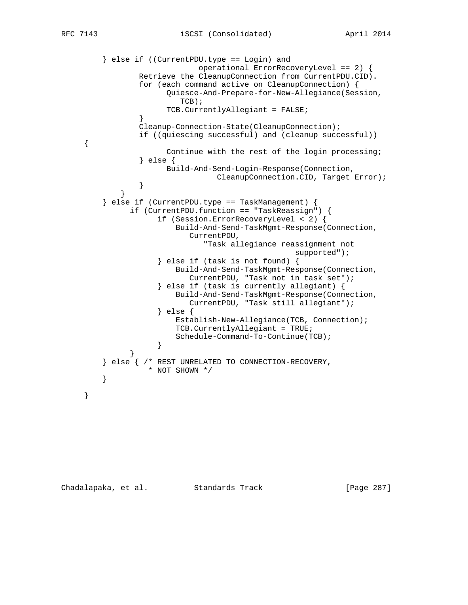```
 } else if ((CurrentPDU.type == Login) and
                             operational ErrorRecoveryLevel == 2) {
                 Retrieve the CleanupConnection from CurrentPDU.CID).
                 for (each command active on CleanupConnection) {
                      Quiesce-And-Prepare-for-New-Allegiance(Session,
                         TCB);
                      TCB.CurrentlyAllegiant = FALSE;
 }
                 Cleanup-Connection-State(CleanupConnection);
                 if ((quiescing successful) and (cleanup successful))
     {
                      Continue with the rest of the login processing;
                 } else {
                      Build-And-Send-Login-Response(Connection,
                CleanupConnection.CID, Target Error);
 }
 }
         } else if (CurrentPDU.type == TaskManagement) {
               if (CurrentPDU.function == "TaskReassign") {
                    if (Session.ErrorRecoveryLevel < 2) {
                        Build-And-Send-TaskMgmt-Response(Connection,
                           CurrentPDU,
                              "Task allegiance reassignment not
                                                 supported");
                     } else if (task is not found) {
                        Build-And-Send-TaskMgmt-Response(Connection,
                          CurrentPDU, "Task not in task set");
                     } else if (task is currently allegiant) {
                        Build-And-Send-TaskMgmt-Response(Connection,
                           CurrentPDU, "Task still allegiant");
                     } else {
                        Establish-New-Allegiance(TCB, Connection);
                        TCB.CurrentlyAllegiant = TRUE;
                    Schedule-Command-To-Continue(TCB);<br>}
 }
 }
         } else { /* REST UNRELATED TO CONNECTION-RECOVERY,
        \,^* NOT SHOWN ^*/ }
     }
```
Chadalapaka, et al. Standards Track [Page 287]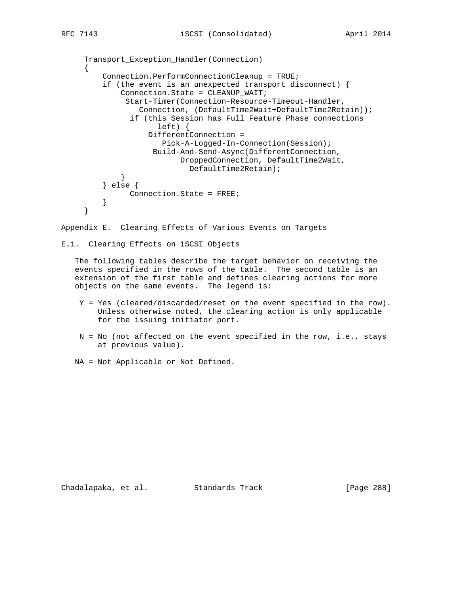```
 Transport_Exception_Handler(Connection)
     {
         Connection.PerformConnectionCleanup = TRUE;
         if (the event is an unexpected transport disconnect) {
             Connection.State = CLEANUP_WAIT;
              Start-Timer(Connection-Resource-Timeout-Handler,
                  Connection, (DefaultTime2Wait+DefaultTime2Retain));
                if (this Session has Full Feature Phase connections
                      left) {
                   DifferentConnection =
                       Pick-A-Logged-In-Connection(Session);
                    Build-And-Send-Async(DifferentConnection,
                          DroppedConnection, DefaultTime2Wait,
            \label{eq:3} \texttt{DefaultTime2Retain)}\,; }
         } else {
         Connection.State = FREE;
 }
     }
```
Appendix E. Clearing Effects of Various Events on Targets

```
E.1. Clearing Effects on iSCSI Objects
```
 The following tables describe the target behavior on receiving the events specified in the rows of the table. The second table is an extension of the first table and defines clearing actions for more objects on the same events. The legend is:

- Y = Yes (cleared/discarded/reset on the event specified in the row). Unless otherwise noted, the clearing action is only applicable for the issuing initiator port.
- N = No (not affected on the event specified in the row, i.e., stays at previous value).
- NA = Not Applicable or Not Defined.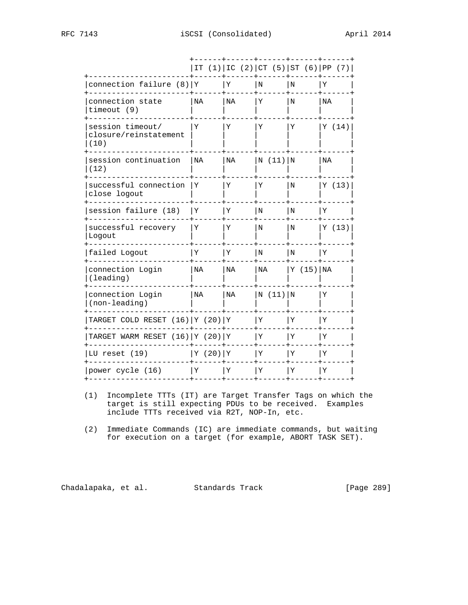|                                                   | IT       |    |         | $(1)$ IC $(2)$ CT $(5)$ ST $(6)$ PP $(7)$ |       |
|---------------------------------------------------|----------|----|---------|-------------------------------------------|-------|
| connection failure $(8)$ Y                        |          | Υ  | N       | N                                         | Υ     |
| connection state<br>timeout $(9)$                 | NA       | NA | Υ       | N                                         | ΝA    |
| session timeout/<br>closure/reinstatement<br>(10) | Y        | Υ  | Υ       | Y                                         | Y(14) |
| session continuation<br>(12)                      | NA       | NA | N(11) N |                                           | NA    |
| successful connection<br>close logout             | Y        | Υ  | Υ       | N                                         | Y(13) |
| session failure (18)                              | ΙY       | Υ  | $\rm N$ | N                                         | Y     |
| successful recovery<br>Logout                     | Y        | Υ  | N       | N                                         | Y(13) |
| failed Logout                                     | Υ        | Υ  | N       | N                                         | Υ     |
| connection Login<br>(leading)                     | NA       | NA | NA      | Y(15) NA                                  |       |
| connection Login<br>(non-leading)                 | ΝA       | NA | N(11) N |                                           | ΙY    |
| TARGET COLD RESET $(16)$   Y $(20)$   Y           |          |    | Y       | Y                                         | Y     |
| TARGET WARM RESET $(16)$ Y $(20)$ Y               |          |    | Y       | Υ                                         | Υ     |
| LU reset (19)                                     | Y (20) Y |    | Υ       | Y                                         | Y     |
| power cycle (16)                                  | ΙY       | Υ  | Υ       | Υ                                         | Υ     |
|                                                   |          |    |         |                                           |       |

- (1) Incomplete TTTs (IT) are Target Transfer Tags on which the target is still expecting PDUs to be received. Examples include TTTs received via R2T, NOP-In, etc.
- (2) Immediate Commands (IC) are immediate commands, but waiting for execution on a target (for example, ABORT TASK SET).

Chadalapaka, et al. Standards Track [Page 289]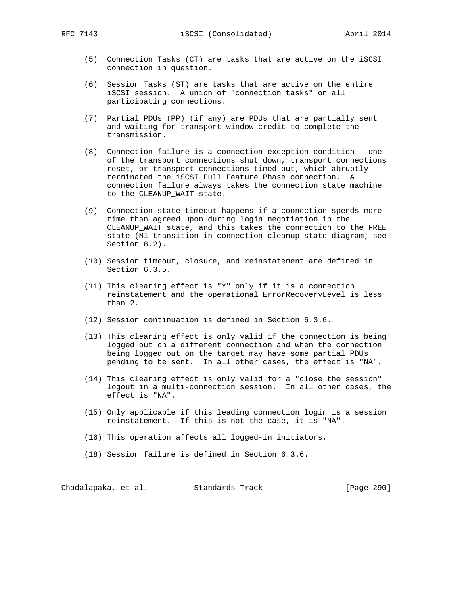- (5) Connection Tasks (CT) are tasks that are active on the iSCSI connection in question.
- (6) Session Tasks (ST) are tasks that are active on the entire iSCSI session. A union of "connection tasks" on all participating connections.
- (7) Partial PDUs (PP) (if any) are PDUs that are partially sent and waiting for transport window credit to complete the transmission.
- (8) Connection failure is a connection exception condition one of the transport connections shut down, transport connections reset, or transport connections timed out, which abruptly terminated the iSCSI Full Feature Phase connection. A connection failure always takes the connection state machine to the CLEANUP\_WAIT state.
- (9) Connection state timeout happens if a connection spends more time than agreed upon during login negotiation in the CLEANUP\_WAIT state, and this takes the connection to the FREE state (M1 transition in connection cleanup state diagram; see Section 8.2).
- (10) Session timeout, closure, and reinstatement are defined in Section 6.3.5.
- (11) This clearing effect is "Y" only if it is a connection reinstatement and the operational ErrorRecoveryLevel is less than 2.
- (12) Session continuation is defined in Section 6.3.6.
- (13) This clearing effect is only valid if the connection is being logged out on a different connection and when the connection being logged out on the target may have some partial PDUs pending to be sent. In all other cases, the effect is "NA".
- (14) This clearing effect is only valid for a "close the session" logout in a multi-connection session. In all other cases, the effect is "NA".
- (15) Only applicable if this leading connection login is a session reinstatement. If this is not the case, it is "NA".
- (16) This operation affects all logged-in initiators.
- (18) Session failure is defined in Section 6.3.6.

Chadalapaka, et al. Standards Track [Page 290]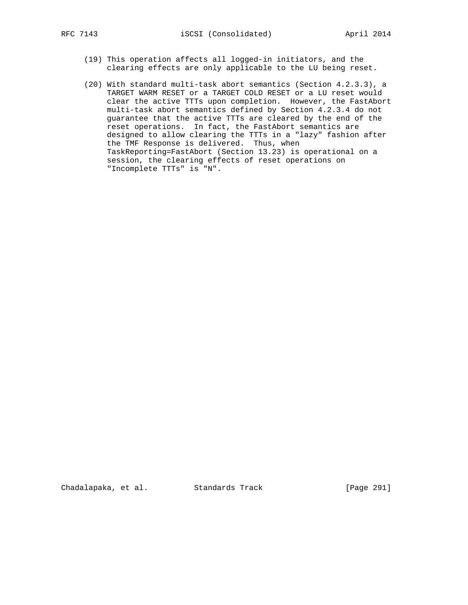- (19) This operation affects all logged-in initiators, and the clearing effects are only applicable to the LU being reset.
- (20) With standard multi-task abort semantics (Section 4.2.3.3), a TARGET WARM RESET or a TARGET COLD RESET or a LU reset would clear the active TTTs upon completion. However, the FastAbort multi-task abort semantics defined by Section 4.2.3.4 do not guarantee that the active TTTs are cleared by the end of the reset operations. In fact, the FastAbort semantics are designed to allow clearing the TTTs in a "lazy" fashion after the TMF Response is delivered. Thus, when TaskReporting=FastAbort (Section 13.23) is operational on a session, the clearing effects of reset operations on "Incomplete TTTs" is "N".

Chadalapaka, et al. Standards Track [Page 291]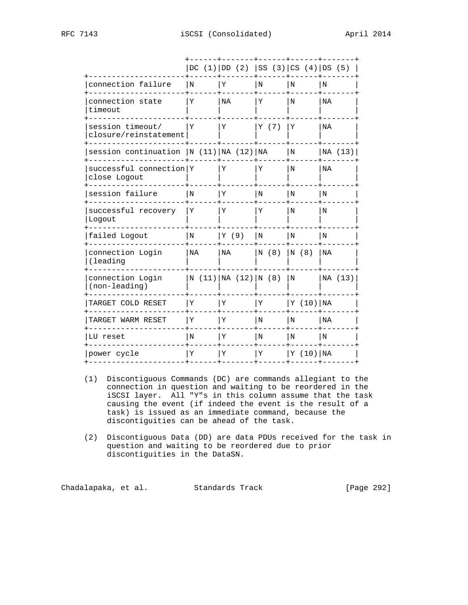|                                           |     | DC $(1)$ DD $(2)$ SS $(3)$ CS $(4)$ DS $(5)$ |       |             |         |
|-------------------------------------------|-----|----------------------------------------------|-------|-------------|---------|
| connection failure                        | l N | Υ                                            | l N   | l N         | N       |
| connection state<br>timeout               | Y   | <b>NA</b>                                    | Υ     | N           | NA      |
| session timeout/<br>closure/reinstatement | Y   | Υ                                            | Y (7) | Y           | NA      |
| session continuation $ N (11) NA (12) NA$ |     |                                              |       | N           | NA (13) |
| successful connection Y<br>close Logout   |     | Υ                                            | Y     | N           | NA      |
| session failure                           | N   | Υ                                            | N     | N           | N       |
| successful recovery<br>Logout             | Υ   | Υ                                            | Υ     | N           | N       |
| failed Logout                             | N   | Y (9)                                        | N     | N           | N       |
| connection Login<br>(leading              | NA  | NA                                           | N(8)  | N(8)        | NA      |
| connection Login<br>(non-leading)         |     | N(11) NA(12) N(8)                            |       | $\mathbf N$ | NA (13) |
| TARGET COLD RESET                         | Υ   | Υ                                            | ΙY    | Y (10) NA   |         |
| TARGET WARM RESET                         | Υ   | Υ                                            | N     | N           | NA      |
| LU reset                                  | N   | Υ                                            | N     | l N         | N       |
| power cycle                               | Υ   | Υ                                            | ΙY    | Y (10) NA   |         |
|                                           |     |                                              |       |             |         |

- (1) Discontiguous Commands (DC) are commands allegiant to the connection in question and waiting to be reordered in the iSCSI layer. All "Y"s in this column assume that the task causing the event (if indeed the event is the result of a task) is issued as an immediate command, because the discontiguities can be ahead of the task.
- (2) Discontiguous Data (DD) are data PDUs received for the task in question and waiting to be reordered due to prior discontiguities in the DataSN.

Chadalapaka, et al. Standards Track [Page 292]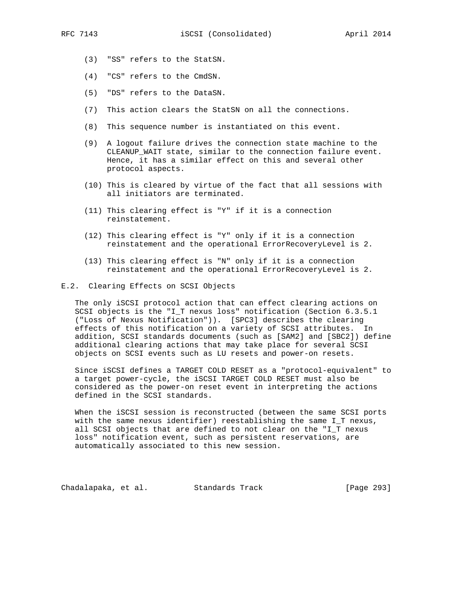- (3) "SS" refers to the StatSN.
- (4) "CS" refers to the CmdSN.
- (5) "DS" refers to the DataSN.
- (7) This action clears the StatSN on all the connections.
- (8) This sequence number is instantiated on this event.
- (9) A logout failure drives the connection state machine to the CLEANUP\_WAIT state, similar to the connection failure event. Hence, it has a similar effect on this and several other protocol aspects.
- (10) This is cleared by virtue of the fact that all sessions with all initiators are terminated.
- (11) This clearing effect is "Y" if it is a connection reinstatement.
- (12) This clearing effect is "Y" only if it is a connection reinstatement and the operational ErrorRecoveryLevel is 2.
- (13) This clearing effect is "N" only if it is a connection reinstatement and the operational ErrorRecoveryLevel is 2.
- E.2. Clearing Effects on SCSI Objects

 The only iSCSI protocol action that can effect clearing actions on SCSI objects is the "I\_T nexus loss" notification (Section 6.3.5.1 ("Loss of Nexus Notification")). [SPC3] describes the clearing effects of this notification on a variety of SCSI attributes. In addition, SCSI standards documents (such as [SAM2] and [SBC2]) define additional clearing actions that may take place for several SCSI objects on SCSI events such as LU resets and power-on resets.

 Since iSCSI defines a TARGET COLD RESET as a "protocol-equivalent" to a target power-cycle, the iSCSI TARGET COLD RESET must also be considered as the power-on reset event in interpreting the actions defined in the SCSI standards.

 When the iSCSI session is reconstructed (between the same SCSI ports with the same nexus identifier) reestablishing the same I\_T nexus, all SCSI objects that are defined to not clear on the "I\_T nexus loss" notification event, such as persistent reservations, are automatically associated to this new session.

Chadalapaka, et al. Standards Track [Page 293]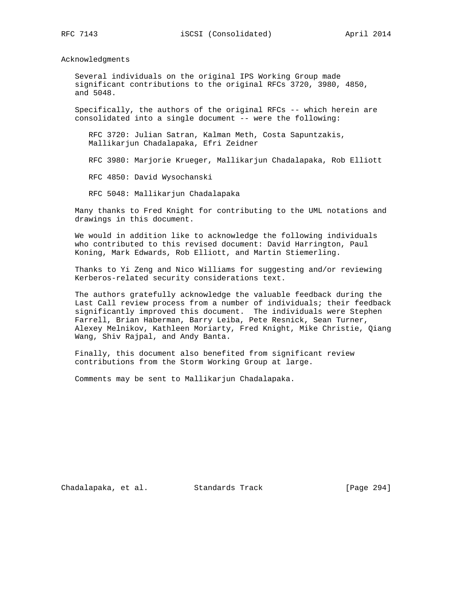Acknowledgments

 Several individuals on the original IPS Working Group made significant contributions to the original RFCs 3720, 3980, 4850, and 5048.

 Specifically, the authors of the original RFCs -- which herein are consolidated into a single document -- were the following:

 RFC 3720: Julian Satran, Kalman Meth, Costa Sapuntzakis, Mallikarjun Chadalapaka, Efri Zeidner

RFC 3980: Marjorie Krueger, Mallikarjun Chadalapaka, Rob Elliott

RFC 4850: David Wysochanski

RFC 5048: Mallikarjun Chadalapaka

 Many thanks to Fred Knight for contributing to the UML notations and drawings in this document.

 We would in addition like to acknowledge the following individuals who contributed to this revised document: David Harrington, Paul Koning, Mark Edwards, Rob Elliott, and Martin Stiemerling.

 Thanks to Yi Zeng and Nico Williams for suggesting and/or reviewing Kerberos-related security considerations text.

 The authors gratefully acknowledge the valuable feedback during the Last Call review process from a number of individuals; their feedback significantly improved this document. The individuals were Stephen Farrell, Brian Haberman, Barry Leiba, Pete Resnick, Sean Turner, Alexey Melnikov, Kathleen Moriarty, Fred Knight, Mike Christie, Qiang Wang, Shiv Rajpal, and Andy Banta.

 Finally, this document also benefited from significant review contributions from the Storm Working Group at large.

Comments may be sent to Mallikarjun Chadalapaka.

Chadalapaka, et al. Standards Track [Page 294]